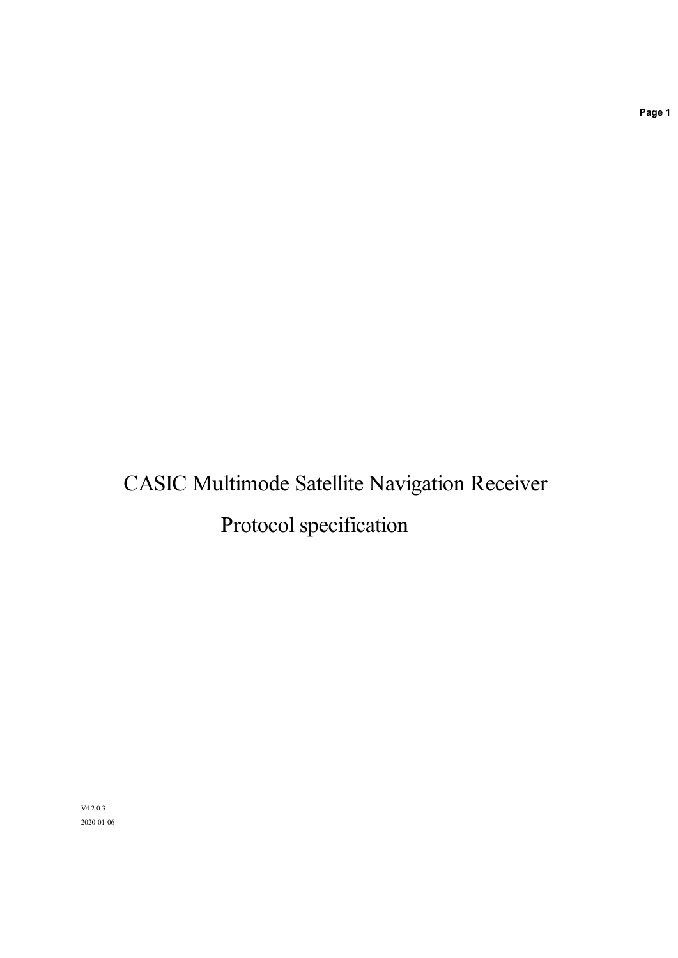# CASIC Multimode Satellite Navigation Receiver Protocol specification

V4.2.0.3 2020-01-06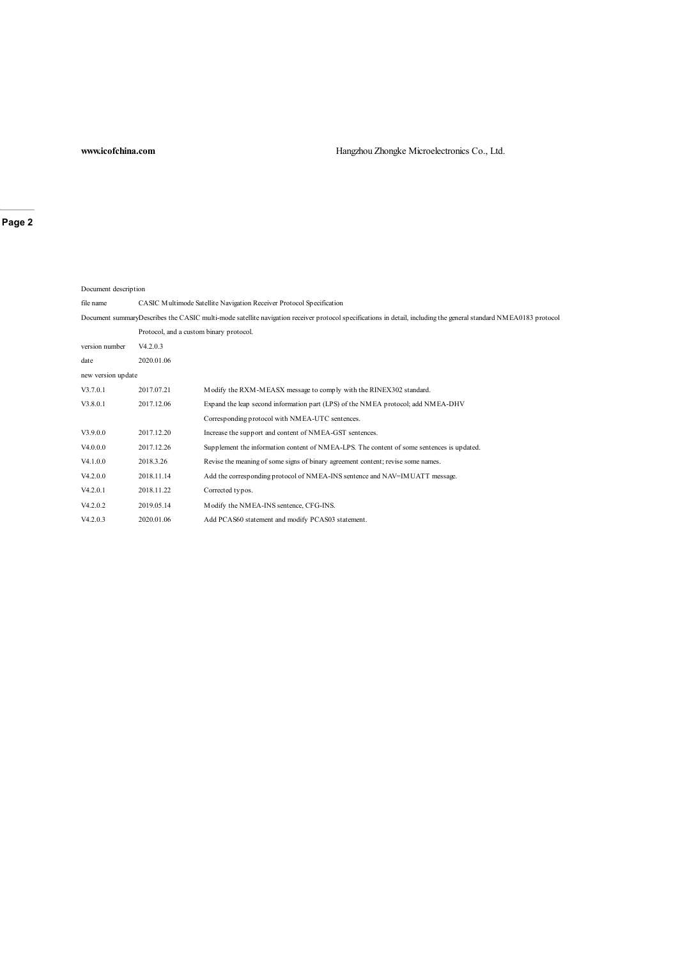### **www.icofchina.com** Hangzhou Zhongke Microelectronics Co., Ltd.

**Page 2**

| Document description |            |                                                                                                                                                                  |  |  |  |  |
|----------------------|------------|------------------------------------------------------------------------------------------------------------------------------------------------------------------|--|--|--|--|
| file name            |            | CASIC Multimode Satellite Navigation Receiver Protocol Specification                                                                                             |  |  |  |  |
|                      |            | Document summaryDescribes the CASIC multi-mode satellite navigation receiver protocol specifications in detail, including the general standard NMEA0183 protocol |  |  |  |  |
|                      |            | Protocol, and a custom binary protocol.                                                                                                                          |  |  |  |  |
| version number       | V4.2.0.3   |                                                                                                                                                                  |  |  |  |  |
| date                 | 2020.01.06 |                                                                                                                                                                  |  |  |  |  |
| new version up date  |            |                                                                                                                                                                  |  |  |  |  |
| V3.7.0.1             | 2017.07.21 | Modify the RXM-MEASX message to comply with the RINEX302 standard.                                                                                               |  |  |  |  |
| V3.8.0.1             | 2017.12.06 | Expand the leap second information part (LPS) of the NMEA protocol; add NMEA-DHV                                                                                 |  |  |  |  |
|                      |            | Corresponding protocol with NMEA-UTC sentences.                                                                                                                  |  |  |  |  |
| V3.9.0.0             | 2017.12.20 | Increase the support and content of NMEA-GST sentences.                                                                                                          |  |  |  |  |
| V4.0.0.0             | 2017.12.26 | Supplement the information content of NMEA-LPS. The content of some sentences is updated.                                                                        |  |  |  |  |
| V4.1.0.0             | 2018.3.26  | Revise the meaning of some signs of binary agreement content; revise some names.                                                                                 |  |  |  |  |
| V4.2.0.0             | 2018.11.14 | Add the corresponding protocol of NMEA-INS sentence and NAV=IMUATT message.                                                                                      |  |  |  |  |
| V4.2.0.1             | 2018.11.22 | Corrected typos.                                                                                                                                                 |  |  |  |  |
| V4.2.0.2             | 2019.05.14 | Modify the NMEA-INS sentence, CFG-INS.                                                                                                                           |  |  |  |  |
| V4.2.0.3             | 2020.01.06 | Add PCAS60 statement and modify PCAS03 statement.                                                                                                                |  |  |  |  |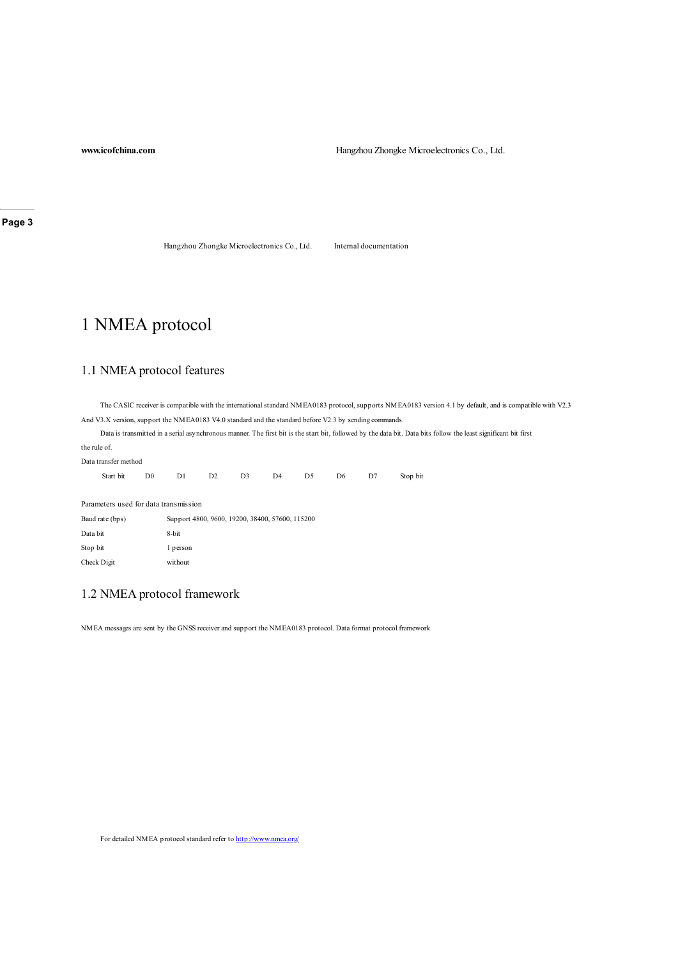**www.icofchina.com Hangzhou Zhongke Microelectronics Co., Ltd.** 

**Page 3**

Hangzhou Zhongke Microelectronics Co., Ltd. Internal documentation

## 1 NMEA protocol

### 1.1 NMEA protocol features

The CASIC receiver is compatible with the international standard NMEA0183 protocol, supports NMEA0183 version 4.1 by default, and is compatible with V2.3 And V3.X version, support the NMEA0183 V4.0 standard and the standard before V2.3 by sending commands.

Data is transmitted in a serial asynchronous manner. The first bit is the start bit, followed by the data bit. Data bits follow the least significant bit first the rule of.

| Data transfer method                  |           |                |    |                |    |           |                |    |          |
|---------------------------------------|-----------|----------------|----|----------------|----|-----------|----------------|----|----------|
|                                       | Start bit | D <sub>0</sub> | D1 | D <sub>2</sub> | D3 | $D4$ $D5$ | D <sub>6</sub> | D7 | Stop bit |
|                                       |           |                |    |                |    |           |                |    |          |
| Parameters used for data transmission |           |                |    |                |    |           |                |    |          |

| Baud rate (bps) | Support 4800, 9600, 19200, 38400, 57600, 115200 |
|-----------------|-------------------------------------------------|
| Data bit        | 8-bit                                           |
| Stop bit        | 1 person                                        |
| Check Digit     | without                                         |

### 1.2 NMEA protocol framework

NMEA messages are sent by the GNSS receiver and support the NMEA0183 protocol. Data format protocol framework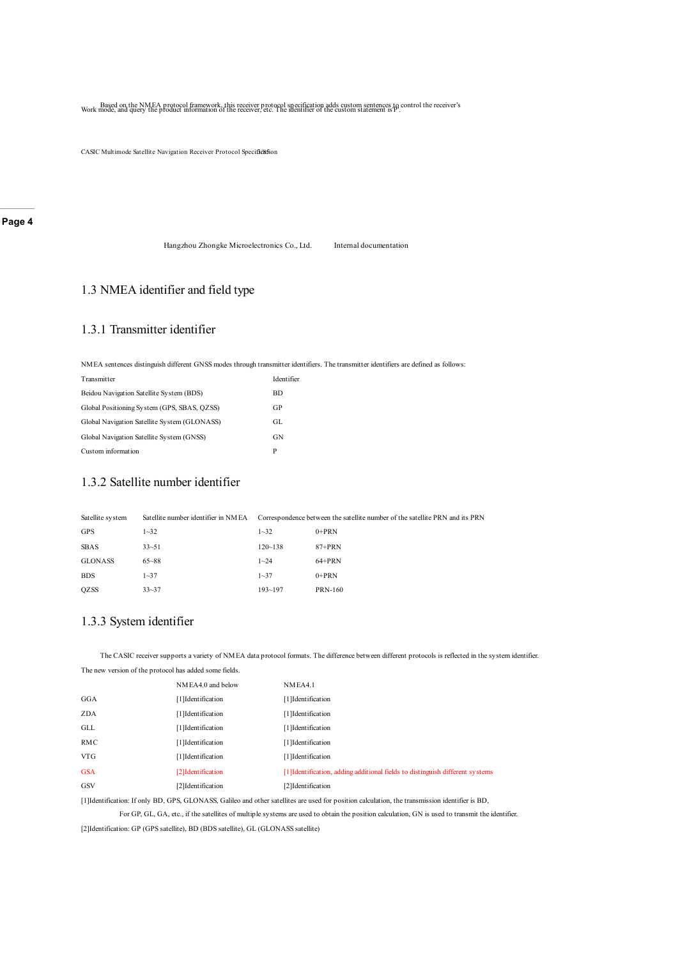Based on the NMEA protocol framework, this receiver protocol specification adds custom sentences to control the receiver's Work mode, and query the product information of the receiver, etc. I he identifier of the custom st

CASIC Multimode Satellite Navigation Receiver Protocol Specification

#### **Page 4**

Hangzhou Zhongke Microelectronics Co., Ltd. Internal documentation

### 1.3 NMEA identifier and field type

#### 1.3.1 Transmitter identifier

NMEA sentences distinguish different GNSS modes through transmitter identifiers. The transmitter identifiers are defined as follows:

| Transmitter                                  | Identifier |
|----------------------------------------------|------------|
| Beidou Navigation Satellite System (BDS)     | <b>BD</b>  |
| Global Positioning System (GPS, SBAS, QZSS)  | GP         |
| Global Navigation Satellite System (GLONASS) | GL.        |
| Global Navigation Satellite System (GNSS)    | GN         |
| Custom information                           | P          |

### 1.3.2 Satellite number identifier

| Satellite system | Satellite number identifier in NMEA |             | Correspondence between the satellite number of the satellite PRN and its PRN |
|------------------|-------------------------------------|-------------|------------------------------------------------------------------------------|
| <b>GPS</b>       | $1 - 32$                            | $1 - 32$    | $0+PRN$                                                                      |
| <b>SBAS</b>      | $33 - 51$                           | $120 - 138$ | $87+PRN$                                                                     |
| <b>GLONASS</b>   | $65 - 88$                           | $1 - 24$    | $64+PRN$                                                                     |
| <b>BDS</b>       | $1 - 37$                            | $1 - 37$    | $0+PRN$                                                                      |
| <b>QZSS</b>      | $33 - 37$                           | $193 - 197$ | <b>PRN-160</b>                                                               |

### 1.3.3 System identifier

The new version of the protocol has added some fields.

The CASIC receiver supports a variety of NMEA data protocol formats. The difference between different protocols is reflected in the system identifier.

|            | The new replier of the protocol has added boing fleads. |                                                                               |  |  |
|------------|---------------------------------------------------------|-------------------------------------------------------------------------------|--|--|
|            | NMEA4.0 and below                                       | NMEA4.1                                                                       |  |  |
| GGA        | [1] Identification                                      | [1] Identification                                                            |  |  |
| ZDA        | [1] Identification                                      | [1] Identification                                                            |  |  |
| GLL        | [1] Identification                                      | [1]Identification                                                             |  |  |
| RMC        | [1]Identification                                       | [1]Identification                                                             |  |  |
| <b>VTG</b> | [1] Identification                                      | [1]Identification                                                             |  |  |
| <b>GSA</b> | [2] Identification                                      | [1] Identification, adding additional fields to distinguish different systems |  |  |
| GSV        | [2]Identification                                       | [2]Identification                                                             |  |  |
|            |                                                         |                                                                               |  |  |

[1]Identification: If only BD, GPS, GLONASS, Galileo and other satellites are used for position calculation, the transmission identifier is BD,

For GP, GL, GA, etc., if the satellites of multiple systems are used to obtain the position calculation, GN is used to transmit the identifier. [2]Identification: GP (GPS satellite), BD (BDS satellite), GL (GLONASS satellite)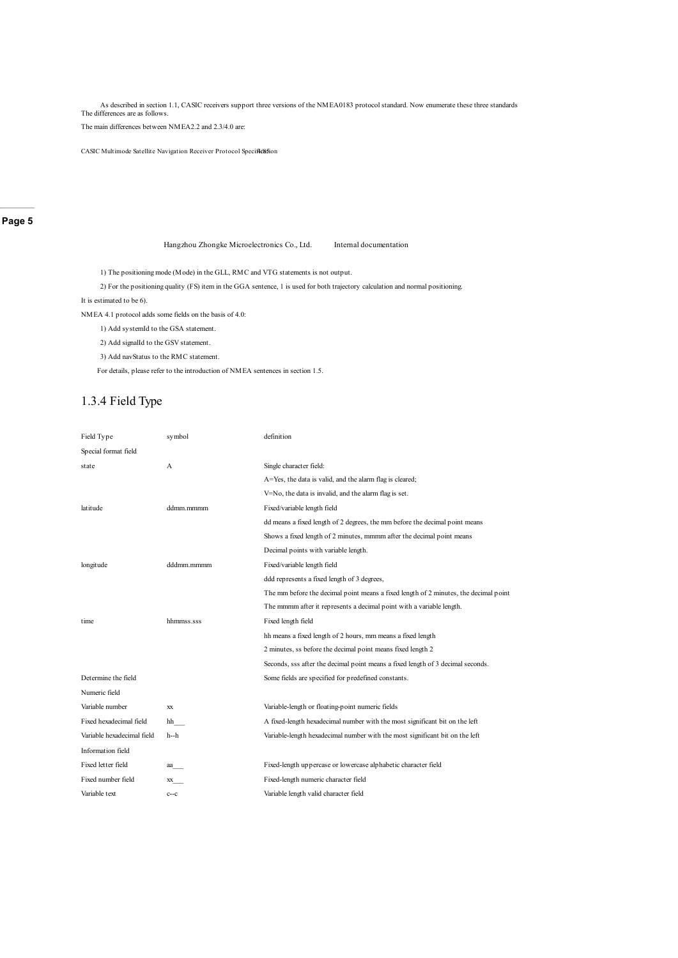As described in section 1.1, CASIC receivers support three versions of the NMEA0183 protocol standard. Now enumerate these three standards The differences are as follows.

The main differences between NMEA2.2 and 2.3/4.0 are:

CASIC Multimode Satellite Navigation Receiver Protocol Specification

**Page 5**

Hangzhou Zhongke Microelectronics Co., Ltd. Internal documentation

1) The positioning mode (Mode) in the GLL, RMC and VTG statements is not output.

2) For the positioning quality (FS) item in the GGA sentence, 1 is used for both trajectory calculation and normal positioning.

It is estimated to be 6).

NMEA 4.1 protocol adds some fields on the basis of 4.0:

1) Add systemId to the GSA statement.

2) Add signalId to the GSV statement.

3) Add navStatus to the RMC statement.

For details, please refer to the introduction of NMEA sentences in section 1.5.

### 1.3.4 Field Type

| Field Type                 | symbol     | definition                                                                           |
|----------------------------|------------|--------------------------------------------------------------------------------------|
| Special format field       |            |                                                                                      |
| state                      | A          | Single character field:                                                              |
|                            |            | A=Yes, the data is valid, and the alarm flag is cleared;                             |
|                            |            | V=No, the data is invalid, and the alarm flag is set.                                |
| latitude                   | ddmm.mmmm  | Fixed/variable length field                                                          |
|                            |            | dd means a fixed length of 2 degrees, the mm before the decimal point means          |
|                            |            | Shows a fixed length of 2 minutes, mmmm after the decimal point means                |
|                            |            | Decimal points with variable length.                                                 |
| longitude                  | dddmm.mmmm | Fixed/variable length field                                                          |
|                            |            | ddd represents a fixed length of 3 degrees,                                          |
|                            |            | The mm before the decimal point means a fixed length of 2 minutes, the decimal point |
|                            |            | The mmmm after it represents a decimal point with a variable length.                 |
| time                       | hhmmss.sss | Fixed length field                                                                   |
|                            |            | hh means a fixed length of 2 hours, mm means a fixed length                          |
|                            |            | 2 minutes, ss before the decimal point means fixed length 2                          |
|                            |            | Seconds, sss after the decimal point means a fixed length of 3 decimal seconds.      |
| Determine the field        |            | Some fields are specified for predefined constants.                                  |
| Numeric field              |            |                                                                                      |
| Variable number            | XX         | Variable-length or floating-point numeric fields                                     |
| Fixed hexadecimal field    | hh         | A fixed-length hexadecimal number with the most significant bit on the left          |
| Variable hexadecimal field | h--h       | Variable-length hexadecimal number with the most significant bit on the left         |
| Information field          |            |                                                                                      |
| Fixed letter field         | aa         | Fixed-length uppercase or lowercase alphabetic character field                       |
| Fixed number field         | XX         | Fixed-length numeric character field                                                 |
| Variable text              | $c--c$     | Variable length valid character field                                                |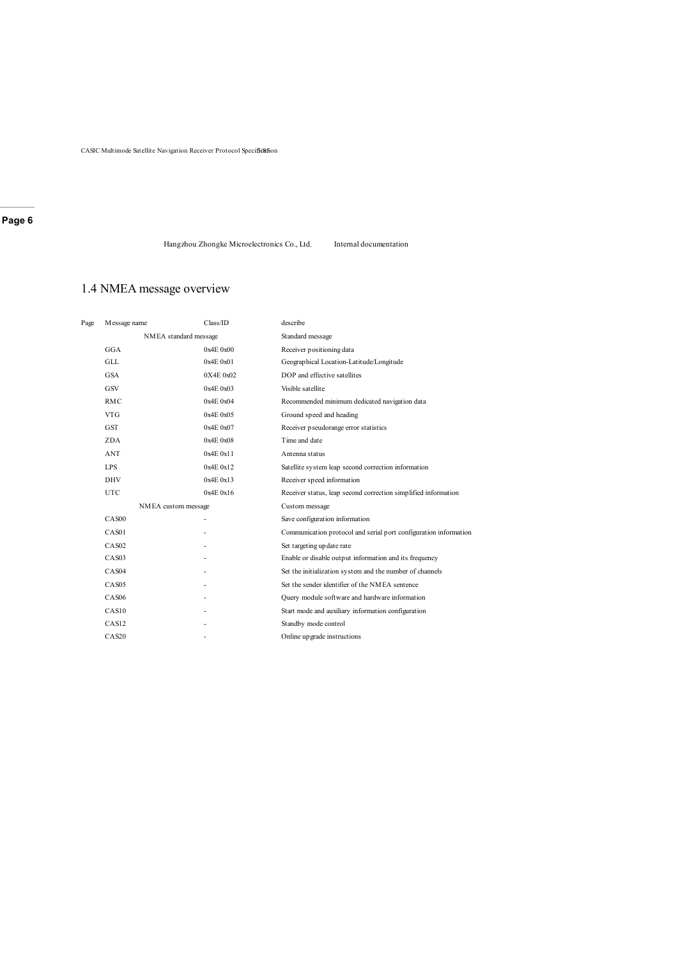CASIC Multimode Satellite Navigation Receiver Protocol Specification

#### **Page 6**

Hangzhou Zhongke Microelectronics Co., Ltd. Internal documentation

### 1.4 NMEA message overview

| Page | Message name          | Class/ID  | describe                                                         |
|------|-----------------------|-----------|------------------------------------------------------------------|
|      | NMEA standard message |           | Standard message                                                 |
|      | GGA                   | 0x4E0x00  | Receiver positioning data                                        |
|      | <b>GLL</b>            | 0x4E0x01  | Geographical Location-Latitude/Longitude                         |
|      | <b>GSA</b>            | 0X4E0x02  | DOP and effective satellites                                     |
|      | GSV                   | 0x4E0x03  | Visible satellite                                                |
|      | <b>RMC</b>            | 0x4E0x04  | Recommended minimum dedicated navigation data                    |
|      | <b>VTG</b>            | 0x4E0x05  | Ground speed and heading                                         |
|      | <b>GST</b>            | 0x4E0x07  | Receiver pseudorange error statistics                            |
|      | ZDA                   | 0x4E0x08  | Time and date                                                    |
|      | <b>ANT</b>            | 0x4E 0x11 | Antenna status                                                   |
|      | <b>LPS</b>            | 0x4E0x12  | Satellite system leap second correction information              |
|      | <b>DHV</b>            | 0x4E0x13  | Receiver speed information                                       |
|      | <b>UTC</b>            | 0x4E0x16  | Receiver status, leap second correction simplified information   |
|      | NMEA custom message   |           | Custom message                                                   |
|      | CAS <sub>00</sub>     | ۰         | Save configuration information                                   |
|      | CAS01                 |           | Communication protocol and serial port configuration information |
|      | CAS <sub>02</sub>     |           | Set targeting up date rate                                       |
|      | CAS <sub>03</sub>     |           | Enable or disable output information and its frequency           |
|      | CAS <sub>04</sub>     |           | Set the initialization system and the number of channels         |
|      | CAS <sub>05</sub>     |           | Set the sender identifier of the NMEA sentence                   |
|      | CAS <sub>06</sub>     |           | Query module software and hardware information                   |
|      | CAS10                 |           | Start mode and auxiliary information configuration               |
|      | CAS12                 |           | Standby mode control                                             |
|      | CAS20                 |           | Online up grade instructions                                     |
|      |                       |           |                                                                  |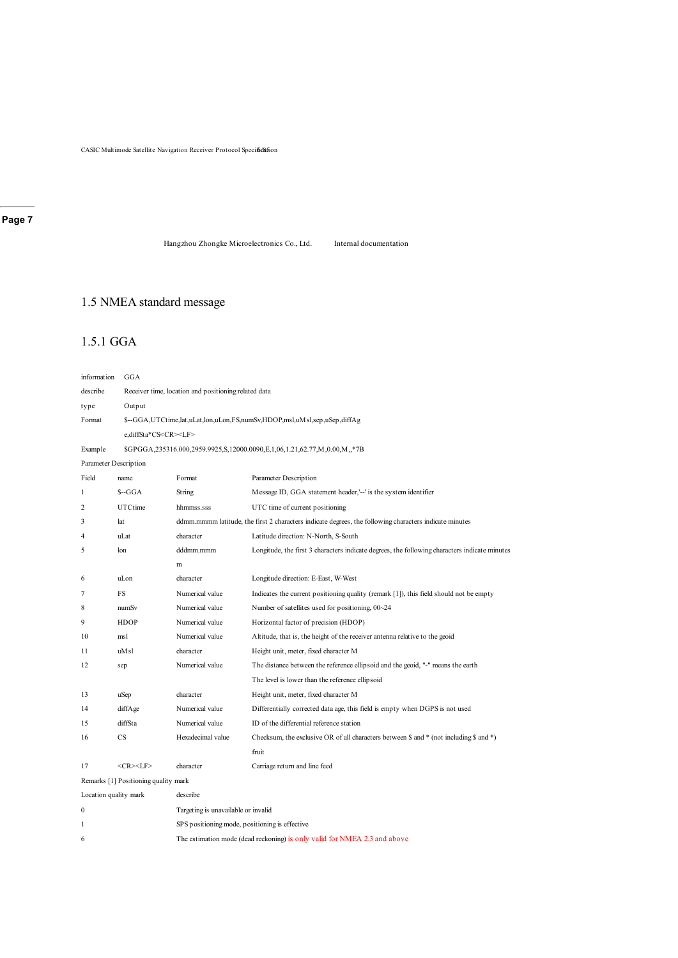CASIC Multimode Satellite Navigation Receiver Protocol Specif6e8fion

Hangzhou Zhongke Microelectronics Co., Ltd. Internal documentation

### 1.5 NMEA standard message

### 1.5.1 GGA

| information           | GGA                                  |                                                                          |                                                                                                        |  |  |
|-----------------------|--------------------------------------|--------------------------------------------------------------------------|--------------------------------------------------------------------------------------------------------|--|--|
| describe              |                                      | Receiver time, location and positioning related data                     |                                                                                                        |  |  |
| type                  | Output                               |                                                                          |                                                                                                        |  |  |
| Format                |                                      | \$--GGA,UTCtime,lat,uLat,lon,uLon,FS,numSv,HDOP,msl,uMsl,sep,uSep,diffAg |                                                                                                        |  |  |
|                       | e,diffSta*CS <cr><lf></lf></cr>      |                                                                          |                                                                                                        |  |  |
| Example               |                                      |                                                                          | \$GPGGA,235316.000,2959.9925,S,12000.0090,E,1,06,1.21,62.77,M,0.00,M,,*7B                              |  |  |
| Parameter Description |                                      |                                                                          |                                                                                                        |  |  |
| Field                 | name                                 | Format                                                                   | Parameter Description                                                                                  |  |  |
| 1                     | $S-GGA$                              | String                                                                   | Message ID, GGA statement header,'--' is the system identifier                                         |  |  |
| $\overline{2}$        | UTCtime                              | hhmmss.sss                                                               | UTC time of current positioning                                                                        |  |  |
| 3                     | lat                                  |                                                                          | ddmm.mmmm latitude, the first 2 characters indicate degrees, the following characters indicate minutes |  |  |
| $\overline{4}$        | uLat                                 | character                                                                | Latitude direction: N-North, S-South                                                                   |  |  |
| 5                     | 1 <sub>on</sub>                      | dddmm.mmm                                                                | Longitude, the first 3 characters indicate degrees, the following characters indicate minutes          |  |  |
|                       |                                      | m                                                                        |                                                                                                        |  |  |
| 6                     | uLon                                 | character                                                                | Longitude direction: E-East, W-West                                                                    |  |  |
| 7                     | FS                                   | Numerical value                                                          | Indicates the current positioning quality (remark $[1]$ ), this field should not be empty              |  |  |
| 8                     | numSv                                | Numerical value                                                          | Number of satellites used for positioning, 00~24                                                       |  |  |
| 9                     | <b>HDOP</b>                          | Numerical value                                                          | Horizontal factor of precision (HDOP)                                                                  |  |  |
| 10                    | msl                                  | Numerical value                                                          | Altitude, that is, the height of the receiver antenna relative to the geoid                            |  |  |
| 11                    | uM <sub>sl</sub>                     | character                                                                | Height unit, meter, fixed character M                                                                  |  |  |
| 12                    | sep                                  | Numerical value                                                          | The distance between the reference ellipsoid and the geoid, "-" means the earth                        |  |  |
|                       |                                      |                                                                          | The level is lower than the reference ellipsoid                                                        |  |  |
| 13                    | uSep                                 | character                                                                | Height unit, meter, fixed character M                                                                  |  |  |
| 14                    | diffAge                              | Numerical value                                                          | Differentially corrected data age, this field is empty when DGPS is not used                           |  |  |
| 15                    | diffSta                              | Numerical value                                                          | ID of the differential reference station                                                               |  |  |
| 16                    | CS                                   | Hexadecimal value                                                        | Checksum, the exclusive OR of all characters between $\$ and $*$ (not including $\$ and $*$ )          |  |  |
|                       |                                      |                                                                          | fruit                                                                                                  |  |  |
| 17                    | $<$ CR> $<$ LF>                      | character                                                                | Carriage return and line feed                                                                          |  |  |
|                       | Remarks [1] Positioning quality mark |                                                                          |                                                                                                        |  |  |
| Location quality mark |                                      | describe                                                                 |                                                                                                        |  |  |
| $\boldsymbol{0}$      |                                      | Targeting is unavailable or invalid                                      |                                                                                                        |  |  |
| 1                     |                                      | SPS positioning mode, positioning is effective                           |                                                                                                        |  |  |
| 6                     |                                      |                                                                          | The estimation mode (dead reckoning) is only valid for NMEA 2.3 and above                              |  |  |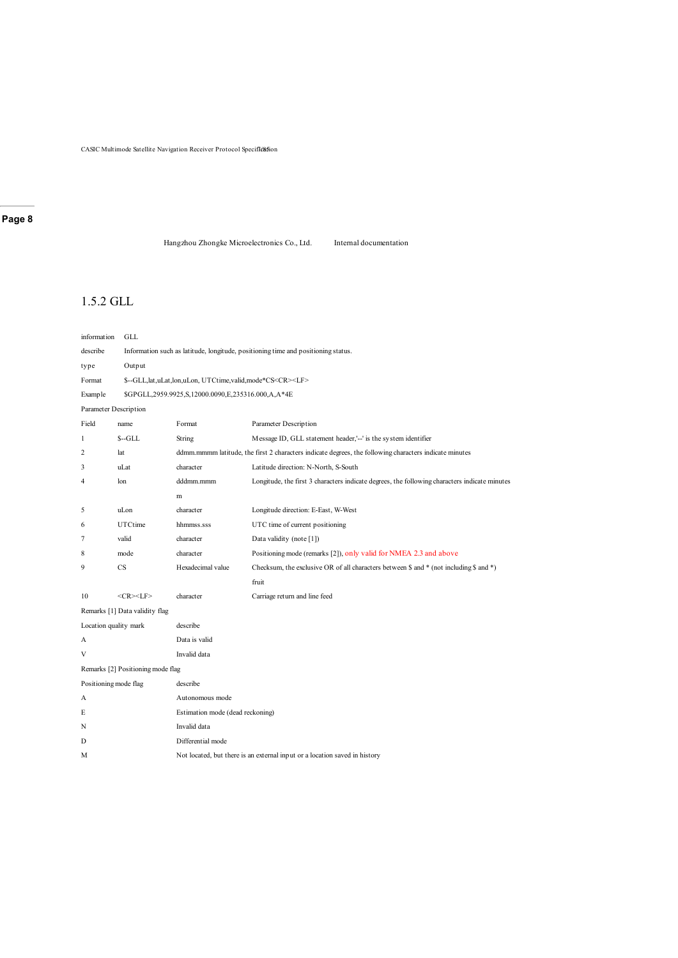CASIC Multimode Satellite Navigation Receiver Protocol Specification

### **Page 8**

Hangzhou Zhongke Microelectronics Co., Ltd. Internal documentation

### 1.5.2 GLL

| information           | <b>GLL</b>                        |                                                                                   |                                                                                                        |  |  |
|-----------------------|-----------------------------------|-----------------------------------------------------------------------------------|--------------------------------------------------------------------------------------------------------|--|--|
| describe              |                                   | Information such as latitude, longitude, positioning time and positioning status. |                                                                                                        |  |  |
| type                  | Output                            |                                                                                   |                                                                                                        |  |  |
| Format                |                                   | \$--GLL,lat,uLat,lon,uLon, UTCtime,valid,mode*CS <cr><lf></lf></cr>               |                                                                                                        |  |  |
| Example               |                                   | \$GPGLL,2959.9925,S,12000.0090,E,235316.000,A,A*4E                                |                                                                                                        |  |  |
|                       | Parameter Description             |                                                                                   |                                                                                                        |  |  |
| Field                 | name                              | Format                                                                            | Parameter Description                                                                                  |  |  |
| 1                     | $S - GLL$                         | String                                                                            | Message ID, GLL statement header,'--' is the system identifier                                         |  |  |
| $\overline{c}$        | lat                               |                                                                                   | ddmm.mmmm latitude, the first 2 characters indicate degrees, the following characters indicate minutes |  |  |
| 3                     | uLat                              | character                                                                         | Latitude direction: N-North, S-South                                                                   |  |  |
| 4                     | lon                               | dddmm.mmm                                                                         | Longitude, the first 3 characters indicate degrees, the following characters indicate minutes          |  |  |
|                       |                                   | m                                                                                 |                                                                                                        |  |  |
| 5                     | uLon                              | character                                                                         | Longitude direction: E-East, W-West                                                                    |  |  |
| 6                     | UTCtime                           | hhmmss.sss                                                                        | UTC time of current positioning                                                                        |  |  |
| 7                     | valid                             | character                                                                         | Data validity (note [1])                                                                               |  |  |
| 8                     | mode                              | character                                                                         | Positioning mode (remarks [2]), only valid for NMEA 2.3 and above                                      |  |  |
| 9                     | <b>CS</b>                         | Hexadecimal value                                                                 | Checksum, the exclusive OR of all characters between \$ and $*$ (not including \$ and $*$ )            |  |  |
|                       |                                   |                                                                                   | fruit                                                                                                  |  |  |
| 10                    | $<$ CR> $<$ LF>                   | character                                                                         | Carriage return and line feed                                                                          |  |  |
|                       | Remarks [1] Data validity flag    |                                                                                   |                                                                                                        |  |  |
| Location quality mark |                                   | describe                                                                          |                                                                                                        |  |  |
| А                     |                                   | Data is valid                                                                     |                                                                                                        |  |  |
| V                     |                                   | Invalid data                                                                      |                                                                                                        |  |  |
|                       | Remarks [2] Positioning mode flag |                                                                                   |                                                                                                        |  |  |
| Positioning mode flag |                                   | describe                                                                          |                                                                                                        |  |  |
| А                     |                                   | Autonomous mode                                                                   |                                                                                                        |  |  |
| E                     |                                   | Estimation mode (dead reckoning)                                                  |                                                                                                        |  |  |
| N                     |                                   | Invalid data                                                                      |                                                                                                        |  |  |
| D                     |                                   | Differential mode                                                                 |                                                                                                        |  |  |
| М                     |                                   |                                                                                   | Not located, but there is an external input or a location saved in history                             |  |  |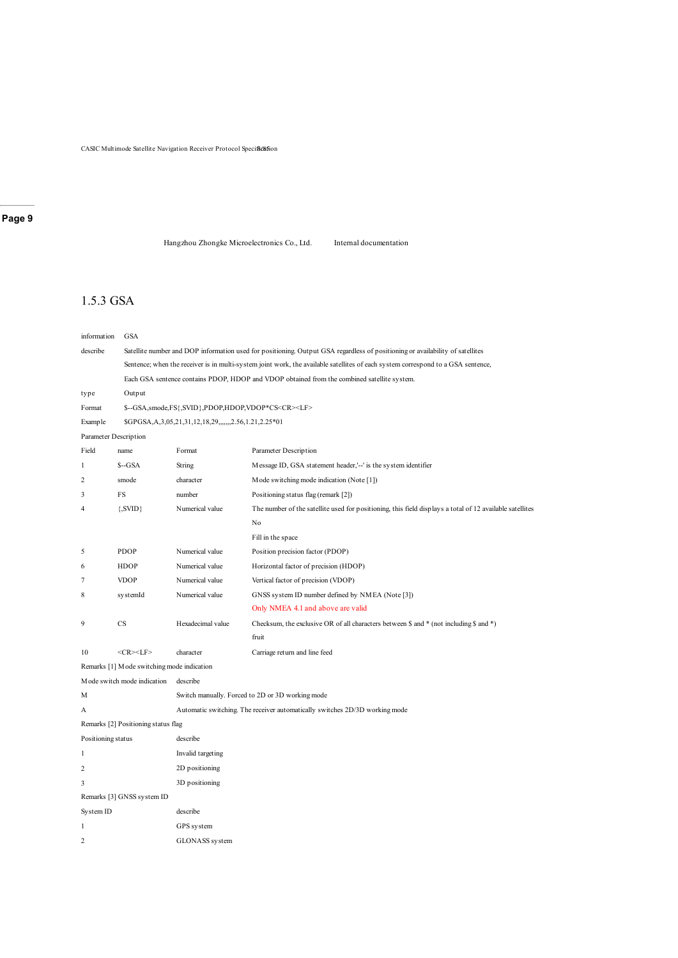CASIC Multimode Satellite Navigation Receiver Protocol Specif&&fion

### **Page 9**

Hangzhou Zhongke Microelectronics Co., Ltd. Internal documentation

### 1.5.3 GSA

| information           | GSA                                         |                                                                                                                                  |                                                                                                          |  |  |
|-----------------------|---------------------------------------------|----------------------------------------------------------------------------------------------------------------------------------|----------------------------------------------------------------------------------------------------------|--|--|
| describe              |                                             | Satellite number and DOP information used for positioning. Output GSA regardless of positioning or availability of satellites    |                                                                                                          |  |  |
|                       |                                             | Sentence; when the receiver is in multi-system joint work, the available satellites of each system correspond to a GSA sentence, |                                                                                                          |  |  |
|                       |                                             |                                                                                                                                  | Each GSA sentence contains PDOP, HDOP and VDOP obtained from the combined satellite system.              |  |  |
| type                  | Output                                      |                                                                                                                                  |                                                                                                          |  |  |
| Format                |                                             | \$--GSA,smode,FS{,SVID},PDOP,HDOP,VDOP*CS <cr><lf></lf></cr>                                                                     |                                                                                                          |  |  |
| Example               |                                             | \$GPGSA, A, 3, 05, 21, 31, 12, 18, 29, ,,,,,, 2.56, 1.21, 2.25* 01                                                               |                                                                                                          |  |  |
| Parameter Description |                                             |                                                                                                                                  |                                                                                                          |  |  |
| Field                 | name                                        | Format                                                                                                                           | Parameter Description                                                                                    |  |  |
| 1                     | $S-GSA$                                     | String                                                                                                                           | Message ID, GSA statement header,'--' is the system identifier                                           |  |  |
| $\overline{c}$        | smode                                       | character                                                                                                                        | Mode switching mode indication (Note [1])                                                                |  |  |
| 3                     | FS                                          | number                                                                                                                           | Positioning status flag (remark [2])                                                                     |  |  |
| 4                     | ${,}SVID$                                   | Numerical value                                                                                                                  | The number of the satellite used for positioning, this field displays a total of 12 available satellites |  |  |
|                       |                                             |                                                                                                                                  | No                                                                                                       |  |  |
|                       |                                             |                                                                                                                                  | Fill in the space                                                                                        |  |  |
| 5                     | <b>PDOP</b>                                 | Numerical value                                                                                                                  | Position precision factor (PDOP)                                                                         |  |  |
| 6                     | <b>HDOP</b>                                 | Numerical value                                                                                                                  | Horizontal factor of precision (HDOP)                                                                    |  |  |
| 7                     | <b>VDOP</b>                                 | Numerical value                                                                                                                  | Vertical factor of precision (VDOP)                                                                      |  |  |
| 8                     | systemId                                    | Numerical value                                                                                                                  | GNSS system ID number defined by NMEA (Note [3])                                                         |  |  |
|                       |                                             |                                                                                                                                  | Only NMEA 4.1 and above are valid                                                                        |  |  |
| 9                     | CS                                          | Hexadecimal value                                                                                                                | Checksum, the exclusive OR of all characters between $\$ and $*$ (not including $\$ and $*$ )            |  |  |
|                       |                                             |                                                                                                                                  | fruit                                                                                                    |  |  |
| 10                    | $<$ CR> $<$ LF>                             | character                                                                                                                        | Carriage return and line feed                                                                            |  |  |
|                       | Remarks [1] M ode switching mode indication |                                                                                                                                  |                                                                                                          |  |  |
|                       | Mode switch mode indication                 | describe                                                                                                                         |                                                                                                          |  |  |
| М                     |                                             |                                                                                                                                  | Switch manually. Forced to 2D or 3D working mode                                                         |  |  |
| А                     |                                             |                                                                                                                                  | Automatic switching. The receiver automatically switches 2D/3D working mode                              |  |  |
|                       | Remarks [2] Positioning status flag         |                                                                                                                                  |                                                                                                          |  |  |
| Positioning status    |                                             | describe                                                                                                                         |                                                                                                          |  |  |
| 1                     |                                             | Invalid targeting                                                                                                                |                                                                                                          |  |  |
| 2                     |                                             | 2D positioning                                                                                                                   |                                                                                                          |  |  |
| 3                     |                                             | 3D positioning                                                                                                                   |                                                                                                          |  |  |
|                       | Remarks [3] GNSS system ID                  |                                                                                                                                  |                                                                                                          |  |  |
| System ID             |                                             | describe                                                                                                                         |                                                                                                          |  |  |
| 1                     |                                             | GPS system                                                                                                                       |                                                                                                          |  |  |
| 2                     |                                             | GLONASS system                                                                                                                   |                                                                                                          |  |  |
|                       |                                             |                                                                                                                                  |                                                                                                          |  |  |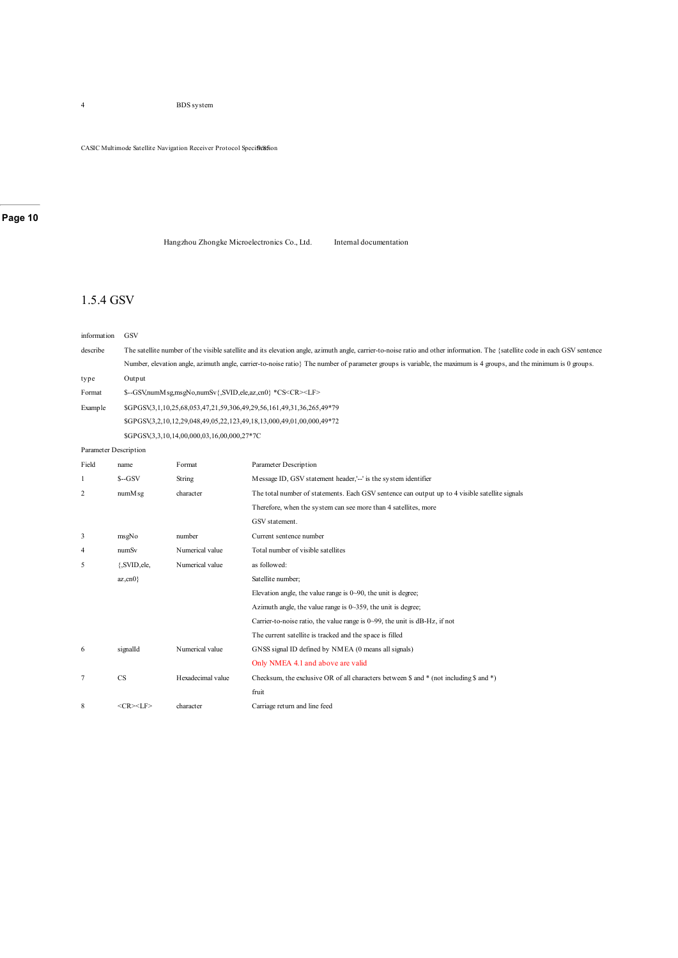4 BDS system

CASIC Multimode Satellite Navigation Receiver Protocol Specifle&fion

### **Page 10**

Hangzhou Zhongke Microelectronics Co., Ltd. Internal documentation

### 1.5.4 GSV

| information           | GSV                |                                                                                                                                                                              |                                                                                                                                                                   |  |  |
|-----------------------|--------------------|------------------------------------------------------------------------------------------------------------------------------------------------------------------------------|-------------------------------------------------------------------------------------------------------------------------------------------------------------------|--|--|
| describe              |                    | The satellite number of the visible satellite and its elevation angle, azimuth angle, carrier-to-noise ratio and other information. The {satellite code in each GSV sentence |                                                                                                                                                                   |  |  |
|                       |                    |                                                                                                                                                                              | Number, elevation angle, azimuth angle, carrier-to-noise ratio} The number of parameter groups is variable, the maximum is 4 groups, and the minimum is 0 groups. |  |  |
| type                  | Output             |                                                                                                                                                                              |                                                                                                                                                                   |  |  |
| Format                |                    | \$--GSV,numM sg,msgNo,numSv{,SVID,ele,az,cn0} *CS <cr><lf></lf></cr>                                                                                                         |                                                                                                                                                                   |  |  |
| Example               |                    |                                                                                                                                                                              | \$GPGSV3,1,10,25,68,053,47,21,59,306,49,29,56,161,49,31,36,265,49*79                                                                                              |  |  |
|                       |                    |                                                                                                                                                                              | \$GPGSV,3,2,10,12,29,048,49,05,22,123,49,18,13,000,49,01,00,000,49*72                                                                                             |  |  |
|                       |                    | \$GPGSV,3,3,10,14,00,000,03,16,00,000,27*7C                                                                                                                                  |                                                                                                                                                                   |  |  |
| Parameter Description |                    |                                                                                                                                                                              |                                                                                                                                                                   |  |  |
| Field                 | name               | Format                                                                                                                                                                       | Parameter Description                                                                                                                                             |  |  |
| 1                     | $S-GSV$            | String                                                                                                                                                                       | Message ID, GSV statement header,'--' is the system identifier                                                                                                    |  |  |
| 2                     | numM <sub>sg</sub> | character                                                                                                                                                                    | The total number of statements. Each GSV sentence can output up to 4 visible satellite signals                                                                    |  |  |
|                       |                    |                                                                                                                                                                              | Therefore, when the system can see more than 4 satellites, more                                                                                                   |  |  |
|                       |                    |                                                                                                                                                                              | GSV statement.                                                                                                                                                    |  |  |
| 3                     | msgNo              | number                                                                                                                                                                       | Current sentence number                                                                                                                                           |  |  |
| 4                     | numSv              | Numerical value                                                                                                                                                              | Total number of visible satellites                                                                                                                                |  |  |
| 5                     | {,SVID,ele,        | Numerical value                                                                                                                                                              | as followed:                                                                                                                                                      |  |  |
|                       | $az, cn0$ }        |                                                                                                                                                                              | Satellite number;                                                                                                                                                 |  |  |
|                       |                    |                                                                                                                                                                              | Elevation angle, the value range is $0 \sim 90$ , the unit is degree;                                                                                             |  |  |
|                       |                    |                                                                                                                                                                              | Azimuth angle, the value range is $0 \sim 359$ , the unit is degree;                                                                                              |  |  |
|                       |                    |                                                                                                                                                                              | Carrier-to-noise ratio, the value range is $0\neg 99$ , the unit is dB-Hz, if not                                                                                 |  |  |
|                       |                    |                                                                                                                                                                              | The current satellite is tracked and the space is filled                                                                                                          |  |  |
| 6                     | signalId           | Numerical value                                                                                                                                                              | GNSS signal ID defined by NMEA (0 means all signals)                                                                                                              |  |  |
|                       |                    |                                                                                                                                                                              | Only NMEA 4.1 and above are valid                                                                                                                                 |  |  |
| 7                     | CS                 | Hexadecimal value                                                                                                                                                            | Checksum, the exclusive OR of all characters between $\$ and $*$ (not including $\$ and $*$ )                                                                     |  |  |
|                       |                    |                                                                                                                                                                              | fruit                                                                                                                                                             |  |  |
| 8                     | $<$ CR> $<$ LF>    | character                                                                                                                                                                    | Carriage return and line feed                                                                                                                                     |  |  |
|                       |                    |                                                                                                                                                                              |                                                                                                                                                                   |  |  |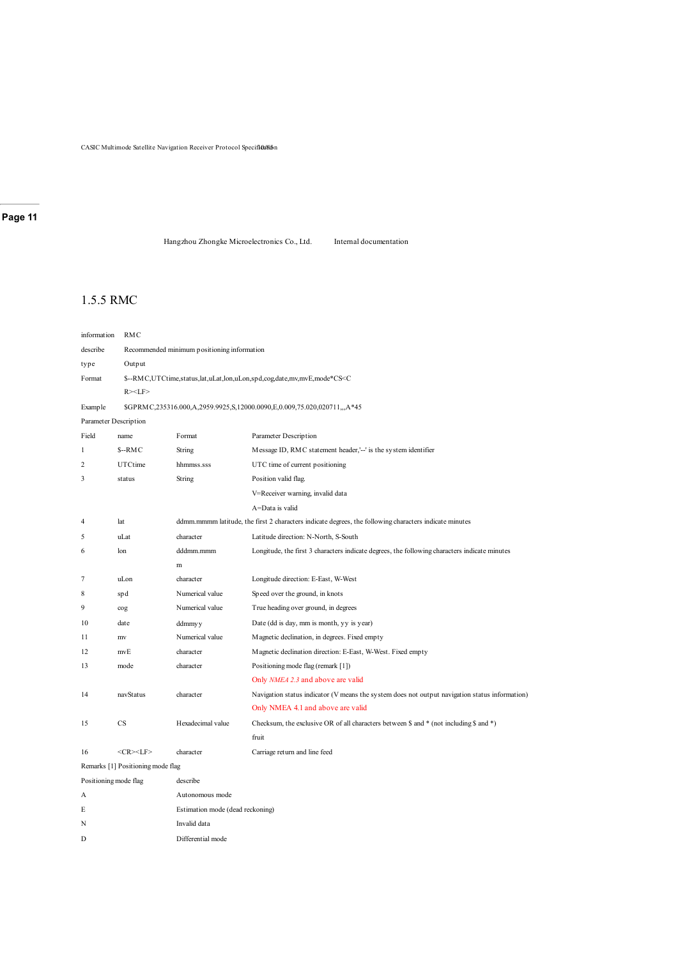CASIC Multimode Satellite Navigation Receiver Protocol Specificution

### **Page 11**

Hangzhou Zhongke Microelectronics Co., Ltd. Internal documentation

### 1.5.5 RMC

| information           | RMC                               |                                                                                      |                                                                                                        |  |  |
|-----------------------|-----------------------------------|--------------------------------------------------------------------------------------|--------------------------------------------------------------------------------------------------------|--|--|
| describe              |                                   | Recommended minimum positioning information                                          |                                                                                                        |  |  |
| type                  | Output                            |                                                                                      |                                                                                                        |  |  |
| Format                |                                   | \$--RMC,UTCtime,status,lat,uLat,lon,uLon,spd,cog,date,mv,mvE,mode*CS <c< td=""></c<> |                                                                                                        |  |  |
|                       | $R><$ LF>                         |                                                                                      |                                                                                                        |  |  |
| Example               |                                   |                                                                                      | \$GPRMC,235316.000,A,2959.9925,S,12000.0090,E,0.009,75.020,020711,,,A*45                               |  |  |
| Parameter Description |                                   |                                                                                      |                                                                                                        |  |  |
| Field                 | name                              | Format                                                                               | Parameter Description                                                                                  |  |  |
| 1                     | $S-RMC$                           | String                                                                               | Message ID, RMC statement header,'--' is the system identifier                                         |  |  |
| $\overline{c}$        | UTCtime                           | hhmmss.sss                                                                           | UTC time of current positioning                                                                        |  |  |
| 3                     | status                            | String                                                                               | Position valid flag.                                                                                   |  |  |
|                       |                                   |                                                                                      | V=Receiver warning, invalid data                                                                       |  |  |
|                       |                                   |                                                                                      | A=Data is valid                                                                                        |  |  |
| 4                     | lat                               |                                                                                      | ddmm.mmmm latitude, the first 2 characters indicate degrees, the following characters indicate minutes |  |  |
| 5                     | uLat                              | character                                                                            | Latitude direction: N-North, S-South                                                                   |  |  |
| 6                     | lon                               | dddmm.mmm                                                                            | Longitude, the first 3 characters indicate degrees, the following characters indicate minutes          |  |  |
|                       |                                   | m                                                                                    |                                                                                                        |  |  |
| 7                     | uLon                              | character                                                                            | Longitude direction: E-East, W-West                                                                    |  |  |
| 8                     | spd                               | Numerical value                                                                      | Speed over the ground, in knots                                                                        |  |  |
| 9                     | cog                               | Numerical value                                                                      | True heading over ground, in degrees                                                                   |  |  |
| 10                    | date                              | ddmmyy                                                                               | Date (dd is day, mm is month, yy is year)                                                              |  |  |
| 11                    | mv                                | Numerical value                                                                      | Magnetic declination, in degrees. Fixed empty                                                          |  |  |
| 12                    | mvE                               | character                                                                            | Magnetic declination direction: E-East, W-West. Fixed empty                                            |  |  |
| 13                    | mode                              | character                                                                            | Positioning mode flag (remark [1])                                                                     |  |  |
|                       |                                   |                                                                                      | Only NMEA 2.3 and above are valid                                                                      |  |  |
| 14                    | navStatus                         | character                                                                            | Navigation status indicator (V means the system does not output navigation status information)         |  |  |
|                       |                                   |                                                                                      | Only NMEA 4.1 and above are valid                                                                      |  |  |
| 15                    | CS                                | Hexadecimal value                                                                    | Checksum, the exclusive OR of all characters between \$ and * (not including \$ and *)                 |  |  |
|                       |                                   |                                                                                      | fruit                                                                                                  |  |  |
| 16                    | $<$ CR> $<$ LF>                   | character                                                                            | Carriage return and line feed                                                                          |  |  |
|                       | Remarks [1] Positioning mode flag |                                                                                      |                                                                                                        |  |  |
| Positioning mode flag |                                   | describe                                                                             |                                                                                                        |  |  |
| А                     |                                   | Autonomous mode                                                                      |                                                                                                        |  |  |
| E                     |                                   | Estimation mode (dead reckoning)                                                     |                                                                                                        |  |  |
| N                     |                                   | Invalid data                                                                         |                                                                                                        |  |  |
| D                     |                                   | Differential mode                                                                    |                                                                                                        |  |  |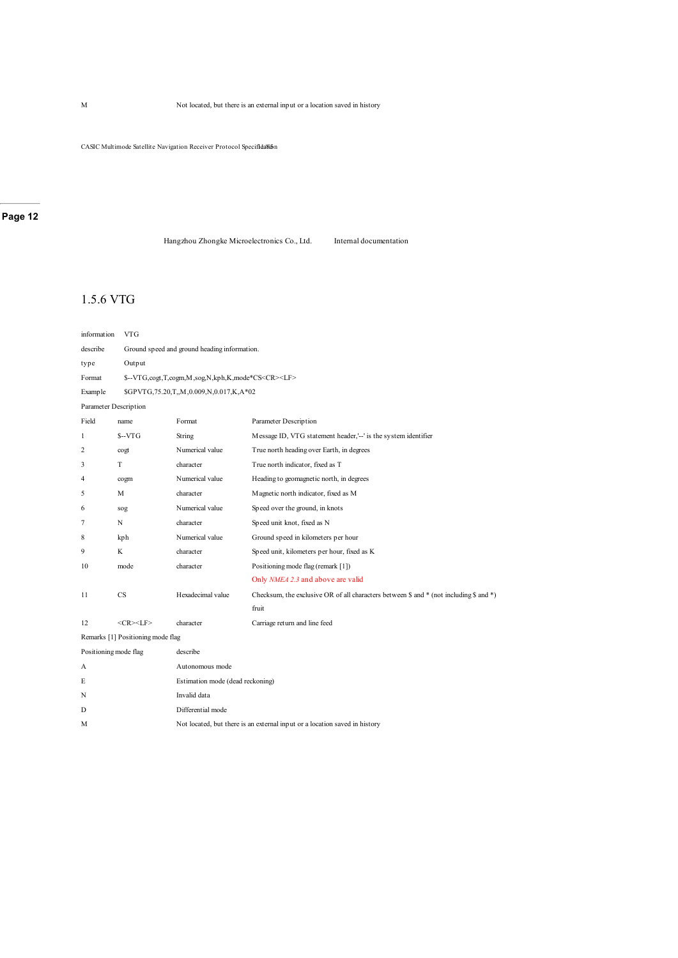CASIC Multimode Satellite Navigation Receiver Protocol Specifidalin

#### **Page 12**

Hangzhou Zhongke Microelectronics Co., Ltd. Internal documentation

### 1.5.6 VTG

| information           | <b>VTG</b>                        |                                                              |                                                                                        |  |  |
|-----------------------|-----------------------------------|--------------------------------------------------------------|----------------------------------------------------------------------------------------|--|--|
| describe              |                                   | Ground speed and ground heading information.                 |                                                                                        |  |  |
| type                  | Output                            |                                                              |                                                                                        |  |  |
| Format                |                                   | \$--VTG,cogt,T,cogm,M,sog,N,kph,K,mode*CS <cr><lf></lf></cr> |                                                                                        |  |  |
| <b>Example</b>        |                                   | \$GPVTG,75.20,T,,M,0.009,N,0.017,K,A*02                      |                                                                                        |  |  |
| Parameter Description |                                   |                                                              |                                                                                        |  |  |
| Field                 | name                              | Format                                                       | Parameter Description                                                                  |  |  |
| 1                     | $S-VTG$                           | String                                                       | Message ID, VTG statement header,'--' is the system identifier                         |  |  |
| 2                     | cogt                              | Numerical value                                              | True north heading over Earth, in degrees                                              |  |  |
| 3                     | T                                 | character                                                    | True north indicator, fixed as T                                                       |  |  |
| 4                     | cogm                              | Numerical value                                              | Heading to geomagnetic north, in degrees                                               |  |  |
| 5                     | M                                 | character                                                    | Magnetic north indicator, fixed as M                                                   |  |  |
| 6                     | sog                               | Numerical value                                              | Speed over the ground, in knots                                                        |  |  |
| 7                     | N                                 | character                                                    | Speed unit knot, fixed as N                                                            |  |  |
| 8                     | kph                               | Numerical value                                              | Ground speed in kilometers per hour                                                    |  |  |
| 9                     | K                                 | character                                                    | Speed unit, kilometers per hour, fixed as K                                            |  |  |
| 10                    | mode                              | character                                                    | Positioning mode flag (remark [1])                                                     |  |  |
|                       |                                   |                                                              | Only NMEA 2.3 and above are valid                                                      |  |  |
| 11                    | CS                                | Hexadecimal value                                            | Checksum, the exclusive OR of all characters between \$ and * (not including \$ and *) |  |  |
|                       |                                   |                                                              | fruit                                                                                  |  |  |
| 12                    | $<$ CR> $<$ LF>                   | character                                                    | Carriage return and line feed                                                          |  |  |
|                       | Remarks [1] Positioning mode flag |                                                              |                                                                                        |  |  |
| Positioning mode flag |                                   | describe                                                     |                                                                                        |  |  |
| А                     |                                   | Autonomous mode                                              |                                                                                        |  |  |
| E                     |                                   | Estimation mode (dead reckoning)                             |                                                                                        |  |  |
| N                     |                                   | Invalid data                                                 |                                                                                        |  |  |
| D                     |                                   | Differential mode                                            |                                                                                        |  |  |
| M                     |                                   |                                                              | Not located, but there is an external input or a location saved in history             |  |  |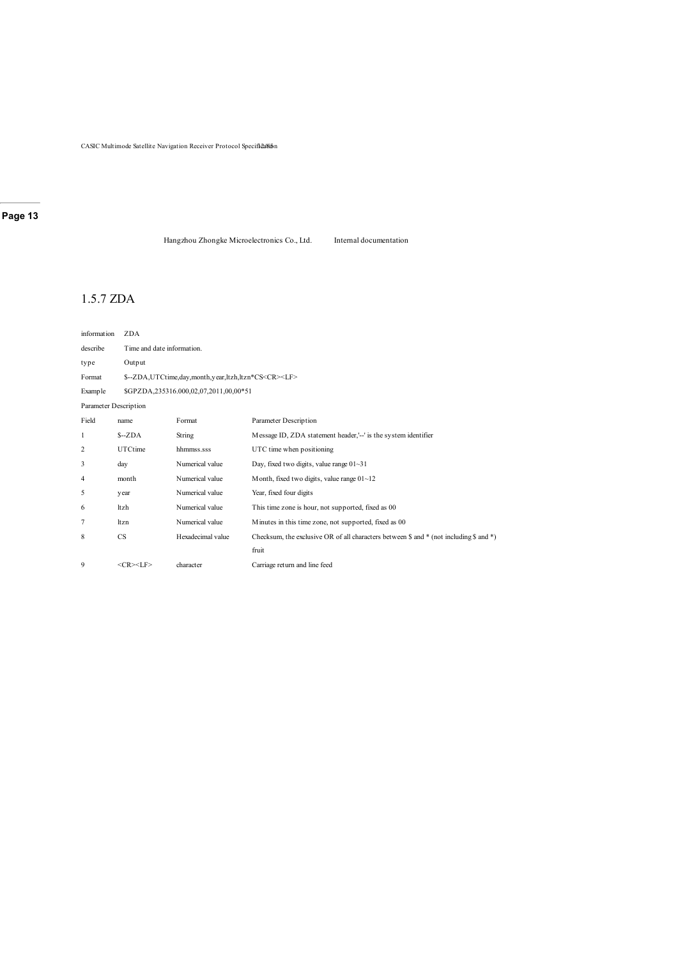CASIC Multimode Satellite Navigation Receiver Protocol Specifical Son

### **Page 13**

Hangzhou Zhongke Microelectronics Co., Ltd. Internal documentation

### 1.5.7 ZDA

| information           | ZDA             |                                                                |                                                                                                              |  |  |
|-----------------------|-----------------|----------------------------------------------------------------|--------------------------------------------------------------------------------------------------------------|--|--|
| describe              |                 | Time and date information.                                     |                                                                                                              |  |  |
| type                  | Output          |                                                                |                                                                                                              |  |  |
| Format                |                 | \$--ZDA,UTCtime,day,month,year,ltzh,ltzn*CS <cr><lf></lf></cr> |                                                                                                              |  |  |
| Example               |                 | \$GPZDA,235316.000,02,07,2011,00,00*51                         |                                                                                                              |  |  |
| Parameter Description |                 |                                                                |                                                                                                              |  |  |
| Field                 | name            | Format                                                         | Parameter Description                                                                                        |  |  |
| 1                     | $S-ZDA$         | String                                                         | Message ID, ZDA statement header,'--' is the system identifier                                               |  |  |
| 2                     | UTCtime         | hhmmss.sss                                                     | UTC time when positioning                                                                                    |  |  |
| 3                     | day             | Numerical value                                                | Day, fixed two digits, value range $01 - 31$                                                                 |  |  |
| 4                     | month           | Numerical value                                                | Month, fixed two digits, value range 01~12                                                                   |  |  |
| 5                     | year            | Numerical value                                                | Year, fixed four digits                                                                                      |  |  |
| 6                     | ltzh            | Numerical value                                                | This time zone is hour, not supported, fixed as 00                                                           |  |  |
| 7                     | ltzn            | Numerical value                                                | Minutes in this time zone, not supported, fixed as 00                                                        |  |  |
| 8                     | CS              | Hexadecimal value                                              | Checksum, the exclusive OR of all characters between $\frac{1}{2}$ and * (not including $\frac{1}{2}$ and *) |  |  |
|                       |                 |                                                                | fruit                                                                                                        |  |  |
| 9                     | $<$ CR> $<$ LF> | character                                                      | Carriage return and line feed                                                                                |  |  |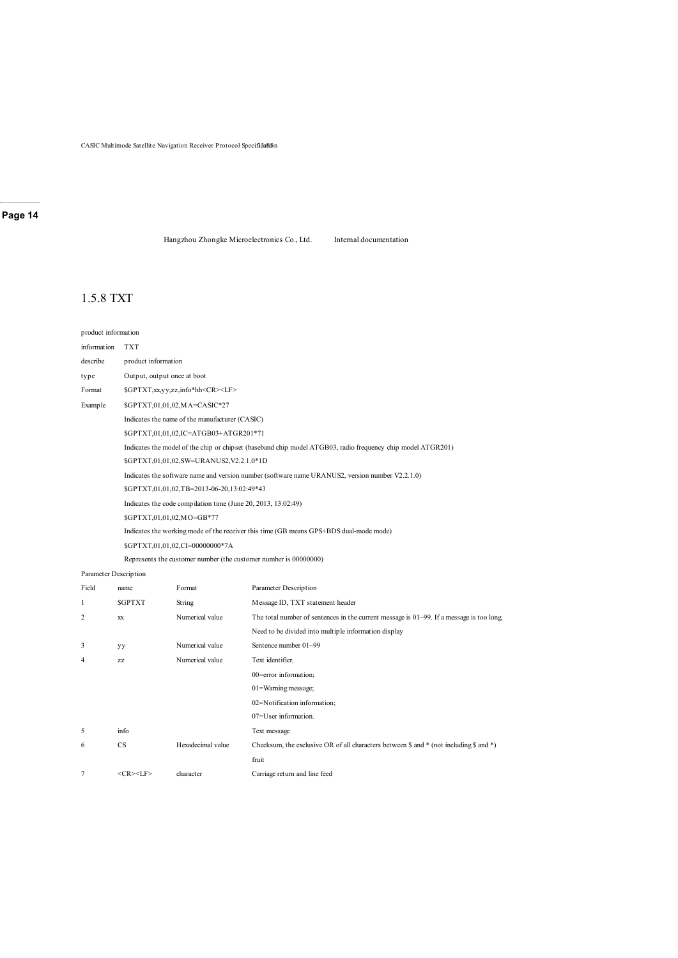CASIC Multimode Satellite Navigation Receiver Protocol Specificalism

### **Page 14**

Hangzhou Zhongke Microelectronics Co., Ltd. Internal documentation

### 1.5.8 TXT

#### product information

| information | <b>TXT</b>                                                                                                  |  |  |  |
|-------------|-------------------------------------------------------------------------------------------------------------|--|--|--|
| describe    | product information                                                                                         |  |  |  |
| type        | Output, output once at boot                                                                                 |  |  |  |
| Format      | \$GPTXT,xx,yy,zz,info*hh <cr><lf></lf></cr>                                                                 |  |  |  |
| Example     | \$GPTXT,01,01,02,MA=CASIC*27                                                                                |  |  |  |
|             | Indicates the name of the manufacturer (CASIC)                                                              |  |  |  |
|             | \$GPTXT,01,01,02,IC=ATGB03+ATGR201*71                                                                       |  |  |  |
|             | Indicates the model of the chip or chipset (baseband chip model ATGB03, radio frequency chip model ATGR201) |  |  |  |
|             | \$GPTXT,01,01,02,SW=URANUS2,V2.2.1.0*1D                                                                     |  |  |  |
|             | Indicates the software name and version number (software name URANUS2, version number V2.2.1.0)             |  |  |  |
|             | \$GPTXT,01,01,02,TB=2013-06-20,13:02:49*43                                                                  |  |  |  |
|             | Indicates the code compilation time (June 20, 2013, 13:02:49)                                               |  |  |  |
|             | \$GPTXT,01,01,02,MO=GB*77                                                                                   |  |  |  |
|             | Indicates the working mode of the receiver this time (GB means GPS+BDS dual-mode mode)                      |  |  |  |
|             | \$GPTXT,01,01,02,CI=00000000*7A                                                                             |  |  |  |

Represents the customer number (the customer number is 00000000)

#### Parameter Description

| Field          | name            | Format            | Parameter Description                                                                            |  |
|----------------|-----------------|-------------------|--------------------------------------------------------------------------------------------------|--|
| 1              | <b>SGPTXT</b>   | String            | Message ID, TXT statement header                                                                 |  |
| $\overline{2}$ | XX              | Numerical value   | The total number of sentences in the current message is $01 \sim 99$ . If a message is too long, |  |
|                |                 |                   | Need to be divided into multiple information display                                             |  |
| 3              | yy              | Numerical value   | Sentence number 01~99                                                                            |  |
| 4              | <b>ZZ</b>       | Numerical value   | Text identifier.                                                                                 |  |
|                |                 |                   | 00=error information;                                                                            |  |
|                |                 |                   | $01$ =Warning message;                                                                           |  |
|                |                 |                   | 02=Notification information;                                                                     |  |
|                |                 |                   | 07=User information.                                                                             |  |
| 5              | info            |                   | Text message                                                                                     |  |
| 6              | CS              | Hexadecimal value | Checksum, the exclusive OR of all characters between \$ and $*$ (not including \$ and $*$ )      |  |
|                |                 |                   | fruit                                                                                            |  |
| 7              | $<$ CR> $<$ LF> | character         | Carriage return and line feed                                                                    |  |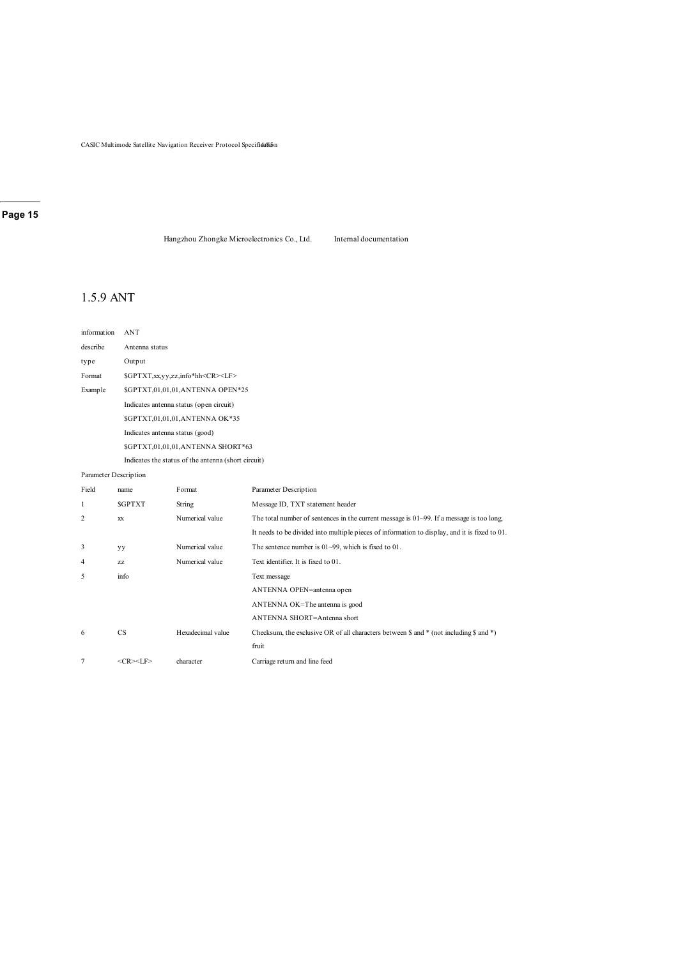CASIC Multimode Satellite Navigation Receiver Protocol Specifiea/

### **Page 15**

Hangzhou Zhongke Microelectronics Co., Ltd. Internal documentation

### 1.5.9 ANT

| information           | ANT                                                 |  |  |  |
|-----------------------|-----------------------------------------------------|--|--|--|
| describe              | Antenna status                                      |  |  |  |
| type                  | Output                                              |  |  |  |
| Format                | \$GPTXT,xx,yy,zz,info*hh <cr><lf></lf></cr>         |  |  |  |
| Example               | \$GPTXT,01,01,01,ANTENNA OPEN*25                    |  |  |  |
|                       | Indicates antenna status (open circuit)             |  |  |  |
|                       | \$GPTXT,01,01,01,ANTENNA OK*35                      |  |  |  |
|                       | Indicates antenna status (good)                     |  |  |  |
|                       | \$GPTXT,01,01,01,ANTENNA SHORT*63                   |  |  |  |
|                       | Indicates the status of the antenna (short circuit) |  |  |  |
| Parameter Description |                                                     |  |  |  |

| Field          | name            | Format            | Parameter Description                                                                          |  |
|----------------|-----------------|-------------------|------------------------------------------------------------------------------------------------|--|
| 1              | <b>SGPTXT</b>   | String            | Message ID, TXT statement header                                                               |  |
| $\overline{c}$ | <b>XX</b>       | Numerical value   | The total number of sentences in the current message is $01\sim99$ . If a message is too long, |  |
|                |                 |                   | It needs to be divided into multiple pieces of information to display, and it is fixed to 01.  |  |
| 3              | yу              | Numerical value   | The sentence number is $01 \sim 99$ , which is fixed to 01.                                    |  |
| 4              | ZZ              | Numerical value   | Text identifier. It is fixed to 01.                                                            |  |
| 5              | info            |                   | Text message                                                                                   |  |
|                |                 |                   | ANTENNA OPEN=antenna open                                                                      |  |
|                |                 |                   | ANTENNA OK=The antenna is good                                                                 |  |
|                |                 |                   | ANTENNA SHORT=Antenna short                                                                    |  |
| 6              | <b>CS</b>       | Hexadecimal value | Checksum, the exclusive OR of all characters between $\$ and $*$ (not including $\$ and $*$ )  |  |
|                |                 |                   | fruit                                                                                          |  |
|                | $<$ CR> $<$ LF> | character         | Carriage return and line feed                                                                  |  |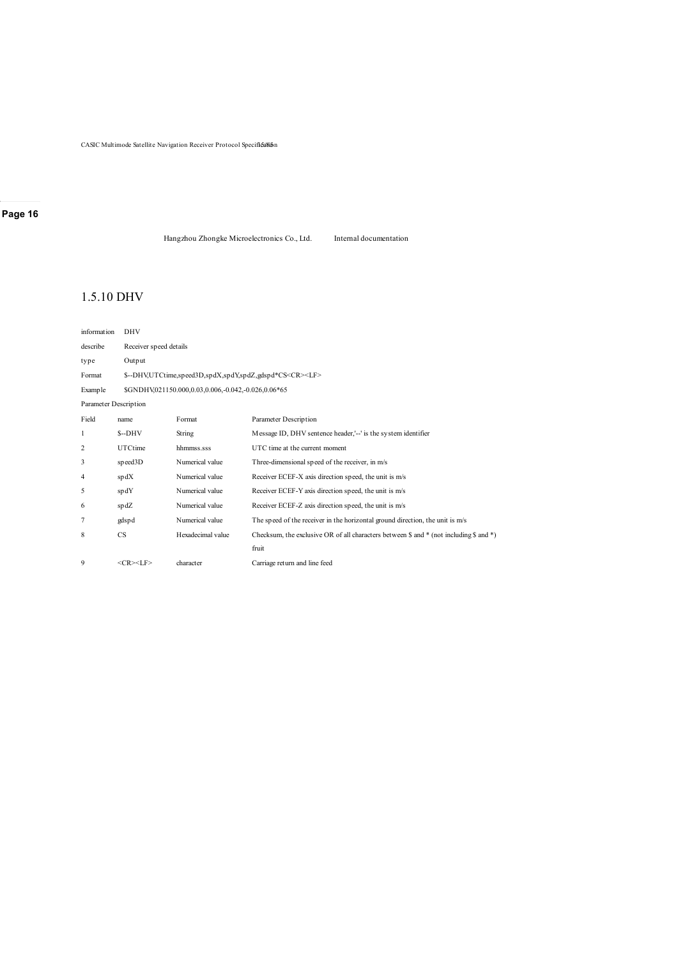CASIC Multimode Satellite Navigation Receiver Protocol Specificalion

### **Page 16**

Hangzhou Zhongke Microelectronics Co., Ltd. Internal documentation

### 1.5.10 DHV

| information           | <b>DHV</b>      |                                                                    |                                                                                                              |  |  |
|-----------------------|-----------------|--------------------------------------------------------------------|--------------------------------------------------------------------------------------------------------------|--|--|
| describe              |                 | Receiver speed details                                             |                                                                                                              |  |  |
| type                  | Output          |                                                                    |                                                                                                              |  |  |
| Format                |                 | \$--DHV,UTCtime,speed3D,spdX,spdY,spdZ,gdspd*CS <cr><lf></lf></cr> |                                                                                                              |  |  |
| Example               |                 | \$GNDHV,021150.000,0.03,0.006,-0.042,-0.026,0.06*65                |                                                                                                              |  |  |
| Parameter Description |                 |                                                                    |                                                                                                              |  |  |
| Field                 | name            | Format                                                             | Parameter Description                                                                                        |  |  |
| 1                     | $S-DHV$         | String                                                             | Message ID, DHV sentence header,'--' is the system identifier                                                |  |  |
| 2                     | UTCtime         | hhmmss.sss                                                         | UTC time at the current moment                                                                               |  |  |
| 3                     | speed3D         | Numerical value                                                    | Three-dimensional speed of the receiver, in m/s                                                              |  |  |
| 4                     | spdX            | Numerical value                                                    | Receiver ECEF-X axis direction speed, the unit is m/s                                                        |  |  |
| 5                     | spdY            | Numerical value                                                    | Receiver ECEF-Y axis direction speed, the unit is m/s                                                        |  |  |
| 6                     | spdZ            | Numerical value                                                    | Receiver ECEF-Z axis direction speed, the unit is m/s                                                        |  |  |
| 7                     | gdspd           | Numerical value                                                    | The speed of the receiver in the horizontal ground direction, the unit is m/s                                |  |  |
| 8                     | CS              | Hexadecimal value                                                  | Checksum, the exclusive OR of all characters between $\frac{1}{2}$ and * (not including $\frac{1}{2}$ and *) |  |  |
|                       |                 |                                                                    | fruit                                                                                                        |  |  |
| 9                     | $<$ CR> $<$ LF> | character                                                          | Carriage return and line feed                                                                                |  |  |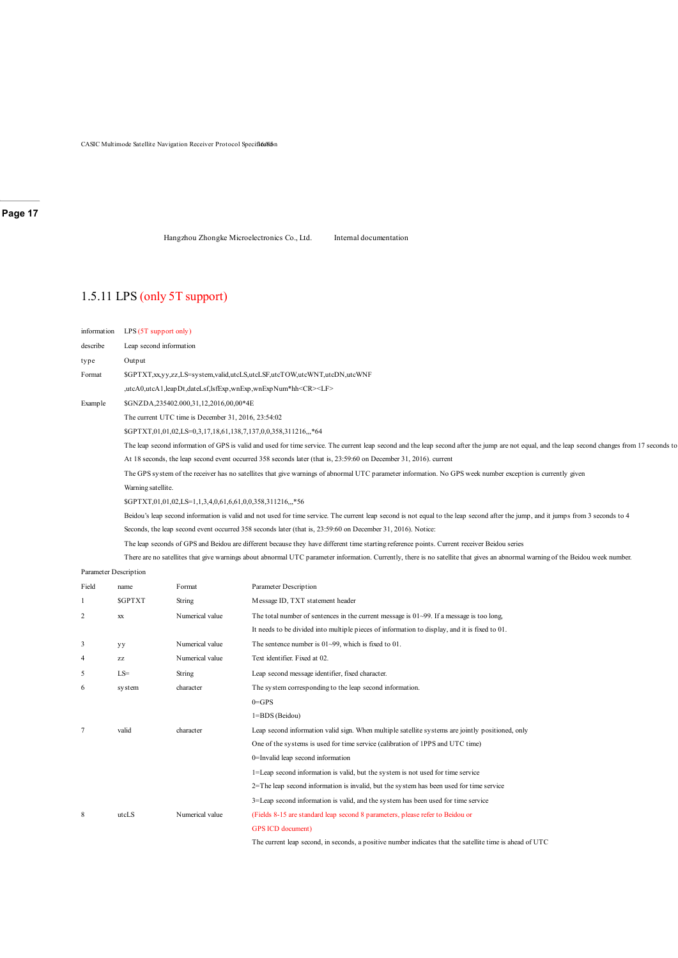CASIC Multimode Satellite Navigation Receiver Protocol Specificalism

### **Page 17**

Hangzhou Zhongke Microelectronics Co., Ltd. Internal documentation

### 1.5.11 LPS (only 5T support)

| information | LPS(5T support only)                                                                                                                                                                            |
|-------------|-------------------------------------------------------------------------------------------------------------------------------------------------------------------------------------------------|
| describe    | Leap second information                                                                                                                                                                         |
| type        | Output                                                                                                                                                                                          |
| Format      | \$GPTXT,xx,yy,zz,LS=system,valid,utcLS,utcLSF,utcTOW,utcWNT,utcDN,utcWNF                                                                                                                        |
|             | ,utcA0,utcA1,leapDt,dateLsf,lsfExp,wnExp,wnExpNum*hh <cr><lf></lf></cr>                                                                                                                         |
| Example     | \$GNZDA,235402.000,31,12,2016,00,00*4E                                                                                                                                                          |
|             | The current UTC time is December 31, 2016, 23:54:02                                                                                                                                             |
|             | \$GPTXT,01,01,02,LS=0,3,17,18,61,138,7,137,0,0,358,311216,,,*64                                                                                                                                 |
|             | The leap second information of GPS is valid and used for time service. The current leap second and the leap second after the jump are not equal, and the leap second changes from 17 seconds to |
|             | At 18 seconds, the leap second event occurred 358 seconds later (that is, 23:59:60 on December 31, 2016). current                                                                               |
|             | The GPS system of the receiver has no satellites that give warnings of abnormal UTC parameter information. No GPS week number exception is currently given                                      |
|             | Warning satellite.                                                                                                                                                                              |
|             | \$GPTXT,01,01,02,LS=1,1,3,4,0,61,6,61,0,0,358,311216,,,*56                                                                                                                                      |
|             | Beidou's leap second information is valid and not used for time service. The current leap second is not equal to the leap second after the jump, and it jumps from 3 seconds to 4               |
|             | Seconds, the leap second event occurred 358 seconds later (that is, 23:59:60 on December 31, 2016). Notice:                                                                                     |
|             | The leap seconds of GPS and Beidou are different because they have different time starting reference points. Current receiver Beidou series                                                     |
|             | There are no satellites that give warnings about abnormal UTC parameter information. Currently, there is no satellite that gives an abnormal warning of the Beidou week number.                 |
|             |                                                                                                                                                                                                 |

#### Parameter Description

| Field          | name          | Format          | Parameter Description                                                                                    |
|----------------|---------------|-----------------|----------------------------------------------------------------------------------------------------------|
| 1              | <b>SGPTXT</b> | String          | Message ID, TXT statement header                                                                         |
| $\overline{2}$ | XX            | Numerical value | The total number of sentences in the current message is $01-99$ . If a message is too long,              |
|                |               |                 | It needs to be divided into multiple pieces of information to display, and it is fixed to 01.            |
| 3              | yу            | Numerical value | The sentence number is $01-99$ , which is fixed to 01.                                                   |
| 4              | ZZ            | Numerical value | Text identifier. Fixed at 02.                                                                            |
| 5              | $LS=$         | String          | Leap second message identifier, fixed character.                                                         |
| 6              | system        | character       | The system corresponding to the leap second information.                                                 |
|                |               |                 | $0 = GPS$                                                                                                |
|                |               |                 | 1=BDS (Beidou)                                                                                           |
| $\overline{7}$ | valid         | character       | Leap second information valid sign. When multiple satellite systems are jointly positioned, only         |
|                |               |                 | One of the systems is used for time service (calibration of 1PPS and UTC time)                           |
|                |               |                 | 0=Invalid leap second information                                                                        |
|                |               |                 | 1=Leap second information is valid, but the system is not used for time service                          |
|                |               |                 | $2 =$ The leap second information is invalid, but the system has been used for time service              |
|                |               |                 | 3=Leap second information is valid, and the system has been used for time service                        |
| 8              | utcLS         | Numerical value | (Fields 8-15 are standard leap second 8 parameters, please refer to Beidou or                            |
|                |               |                 | GPS ICD document)                                                                                        |
|                |               |                 | The current leap second, in seconds, a positive number indicates that the satellite time is ahead of UTC |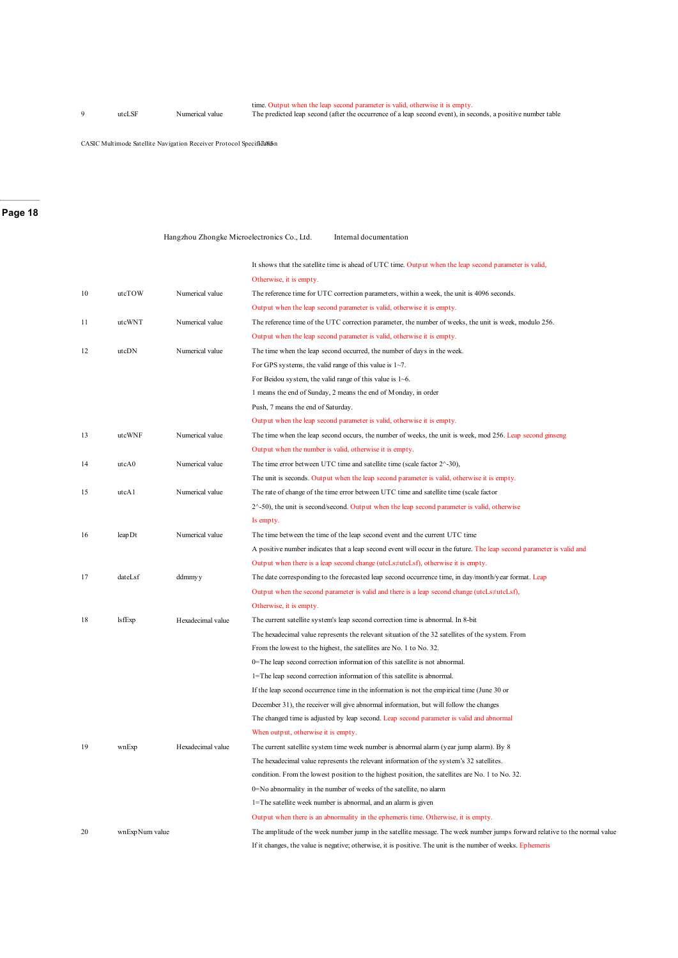time. Output when the leap second parameter is valid, otherwise it is empty.<br>9 19 utcLSF Numerical value The predicted leap second (after the occurrence of a leap second event), in seconds, a positive number table

CASIC Multimode Satellite Navigation Receiver Protocol Specificalism

#### **Page 18**

|    |                |                   | Hangzhou Zhongke Microelectronics Co., Ltd.<br>Internal documentation                                                      |
|----|----------------|-------------------|----------------------------------------------------------------------------------------------------------------------------|
|    |                |                   | It shows that the satellite time is ahead of UTC time. Output when the leap second parameter is valid,                     |
|    |                |                   | Otherwise, it is empty.                                                                                                    |
| 10 | utcTOW         | Numerical value   | The reference time for UTC correction parameters, within a week, the unit is 4096 seconds.                                 |
|    |                |                   | Output when the leap second parameter is valid, otherwise it is empty.                                                     |
| 11 | utcWNT         | Numerical value   | The reference time of the UTC correction parameter, the number of weeks, the unit is week, modulo 256.                     |
|    |                |                   | Output when the leap second parameter is valid, otherwise it is empty.                                                     |
| 12 | utcDN          | Numerical value   | The time when the leap second occurred, the number of days in the week.                                                    |
|    |                |                   | For GPS systems, the valid range of this value is $1~1$ –7.                                                                |
|    |                |                   | For Beidou system, the valid range of this value is 1~6.                                                                   |
|    |                |                   | 1 means the end of Sunday, 2 means the end of Monday, in order                                                             |
|    |                |                   | Push, 7 means the end of Saturday.                                                                                         |
|    |                |                   | Output when the leap second parameter is valid, otherwise it is empty.                                                     |
| 13 | utcWNF         | Numerical value   | The time when the leap second occurs, the number of weeks, the unit is week, mod 256. Leap second ginseng                  |
|    |                |                   | Output when the number is valid, otherwise it is empty.                                                                    |
| 14 | utcA0          | Numerical value   | The time error between UTC time and satellite time (scale factor $2^{\wedge}$ -30),                                        |
|    |                |                   | The unit is seconds. Output when the leap second parameter is valid, otherwise it is empty.                                |
| 15 | utcA1          | Numerical value   | The rate of change of the time error between UTC time and satellite time (scale factor                                     |
|    |                |                   | $2^{\wedge}$ -50), the unit is second/second. Output when the leap second parameter is valid, otherwise                    |
|    |                |                   | Is empty.                                                                                                                  |
| 16 | leapDt         | Numerical value   | The time between the time of the leap second event and the current UTC time                                                |
|    |                |                   | A positive number indicates that a leap second event will occur in the future. The leap second parameter is valid and      |
|    |                |                   | Output when there is a leap second change (utcLs#utcLsf), otherwise it is empty.                                           |
| 17 | dateLsf        | ddmmyy            | The date corresponding to the forecasted leap second occurrence time, in day/month/year format. Leap                       |
|    |                |                   | Output when the second parameter is valid and there is a leap second change (utcLs $\neq$ utcLsf),                         |
|    |                |                   | Otherwise, it is empty.                                                                                                    |
| 18 | lsfExp         | Hexadecimal value | The current satellite system's leap second correction time is abnormal. In 8-bit                                           |
|    |                |                   | The hexadecimal value represents the relevant situation of the 32 satellites of the system. From                           |
|    |                |                   | From the lowest to the highest, the satellites are No. 1 to No. 32.                                                        |
|    |                |                   | 0=The leap second correction information of this satellite is not abnormal.                                                |
|    |                |                   | 1=The leap second correction information of this satellite is abnormal.                                                    |
|    |                |                   | If the leap second occurrence time in the information is not the empirical time (June 30 or                                |
|    |                |                   | December 31), the receiver will give abnormal information, but will follow the changes                                     |
|    |                |                   | The changed time is adjusted by leap second. Leap second parameter is valid and abnormal                                   |
|    |                |                   | When output, otherwise it is empty.                                                                                        |
| 19 | wnExp          | Hexadecimal value | The current satellite system time week number is abnormal alarm (year jump alarm). By 8                                    |
|    |                |                   | The hexadecimal value represents the relevant information of the system's 32 satellites.                                   |
|    |                |                   | condition. From the lowest position to the highest position, the satellites are No. 1 to No. 32.                           |
|    |                |                   | 0=No abnormality in the number of weeks of the satellite, no alarm                                                         |
|    |                |                   | 1=The satellite week number is abnormal, and an alarm is given                                                             |
|    |                |                   | Output when there is an abnormality in the ephemeris time. Otherwise, it is empty.                                         |
| 20 | wnExpNum value |                   | The amplitude of the week number jump in the satellite message. The week number jumps forward relative to the normal value |
|    |                |                   | If it changes, the value is negative; otherwise, it is positive. The unit is the number of weeks. Ephemeris                |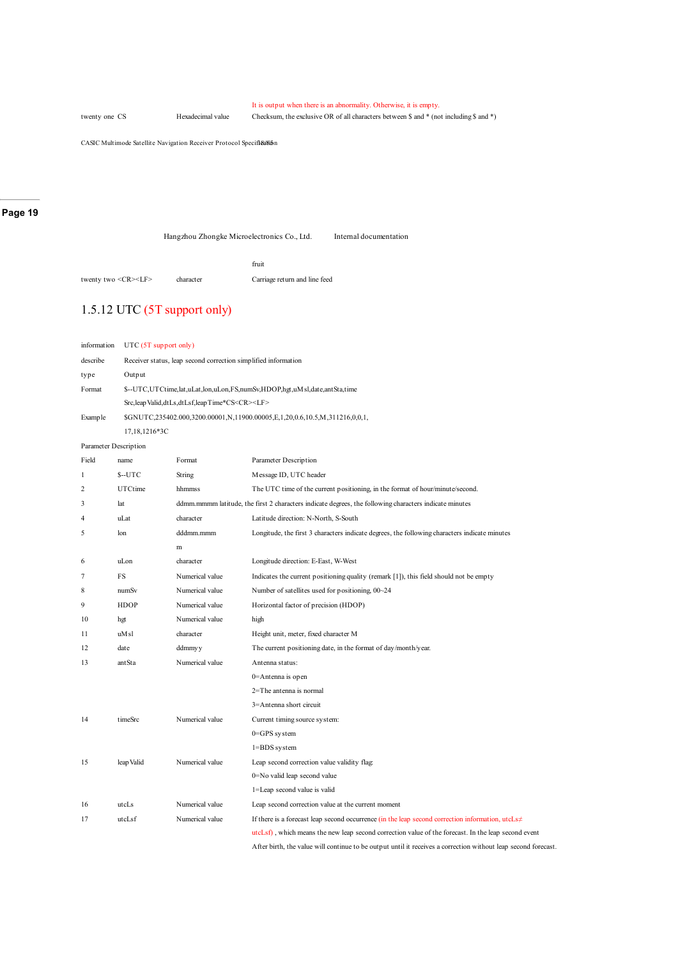It is output when there is an abnormality. Otherwise, it is empty.

twenty one CS Hexadecimal value Checksum, the exclusive OR of all characters between \$ and \* (not including \$ and \*)

CASIC Multimode Satellite Navigation Receiver Protocol Specifi&a

#### **Page 19**

Hangzhou Zhongke Microelectronics Co., Ltd. Internal documentation

|                               |           | fruit                         |
|-------------------------------|-----------|-------------------------------|
| twenty two <cr><lf></lf></cr> | character | Carriage return and line feed |

### 1.5.12 UTC (5T support only)

| information           |               | UTC (5T support only)                                                     |                                                                                                        |  |  |
|-----------------------|---------------|---------------------------------------------------------------------------|--------------------------------------------------------------------------------------------------------|--|--|
| describe              |               | Receiver status, leap second correction simplified information            |                                                                                                        |  |  |
| type                  | Output        |                                                                           |                                                                                                        |  |  |
| Format                |               | \$--UTC,UTCtime,lat,uLat,lon,uLon,FS,numSv,HDOP,hgt,uMsl,date,antSta,time |                                                                                                        |  |  |
|                       |               | Src,leap Valid, dtLs, dtLsf, leap Time*CS <cr><lf></lf></cr>              |                                                                                                        |  |  |
| Example               |               |                                                                           | \$GNUTC,235402.000,3200.00001,N,11900.00005,E,1,20,0.6,10.5,M,311216,0,0,1,                            |  |  |
|                       | 17,18,1216*3C |                                                                           |                                                                                                        |  |  |
| Parameter Description |               |                                                                           |                                                                                                        |  |  |
| Field                 | name          | Format                                                                    | Parameter Description                                                                                  |  |  |
| 1                     | $S-UTC$       | String                                                                    | Message ID, UTC header                                                                                 |  |  |
| $\overline{c}$        | UTCtime       | hhmmss                                                                    | The UTC time of the current positioning, in the format of hour/minute/second.                          |  |  |
| 3                     | lat           |                                                                           | ddmm.mmmm latitude, the first 2 characters indicate degrees, the following characters indicate minutes |  |  |
| 4                     | uLat          | character                                                                 | Latitude direction: N-North, S-South                                                                   |  |  |
| 5                     | lon           | dddmm.mmm                                                                 | Longitude, the first 3 characters indicate degrees, the following characters indicate minutes          |  |  |
|                       |               | m                                                                         |                                                                                                        |  |  |
| 6                     | uLon          | character                                                                 | Longitude direction: E-East, W-West                                                                    |  |  |
| 7                     | FS            | Numerical value                                                           | Indicates the current positioning quality (remark [1]), this field should not be empty                 |  |  |
| 8                     | numSv         | Numerical value                                                           | Number of satellites used for positioning, 00~24                                                       |  |  |
| 9                     | <b>HDOP</b>   | Numerical value                                                           | Horizontal factor of precision (HDOP)                                                                  |  |  |
| 10                    | hgt           | Numerical value                                                           | high                                                                                                   |  |  |
| 11                    | uM sl         | character                                                                 | Height unit, meter, fixed character M                                                                  |  |  |
| 12                    | date          | ddmmyy                                                                    | The current positioning date, in the format of day/month/year.                                         |  |  |
| 13                    | antSta        | Numerical value                                                           | Antenna status:                                                                                        |  |  |
|                       |               |                                                                           | 0=Antenna is open                                                                                      |  |  |
|                       |               |                                                                           | 2=The antenna is normal                                                                                |  |  |
|                       |               |                                                                           | 3=Antenna short circuit                                                                                |  |  |
| 14                    | timeSrc       | Numerical value                                                           | Current timing source system:                                                                          |  |  |
|                       |               |                                                                           | $0 = GPS$ system                                                                                       |  |  |
|                       |               |                                                                           | 1=BDS system                                                                                           |  |  |
| 15                    | leap Valid    | Numerical value                                                           | Leap second correction value validity flag:                                                            |  |  |
|                       |               |                                                                           | 0=No valid leap second value                                                                           |  |  |
|                       |               |                                                                           | 1=Leap second value is valid                                                                           |  |  |
| 16                    | utcLs         | Numerical value                                                           | Leap second correction value at the current moment                                                     |  |  |
| 17                    | utcLsf        | Numerical value                                                           | If there is a forecast leap second occurrence (in the leap second correction information, $utcLs\neq$  |  |  |
|                       |               |                                                                           | utcLsf), which means the new leap second correction value of the forecast. In the leap second event    |  |  |

After birth, the value will continue to be output until it receives a correction without leap second forecast.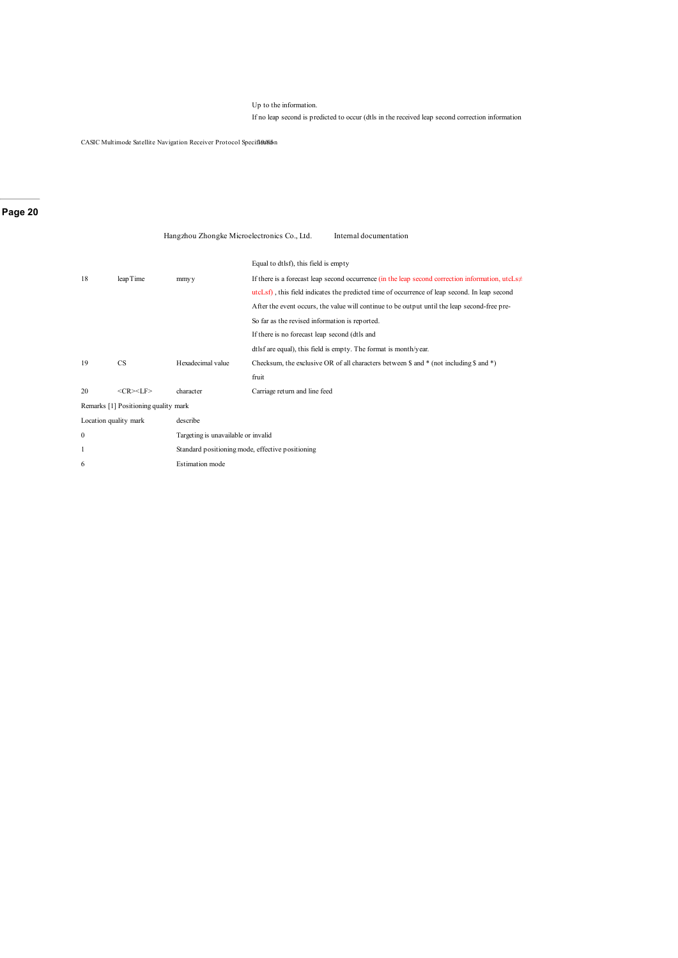#### Up to the information.

If no leap second is predicted to occur (dtls in the received leap second correction information

CASIC Multimode Satellite Navigation Receiver Protocol Specifi&Kin

### **Page 20**

|                       |                                      | Hangzhou Zhongke Microelectronics Co., Ltd.      | Internal documentation                                                                                       |
|-----------------------|--------------------------------------|--------------------------------------------------|--------------------------------------------------------------------------------------------------------------|
|                       |                                      |                                                  | Equal to dtlsf), this field is empty                                                                         |
| 18                    | leapTime                             | mmyy                                             | If there is a forecast leap second occurrence (in the leap second correction information, $utcLs\neq$        |
|                       |                                      |                                                  | utcLsf), this field indicates the predicted time of occurrence of leap second. In leap second                |
|                       |                                      |                                                  | After the event occurs, the value will continue to be output until the leap second-free pre-                 |
|                       |                                      |                                                  | So far as the revised information is reported.                                                               |
|                       |                                      |                                                  | If there is no forecast leap second (dtls and                                                                |
|                       |                                      |                                                  | dtlsf are equal), this field is empty. The format is month/year.                                             |
| 19                    | CS                                   | Hexadecimal value                                | Checksum, the exclusive OR of all characters between $\frac{1}{2}$ and * (not including $\frac{1}{2}$ and *) |
|                       |                                      |                                                  | fruit                                                                                                        |
| 20                    | $<$ CR> $<$ LF>                      | character                                        | Carriage return and line feed                                                                                |
|                       | Remarks [1] Positioning quality mark |                                                  |                                                                                                              |
| Location quality mark |                                      | describe                                         |                                                                                                              |
| $\mathbf{0}$          |                                      | Targeting is unavailable or invalid              |                                                                                                              |
| 1                     |                                      | Standard positioning mode, effective positioning |                                                                                                              |
| 6                     |                                      | Estimation mode                                  |                                                                                                              |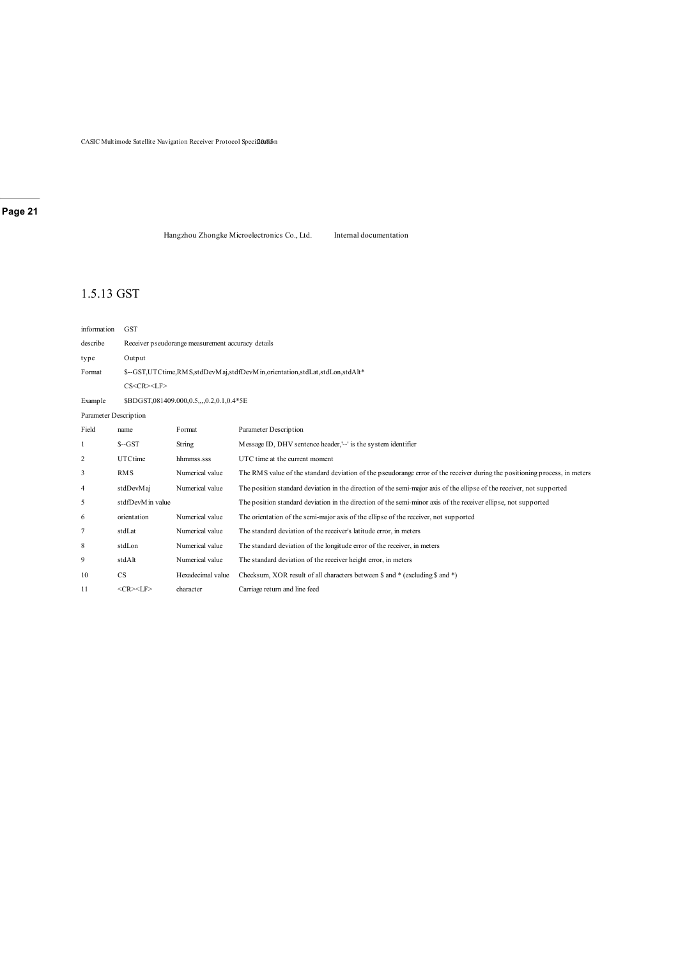$\mathop{\mathrm{CASIC}}$ Multimode Satellite Navigation Receiver Protocol Specif $2$ ù16i $\delta$ in

### **Page 21**

Hangzhou Zhongke Microelectronics Co., Ltd. Internal documentation

### 1.5.13 GST

| information           | <b>GST</b>       |                                                   |                                                                                                                            |  |  |
|-----------------------|------------------|---------------------------------------------------|----------------------------------------------------------------------------------------------------------------------------|--|--|
| describe              |                  | Receiver pseudorange measurement accuracy details |                                                                                                                            |  |  |
| type                  | Output           |                                                   |                                                                                                                            |  |  |
| Format                |                  |                                                   | \$--GST,UTCtime,RMS,stdDevMaj,stdfDevMin,orientation,stdLat,stdLon,stdAlt*                                                 |  |  |
|                       | CS < CR > LF     |                                                   |                                                                                                                            |  |  |
| <b>Example</b>        |                  | \$BDGST,081409.000,0.5,,,,0.2,0.1,0.4*5E          |                                                                                                                            |  |  |
| Parameter Description |                  |                                                   |                                                                                                                            |  |  |
| Field                 | name             | Format                                            | <b>Parameter Description</b>                                                                                               |  |  |
| 1                     | $S - GST$        | String                                            | Message ID, DHV sentence header,'--' is the system identifier                                                              |  |  |
| 2                     | UTCtime          | hhmmss.sss                                        | UTC time at the current moment                                                                                             |  |  |
| 3                     | <b>RMS</b>       | Numerical value                                   | The RMS value of the standard deviation of the pseudorange error of the receiver during the positioning process, in meters |  |  |
| 4                     | stdDevMaj        | Numerical value                                   | The position standard deviation in the direction of the semi-major axis of the ellipse of the receiver, not supported      |  |  |
| 5                     | stdfDevMin value |                                                   | The position standard deviation in the direction of the semi-minor axis of the receiver ellipse, not supported             |  |  |
| 6                     | orientation      | Numerical value                                   | The orientation of the semi-major axis of the ellipse of the receiver, not supported                                       |  |  |
| 7                     | stdLat           | Numerical value                                   | The standard deviation of the receiver's latitude error, in meters                                                         |  |  |
| 8                     | stdLon           | Numerical value                                   | The standard deviation of the longitude error of the receiver, in meters                                                   |  |  |
| 9                     | stdAlt           | Numerical value                                   | The standard deviation of the receiver height error, in meters                                                             |  |  |
| 10                    | CS               | Hexadecimal value                                 | Checksum, XOR result of all characters between \$ and * (excluding \$ and *)                                               |  |  |
| 11                    | $<$ CR> $<$ LF>  | character                                         | Carriage return and line feed                                                                                              |  |  |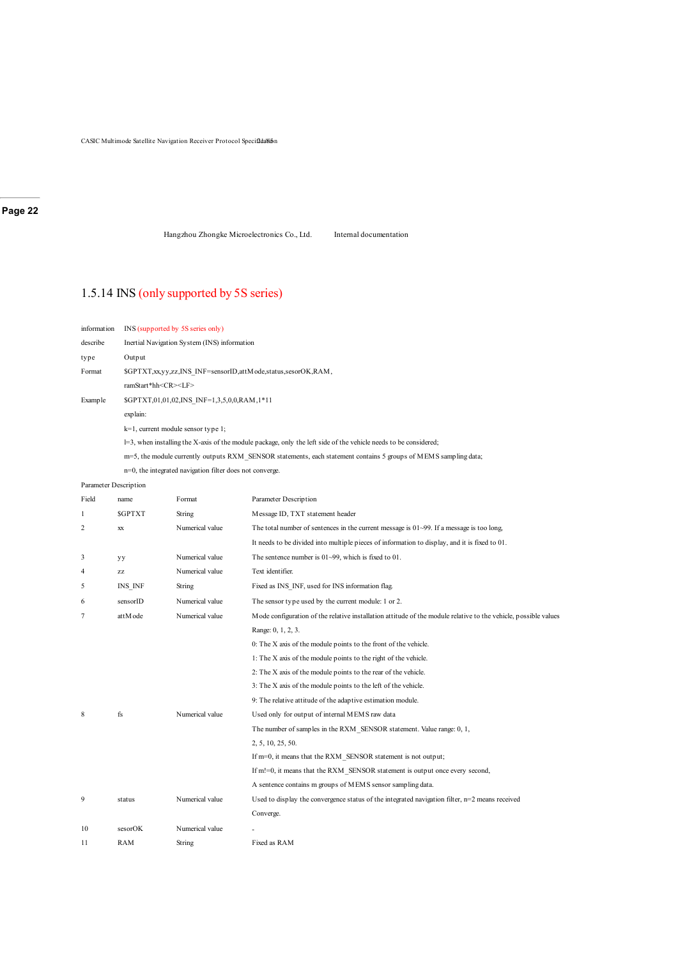CASIC Multimode Satellite Navigation Receiver Protocol Specif2da8i5n

#### **Page 22**

Hangzhou Zhongke Microelectronics Co., Ltd. Internal documentation

### 1.5.14 INS (only supported by 5S series)

| information           | INS (supported by 5S series only)                                                                                   |
|-----------------------|---------------------------------------------------------------------------------------------------------------------|
| describe              | Inertial Navigation System (INS) information                                                                        |
| type                  | Output                                                                                                              |
| Format                | \$GPTXT, xx, yy, zz, INS INF=sensorID, attM ode, status, sesorOK, RAM,                                              |
|                       | ramStart*hh <cr><lf></lf></cr>                                                                                      |
| Example               | \$GPTXT,01,01,02,INS INF=1,3,5,0,0,RAM,1*11                                                                         |
|                       | explain:                                                                                                            |
|                       | $k=1$ , current module sensor type 1;                                                                               |
|                       | $l=3$ , when installing the X-axis of the module package, only the left side of the vehicle needs to be considered; |
|                       | m=5, the module currently outputs RXM SENSOR statements, each statement contains 5 groups of MEMS sampling data;    |
|                       | $n=0$ , the integrated navigation filter does not converge.                                                         |
| Parameter Description |                                                                                                                     |

| Field          | name          | Format          | Parameter Description                                                                                           |
|----------------|---------------|-----------------|-----------------------------------------------------------------------------------------------------------------|
| 1              | <b>SGPTXT</b> | String          | Message ID, TXT statement header                                                                                |
| $\overline{c}$ | <b>XX</b>     | Numerical value | The total number of sentences in the current message is $01 \sim 99$ . If a message is too long,                |
|                |               |                 | It needs to be divided into multiple pieces of information to display, and it is fixed to 01.                   |
| 3              | уу            | Numerical value | The sentence number is $01-99$ , which is fixed to 01.                                                          |
| 4              | ZZ            | Numerical value | Text identifier.                                                                                                |
| 5              | INS INF       | String          | Fixed as INS INF, used for INS information flag.                                                                |
| 6              | sensorID      | Numerical value | The sensor type used by the current module: 1 or 2.                                                             |
| 7              | attM ode      | Numerical value | Mode configuration of the relative installation attitude of the module relative to the vehicle, possible values |
|                |               |                 | Range: 0, 1, 2, 3.                                                                                              |
|                |               |                 | 0: The X axis of the module points to the front of the vehicle.                                                 |
|                |               |                 | 1: The X axis of the module points to the right of the vehicle.                                                 |
|                |               |                 | 2: The X axis of the module points to the rear of the vehicle.                                                  |
|                |               |                 | 3: The X axis of the module points to the left of the vehicle.                                                  |
|                |               |                 | 9: The relative attitude of the adaptive estimation module.                                                     |
| 8              | fs            | Numerical value | Used only for output of internal MEMS raw data                                                                  |
|                |               |                 | The number of samples in the RXM SENSOR statement. Value range: 0, 1,                                           |
|                |               |                 | 2, 5, 10, 25, 50.                                                                                               |
|                |               |                 | If m=0, it means that the RXM SENSOR statement is not output;                                                   |
|                |               |                 | If m!=0, it means that the RXM SENSOR statement is output once every second,                                    |
|                |               |                 | A sentence contains m groups of MEMS sensor sampling data.                                                      |
| 9              | status        | Numerical value | Used to display the convergence status of the integrated navigation filter, $n=2$ means received                |
|                |               |                 | Converge.                                                                                                       |
| 10             | sesorOK       | Numerical value |                                                                                                                 |
| 11             | <b>RAM</b>    | String          | Fixed as RAM                                                                                                    |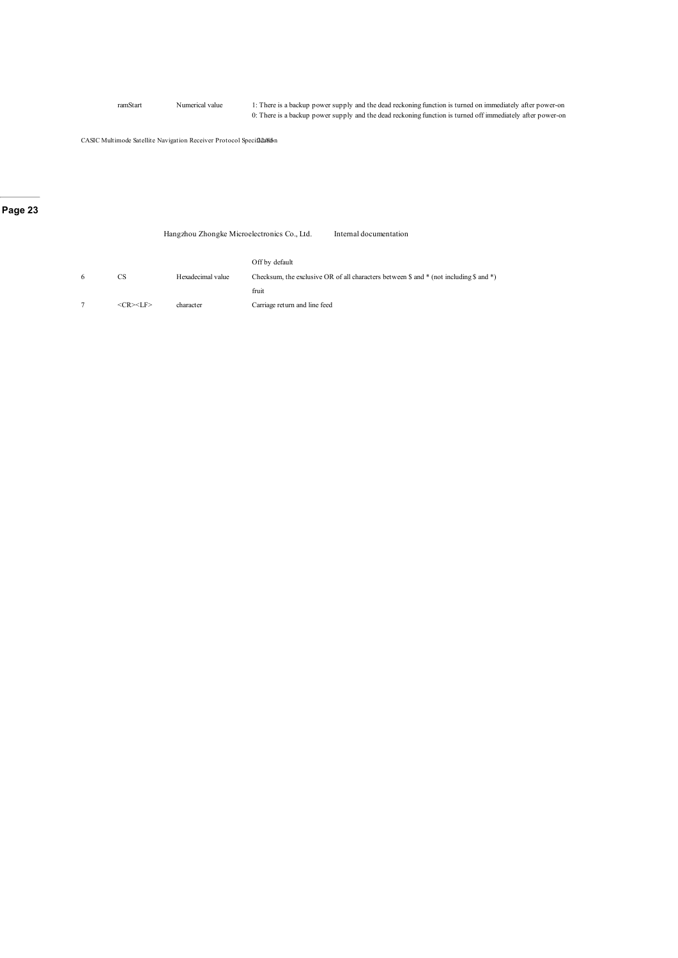ramStart Numerical value 1: There is a backup power supply and the dead reckoning function is turned on immediately after power-on 0: There is a backup power supply and the dead reckoning function is turned off immediately after power-on

CASIC Multimode Satellite Navigation Receiver Protocol Specif2ca/6i5n

### **Page 23**

|   |                     | Hangzhou Zhongke Microelectronics Co., Ltd. |                               | Internal documentation                                                                          |
|---|---------------------|---------------------------------------------|-------------------------------|-------------------------------------------------------------------------------------------------|
|   |                     |                                             | Off by default                |                                                                                                 |
| 6 | CS.                 | Hexadecimal value                           |                               | Checksum, the exclusive OR of all characters between $\$$ and $*$ (not including $\$$ and $*$ ) |
|   |                     |                                             | fruit                         |                                                                                                 |
|   | $<<$ R $><$ I F $>$ | character                                   | Carriage return and line feed |                                                                                                 |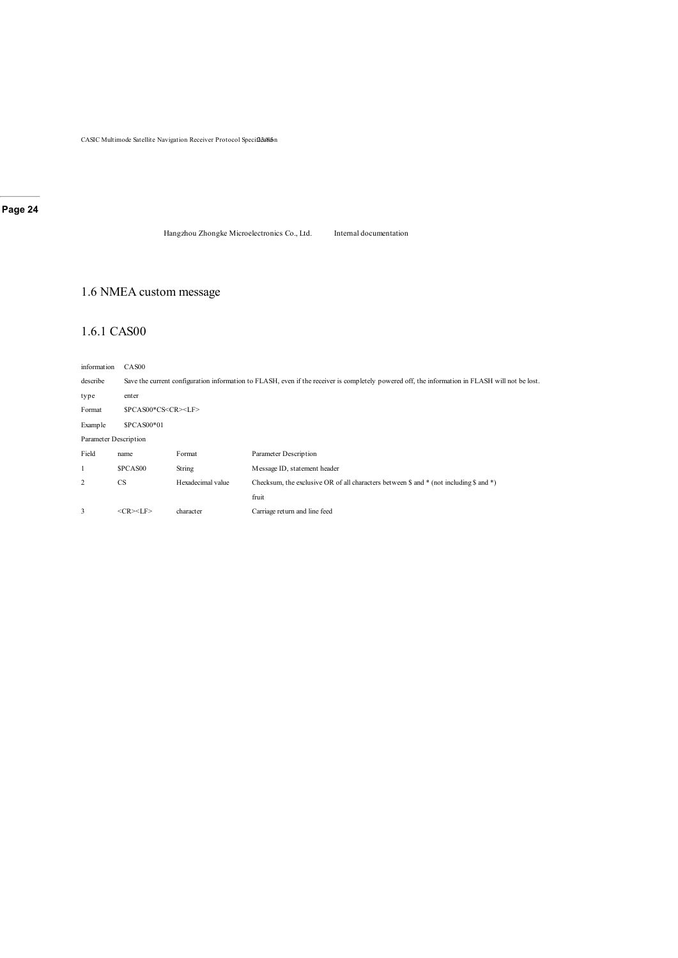$\mathop{\mathrm{CASIC}}$ Multimode Satellite Navigation Receiver Protocol Specif $2$ d Sa

### **Page 24**

Hangzhou Zhongke Microelectronics Co., Ltd. Internal documentation

### 1.6 NMEA custom message

### 1.6.1 CAS00

| information           | CAS <sub>00</sub>              |                                                                                                                                                 |                                                                                                              |  |  |
|-----------------------|--------------------------------|-------------------------------------------------------------------------------------------------------------------------------------------------|--------------------------------------------------------------------------------------------------------------|--|--|
| describe              |                                | Save the current configuration information to FLASH, even if the receiver is completely powered off, the information in FLASH will not be lost. |                                                                                                              |  |  |
| type                  | enter                          |                                                                                                                                                 |                                                                                                              |  |  |
| Format                | \$PCAS00*CS <cr><lf></lf></cr> |                                                                                                                                                 |                                                                                                              |  |  |
| Example               | \$PCAS00*01                    |                                                                                                                                                 |                                                                                                              |  |  |
| Parameter Description |                                |                                                                                                                                                 |                                                                                                              |  |  |
| Field                 | name                           | Format                                                                                                                                          | Parameter Description                                                                                        |  |  |
|                       | <b>SPCAS00</b>                 | String                                                                                                                                          | Message ID, statement header                                                                                 |  |  |
| 2                     | <b>CS</b>                      | Hexadecimal value                                                                                                                               | Checksum, the exclusive OR of all characters between $\frac{1}{2}$ and * (not including $\frac{1}{2}$ and *) |  |  |
|                       |                                |                                                                                                                                                 | fruit                                                                                                        |  |  |
| 3                     | $<$ CR> $<$ LF>                | character                                                                                                                                       | Carriage return and line feed                                                                                |  |  |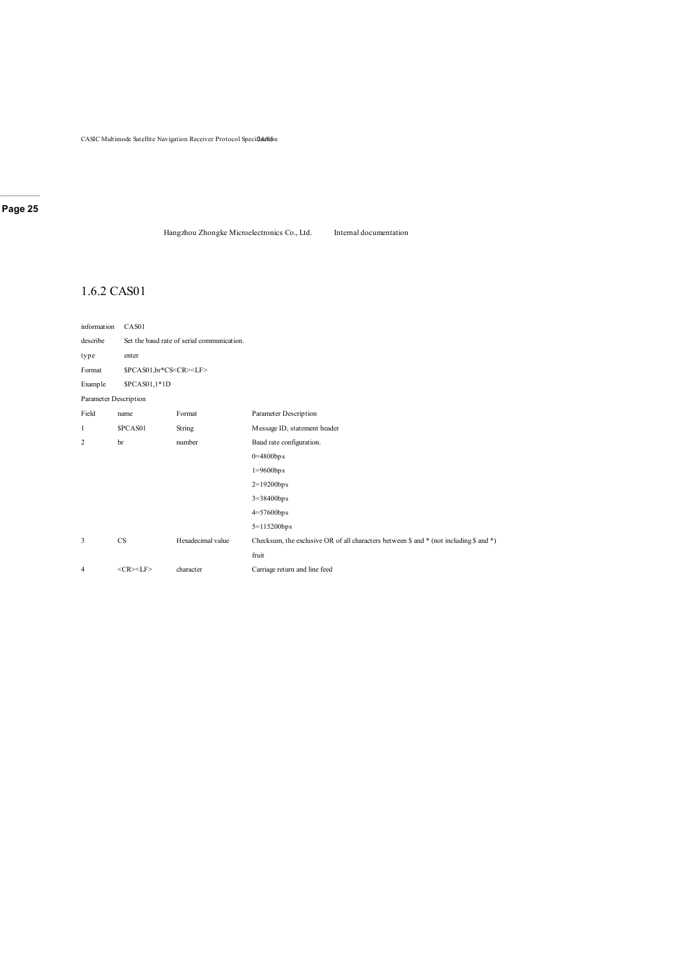$\mathop{\mathrm{CASIC}}$ Multimode Satellite Navigation Receiver Protocol Specif2dd6ibn

### **Page 25**

Hangzhou Zhongke Microelectronics Co., Ltd. Internal documentation

### 1.6.2 CAS01

| information           | CAS01                             |                                            |                                                                                        |  |  |
|-----------------------|-----------------------------------|--------------------------------------------|----------------------------------------------------------------------------------------|--|--|
| describe              |                                   | Set the baud rate of serial communication. |                                                                                        |  |  |
| type                  | enter                             |                                            |                                                                                        |  |  |
| Format                | \$PCAS01,br*CS <cr><lf></lf></cr> |                                            |                                                                                        |  |  |
| Example               | \$PCAS01,1*1D                     |                                            |                                                                                        |  |  |
| Parameter Description |                                   |                                            |                                                                                        |  |  |
| Field                 | name                              | Format                                     | Parameter Description                                                                  |  |  |
| 1                     | \$PCAS01                          | String                                     | Message ID, statement header                                                           |  |  |
| $\overline{c}$        | br                                | number                                     | Baud rate configuration.                                                               |  |  |
|                       |                                   |                                            | $0=4800$ bps                                                                           |  |  |
|                       |                                   |                                            | $1 = 9600$ bps                                                                         |  |  |
|                       |                                   |                                            | $2=19200$ bps                                                                          |  |  |
|                       |                                   |                                            | $3=38400$ bps                                                                          |  |  |
|                       |                                   |                                            | $4=57600$ bps                                                                          |  |  |
|                       |                                   |                                            | $5=115200bps$                                                                          |  |  |
| 3                     | $_{\rm CS}$                       | Hexadecimal value                          | Checksum, the exclusive OR of all characters between \$ and * (not including \$ and *) |  |  |
|                       |                                   |                                            | fruit                                                                                  |  |  |
| 4                     | $<$ CR> $<$ LF>                   | character                                  | Carriage return and line feed                                                          |  |  |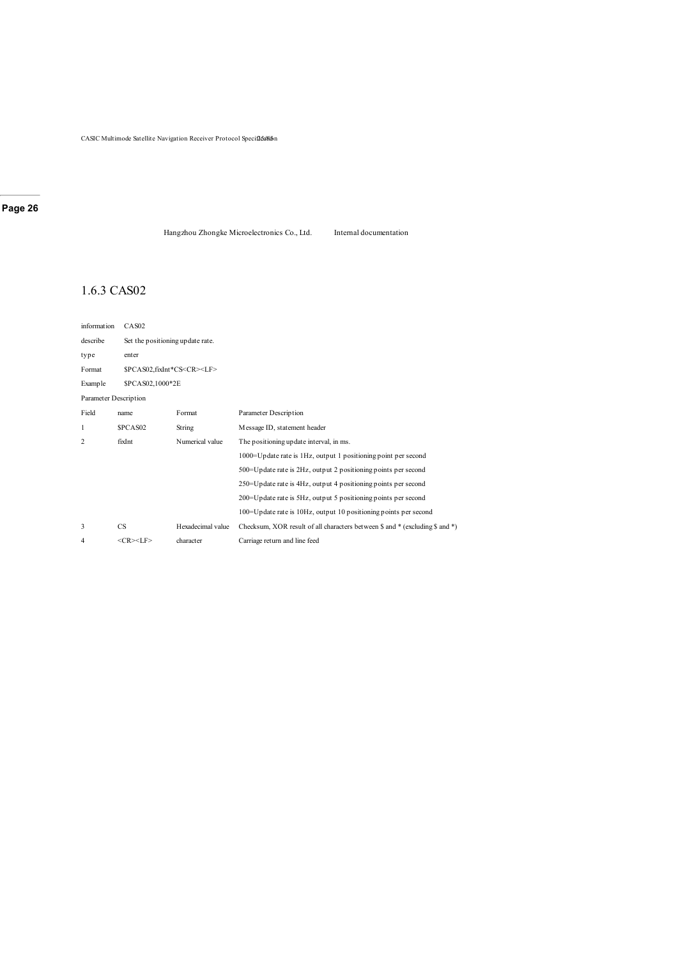Hangzhou Zhongke Microelectronics Co., Ltd. Internal documentation

### 1.6.3 CAS02

| information           | CAS <sub>02</sub>                     |                                  |                                                                              |  |  |
|-----------------------|---------------------------------------|----------------------------------|------------------------------------------------------------------------------|--|--|
| describe              |                                       | Set the positioning update rate. |                                                                              |  |  |
| type                  | enter                                 |                                  |                                                                              |  |  |
| Format                | \$PCAS02,fixInt*CS <cr><lf></lf></cr> |                                  |                                                                              |  |  |
| Example               | \$PCAS02,1000*2E                      |                                  |                                                                              |  |  |
| Parameter Description |                                       |                                  |                                                                              |  |  |
| Field                 | name                                  | Format                           | Parameter Description                                                        |  |  |
| 1                     | SPCAS <sub>02</sub>                   | String                           | Message ID, statement header                                                 |  |  |
| 2                     | fixInt                                | Numerical value                  | The positioning update interval, in ms.                                      |  |  |
|                       |                                       |                                  | 1000=Update rate is 1Hz, output 1 positioning point per second               |  |  |
|                       |                                       |                                  | 500=Update rate is 2Hz, output 2 positioning points per second               |  |  |
|                       |                                       |                                  | 250 = Update rate is 4Hz, output 4 positioning points per second             |  |  |
|                       |                                       |                                  | 200 = Update rate is 5Hz, output 5 positioning points per second             |  |  |
|                       |                                       |                                  | 100=Update rate is 10Hz, output 10 positioning points per second             |  |  |
| 3                     | <b>CS</b>                             | Hexadecimal value                | Checksum, XOR result of all characters between \$ and * (excluding \$ and *) |  |  |
| 4                     | $<$ CR> $<$ LF>                       | character                        | Carriage return and line feed                                                |  |  |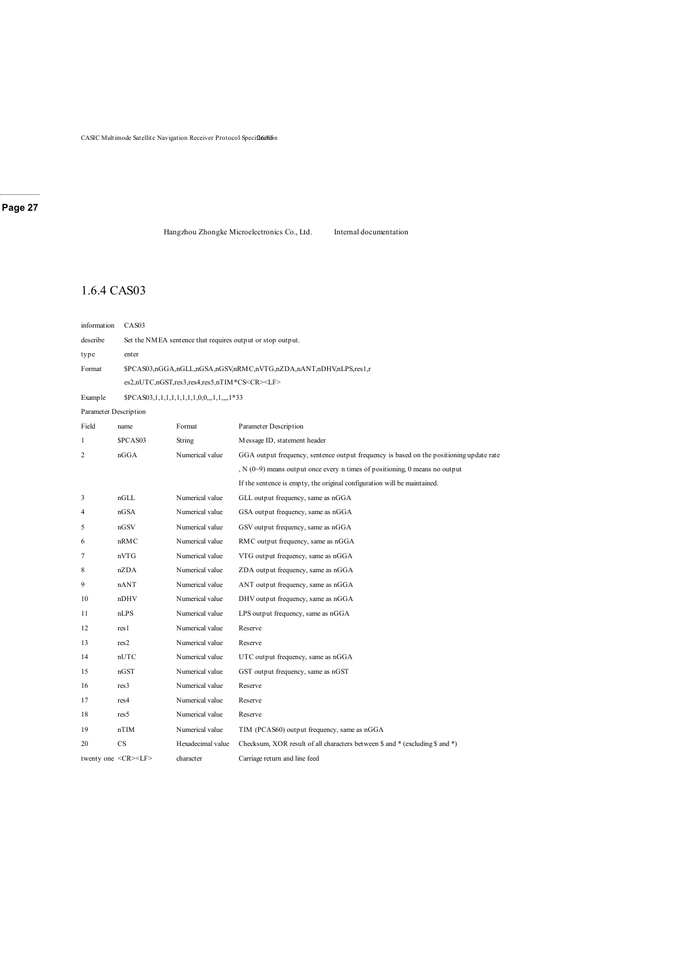Hangzhou Zhongke Microelectronics Co., Ltd. Internal documentation

### 1.6.4 CAS03

| information           | CAS03                         |                                                         |                                                                                         |
|-----------------------|-------------------------------|---------------------------------------------------------|-----------------------------------------------------------------------------------------|
| describe              |                               |                                                         | Set the NMEA sentence that requires output or stop output.                              |
| type                  | enter                         |                                                         |                                                                                         |
| Format                |                               |                                                         | \$PCAS03,nGGA,nGLL,nGSA,nGSV,nRMC,nVTG,nZDA,nANT,nDHV,nLPS,res1,r                       |
|                       |                               | es2,nUTC,nGST,res3,res4,res5,nTIM*CS <cr><lf></lf></cr> |                                                                                         |
| Example               |                               | $$PCAS03,1,1,1,1,1,1,1,1,0,0,1,1,,1*33$                 |                                                                                         |
| Parameter Description |                               |                                                         |                                                                                         |
| Field                 | name                          | Format                                                  | Parameter Description                                                                   |
| 1                     | \$PCAS03                      | String                                                  | Message ID, statement header                                                            |
| $\overline{2}$        | nGGA                          | Numerical value                                         | GGA output frequency, sentence output frequency is based on the positioning update rate |
|                       |                               |                                                         | $N(0-9)$ means output once every n times of positioning, 0 means no output              |
|                       |                               |                                                         | If the sentence is empty, the original configuration will be maintained.                |
| 3                     | nGLL                          | Numerical value                                         | GLL output frequency, same as nGGA                                                      |
| 4                     | nGSA                          | Numerical value                                         | GSA output frequency, same as nGGA                                                      |
| 5                     | nGSV                          | Numerical value                                         | GSV output frequency, same as nGGA                                                      |
| 6                     | nRMC                          | Numerical value                                         | RMC output frequency, same as nGGA                                                      |
| 7                     | nVTG                          | Numerical value                                         | VTG output frequency, same as nGGA                                                      |
| 8                     | nZDA                          | Numerical value                                         | ZDA output frequency, same as nGGA                                                      |
| 9                     | nANT                          | Numerical value                                         | ANT output frequency, same as nGGA                                                      |
| 10                    | nDHV                          | Numerical value                                         | DHV output frequency, same as nGGA                                                      |
| 11                    | nLPS                          | Numerical value                                         | LPS output frequency, same as nGGA                                                      |
| 12                    | res1                          | Numerical value                                         | Reserve                                                                                 |
| 13                    | res2                          | Numerical value                                         | Reserve                                                                                 |
| 14                    | nUTC                          | Numerical value                                         | UTC output frequency, same as nGGA                                                      |
| 15                    | nGST                          | Numerical value                                         | GST output frequency, same as nGST                                                      |
| 16                    | res <sub>3</sub>              | Numerical value                                         | Reserve                                                                                 |
| 17                    | res <sub>4</sub>              | Numerical value                                         | Reserve                                                                                 |
| 18                    | res <sub>5</sub>              | Numerical value                                         | Reserve                                                                                 |
| 19                    | nTIM                          | Numerical value                                         | TIM (PCAS60) output frequency, same as nGGA                                             |
| 20                    | CS                            | Hexadecimal value                                       | Checksum, XOR result of all characters between \$ and * (excluding \$ and *)            |
|                       | twenty one <cr><lf></lf></cr> | character                                               | Carriage return and line feed                                                           |
|                       |                               |                                                         |                                                                                         |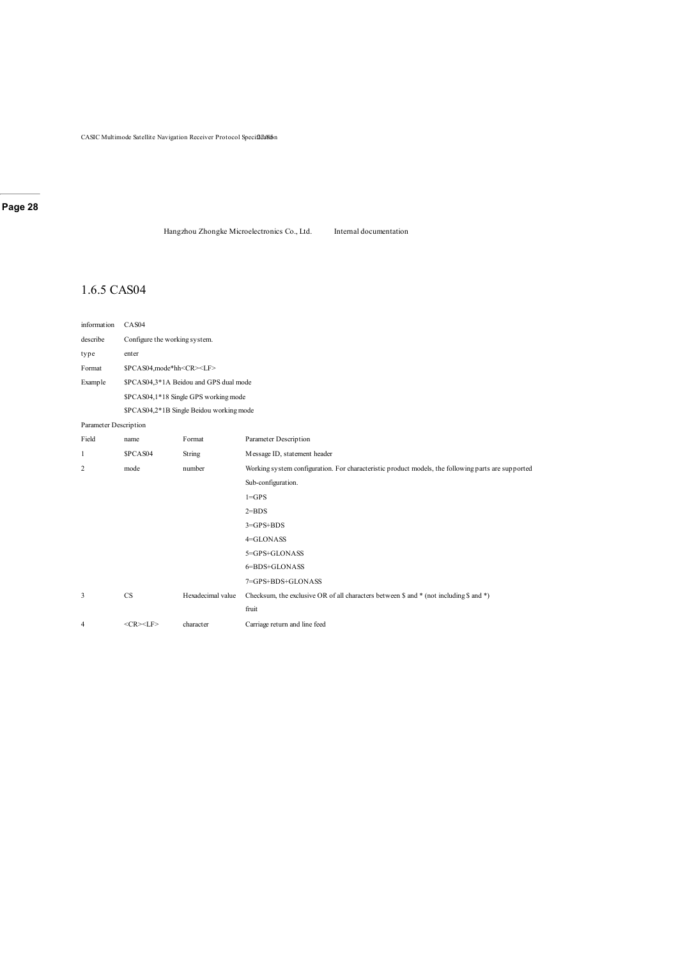Hangzhou Zhongke Microelectronics Co., Ltd. Internal documentation

### 1.6.5 CAS04

| information           | CAS04                               |                                          |                                                                                                    |  |
|-----------------------|-------------------------------------|------------------------------------------|----------------------------------------------------------------------------------------------------|--|
| describe              | Configure the working system.       |                                          |                                                                                                    |  |
| type                  | enter                               |                                          |                                                                                                    |  |
| Format                | \$PCAS04,mode*hh <cr><lf></lf></cr> |                                          |                                                                                                    |  |
| Example               |                                     | \$PCAS04,3*1A Beidou and GPS dual mode   |                                                                                                    |  |
|                       |                                     | \$PCAS04,1*18 Single GPS working mode    |                                                                                                    |  |
|                       |                                     | \$PCAS04,2*1B Single Beidou working mode |                                                                                                    |  |
| Parameter Description |                                     |                                          |                                                                                                    |  |
| Field                 | name                                | Format                                   | Parameter Description                                                                              |  |
| 1                     | \$PCAS04                            | String                                   | Message ID, statement header                                                                       |  |
| 2                     | mode                                | number                                   | Working system configuration. For characteristic product models, the following parts are supported |  |
|                       |                                     |                                          | Sub-configuration.                                                                                 |  |
|                       |                                     |                                          | $1 = GPS$                                                                                          |  |
|                       |                                     |                                          | $2 = BDS$                                                                                          |  |
|                       |                                     |                                          | $3 = GPS + BDS$                                                                                    |  |
|                       |                                     |                                          | 4=GLONASS                                                                                          |  |
|                       |                                     |                                          | 5=GPS+GLONASS                                                                                      |  |
|                       |                                     |                                          | 6=BDS+GLONASS                                                                                      |  |
|                       |                                     |                                          | 7=GPS+BDS+GLONASS                                                                                  |  |
| 3                     | CS                                  | Hexadecimal value                        | Checksum, the exclusive OR of all characters between $\$ and $*$ (not including $\$ and $*$ )      |  |
|                       |                                     |                                          | fruit                                                                                              |  |
| 4                     | $<$ CR> $<$ LF>                     | character                                | Carriage return and line feed                                                                      |  |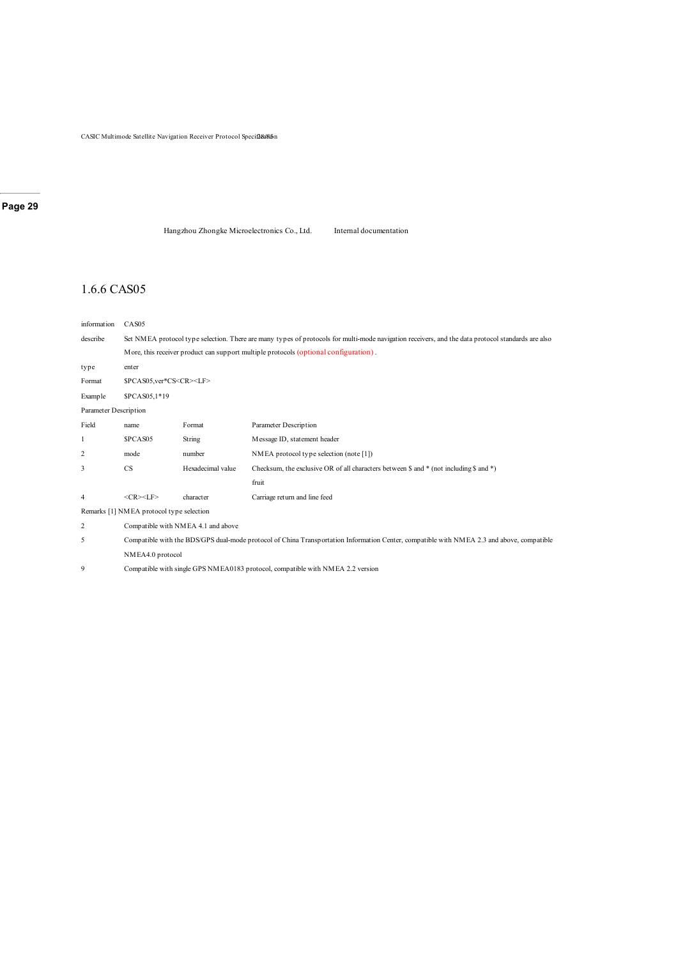Hangzhou Zhongke Microelectronics Co., Ltd. Internal documentation

### 1.6.6 CAS05

| information           | CAS <sub>05</sub>                                                                                                                                 |                                    |                                                                                                              |  |
|-----------------------|---------------------------------------------------------------------------------------------------------------------------------------------------|------------------------------------|--------------------------------------------------------------------------------------------------------------|--|
| describe              | Set NMEA protocol type selection. There are many types of protocols for multi-mode navigation receivers, and the data protocol standards are also |                                    |                                                                                                              |  |
|                       |                                                                                                                                                   |                                    | More, this receiver product can support multiple protocols (optional configuration).                         |  |
| type                  | enter                                                                                                                                             |                                    |                                                                                                              |  |
| Format                | \$PCAS05,ver*CS <cr><lf></lf></cr>                                                                                                                |                                    |                                                                                                              |  |
| Example               | \$PCAS05,1*19                                                                                                                                     |                                    |                                                                                                              |  |
| Parameter Description |                                                                                                                                                   |                                    |                                                                                                              |  |
| Field                 | name                                                                                                                                              | Format                             | Parameter Description                                                                                        |  |
| 1                     | \$PCAS05                                                                                                                                          | String                             | Message ID, statement header                                                                                 |  |
| $\overline{2}$        | mode                                                                                                                                              | number                             | NMEA protocol type selection (note [1])                                                                      |  |
| 3                     | CS                                                                                                                                                | Hexadecimal value                  | Checksum, the exclusive OR of all characters between $\frac{1}{2}$ and * (not including $\frac{1}{2}$ and *) |  |
|                       |                                                                                                                                                   |                                    | fruit                                                                                                        |  |
| $\overline{4}$        | $<$ CR> $<$ LF>                                                                                                                                   | character                          | Carriage return and line feed                                                                                |  |
|                       | Remarks [1] NMEA protocol type selection                                                                                                          |                                    |                                                                                                              |  |
| $\overline{2}$        |                                                                                                                                                   | Compatible with NMEA 4.1 and above |                                                                                                              |  |
| 5                     | Compatible with the BDS/GPS dual-mode protocol of China Transportation Information Center, compatible with NMEA 2.3 and above, compatible         |                                    |                                                                                                              |  |
|                       | NMEA4.0 protocol                                                                                                                                  |                                    |                                                                                                              |  |
| 9                     | Compatible with single GPS NMEA0183 protocol, compatible with NMEA 2.2 version                                                                    |                                    |                                                                                                              |  |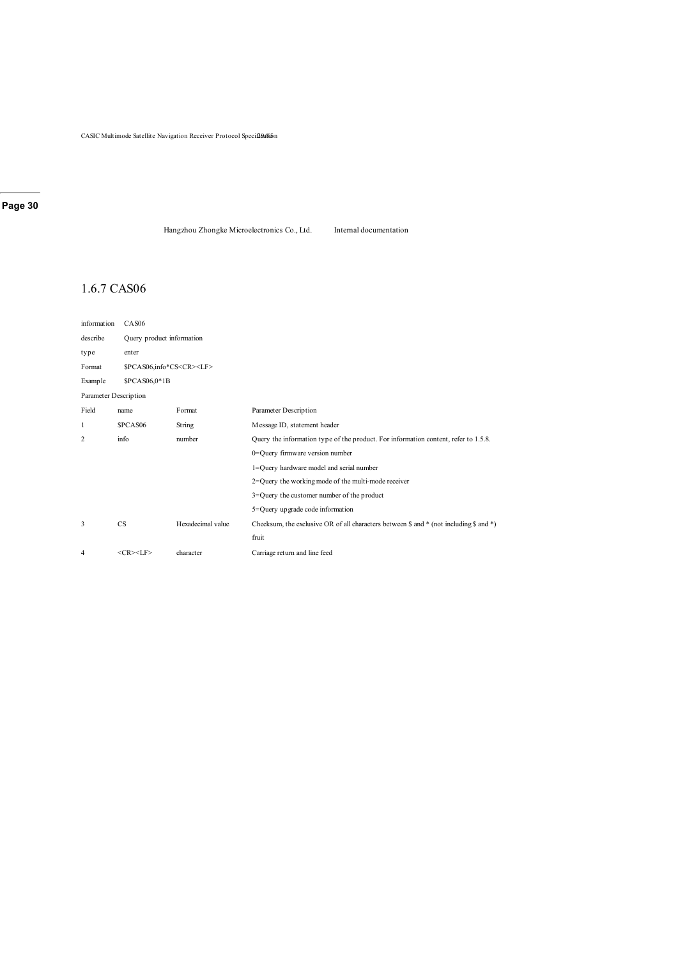Hangzhou Zhongke Microelectronics Co., Ltd. Internal documentation

### 1.6.7 CAS06

| information           | CAS <sub>06</sub>                        |                                 |                                                                                                              |  |  |  |
|-----------------------|------------------------------------------|---------------------------------|--------------------------------------------------------------------------------------------------------------|--|--|--|
| describe              |                                          | Query product information       |                                                                                                              |  |  |  |
| type                  | enter                                    |                                 |                                                                                                              |  |  |  |
| Format                | \$PCAS06,info*CS <cr><lf></lf></cr>      |                                 |                                                                                                              |  |  |  |
| Example               | \$PCAS06,0*1B                            |                                 |                                                                                                              |  |  |  |
| Parameter Description |                                          |                                 |                                                                                                              |  |  |  |
| Field                 | name                                     | Format                          | Parameter Description                                                                                        |  |  |  |
| 1                     | \$PCAS06                                 | String                          | Message ID, statement header                                                                                 |  |  |  |
| 2                     | info                                     | number                          | Query the information type of the product. For information content, refer to 1.5.8.                          |  |  |  |
|                       |                                          | 0=Query firmware version number |                                                                                                              |  |  |  |
|                       | 1=Query hardware model and serial number |                                 |                                                                                                              |  |  |  |
|                       |                                          |                                 | 2=Query the working mode of the multi-mode receiver                                                          |  |  |  |
|                       |                                          |                                 | 3=Query the customer number of the product                                                                   |  |  |  |
|                       |                                          |                                 | 5=Query up grade code information                                                                            |  |  |  |
| 3                     | CS                                       | Hexadecimal value               | Checksum, the exclusive OR of all characters between $\frac{1}{2}$ and * (not including $\frac{1}{2}$ and *) |  |  |  |
|                       |                                          |                                 | fruit                                                                                                        |  |  |  |
| 4                     | $<$ CR> $<$ LF>                          | character                       | Carriage return and line feed                                                                                |  |  |  |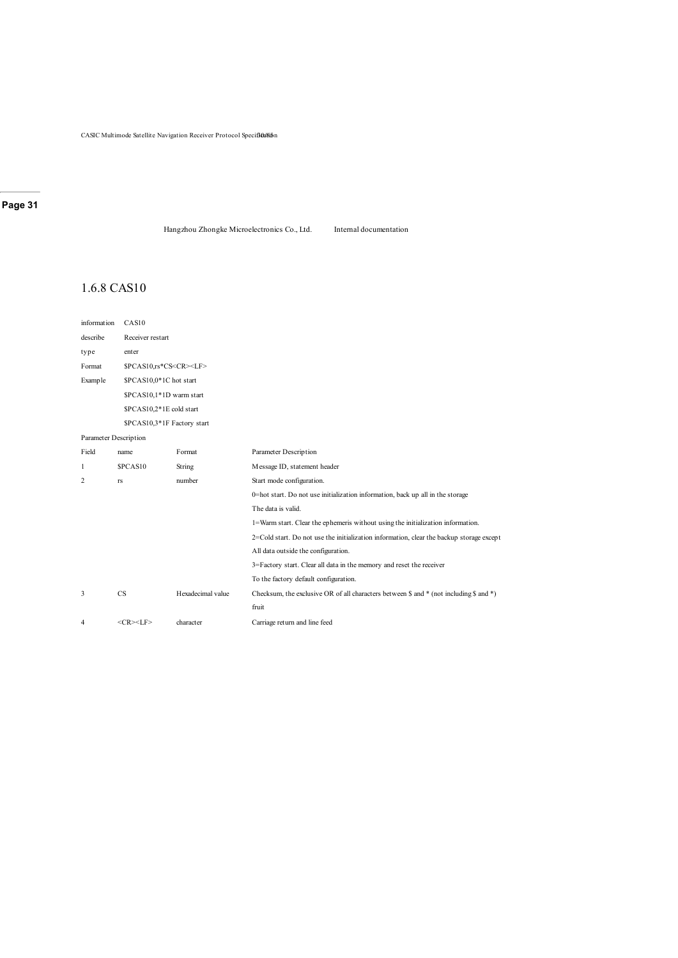Hangzhou Zhongke Microelectronics Co., Ltd. Internal documentation

### 1.6.8 CAS10

| information           | CAS10                             |                         |                                                                                              |  |  |  |  |
|-----------------------|-----------------------------------|-------------------------|----------------------------------------------------------------------------------------------|--|--|--|--|
| describe              | Receiver restart                  |                         |                                                                                              |  |  |  |  |
| type                  | enter                             |                         |                                                                                              |  |  |  |  |
| Format                | \$PCAS10,rs*CS <cr><lf></lf></cr> |                         |                                                                                              |  |  |  |  |
| Example               |                                   | \$PCAS10,0*1C hot start |                                                                                              |  |  |  |  |
|                       | \$PCAS10,1*1D warm start          |                         |                                                                                              |  |  |  |  |
|                       | \$PCAS10,2*1E cold start          |                         |                                                                                              |  |  |  |  |
|                       | \$PCAS10,3*1F Factory start       |                         |                                                                                              |  |  |  |  |
| Parameter Description |                                   |                         |                                                                                              |  |  |  |  |
| Field                 | name                              | Format                  | Parameter Description                                                                        |  |  |  |  |
| 1                     | \$PCAS10                          | String                  | Message ID, statement header                                                                 |  |  |  |  |
| 2                     | rs                                | number                  | Start mode configuration.                                                                    |  |  |  |  |
|                       |                                   |                         | 0=hot start. Do not use initialization information, back up all in the storage               |  |  |  |  |
|                       |                                   |                         | The data is valid.                                                                           |  |  |  |  |
|                       |                                   |                         | 1=Warm start. Clear the ephemeris without using the initialization information.              |  |  |  |  |
|                       |                                   |                         | $2 =$ Cold start. Do not use the initialization information, clear the backup storage except |  |  |  |  |
|                       |                                   |                         | All data outside the configuration.                                                          |  |  |  |  |
|                       |                                   |                         | 3=Factory start. Clear all data in the memory and reset the receiver                         |  |  |  |  |
|                       |                                   |                         | To the factory default configuration.                                                        |  |  |  |  |
| 3                     | <b>CS</b>                         | Hexadecimal value       | Checksum, the exclusive OR of all characters between \$ and * (not including \$ and *)       |  |  |  |  |
|                       |                                   |                         | fruit                                                                                        |  |  |  |  |
| 4                     | $<$ CR> $<$ LF>                   | character               | Carriage return and line feed                                                                |  |  |  |  |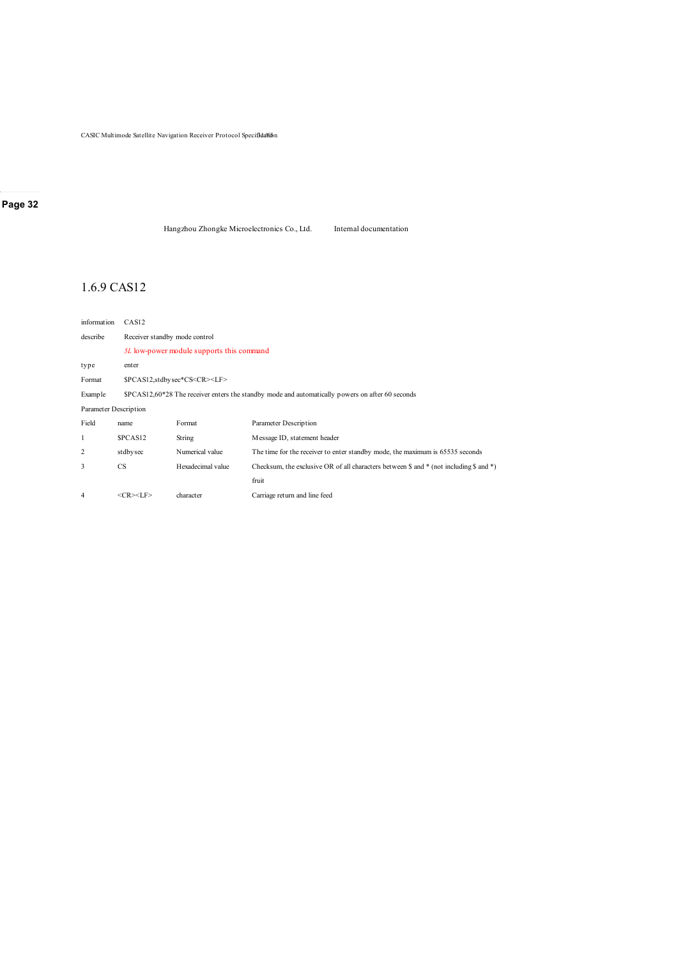CASIC Multimode Satellite Navigation Receiver Protocol Specifidalin

#### **Page 32**

Hangzhou Zhongke Microelectronics Co., Ltd. Internal documentation

### 1.6.9 CAS12

| information | CAS <sub>12</sub>                                                                                                             |                                                                                                  |                                                                               |  |  |  |
|-------------|-------------------------------------------------------------------------------------------------------------------------------|--------------------------------------------------------------------------------------------------|-------------------------------------------------------------------------------|--|--|--|
| describe    |                                                                                                                               | Receiver standby mode control                                                                    |                                                                               |  |  |  |
|             |                                                                                                                               | 5L low-power module supports this command                                                        |                                                                               |  |  |  |
| type        | enter                                                                                                                         |                                                                                                  |                                                                               |  |  |  |
| Format      |                                                                                                                               | \$PCAS12,stdbysec*CS <cr><lf></lf></cr>                                                          |                                                                               |  |  |  |
| Example     |                                                                                                                               | $PCAS12,60*28$ The receiver enters the standby mode and automatically powers on after 60 seconds |                                                                               |  |  |  |
|             | Parameter Description                                                                                                         |                                                                                                  |                                                                               |  |  |  |
| Field       | name                                                                                                                          | Format                                                                                           | Parameter Description                                                         |  |  |  |
|             | SPCAS <sub>12</sub>                                                                                                           | String                                                                                           | Message ID, statement header                                                  |  |  |  |
| 2           | Numerical value<br>stdbysec                                                                                                   |                                                                                                  | The time for the receiver to enter standby mode, the maximum is 65535 seconds |  |  |  |
| 3           | Hexadecimal value<br><b>CS</b><br>Checksum, the exclusive OR of all characters between \$ and $*$ (not including \$ and $*$ ) |                                                                                                  |                                                                               |  |  |  |
|             |                                                                                                                               |                                                                                                  | fruit                                                                         |  |  |  |
| 4           | $<$ CR> $<$ LF>                                                                                                               | character                                                                                        | Carriage return and line feed                                                 |  |  |  |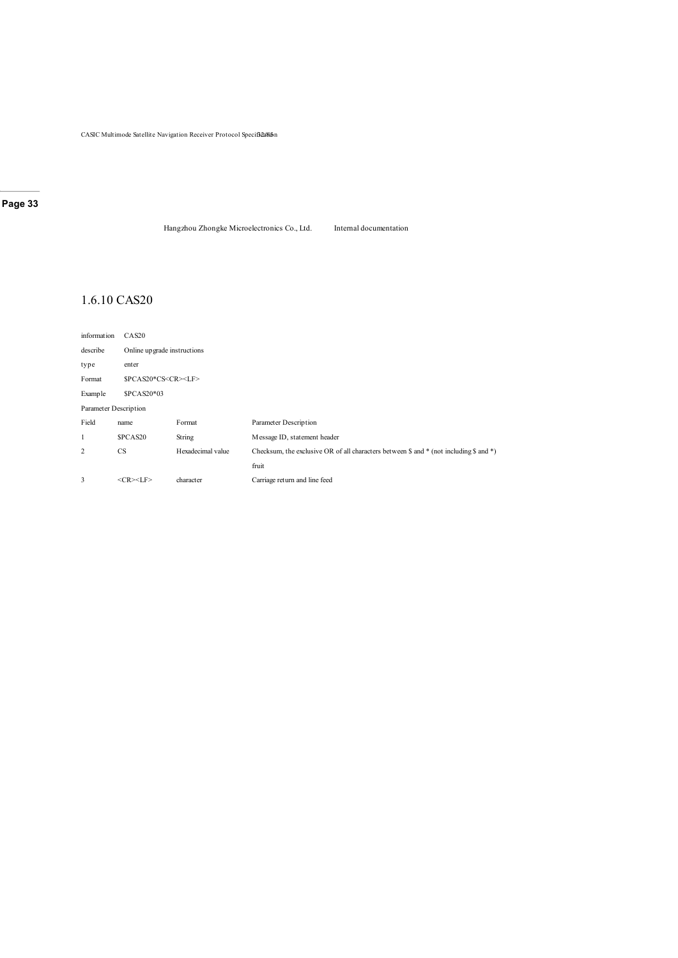CASIC Multimode Satellite Navigation Receiver Protocol Specifica(sin

#### **Page 33**

Hangzhou Zhongke Microelectronics Co., Ltd. Internal documentation

### 1.6.10 CAS20

| information           | CAS20           |                                |                                                                                                 |  |  |  |
|-----------------------|-----------------|--------------------------------|-------------------------------------------------------------------------------------------------|--|--|--|
| describe              |                 | Online up grade instructions   |                                                                                                 |  |  |  |
| type                  | enter           |                                |                                                                                                 |  |  |  |
| Format                |                 | \$PCAS20*CS <cr><lf></lf></cr> |                                                                                                 |  |  |  |
| Example               | \$PCAS20*03     |                                |                                                                                                 |  |  |  |
| Parameter Description |                 |                                |                                                                                                 |  |  |  |
| Field                 | name            | Format                         | Parameter Description                                                                           |  |  |  |
| 1                     | \$PCAS20        | String                         | Message ID, statement header                                                                    |  |  |  |
| 2                     | <b>CS</b>       | Hexadecimal value              | Checksum, the exclusive OR of all characters between $\$$ and $*$ (not including $\$$ and $*$ ) |  |  |  |
|                       |                 |                                | fruit                                                                                           |  |  |  |
| 3                     | $<$ CR> $<$ LF> | character                      | Carriage return and line feed                                                                   |  |  |  |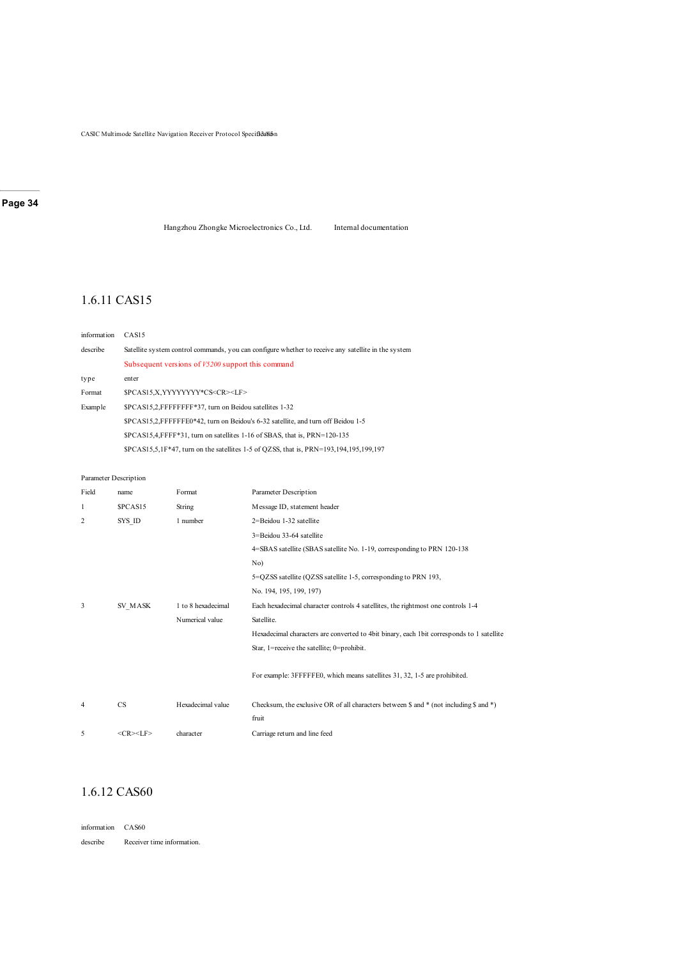CASIC Multimode Satellite Navigation Receiver Protocol Specificalism

### **Page 34**

Hangzhou Zhongke Microelectronics Co., Ltd. Internal documentation

### 1.6.11 CAS15

| information | CAS <sub>15</sub>                                                                                   |  |  |  |  |
|-------------|-----------------------------------------------------------------------------------------------------|--|--|--|--|
| describe    | Satellite system control commands, you can configure whether to receive any satellite in the system |  |  |  |  |
|             | Subsequent versions of V5200 support this command                                                   |  |  |  |  |
| type        | enter                                                                                               |  |  |  |  |
| Format      | \$PCAS15.X.YYYYYYYY*CS <cr><lf></lf></cr>                                                           |  |  |  |  |
| Example     | \$PCAS15.2.FFFFFFFF*37, turn on Beidou satellites 1-32                                              |  |  |  |  |
|             | \$PCAS15.2.FFFFFFE0*42, turn on Beidou's 6-32 satellite, and turn off Beidou 1-5                    |  |  |  |  |
|             | $PCAS15.4.FFFF*31$ , turn on satellites 1-16 of SBAS, that is, $PRN=120-135$                        |  |  |  |  |
|             | $PCAS15,5,1F*47$ , turn on the satellites 1-5 of QZSS, that is, $PRN=193,194,195,199,197$           |  |  |  |  |

#### Parameter Description

| Field | name            | Format             | Parameter Description                                                                                        |  |  |  |
|-------|-----------------|--------------------|--------------------------------------------------------------------------------------------------------------|--|--|--|
| 1     | \$PCAS15        | String             | Message ID, statement header                                                                                 |  |  |  |
| 2     | SYS ID          | 1 number           | 2=Beidou 1-32 satellite                                                                                      |  |  |  |
|       |                 |                    | 3=Beidou 33-64 satellite                                                                                     |  |  |  |
|       |                 |                    | 4=SBAS satellite (SBAS satellite No. 1-19, corresponding to PRN 120-138                                      |  |  |  |
|       |                 |                    | No)                                                                                                          |  |  |  |
|       |                 |                    | 5=QZSS satellite (QZSS satellite 1-5, corresponding to PRN 193,                                              |  |  |  |
|       |                 |                    | No. 194, 195, 199, 197)                                                                                      |  |  |  |
| 3     | SV MASK         | 1 to 8 hexadecimal | Each hexadecimal character controls 4 satellites, the rightmost one controls 1-4                             |  |  |  |
|       |                 | Numerical value    | Satellite.                                                                                                   |  |  |  |
|       |                 |                    | Hexadecimal characters are converted to 4bit binary, each 1bit corresponds to 1 satellite                    |  |  |  |
|       |                 |                    | Star, 1=receive the satellite; 0=prohibit.                                                                   |  |  |  |
|       |                 |                    |                                                                                                              |  |  |  |
|       |                 |                    | For example: 3FFFFFE0, which means satellites 31, 32, 1-5 are prohibited.                                    |  |  |  |
|       |                 |                    |                                                                                                              |  |  |  |
| 4     | CS              | Hexadecimal value  | Checksum, the exclusive OR of all characters between $\frac{1}{2}$ and * (not including $\frac{1}{2}$ and *) |  |  |  |
|       |                 |                    | fruit                                                                                                        |  |  |  |
| 5     | $<$ CR> $<$ LF> | character          | Carriage return and line feed                                                                                |  |  |  |

### 1.6.12 CAS60

information CAS60 describe Receiver time information.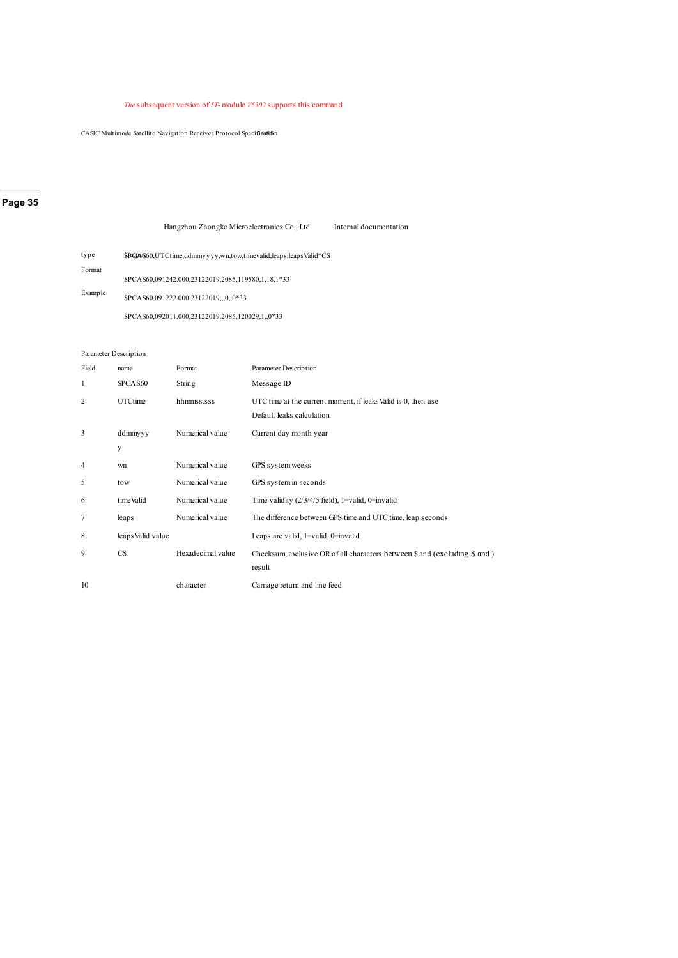#### *The* subsequent version of *5T-* module *V5302* supports this command

CASIC Multimode Satellite Navigation Receiver Protocol Specifiea/Kion

### **Page 35**

|         | Hangzhou Zhongke Microelectronics Co., Ltd.<br>Internal documentation               |  |
|---------|-------------------------------------------------------------------------------------|--|
| type    | <b>\$PCP4560</b> , UTCtime, ddmmy y y y, wn, tow, time valid, leaps, leaps Valid*CS |  |
| Format  |                                                                                     |  |
|         | \$PCAS60,091242.000,23122019,2085,119580,1,18,1*33                                  |  |
| Example | \$PCAS60,091222.000,23122019,,,0,,0*33                                              |  |
|         | \$PCAS60,092011.000.23122019.2085.120029.1.,0*33                                    |  |

#### Parameter Description

| Field | name              | Format            | Parameter Description                                                                      |
|-------|-------------------|-------------------|--------------------------------------------------------------------------------------------|
| 1     | \$PCAS60          | String            | Message ID                                                                                 |
| 2     | <b>UTCtime</b>    | hhmmss.sss        | UTC time at the current moment, if leaks Valid is 0, then use<br>Default leaks calculation |
| 3     | ddmmyyy           | Numerical value   | Current day month year                                                                     |
|       | y                 |                   |                                                                                            |
| 4     | wn                | Numerical value   | GPS system weeks                                                                           |
| 5     | tow               | Numerical value   | GPS system in seconds                                                                      |
| 6     | time Valid        | Numerical value   | Time validity $(2/3/4/5$ field), 1=valid, 0=invalid                                        |
| 7     | leaps             | Numerical value   | The difference between GPS time and UTC time, leap seconds                                 |
| 8     | leaps Valid value |                   | Leaps are valid, $1 =$ valid, $0 =$ invalid                                                |
| 9     | <b>CS</b>         | Hexadecimal value | Checksum, exclusive OR of all characters between \$ and (excluding \$ and)<br>result       |
| 10    |                   | character         | Carriage return and line feed                                                              |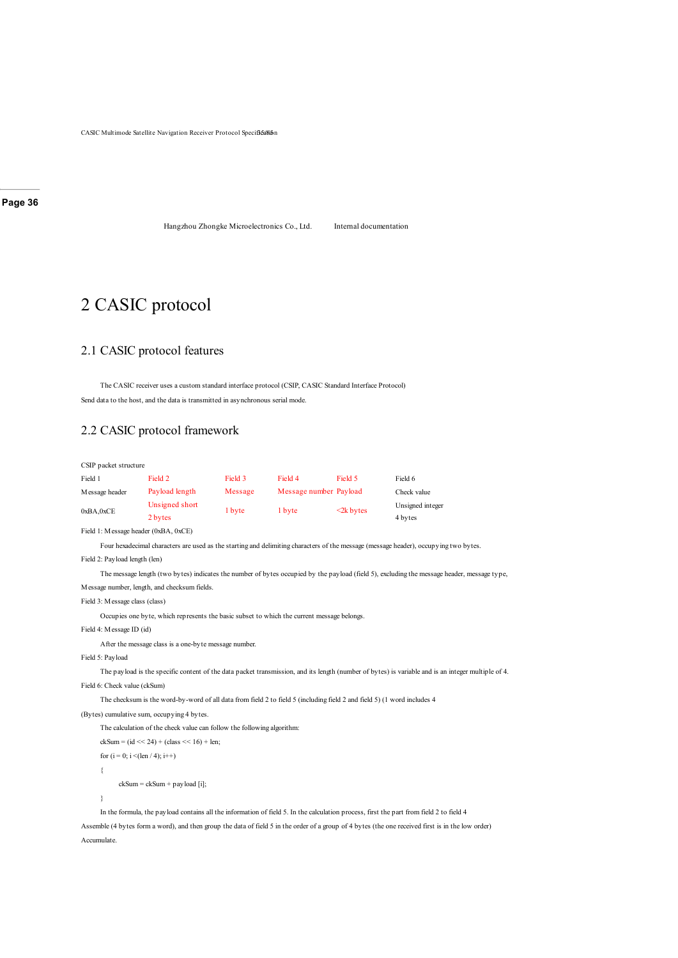CASIC Multimode Satellite Navigation Receiver Protocol Specifical

**Page 36**

Hangzhou Zhongke Microelectronics Co., Ltd. Internal documentation

## 2 CASIC protocol

### 2.1 CASIC protocol features

The CASIC receiver uses a custom standard interface protocol (CSIP, CASIC Standard Interface Protocol) Send data to the host, and the data is transmitted in asynchronous serial mode.

### 2.2 CASIC protocol framework

| CSIP packet structure                                                                                                                              |                                                                                                                         |         |                        |                 |                                                                                                                                                    |  |
|----------------------------------------------------------------------------------------------------------------------------------------------------|-------------------------------------------------------------------------------------------------------------------------|---------|------------------------|-----------------|----------------------------------------------------------------------------------------------------------------------------------------------------|--|
| Field 1                                                                                                                                            | Field 2                                                                                                                 | Field 3 | Field 4                | Field 5         | Field 6                                                                                                                                            |  |
| Message header                                                                                                                                     | Payload length                                                                                                          | Message | Message number Payload |                 | Check value                                                                                                                                        |  |
| 0xBA,0xCE                                                                                                                                          | Unsigned short<br>2 bytes                                                                                               | 1 byte  | 1 byte                 | $\leq$ 2k bytes | Unsigned integer<br>4 bytes                                                                                                                        |  |
| Field 1: Message header (0xBA, 0xCE)                                                                                                               |                                                                                                                         |         |                        |                 |                                                                                                                                                    |  |
|                                                                                                                                                    |                                                                                                                         |         |                        |                 | Four hexadecimal characters are used as the starting and delimiting characters of the message (message header), occupying two bytes.               |  |
| Field 2: Payload length (len)                                                                                                                      |                                                                                                                         |         |                        |                 |                                                                                                                                                    |  |
|                                                                                                                                                    |                                                                                                                         |         |                        |                 | The message length (two bytes) indicates the number of bytes occupied by the payload (field 5), excluding the message header, message type,        |  |
|                                                                                                                                                    | Message number, length, and checksum fields.                                                                            |         |                        |                 |                                                                                                                                                    |  |
| Field 3: Message class (class)                                                                                                                     |                                                                                                                         |         |                        |                 |                                                                                                                                                    |  |
|                                                                                                                                                    | Occupies one byte, which represents the basic subset to which the current message belongs.                              |         |                        |                 |                                                                                                                                                    |  |
| Field 4: Message ID (id)                                                                                                                           |                                                                                                                         |         |                        |                 |                                                                                                                                                    |  |
|                                                                                                                                                    | After the message class is a one-byte message number.                                                                   |         |                        |                 |                                                                                                                                                    |  |
| Field 5: Payload                                                                                                                                   |                                                                                                                         |         |                        |                 |                                                                                                                                                    |  |
|                                                                                                                                                    |                                                                                                                         |         |                        |                 | The payload is the specific content of the data packet transmission, and its length (number of bytes) is variable and is an integer multiple of 4. |  |
| Field 6: Check value (ckSum)                                                                                                                       |                                                                                                                         |         |                        |                 |                                                                                                                                                    |  |
|                                                                                                                                                    | The checksum is the word-by-word of all data from field 2 to field 5 (including field 2 and field 5) (1 word includes 4 |         |                        |                 |                                                                                                                                                    |  |
|                                                                                                                                                    | (Bytes) cumulative sum, occupying 4 bytes.                                                                              |         |                        |                 |                                                                                                                                                    |  |
|                                                                                                                                                    | The calculation of the check value can follow the following algorithm:                                                  |         |                        |                 |                                                                                                                                                    |  |
| $ckSum = (id \ll 24) + (class \ll 16) + len;$                                                                                                      |                                                                                                                         |         |                        |                 |                                                                                                                                                    |  |
| for $(i = 0; i < (len / 4); i++)$                                                                                                                  |                                                                                                                         |         |                        |                 |                                                                                                                                                    |  |
| ₹                                                                                                                                                  |                                                                                                                         |         |                        |                 |                                                                                                                                                    |  |
| $ckSum = ckSum + payload[i];$                                                                                                                      |                                                                                                                         |         |                        |                 |                                                                                                                                                    |  |
| ₹                                                                                                                                                  |                                                                                                                         |         |                        |                 |                                                                                                                                                    |  |
| In the formula, the payload contains all the information of field 5. In the calculation process, first the part from field 2 to field 4            |                                                                                                                         |         |                        |                 |                                                                                                                                                    |  |
| Assemble (4 bytes form a word), and then group the data of field 5 in the order of a group of 4 bytes (the one received first is in the low order) |                                                                                                                         |         |                        |                 |                                                                                                                                                    |  |

Accumulate.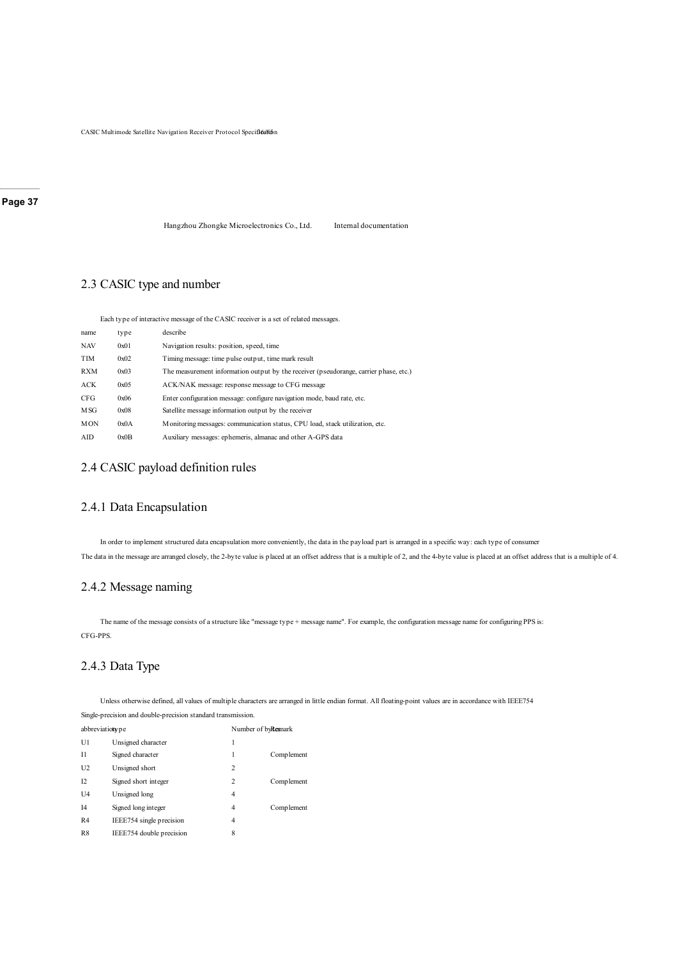CASIC Multimode Satellite Navigation Receiver Protocol Specificalism

#### **Page 37**

Hangzhou Zhongke Microelectronics Co., Ltd. Internal documentation

# 2.3 CASIC type and number

Each type of interactive message of the CASIC receiver is a set of related messages.

| name       | type | describe                                                                              |
|------------|------|---------------------------------------------------------------------------------------|
| <b>NAV</b> | 0x01 | Navigation results: position, speed, time                                             |
| TIM        | 0x02 | Timing message: time pulse output, time mark result                                   |
| <b>RXM</b> | 0x03 | The measurement information output by the receiver (pseudorange, carrier phase, etc.) |
| <b>ACK</b> | 0x05 | ACK/NAK message: response message to CFG message                                      |
| CFG        | 0x06 | Enter configuration message: configure navigation mode, baud rate, etc.               |
| M SG       | 0x08 | Satellite message information output by the receiver                                  |
| <b>MON</b> | 0x0A | Monitoring messages: communication status, CPU load, stack utilization, etc.          |
| AID        | 0x0B | Auxiliary messages: ephemeris, almanac and other A-GPS data                           |

### 2.4 CASIC payload definition rules

### 2.4.1 Data Encapsulation

In order to implement structured data encapsulation more conveniently, the data in the payload part is arranged in a specific way: each type of consumer The data in the message are arranged closely, the 2-byte value is placed at an offset address that is a multiple of 2, and the 4-byte value is placed at an offset address that is a multiple of 4.

# 2.4.2 Message naming

The name of the message consists of a structure like "message type + message name". For example, the configuration message name for configuring PPS is: CFG-PPS.

# 2.4.3 Data Type

Unless otherwise defined, all values of multiple characters are arranged in little endian format. All floating-point values are in accordance with IEEE754 Single-precision and double-precision standard transmission.

| abbreviation pe |                          | Number of byResnark |             |
|-----------------|--------------------------|---------------------|-------------|
| U1              | Unsigned character       | 1                   |             |
| $_{11}$         | Signed character         | 1                   | Comp lement |
| U2              | Unsigned short           | $\overline{c}$      |             |
| 12              | Signed short integer     | 2                   | Comp lement |
| U <sub>4</sub>  | Unsigned long            | 4                   |             |
| I <sub>4</sub>  | Signed long integer      | 4                   | Comp lement |
| R <sub>4</sub>  | IEEE754 single precision | 4                   |             |
| R <sup>8</sup>  | IEEE754 double precision | 8                   |             |
|                 |                          |                     |             |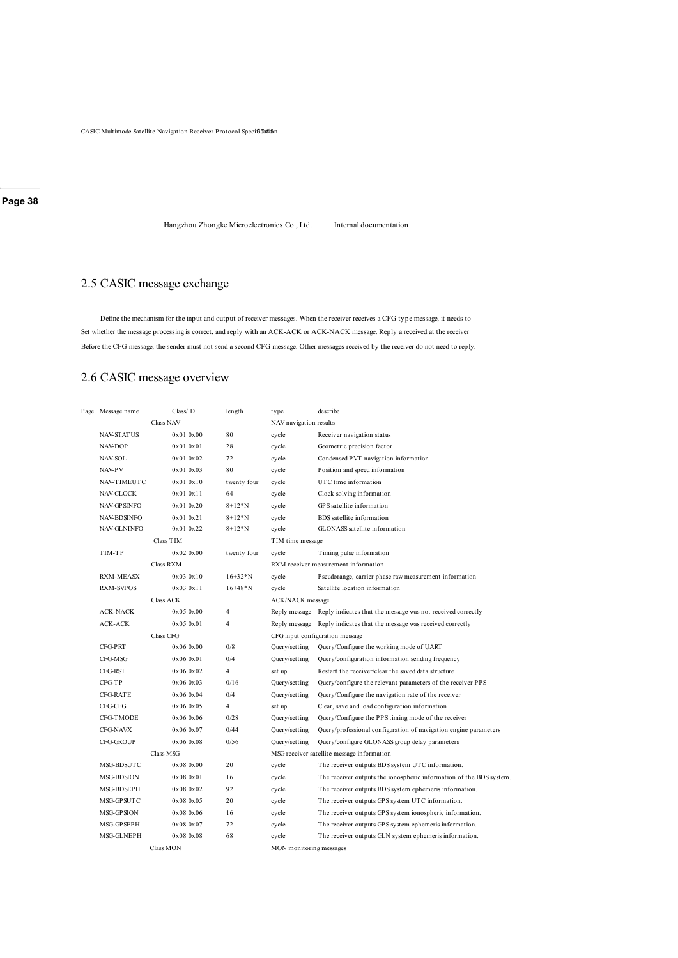CASIC Multimode Satellite Navigation Receiver Protocol Specif3d8ion

**Page 38**

Hangzhou Zhongke Microelectronics Co., Ltd. Internal documentation

# 2.5 CASIC message exchange

Define the mechanism for the input and output of receiver messages. When the receiver receives a CFG type message, it needs to Set whether the message processing is correct, and reply with an ACK-ACK or ACK-NACK message. Reply a received at the receiver Before the CFG message, the sender must not send a second CFG message. Other messages received by the receiver do not need to reply.

### 2.6 CASIC message overview

| Page Message name  | Class/ID         | length         | type                    | describe                                                                  |
|--------------------|------------------|----------------|-------------------------|---------------------------------------------------------------------------|
|                    | <b>Class NAV</b> |                | NAV navigation results  |                                                                           |
| <b>NAV-STATUS</b>  | 0x010x00         | 80             | cycle                   | Receiver navigation status                                                |
| <b>NAV-DOP</b>     | 0x010x01         | 28             | cycle                   | Geometric precision factor                                                |
| NAV-SOL            | 0x010x02         | 72             | cycle                   | Condensed PVT navigation information                                      |
| <b>NAV-PV</b>      | 0x010x03         | 80             | cycle                   | Position and speed information                                            |
| <b>NAV-TIMEUTC</b> | 0x010x10         | twenty four    | cycle                   | UTC time information                                                      |
| <b>NAV-CLOCK</b>   | 0x010x11         | 64             | cycle                   | Clock solving information                                                 |
| <b>NAV-GPSINFO</b> | 0x010x20         | $8 + 12 * N$   | cycle                   | GPS satellite information                                                 |
| <b>NAV-BDSINFO</b> | 0x010x21         | $8 + 12 * N$   | cycle                   | BDS satellite information                                                 |
| <b>NAV-GLNINFO</b> | 0x010x22         | $8 + 12 * N$   | cycle                   | GLONASS satellite information                                             |
|                    | Class TIM        |                | TIM time message        |                                                                           |
| TIM-TP             | 0x020x00         | twenty four    | cycle                   | Timing pulse information                                                  |
|                    | Class RXM        |                |                         | RXM receiver measurement information                                      |
| <b>RXM-MEASX</b>   | 0x030x10         | $16+32*N$      | cycle                   | Pseudorange, carrier phase raw measurement information                    |
| <b>RXM-SVPOS</b>   | 0x030x11         | $16+48*N$      | cycle                   | Satellite location information                                            |
|                    | Class ACK        |                | <b>ACK/NACK</b> message |                                                                           |
| <b>ACK-NACK</b>    | 0x050x00         | $\overline{4}$ |                         | Reply message Reply indicates that the message was not received correctly |
| <b>ACK-ACK</b>     | 0x050x01         | $\overline{4}$ | Reply message           | Reply indicates that the message was received correctly                   |
|                    | Class CFG        |                |                         | CFG input configuration message                                           |
| <b>CFG-PRT</b>     | 0x060x00         | 0/8            | Query/setting           | Query/Configure the working mode of UART                                  |
| CFG-MSG            | 0x060x01         | 0/4            | Query/setting           | Query/configuration information sending frequency                         |
| CFG-RST            | 0x060x02         | $\overline{4}$ | set up                  | Restart the receiver/clear the saved data structure                       |
| CFG-TP             | 0x060x03         | 0/16           | Query/setting           | Query/configure the relevant parameters of the receiver PPS               |
| CFG-RATE           | 0x060x04         | 0/4            | Query/setting           | Query/Configure the navigation rate of the receiver                       |
| CFG-CFG            | 0x060x05         | $\overline{4}$ | set up                  | Clear, save and load configuration information                            |
| <b>CFG-TMODE</b>   | 0x060x06         | 0/28           | Query/setting           | Query/Configure the PPS timing mode of the receiver                       |
| <b>CFG-NAVX</b>    | 0x060x07         | 0/44           | Query/setting           | Query/professional configuration of navigation engine parameters          |
| <b>CFG-GROUP</b>   | 0x060x08         | 0/56           | Query/setting           | Query/configure GLONASS group delay parameters                            |
|                    | Class MSG        |                |                         | MSG receiver satellite message information                                |
| MSG-BDSUTC         | 0x080x00         | 20             | cycle                   | The receiver outputs BDS system UTC information.                          |
| <b>MSG-BDSION</b>  | 0x080x01         | 16             | cycle                   | The receiver outputs the ionospheric information of the BDS system.       |
| MSG-BDSEPH         | 0x080x02         | 92             | cycle                   | The receiver outputs BDS system ephemeris information.                    |
| MSG-GPSUTC         | 0x080x05         | 20             | cycle                   | The receiver outputs GPS system UTC information.                          |
| <b>MSG-GPSION</b>  | 0x080x06         | 16             | cycle                   | The receiver outputs GPS system ionospheric information.                  |
| MSG-GPSEPH         | 0x080x07         | 72             | cycle                   | The receiver outputs GPS system ephemeris information.                    |
| MSG-GLNEPH         | 0x080x08         | 68             | cycle                   | The receiver outputs GLN system ephemeris information.                    |
|                    | Class MON        |                | MON monitoring messages |                                                                           |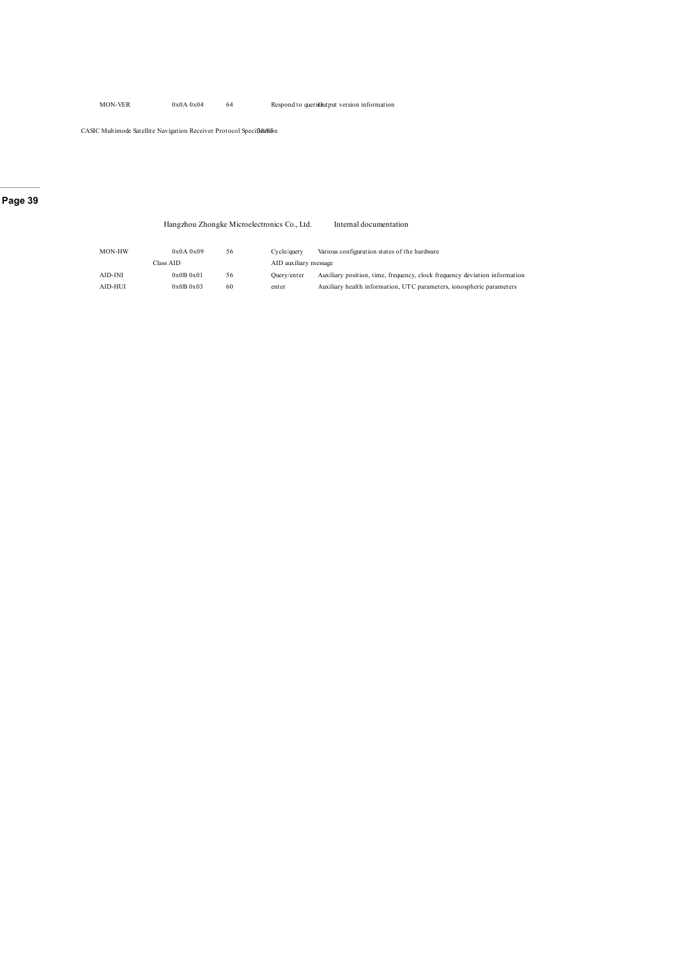CASIC Multimode Satellite Navigation Receiver Protocol Specif3&f6in

### **Page 39**

|         |           |    | Hangzhou Zhongke Microelectronics Co., Ltd. | Internal documentation                                                     |
|---------|-----------|----|---------------------------------------------|----------------------------------------------------------------------------|
| MON-HW  | 0x0A0x09  | 56 | Cycle/query                                 | Various configuration states of the hardware                               |
|         | Class AID |    | AID auxiliary message                       |                                                                            |
| AID-INI | 0x0B0x01  | 56 | Ouerv/enter                                 | Auxiliary position, time, frequency, clock frequency deviation information |
| AID-HUI | 0x0B0x03  | 60 | enter                                       | Auxiliary health information, UTC parameters, ionospheric parameters       |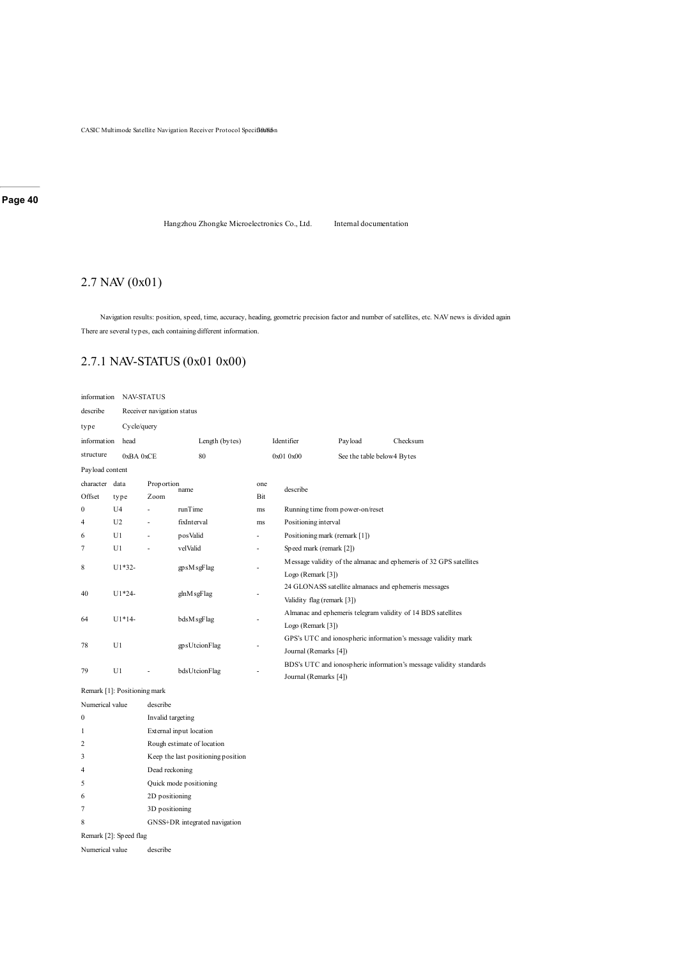CASIC Multimode Satellite Navigation Receiver Protocol Specified Kin

#### **Page 40**

Hangzhou Zhongke Microelectronics Co., Ltd. Internal documentation

# 2.7 NAV (0x01)

Navigation results: position, speed, time, accuracy, heading, geometric precision factor and number of satellites, etc. NAV news is divided again There are several types, each containing different information.

# 2.7.1 NAV-STATUS (0x01 0x00)

| information     |                              | <b>NAV-STATUS</b>          |             |                                    |     |                            |                                                              |                            |                                                               |                                                                    |  |
|-----------------|------------------------------|----------------------------|-------------|------------------------------------|-----|----------------------------|--------------------------------------------------------------|----------------------------|---------------------------------------------------------------|--------------------------------------------------------------------|--|
| describe        |                              | Receiver navigation status |             |                                    |     |                            |                                                              |                            |                                                               |                                                                    |  |
| type            |                              | Cycle/query                |             |                                    |     |                            |                                                              |                            |                                                               |                                                                    |  |
| information     | head                         |                            |             | Length (bytes)                     |     |                            | Identifier                                                   | Payload                    |                                                               | Checksum                                                           |  |
| structure       | 0xBA 0xCE                    |                            |             | 80                                 |     |                            | 0x01 0x00                                                    | See the table below4 Bytes |                                                               |                                                                    |  |
| Payload content |                              |                            |             |                                    |     |                            |                                                              |                            |                                                               |                                                                    |  |
| character data  |                              | Proportion                 | name        |                                    | one |                            | describe                                                     |                            |                                                               |                                                                    |  |
| Offset          | type                         | Zoom                       |             |                                    | Bit |                            |                                                              |                            |                                                               |                                                                    |  |
| $\mathbf{0}$    | U <sub>4</sub>               | ä,                         | runTime     |                                    | ms  |                            | Running time from power-on/reset                             |                            |                                                               |                                                                    |  |
| 4               | U <sub>2</sub>               |                            | fixInterval |                                    | ms  |                            | Positioning interval                                         |                            |                                                               |                                                                    |  |
| 6               | U1                           |                            | posValid    |                                    |     |                            | Positioning mark (remark [1])                                |                            |                                                               |                                                                    |  |
| 7               | U1                           |                            | velValid    |                                    |     |                            | Speed mark (remark [2])                                      |                            |                                                               |                                                                    |  |
| 8               | U1*32-                       |                            |             | gpsMsgFlag                         |     |                            |                                                              |                            |                                                               | Message validity of the almanac and ephemeris of 32 GPS satellites |  |
|                 |                              |                            |             |                                    |     |                            | Logo (Remark [3])                                            |                            |                                                               |                                                                    |  |
| 40              | $U1*24-$                     |                            | glnM sgFlag |                                    |     |                            |                                                              |                            |                                                               | 24 GLONASS satellite almanacs and ephemeris messages               |  |
|                 |                              |                            |             |                                    |     | Validity flag (remark [3]) |                                                              |                            |                                                               |                                                                    |  |
| 64              | $U1*14-$                     |                            | bdsM sgFlag |                                    |     |                            | Almanac and ephemeris telegram validity of 14 BDS satellites |                            |                                                               |                                                                    |  |
|                 |                              |                            |             |                                    |     |                            | Logo (Remark [3])                                            |                            |                                                               |                                                                    |  |
| 78              | U1                           | gpsUtcionFlag              |             |                                    |     |                            |                                                              |                            | GPS's UTC and ionospheric information's message validity mark |                                                                    |  |
|                 |                              |                            |             |                                    |     |                            | Journal (Remarks [4])                                        |                            |                                                               |                                                                    |  |
| 79              | U1                           |                            |             | bdsUtcionFlag                      |     |                            | Journal (Remarks [4])                                        |                            |                                                               | BDS's UTC and ionospheric information's message validity standards |  |
|                 | Remark [1]: Positioning mark |                            |             |                                    |     |                            |                                                              |                            |                                                               |                                                                    |  |
| Numerical value |                              | describe                   |             |                                    |     |                            |                                                              |                            |                                                               |                                                                    |  |
| 0               |                              | Invalid targeting          |             |                                    |     |                            |                                                              |                            |                                                               |                                                                    |  |
| 1               |                              | External input location    |             |                                    |     |                            |                                                              |                            |                                                               |                                                                    |  |
| 2               |                              |                            |             | Rough estimate of location         |     |                            |                                                              |                            |                                                               |                                                                    |  |
| 3               |                              |                            |             | Keep the last positioning position |     |                            |                                                              |                            |                                                               |                                                                    |  |
| 4               |                              | Dead reckoning             |             |                                    |     |                            |                                                              |                            |                                                               |                                                                    |  |
| 5               | Quick mode positioning       |                            |             |                                    |     |                            |                                                              |                            |                                                               |                                                                    |  |
| 6               |                              | 2D positioning             |             |                                    |     |                            |                                                              |                            |                                                               |                                                                    |  |
| 7               |                              | 3D positioning             |             |                                    |     |                            |                                                              |                            |                                                               |                                                                    |  |
| 8               |                              |                            |             | GNSS+DR integrated navigation      |     |                            |                                                              |                            |                                                               |                                                                    |  |
|                 | Remark [2]: Speed flag       |                            |             |                                    |     |                            |                                                              |                            |                                                               |                                                                    |  |
|                 | Numerical value<br>describe  |                            |             |                                    |     |                            |                                                              |                            |                                                               |                                                                    |  |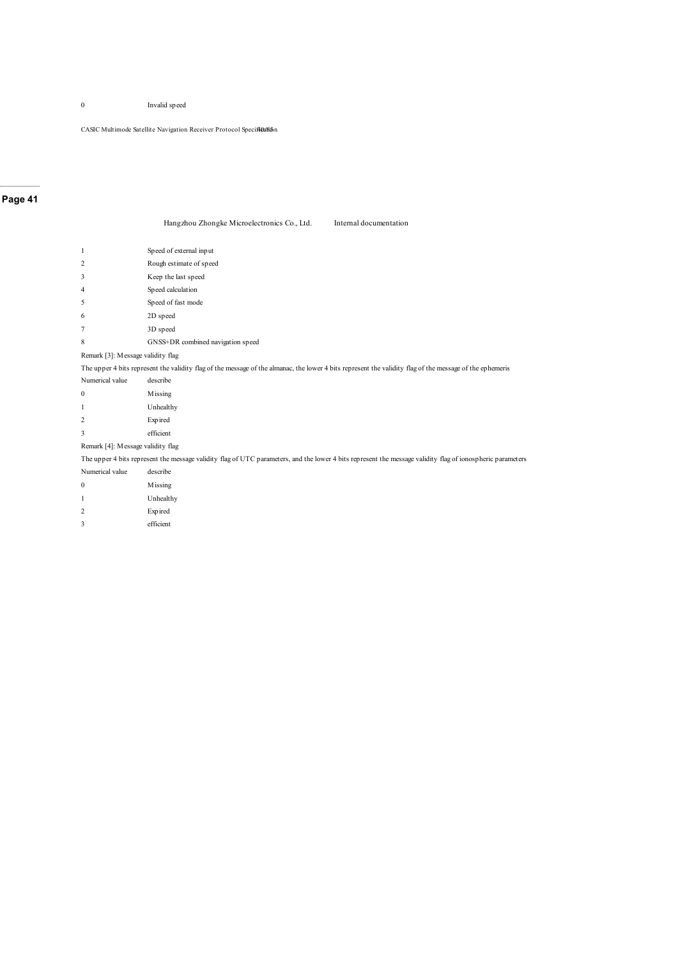Invalid speed

 $\mathop{\mathrm{CASIC}}$  Multimode Satellite Navigation Receiver Protocol Specificalism

### **Page 41**

| Hangzhou Zhongke Microelectronics Co., Ltd. | Internal documentation |
|---------------------------------------------|------------------------|
|---------------------------------------------|------------------------|

| 1                                 | Speed of external input                                                                                                                                    |
|-----------------------------------|------------------------------------------------------------------------------------------------------------------------------------------------------------|
| $\overline{c}$                    | Rough estimate of speed                                                                                                                                    |
| 3                                 | Keep the last speed                                                                                                                                        |
| 4                                 | Speed calculation                                                                                                                                          |
| 5                                 | Speed of fast mode                                                                                                                                         |
| 6                                 | 2D speed                                                                                                                                                   |
| 7                                 | 3D speed                                                                                                                                                   |
| 8                                 | GNSS+DR combined navigation speed                                                                                                                          |
| Remark [3]: Message validity flag |                                                                                                                                                            |
|                                   | The upper 4 bits represent the validity flag of the message of the almanac, the lower 4 bits represent the validity flag of the message of the ephemeris   |
| Numerical value                   | describe                                                                                                                                                   |
| 0                                 | Missing                                                                                                                                                    |
| 1                                 | Unhealthy                                                                                                                                                  |
| $\overline{c}$                    | Expired                                                                                                                                                    |
| 3                                 | efficient                                                                                                                                                  |
| Remark [4]: Message validity flag |                                                                                                                                                            |
|                                   | The upper 4 bits represent the message validity flag of UTC parameters, and the lower 4 bits represent the message validity flag of ionospheric parameters |
| Numerical value                   | describe                                                                                                                                                   |
| $\mathbf{0}$                      | Missing                                                                                                                                                    |
| 1                                 | Unhealthy                                                                                                                                                  |
| $\overline{c}$                    | Expired                                                                                                                                                    |
| 3                                 | efficient                                                                                                                                                  |
|                                   |                                                                                                                                                            |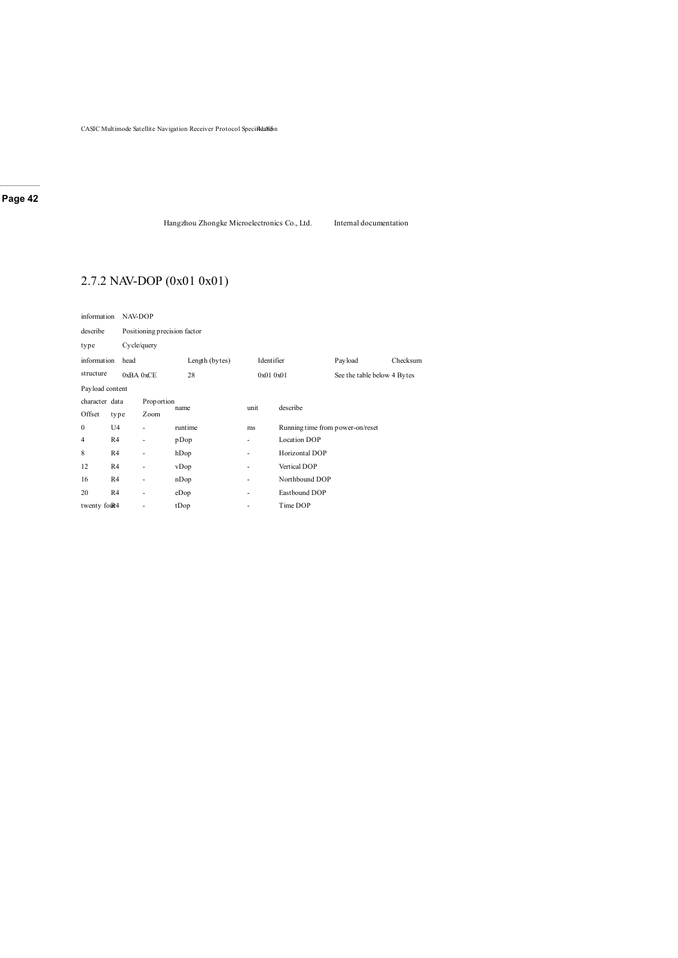Hangzhou Zhongke Microelectronics Co., Ltd. Internal documentation

# 2.7.2 NAV-DOP (0x01 0x01)

| information     |                | NAV-DOP                      |                |                          |                                  |                             |          |  |
|-----------------|----------------|------------------------------|----------------|--------------------------|----------------------------------|-----------------------------|----------|--|
| describe        |                | Positioning precision factor |                |                          |                                  |                             |          |  |
| type            |                | Cycle/query                  |                |                          |                                  |                             |          |  |
| information     | head           |                              | Length (bytes) | Identifier               |                                  | Payload                     | Checksum |  |
| structure       |                | 0xBA0xCE                     | 28             | 0x010x01                 |                                  | See the table below 4 Bytes |          |  |
| Payload content |                |                              |                |                          |                                  |                             |          |  |
| character data  |                | Proportion                   | name           | unit                     | describe                         |                             |          |  |
| Offset          | type           | Zoom                         |                |                          |                                  |                             |          |  |
| $\mathbf{0}$    | U4             |                              | runtime        | ms                       | Running time from power-on/reset |                             |          |  |
| 4               | R <sub>4</sub> | $\overline{\phantom{m}}$     | pDop           | ٠                        | <b>Location DOP</b>              |                             |          |  |
| 8               | R4             | ٠                            | hDop           | ٠                        | Horizontal DOP                   |                             |          |  |
| 12              | R4             | $\overline{\phantom{m}}$     | vDop           | ٠                        | Vertical DOP                     |                             |          |  |
| 16              | R <sub>4</sub> | $\overline{\phantom{a}}$     | nDop           | $\overline{\phantom{a}}$ | Northbound DOP                   |                             |          |  |
| 20              | R <sub>4</sub> | ٠                            | eDop           | ٠                        | Eastbound DOP                    |                             |          |  |
| twenty four4    |                | ٠                            | tDop           | ٠                        | Time DOP                         |                             |          |  |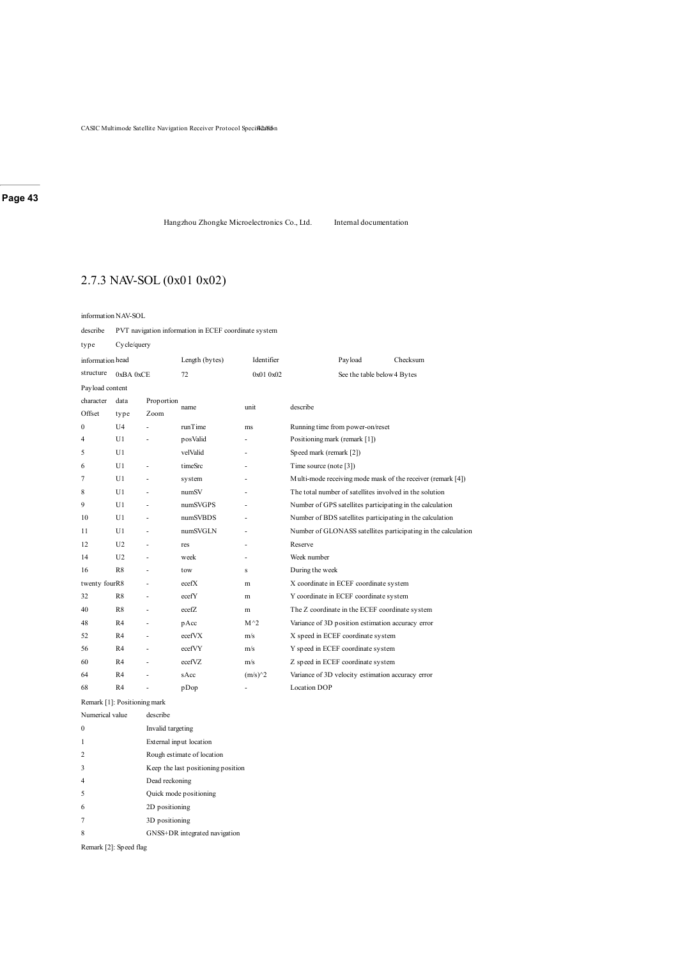Hangzhou Zhongke Microelectronics Co., Ltd. Internal documentation

# 2.7.3 NAV-SOL (0x01 0x02)

information NAV-SOL

describe PVT navigation information in ECEF coordinate system

| type            | Cycle/query                  |            |                |                          |                                                               |  |
|-----------------|------------------------------|------------|----------------|--------------------------|---------------------------------------------------------------|--|
|                 | information head             |            | Length (bytes) | Identifier               | Payload<br>Checksum                                           |  |
| structure       | 0xBA 0xCE                    |            | 72             | 0x010x02                 | See the table below 4 Bytes                                   |  |
| Payload content |                              |            |                |                          |                                                               |  |
| character       | data                         | Proportion | name           | unit                     | describe                                                      |  |
| Offset          | type                         | Zoom       |                |                          |                                                               |  |
| $\theta$        | U <sub>4</sub>               |            | runTime        | ms                       | Running time from power-on/reset                              |  |
| 4               | U1                           |            | posValid       |                          | Positioning mark (remark [1])                                 |  |
| 5               | U1                           |            | velValid       | $\overline{\phantom{a}}$ | Speed mark (remark [2])                                       |  |
| 6               | U1                           |            | timeSrc        |                          | Time source (note [3])                                        |  |
| 7               | U1                           | ä,         | system         |                          | Multi-mode receiving mode mask of the receiver (remark [4])   |  |
| 8               | U1                           | ä,         | numSV          | ٠                        | The total number of satellites involved in the solution       |  |
| 9               | U1                           |            | numSVGPS       |                          | Number of GPS satellites participating in the calculation     |  |
| 10              | U1                           | ä,         | numSVBDS       | ٠                        | Number of BDS satellites participating in the calculation     |  |
| 11              | U1                           | ÷,         | numSVGLN       | $\overline{\phantom{a}}$ | Number of GLONASS satellites participating in the calculation |  |
| 12              | U <sub>2</sub>               | ä,         | res            |                          | Reserve                                                       |  |
| 14              | U <sub>2</sub>               | ä,         | week           |                          | Week number                                                   |  |
| 16              | R8                           | ä,         | tow            | s                        | During the week                                               |  |
| twenty fourR8   |                              | ä,         | ecefX          | m                        | X coordinate in ECEF coordinate system                        |  |
| 32              | R8                           | ٠          | ecefY          | m                        | Y coordinate in ECEF coordinate system                        |  |
| 40              | R8                           | L,         | ecefZ          | m                        | The Z coordinate in the ECEF coordinate system                |  |
| 48              | R <sub>4</sub>               | ä,         | pAcc           | $M^2$                    | Variance of 3D position estimation accuracy error             |  |
| 52              | R4                           | ä,         | ecefVX         | m/s                      | X speed in ECEF coordinate system                             |  |
| 56              | R <sub>4</sub>               | ä,         | ecefVY         | m/s                      | Y speed in ECEF coordinate system                             |  |
| 60              | R <sub>4</sub>               | L,         | ecefVZ         | m/s                      | Z speed in ECEF coordinate system                             |  |
| 64              | R4                           |            | sAcc           | $(m/s)^2$                | Variance of 3D velocity estimation accuracy error             |  |
| 68              | R4                           | Ĭ.         | pDop           | $\overline{\phantom{a}}$ | <b>Location DOP</b>                                           |  |
|                 | Remark [1]: Positioning mark |            |                |                          |                                                               |  |

Numerical value describe 0 Invalid targeting

| External input location    |
|----------------------------|
| Rough estimate of location |

- 3 Keep the last positioning position
- 4 Dead reckoning
- 5 Quick mode positioning
- 6 2D positioning
- 7 3D positioning
- 8 GNSS+DR integrated navigation

Remark [2]: Speed flag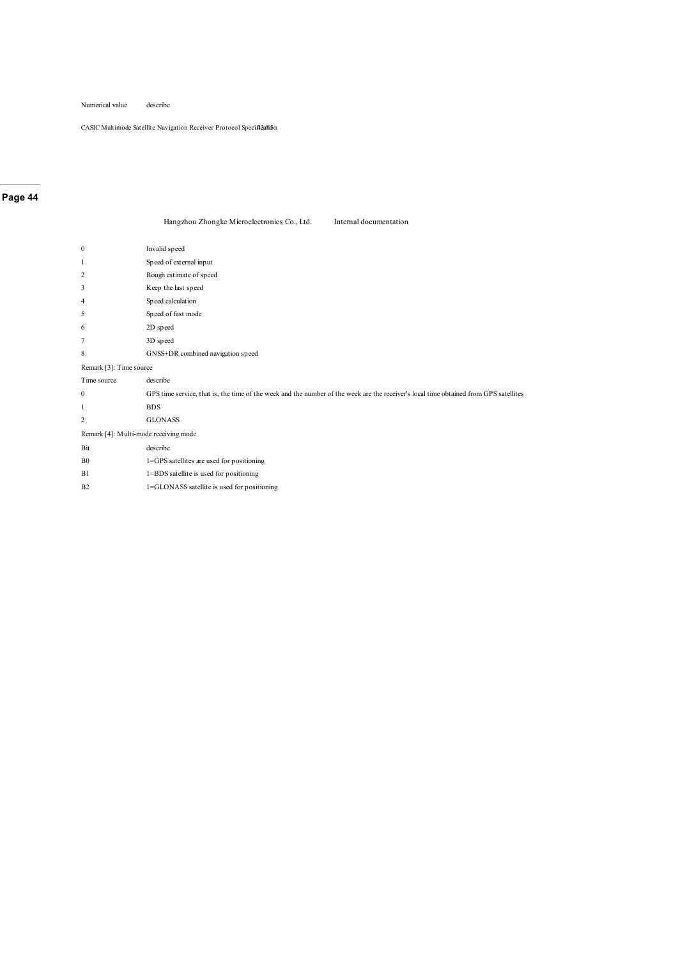Numerical value describe

CASIC Multimode Satellite Navigation Receiver Protocol Specifical

### **Page 44**

| Hangzhou Zhongke Microelectronics Co., Ltd. | Internal documentation |
|---------------------------------------------|------------------------|
|                                             |                        |

| $\mathbf{0}$                          | Invalid speed                                                                                                                         |
|---------------------------------------|---------------------------------------------------------------------------------------------------------------------------------------|
| 1                                     | Speed of external input                                                                                                               |
| $\overline{c}$                        | Rough estimate of speed                                                                                                               |
| 3                                     | Keep the last speed                                                                                                                   |
| 4                                     | Speed calculation                                                                                                                     |
| 5                                     | Speed of fast mode                                                                                                                    |
| 6                                     | 2D speed                                                                                                                              |
| 7                                     | 3D speed                                                                                                                              |
| 8                                     | GNSS+DR combined navigation speed                                                                                                     |
| Remark [3]: Time source               |                                                                                                                                       |
| Time source                           | describe                                                                                                                              |
| 0                                     | GPS time service, that is, the time of the week and the number of the week are the receiver's local time obtained from GPS satellites |
| 1                                     | <b>BDS</b>                                                                                                                            |
| $\overline{c}$                        | <b>GLONASS</b>                                                                                                                        |
| Remark [4]: Multi-mode receiving mode |                                                                                                                                       |
| Bit                                   | describe                                                                                                                              |
| B <sub>0</sub>                        | 1=GPS satellites are used for positioning                                                                                             |
| B1                                    | 1=BDS satellite is used for positioning                                                                                               |
| B <sub>2</sub>                        | 1=GLONASS satellite is used for positioning                                                                                           |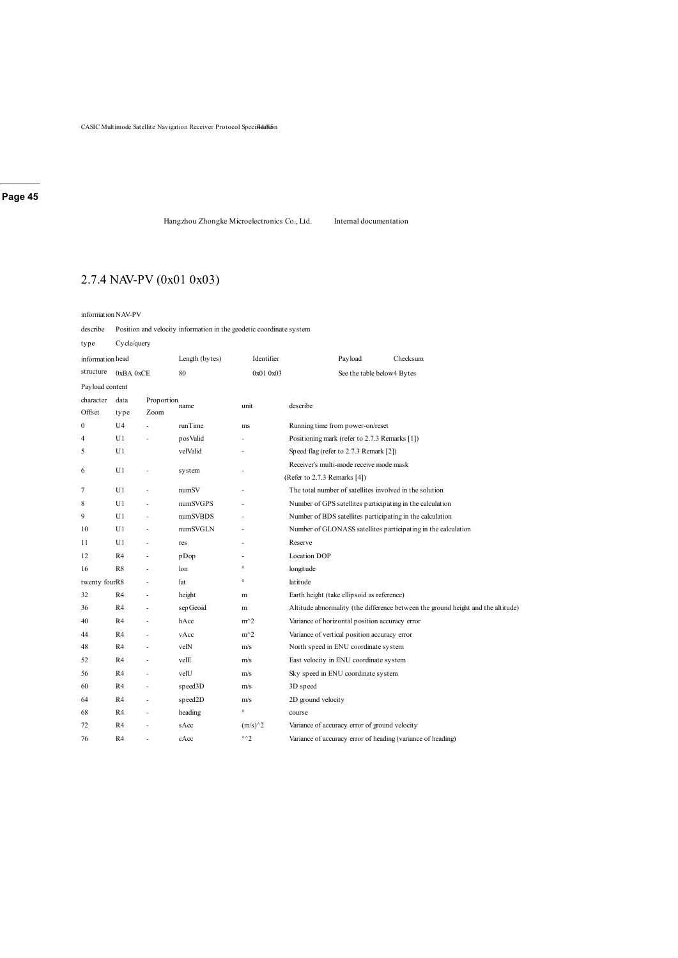Hangzhou Zhongke Microelectronics Co., Ltd. Internal documentation

# 2.7.4 NAV-PV (0x01 0x03)

information NAV-PV

describe Position and velocity information in the geodetic coordinate system

| type            | Cycle/query      |            |                |                       |                                                               |                                                |                                                                                  |  |  |
|-----------------|------------------|------------|----------------|-----------------------|---------------------------------------------------------------|------------------------------------------------|----------------------------------------------------------------------------------|--|--|
|                 | information head |            | Length (bytes) | Identifier            |                                                               | Payload                                        | Checksum                                                                         |  |  |
| structure       | 0xBA0xCE         |            | 80             | 0x01 0x03             |                                                               | See the table below4 Bytes                     |                                                                                  |  |  |
| Payload content |                  |            |                |                       |                                                               |                                                |                                                                                  |  |  |
| character       | data             | Proportion | name           | unit                  | describe                                                      |                                                |                                                                                  |  |  |
| Offset          | type             | Zoom       |                |                       |                                                               |                                                |                                                                                  |  |  |
| $\mathbf{0}$    | U <sub>4</sub>   |            | runTime        | ms                    |                                                               | Running time from power-on/reset               |                                                                                  |  |  |
| $\overline{4}$  | U1               |            | posValid       |                       |                                                               | Positioning mark (refer to 2.7.3 Remarks [1])  |                                                                                  |  |  |
| 5               | U1               |            | velValid       |                       |                                                               | Speed flag (refer to 2.7.3 Remark [2])         |                                                                                  |  |  |
| 6               | U1               |            |                |                       |                                                               | Receiver's multi-mode receive mode mask        |                                                                                  |  |  |
|                 |                  |            | system         |                       | (Refer to 2.7.3 Remarks [4])                                  |                                                |                                                                                  |  |  |
| 7               | U1               | L          | numSV          |                       |                                                               |                                                | The total number of satellites involved in the solution                          |  |  |
| 8               | U1               |            | numSVGPS       |                       |                                                               |                                                | Number of GPS satellites participating in the calculation                        |  |  |
| 9               | U1               |            | numSVBDS       |                       | Number of BDS satellites participating in the calculation     |                                                |                                                                                  |  |  |
| 10              | U1               | ä,         | numSVGLN       |                       | Number of GLONASS satellites participating in the calculation |                                                |                                                                                  |  |  |
| 11              | U1               |            | res            |                       | Reserve                                                       |                                                |                                                                                  |  |  |
| 12              | R <sub>4</sub>   |            | pDop           |                       | <b>Location DOP</b>                                           |                                                |                                                                                  |  |  |
| 16              | R8               |            | lon            | $^\circ$              | longitude                                                     |                                                |                                                                                  |  |  |
| twenty fourR8   |                  |            | lat            | $^\circ$              | latitude                                                      |                                                |                                                                                  |  |  |
| 32              | R4               | ä,         | height         | m                     |                                                               | Earth height (take ellipsoid as reference)     |                                                                                  |  |  |
| 36              | R4               |            | sep Geoid      | m                     |                                                               |                                                | Altitude abnormality (the difference between the ground height and the altitude) |  |  |
| 40              | R <sub>4</sub>   |            | hAcc           | $m^2$                 |                                                               | Variance of horizontal position accuracy error |                                                                                  |  |  |
| 44              | R <sub>4</sub>   |            | vAcc           | $m^2$                 |                                                               | Variance of vertical position accuracy error   |                                                                                  |  |  |
| 48              | R <sub>4</sub>   |            | velN           | m/s                   |                                                               | North speed in ENU coordinate system           |                                                                                  |  |  |
| 52              | R <sub>4</sub>   |            | velE           | m/s                   |                                                               | East velocity in ENU coordinate system         |                                                                                  |  |  |
| 56              | R4               |            | velU           | m/s                   |                                                               | Sky speed in ENU coordinate system             |                                                                                  |  |  |
| 60              | R <sub>4</sub>   | ä,         | speed3D        | m/s                   | 3D speed                                                      |                                                |                                                                                  |  |  |
| 64              | R4               |            | speed2D        | m/s                   | 2D ground velocity                                            |                                                |                                                                                  |  |  |
| 68              | R <sub>4</sub>   | ٠          | heading        | $\circ$               | course                                                        |                                                |                                                                                  |  |  |
| 72              | R <sub>4</sub>   |            | sAcc           | $(m/s)^2$             |                                                               | Variance of accuracy error of ground velocity  |                                                                                  |  |  |
| 76              | R <sub>4</sub>   |            | cAcc           | $\circ \wedge \gamma$ |                                                               |                                                | Variance of accuracy error of heading (variance of heading)                      |  |  |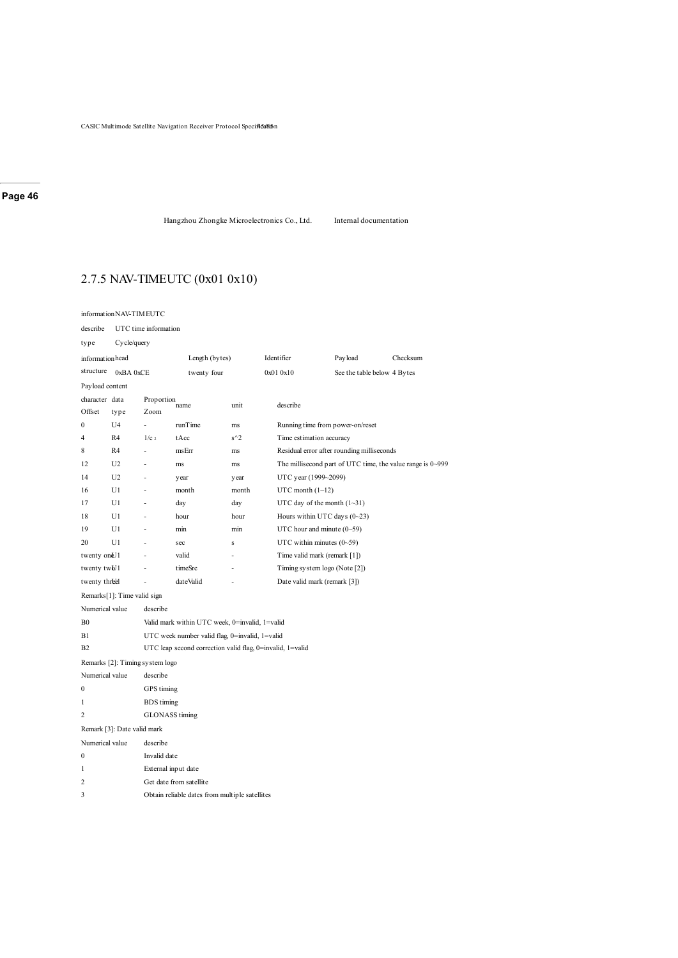Hangzhou Zhongke Microelectronics Co., Ltd. Internal documentation

# 2.7.5 NAV-TIMEUTC (0x01 0x10)

#### informationNAV-TIMEUTC

describe UTC time information

| Cycle/query<br>type         |                                                |                       |                                                |                                                           |                              |                                  |                                            |                                                            |
|-----------------------------|------------------------------------------------|-----------------------|------------------------------------------------|-----------------------------------------------------------|------------------------------|----------------------------------|--------------------------------------------|------------------------------------------------------------|
| informationhead             |                                                |                       |                                                | Length (bytes)                                            |                              | Identifier<br>Pay load           |                                            | Checksum                                                   |
| structure                   | 0xBA 0xCE                                      |                       | twenty four                                    |                                                           |                              | 0x01 0x10                        | See the table below 4 Bytes                |                                                            |
| Payload content             |                                                |                       |                                                |                                                           |                              |                                  |                                            |                                                            |
| character data              |                                                | Proportion            | name                                           | unit                                                      |                              | describe                         |                                            |                                                            |
| Offset                      | type                                           | Zoom                  |                                                |                                                           |                              |                                  |                                            |                                                            |
| $\bf{0}$                    | U4                                             | L,                    | runTime                                        | ms                                                        |                              | Running time from power-on/reset |                                            |                                                            |
| 4                           | R4                                             | 1/c <sub>2</sub>      | tAcc                                           | $s^2$                                                     |                              | Time estimation accuracy         |                                            |                                                            |
| 8                           | R4                                             |                       | msErr                                          | ms                                                        |                              |                                  | Residual error after rounding milliseconds |                                                            |
| 12                          | U2                                             |                       | ms                                             | ms                                                        |                              |                                  |                                            | The millisecond part of UTC time, the value range is 0~999 |
| 14                          | U2                                             |                       | y ear                                          | year                                                      |                              | UTC year (1999~2099)             |                                            |                                                            |
| 16                          | U1                                             |                       | month                                          | month                                                     |                              | UTC month $(1~12)$               |                                            |                                                            |
| 17                          | U1                                             |                       | day                                            | day                                                       |                              | UTC day of the month $(1-31)$    |                                            |                                                            |
| 18                          | U1                                             |                       | hour                                           | hour                                                      |                              | Hours within UTC days $(0-23)$   |                                            |                                                            |
| 19                          | U1                                             |                       | min                                            | min                                                       |                              | UTC hour and minute $(0-59)$     |                                            |                                                            |
| 20                          | U1                                             |                       | sec                                            | s                                                         |                              | UTC within minutes $(0-59)$      |                                            |                                                            |
| twenty on U1                |                                                | valid                 | ä,                                             |                                                           | Time valid mark (remark [1]) |                                  |                                            |                                                            |
| twenty twb <sup>1</sup>     |                                                |                       | timeSrc                                        |                                                           |                              | Timing system logo (Note [2])    |                                            |                                                            |
| twenty threel               |                                                | L,                    | dateValid                                      |                                                           |                              | Date valid mark (remark [3])     |                                            |                                                            |
|                             | Remarks[1]: Time valid sign                    |                       |                                                |                                                           |                              |                                  |                                            |                                                            |
| Numerical value             |                                                | describe              |                                                |                                                           |                              |                                  |                                            |                                                            |
| B <sub>0</sub>              |                                                |                       | Valid mark within UTC week, 0=invalid, 1=valid |                                                           |                              |                                  |                                            |                                                            |
| B1                          |                                                |                       | UTC week number valid flag, 0=invalid, 1=valid |                                                           |                              |                                  |                                            |                                                            |
| B <sub>2</sub>              |                                                |                       |                                                | UTC leap second correction valid flag, 0=invalid, 1=valid |                              |                                  |                                            |                                                            |
|                             | Remarks [2]: Timing system logo                |                       |                                                |                                                           |                              |                                  |                                            |                                                            |
| Numerical value             |                                                | describe              |                                                |                                                           |                              |                                  |                                            |                                                            |
| 0                           |                                                | GPS timing            |                                                |                                                           |                              |                                  |                                            |                                                            |
| 1                           |                                                | <b>BDS</b> timing     |                                                |                                                           |                              |                                  |                                            |                                                            |
| $\overline{c}$              |                                                | <b>GLONASS</b> timing |                                                |                                                           |                              |                                  |                                            |                                                            |
|                             | Remark [3]: Date valid mark                    |                       |                                                |                                                           |                              |                                  |                                            |                                                            |
| Numerical value<br>describe |                                                |                       |                                                |                                                           |                              |                                  |                                            |                                                            |
| 0                           |                                                | Invalid date          |                                                |                                                           |                              |                                  |                                            |                                                            |
| 1                           |                                                | External input date   |                                                |                                                           |                              |                                  |                                            |                                                            |
| 2                           |                                                |                       | Get date from satellite                        |                                                           |                              |                                  |                                            |                                                            |
| 3                           | Obtain reliable dates from multiple satellites |                       |                                                |                                                           |                              |                                  |                                            |                                                            |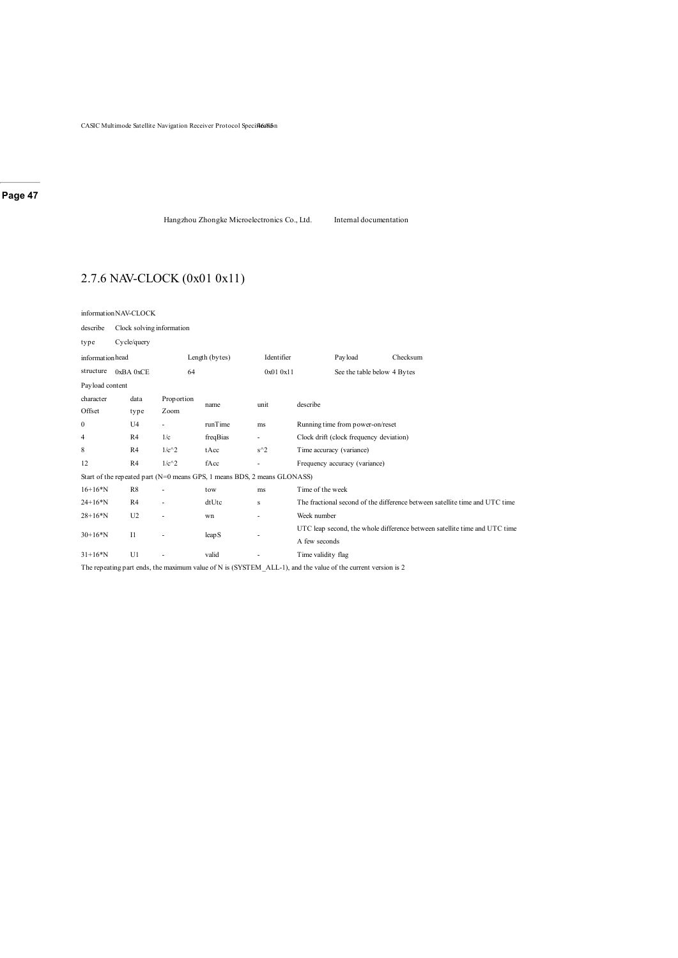Hangzhou Zhongke Microelectronics Co., Ltd. Internal documentation

# 2.7.6 NAV-CLOCK (0x01 0x11)

informationNAV-CLOCK

| describe        | Clock solving information |                                                                          |                   |                          |                                                                                                              |  |  |  |
|-----------------|---------------------------|--------------------------------------------------------------------------|-------------------|--------------------------|--------------------------------------------------------------------------------------------------------------|--|--|--|
| type            | Cycle/query               |                                                                          |                   |                          |                                                                                                              |  |  |  |
| informationhead |                           |                                                                          | Length (bytes)    | Identifier               | Payload<br>Checksum                                                                                          |  |  |  |
| structure       | 0xBA0xCE                  | 64                                                                       |                   | 0x01 0x11                | See the table below 4 Bytes                                                                                  |  |  |  |
| Payload content |                           |                                                                          |                   |                          |                                                                                                              |  |  |  |
| character       | data                      | Proportion                                                               | name              | unit                     | describe                                                                                                     |  |  |  |
| Offset          | type                      | Zoom                                                                     |                   |                          |                                                                                                              |  |  |  |
| 0               | U <sub>4</sub>            |                                                                          | runTime           | ms                       | Running time from power-on/reset                                                                             |  |  |  |
| 4               | R4                        | 1/c                                                                      | freqBias          | $\overline{\phantom{a}}$ | Clock drift (clock frequency deviation)                                                                      |  |  |  |
| 8               | R <sub>4</sub>            | $1/c^2$                                                                  | tAcc              | $s^2$                    | Time accuracy (variance)                                                                                     |  |  |  |
| 12              | R <sub>4</sub>            | $1/c^2$                                                                  | fAcc              | ٠                        | Frequency accuracy (variance)                                                                                |  |  |  |
|                 |                           | Start of the repeated part (N=0 means GPS, 1 means BDS, 2 means GLONASS) |                   |                          |                                                                                                              |  |  |  |
| $16+16*N$       | R8                        |                                                                          | tow               | ms                       | Time of the week                                                                                             |  |  |  |
| $24+16*N$       | R4                        |                                                                          | dtUtc             | s                        | The fractional second of the difference between satellite time and UTC time                                  |  |  |  |
| $28+16*N$       | U <sub>2</sub>            |                                                                          | wn                | ۰                        | Week number                                                                                                  |  |  |  |
| $30+16*N$       | $_{\rm II}$               |                                                                          | leap <sub>S</sub> |                          | UTC leap second, the whole difference between satellite time and UTC time                                    |  |  |  |
|                 |                           |                                                                          |                   |                          | A few seconds                                                                                                |  |  |  |
| $31+16*N$       | U1                        |                                                                          | valid             |                          | Time validity flag                                                                                           |  |  |  |
|                 |                           |                                                                          |                   |                          | The repeating part ends, the maximum value of N is (SYSTEM ALL-1), and the value of the current version is 2 |  |  |  |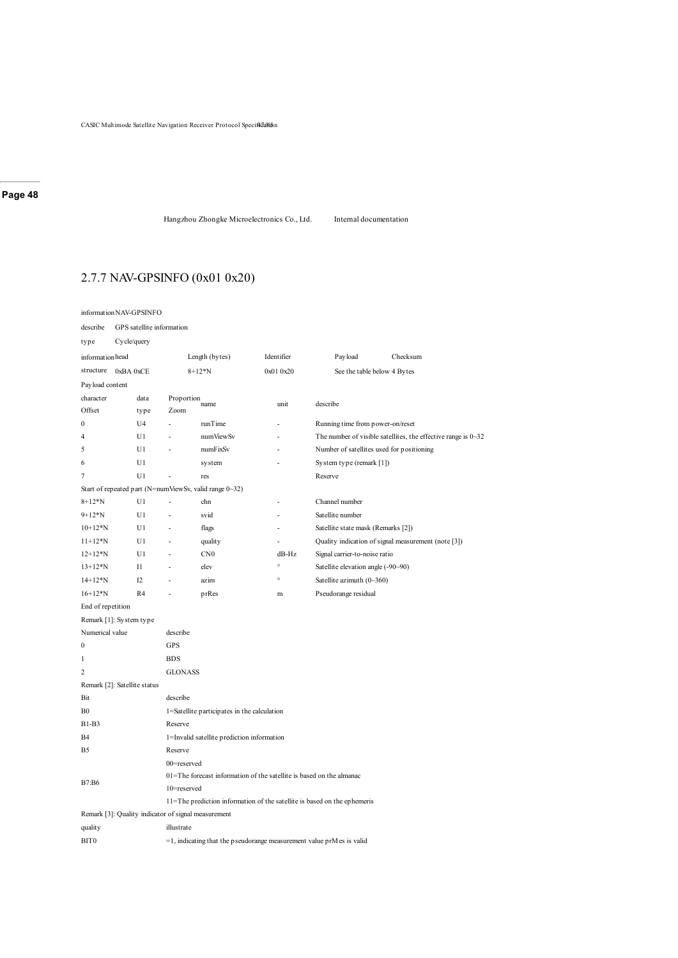Hangzhou Zhongke Microelectronics Co., Ltd. Internal documentation

# 2.7.7 NAV-GPSINFO (0x01 0x20)

#### informationNAV-GPSINFO

describe GPS satellite information

| type                                                | Cycle/query    |                                             |                                                                          |            |                                                                          |                                                                             |  |  |  |
|-----------------------------------------------------|----------------|---------------------------------------------|--------------------------------------------------------------------------|------------|--------------------------------------------------------------------------|-----------------------------------------------------------------------------|--|--|--|
| informationhead                                     |                | Length (bytes)                              |                                                                          | Identifier | Pay load                                                                 | Checksum                                                                    |  |  |  |
| structure                                           | 0xBA0xCE       |                                             | $8 + 12 * N$                                                             | 0x01 0x20  | See the table below 4 Bytes                                              |                                                                             |  |  |  |
| Payload content                                     |                |                                             |                                                                          |            |                                                                          |                                                                             |  |  |  |
| character                                           | data           | Proportion                                  | name                                                                     | unit       | describe                                                                 |                                                                             |  |  |  |
| Offset                                              | type           | Zoom                                        |                                                                          |            |                                                                          |                                                                             |  |  |  |
| $\mathbf{0}$                                        | U4             | ÷,                                          | runTime                                                                  |            | Running time from power-on/reset                                         |                                                                             |  |  |  |
| 4                                                   | U1             |                                             | numViewSv                                                                |            |                                                                          | The number of visible satellites, the effective range is $0 \rightarrow 32$ |  |  |  |
| 5                                                   | U1             |                                             | numFixSv                                                                 |            | Number of satellites used for positioning                                |                                                                             |  |  |  |
| 6                                                   | U <sub>1</sub> |                                             | system                                                                   |            | System type (remark [1])                                                 |                                                                             |  |  |  |
| $\overline{7}$                                      | U1             |                                             | res                                                                      |            | Reserve                                                                  |                                                                             |  |  |  |
|                                                     |                |                                             | Start of repeated part (N=numViewSv, valid range 0~32)                   |            |                                                                          |                                                                             |  |  |  |
| $8 + 12 * N$                                        | U1             | Ĭ.                                          | chn                                                                      |            | Channel number                                                           |                                                                             |  |  |  |
| $9+12*N$                                            | U1             | ÷,                                          | svid                                                                     |            | Satellite number                                                         |                                                                             |  |  |  |
| $10+12*N$                                           | U1             | ÷,                                          | flags                                                                    |            | Satellite state mask (Remarks [2])                                       |                                                                             |  |  |  |
| $11+12*N$                                           | U1             | L,                                          | quality                                                                  | ÷,         |                                                                          | Quality indication of signal measurement (note [3])                         |  |  |  |
| $12+12*N$                                           | U1             | L,                                          | CN <sub>0</sub>                                                          | $dB-Hz$    | Signal carrier-to-noise ratio                                            |                                                                             |  |  |  |
| $13+12*N$                                           | $_{\rm II}$    |                                             | elev                                                                     | $\circ$    | Satellite elevation angle (-90~90)                                       |                                                                             |  |  |  |
| $14 + 12*N$                                         | I2             |                                             | azim                                                                     | $\circ$    | Satellite azimuth (0~360)                                                |                                                                             |  |  |  |
| $16+12*N$                                           | R <sub>4</sub> |                                             | prRes                                                                    | m          | Pseudorange residual                                                     |                                                                             |  |  |  |
| End of repetition                                   |                |                                             |                                                                          |            |                                                                          |                                                                             |  |  |  |
| Remark [1]: System type                             |                |                                             |                                                                          |            |                                                                          |                                                                             |  |  |  |
| Numerical value                                     |                | describe                                    |                                                                          |            |                                                                          |                                                                             |  |  |  |
| $\mathbf{0}$                                        |                | <b>GPS</b>                                  |                                                                          |            |                                                                          |                                                                             |  |  |  |
| $\mathbf{1}$                                        |                | <b>BDS</b>                                  |                                                                          |            |                                                                          |                                                                             |  |  |  |
| $\overline{c}$                                      |                |                                             | <b>GLONASS</b>                                                           |            |                                                                          |                                                                             |  |  |  |
| Remark [2]: Satellite status                        |                |                                             |                                                                          |            |                                                                          |                                                                             |  |  |  |
| Bit                                                 |                | describe                                    |                                                                          |            |                                                                          |                                                                             |  |  |  |
| B <sub>0</sub>                                      |                | 1=Satellite participates in the calculation |                                                                          |            |                                                                          |                                                                             |  |  |  |
| $B1-B3$                                             |                | Reserve                                     |                                                                          |            |                                                                          |                                                                             |  |  |  |
| <b>B4</b>                                           |                | 1=Invalid satellite prediction information  |                                                                          |            |                                                                          |                                                                             |  |  |  |
| B <sub>5</sub>                                      |                | Reserve                                     |                                                                          |            |                                                                          |                                                                             |  |  |  |
|                                                     |                | $00$ =reserved                              |                                                                          |            |                                                                          |                                                                             |  |  |  |
| <b>B7:B6</b>                                        |                |                                             | $01 =$ The forecast information of the satellite is based on the almanac |            |                                                                          |                                                                             |  |  |  |
|                                                     |                | 10=reserved                                 |                                                                          |            |                                                                          |                                                                             |  |  |  |
|                                                     |                |                                             | 11=The prediction information of the satellite is based on the ephemeris |            |                                                                          |                                                                             |  |  |  |
| Remark [3]: Quality indicator of signal measurement |                |                                             |                                                                          |            |                                                                          |                                                                             |  |  |  |
| quality                                             |                | illustrate                                  |                                                                          |            |                                                                          |                                                                             |  |  |  |
| BIT <sub>0</sub>                                    |                |                                             |                                                                          |            | $=1$ , indicating that the pseudorange measurement value prM es is valid |                                                                             |  |  |  |
|                                                     |                |                                             |                                                                          |            |                                                                          |                                                                             |  |  |  |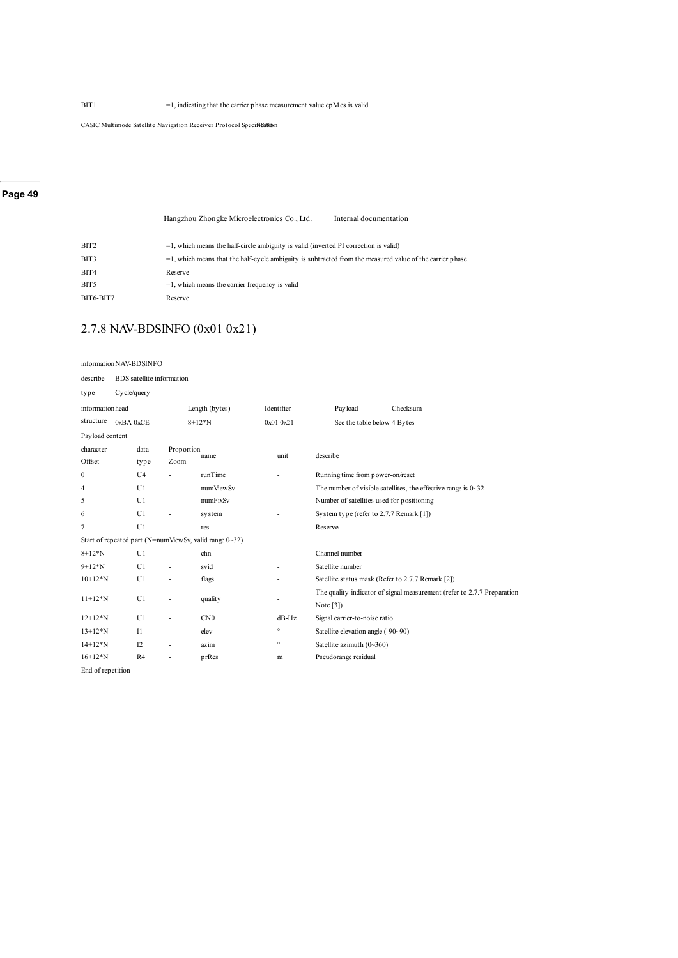BIT1 =1, indicating that the carrier phase measurement value cpMes is valid

CASIC Multimode Satellite Navigation Receiver Protocol Specificalism

#### **Page 49**

|      | Hangzhou Zhongke Microelectronics Co., Ltd.                                                                 | Internal documentation |
|------|-------------------------------------------------------------------------------------------------------------|------------------------|
| BIT2 | $=$ 1, which means the half-circle ambiguity is valid (inverted PI correction is valid)                     |                        |
| BIT3 | $=$ 1, which means that the half-cycle ambiguity is subtracted from the measured value of the carrier phase |                        |

| ы 1 э            | $=$ 1, which means that the half-cycle amoiguity is subtracted from the measured value of the carrie |
|------------------|------------------------------------------------------------------------------------------------------|
| BIT4             | Reserve                                                                                              |
| BIT <sub>5</sub> | $=1$ , which means the carrier frequency is valid                                                    |
| BIT6-BIT7        | Reserve                                                                                              |

# 2.7.8 NAV-BDSINFO (0x01 0x21)

|                   | information NAV-BDSINFO          |            |                                                        |            |                                                                      |                                                                         |  |  |  |
|-------------------|----------------------------------|------------|--------------------------------------------------------|------------|----------------------------------------------------------------------|-------------------------------------------------------------------------|--|--|--|
| describe          | <b>BDS</b> satellite information |            |                                                        |            |                                                                      |                                                                         |  |  |  |
| type              | Cycle/query                      |            |                                                        |            |                                                                      |                                                                         |  |  |  |
| informationhead   |                                  |            | Length (bytes)                                         | Identifier | Payload                                                              | Checksum                                                                |  |  |  |
| structure         | 0xBA 0xCE                        |            | $8+12*N$                                               | 0x010x21   |                                                                      | See the table below 4 Bytes                                             |  |  |  |
| Payload content   |                                  |            |                                                        |            |                                                                      |                                                                         |  |  |  |
| character         | data                             | Proportion | name                                                   | unit       | describe                                                             |                                                                         |  |  |  |
| Offset            | type                             | Zoom       |                                                        |            |                                                                      |                                                                         |  |  |  |
| $\mathbf{0}$      | U <sub>4</sub>                   |            | runTime                                                |            | Running time from power-on/reset                                     |                                                                         |  |  |  |
| $\overline{4}$    | U1                               |            | numViewSv                                              |            | The number of visible satellites, the effective range is $0 \sim 32$ |                                                                         |  |  |  |
| 5                 | U1                               | ٠          | numFixSv                                               | ٠          | Number of satellites used for positioning                            |                                                                         |  |  |  |
| 6                 | U1                               | L          | system                                                 |            | System type (refer to 2.7.7 Remark [1])                              |                                                                         |  |  |  |
| $\overline{7}$    | U1                               |            | res                                                    |            | Reserve                                                              |                                                                         |  |  |  |
|                   |                                  |            | Start of repeated part (N=numViewSv, valid range 0~32) |            |                                                                      |                                                                         |  |  |  |
| $8 + 12 * N$      | U1                               |            | chn                                                    |            | Channel number                                                       |                                                                         |  |  |  |
| $9+12*N$          | U1                               | ä,         | svid                                                   |            | Satellite number                                                     |                                                                         |  |  |  |
| $10+12*N$         | U1                               |            | flags                                                  |            |                                                                      | Satellite status mask (Refer to 2.7.7 Remark [2])                       |  |  |  |
| $11+12*N$         | U1                               | ä,         |                                                        |            |                                                                      | The quality indicator of signal measurement (refer to 2.7.7 Preparation |  |  |  |
|                   |                                  |            | quality                                                |            | Note $[3]$                                                           |                                                                         |  |  |  |
| $12+12*N$         | U1                               | L,         | CN0                                                    | $dB-Hz$    | Signal carrier-to-noise ratio                                        |                                                                         |  |  |  |
| $13+12*N$         | $_{\rm II}$                      | L.         | elev                                                   | $^\circ$   | Satellite elevation angle (-90~90)                                   |                                                                         |  |  |  |
| $14+12*N$         | 12                               | ٠          | azim                                                   | $\circ$    | Satellite azimuth $(0 \sim 360)$                                     |                                                                         |  |  |  |
| $16+12*N$         | R4                               | ٠          | prRes                                                  | m          | Pseudorange residual                                                 |                                                                         |  |  |  |
| End of repetition |                                  |            |                                                        |            |                                                                      |                                                                         |  |  |  |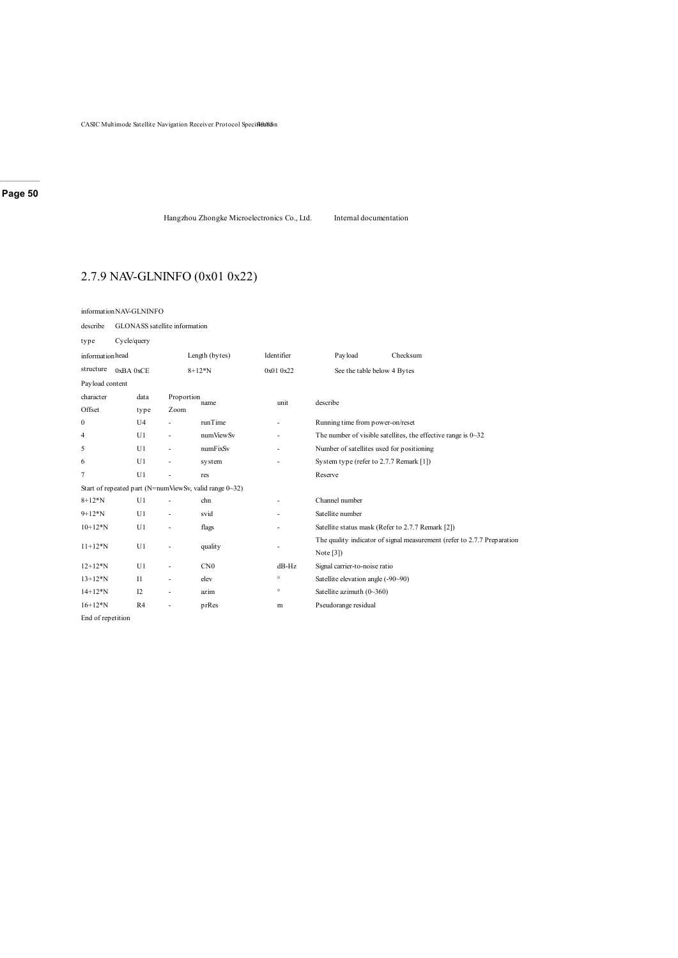CASIC Multimode Satellite Navigation Receiver Protocol Specified665n

# **Page 50**

Hangzhou Zhongke Microelectronics Co., Ltd. Internal documentation

# 2.7.9 NAV-GLNINFO (0x01 0x22)

| informationNAV-GLNINFO |                               |                |                          |                                                        |                          |                                           |                                                                         |  |  |  |
|------------------------|-------------------------------|----------------|--------------------------|--------------------------------------------------------|--------------------------|-------------------------------------------|-------------------------------------------------------------------------|--|--|--|
| describe               | GLONASS satellite information |                |                          |                                                        |                          |                                           |                                                                         |  |  |  |
| type                   | Cycle/query                   |                |                          |                                                        |                          |                                           |                                                                         |  |  |  |
| informationhead        |                               |                |                          | Length (bytes)                                         | Identifier               | Payload                                   | Checksum                                                                |  |  |  |
| structure              | 0xBA 0xCE                     |                |                          | $8+12*N$                                               | 0x01 0x22                | See the table below 4 Bytes               |                                                                         |  |  |  |
| Payload content        |                               |                |                          |                                                        |                          |                                           |                                                                         |  |  |  |
| character<br>Offset    |                               | data<br>type   | Proportion<br>Zoom       | name                                                   | unit                     | describe                                  |                                                                         |  |  |  |
| $\mathbf{0}$           |                               | U <sub>4</sub> | ä,                       | runTime                                                | ٠                        | Running time from power-on/reset          |                                                                         |  |  |  |
| 4                      |                               | U1             | ä,                       | numViewSv                                              | ٠                        |                                           | The number of visible satellites, the effective range is $0 \sim 32$    |  |  |  |
| 5                      |                               | U1             | ä,                       | numFixSv                                               | ٠                        | Number of satellites used for positioning |                                                                         |  |  |  |
| 6                      |                               | U1             | ä,                       | system                                                 |                          | System type (refer to 2.7.7 Remark [1])   |                                                                         |  |  |  |
| 7                      |                               | U1             | J.                       | res                                                    |                          | Reserve                                   |                                                                         |  |  |  |
|                        |                               |                |                          | Start of repeated part (N=numViewSv, valid range 0~32) |                          |                                           |                                                                         |  |  |  |
| $8 + 12 * N$           |                               | U1             | $\overline{\phantom{a}}$ | chn                                                    | ٠                        | Channel number                            |                                                                         |  |  |  |
| $9+12*N$               |                               | U1             | ٠                        | svid                                                   |                          | Satellite number                          |                                                                         |  |  |  |
| $10+12*N$              |                               | U1             | ٠                        | flags                                                  |                          |                                           | Satellite status mask (Refer to 2.7.7 Remark [2])                       |  |  |  |
| $11+12*N$              |                               | U1             | $\overline{\phantom{a}}$ | quality                                                | $\overline{\phantom{a}}$ | Note $[3]$                                | The quality indicator of signal measurement (refer to 2.7.7 Preparation |  |  |  |
| $12+12*N$              |                               | U1             | ÷.                       | CN0                                                    | $dB-Hz$                  | Signal carrier-to-noise ratio             |                                                                         |  |  |  |
| $13+12*N$              |                               | $_{11}$        | $\overline{\phantom{a}}$ | elev                                                   | $^\circ$                 | Satellite elevation angle (-90~90)        |                                                                         |  |  |  |
| $14 + 12*N$            |                               | I2             | $\overline{\phantom{a}}$ | azim                                                   | $\circ$                  | Satellite azimuth $(0\text{--}360)$       |                                                                         |  |  |  |
| $16+12*N$              |                               | R4             | $\overline{\phantom{a}}$ | prRes                                                  | m                        | Pseudorange residual                      |                                                                         |  |  |  |
| End of repetition      |                               |                |                          |                                                        |                          |                                           |                                                                         |  |  |  |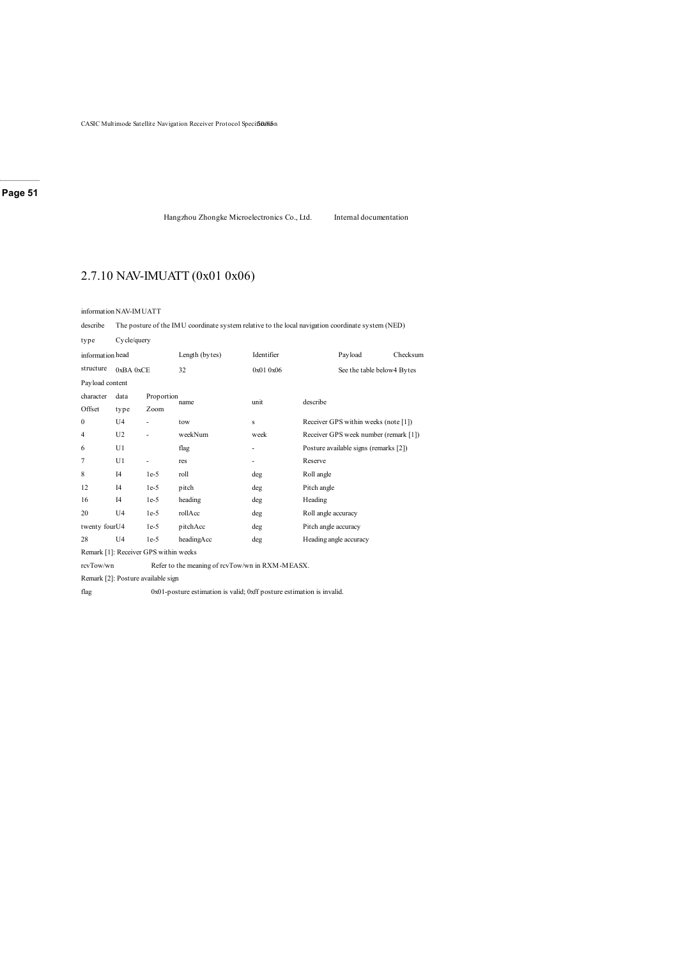CASIC Multimode Satellite Navigation Receiver Protocol Specificulism

### **Page 51**

Hangzhou Zhongke Microelectronics Co., Ltd. Internal documentation

# 2.7.10 NAV-IMUATT (0x01 0x06)

information NAV-IMUATT

describe The posture of the IMU coordinate system relative to the local navigation coordinate system (NED)

| type                                  | Cycle/query    |                    |                |            |                                       |  |  |  |
|---------------------------------------|----------------|--------------------|----------------|------------|---------------------------------------|--|--|--|
| information head                      |                |                    | Length (bytes) | Identifier | Payload<br>Checksum                   |  |  |  |
| structure                             | 0xBA0xCE       |                    | 32             | 0x010x06   | See the table below4 Bytes            |  |  |  |
| Payload content                       |                |                    |                |            |                                       |  |  |  |
| character<br>Offset                   | data<br>type   | Proportion<br>Zoom | name           | unit       | describe                              |  |  |  |
| $\mathbf{0}$                          | U <sub>4</sub> |                    | tow            | s          | Receiver GPS within weeks (note [1])  |  |  |  |
| 4                                     | U <sub>2</sub> |                    | weekNum        | week       | Receiver GPS week number (remark [1]) |  |  |  |
| 6                                     | U1             |                    | flag           | ۰          | Posture available signs (remarks [2]) |  |  |  |
| 7                                     | U1             | ٠                  | res            | ۰          | Reserve                               |  |  |  |
| 8                                     | I4             | $1e-5$             | roll           | deg        | Roll angle                            |  |  |  |
| 12                                    | I4             | $1e-5$             | pitch          | deg        | Pitch angle                           |  |  |  |
| 16                                    | I4             | $1e-5$             | heading        | deg        | Heading                               |  |  |  |
| 20                                    | U <sub>4</sub> | $1e-5$             | rollAcc        | deg        | Roll angle accuracy                   |  |  |  |
| twenty fourU4                         |                | $1e-5$             | pitchAcc       | deg        | Pitch angle accuracy                  |  |  |  |
| 28                                    | U <sub>4</sub> | $1e-5$             | headingAcc     | deg        | Heading angle accuracy                |  |  |  |
| Remark [1]: Receiver GPS within weeks |                |                    |                |            |                                       |  |  |  |

rcvTow/wn Refer to the meaning of rcvTow/wn in RXM-MEASX.

Remark [2]: Posture available sign

flag 0x01-posture estimation is valid; 0xff posture estimation is invalid.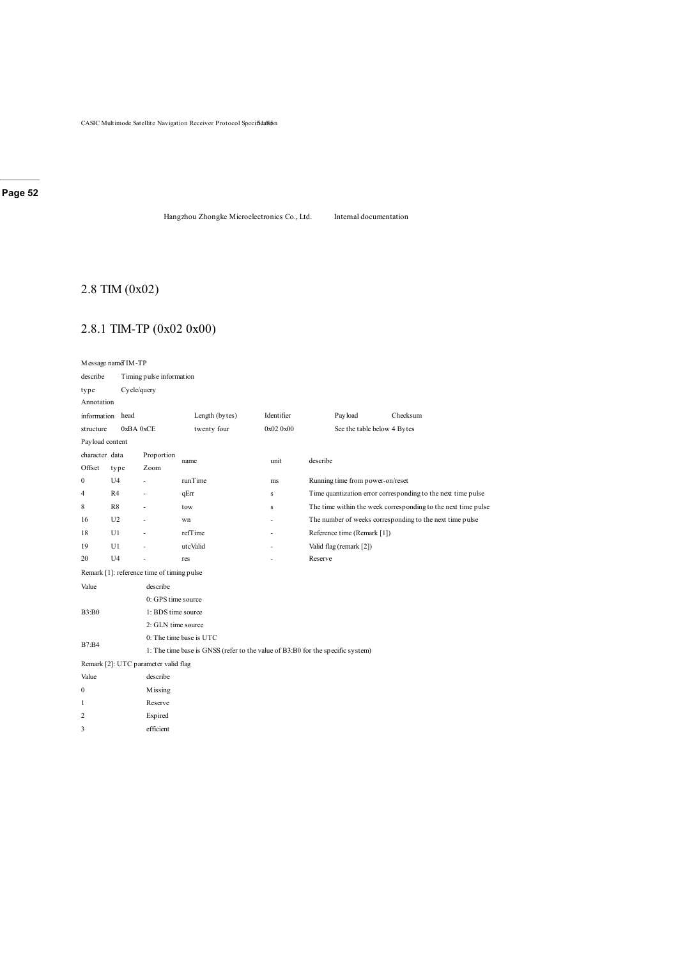CASIC Multimode Satellite Navigation Receiver Protocol Specif**5da**%in

### **Page 52**

Hangzhou Zhongke Microelectronics Co., Ltd. Internal documentation

# 2.8 TIM (0x02)

# 2.8.1 TIM-TP (0x02 0x00)

| Message nameTIM-TP                                                                             |                  |                                            |                         |            |                                                          |                                                               |  |  |  |  |
|------------------------------------------------------------------------------------------------|------------------|--------------------------------------------|-------------------------|------------|----------------------------------------------------------|---------------------------------------------------------------|--|--|--|--|
| describe                                                                                       |                  | Timing pulse information                   |                         |            |                                                          |                                                               |  |  |  |  |
| type                                                                                           |                  | Cycle/query                                |                         |            |                                                          |                                                               |  |  |  |  |
| Annotation                                                                                     |                  |                                            |                         |            |                                                          |                                                               |  |  |  |  |
|                                                                                                | information head |                                            | Length (bytes)          | Identifier | Payload                                                  | Checksum                                                      |  |  |  |  |
| structure                                                                                      |                  | 0xBA0xCE                                   | twenty four             | 0x020x00   | See the table below 4 Bytes                              |                                                               |  |  |  |  |
| Payload content                                                                                |                  |                                            |                         |            |                                                          |                                                               |  |  |  |  |
| character data                                                                                 |                  | Proportion                                 | name                    | unit       | describe                                                 |                                                               |  |  |  |  |
| Offset                                                                                         | type             | Zoom                                       |                         |            |                                                          |                                                               |  |  |  |  |
| 0                                                                                              | U <sub>4</sub>   |                                            | runTime                 | ms         | Running time from power-on/reset                         |                                                               |  |  |  |  |
| 4                                                                                              | R4               |                                            | qErr                    | s          |                                                          | Time quantization error corresponding to the next time pulse  |  |  |  |  |
| 8                                                                                              | R8               | $\overline{a}$                             | tow                     | s          |                                                          | The time within the week corresponding to the next time pulse |  |  |  |  |
| 16                                                                                             | U <sub>2</sub>   | ÷                                          | wn                      | ä,         | The number of weeks corresponding to the next time pulse |                                                               |  |  |  |  |
| 18                                                                                             | U1               | ٠                                          | refTime                 | ٠          | Reference time (Remark [1])                              |                                                               |  |  |  |  |
| 19                                                                                             | U1               |                                            | utcValid                |            | Valid flag (remark [2])                                  |                                                               |  |  |  |  |
| 20                                                                                             | U <sub>4</sub>   |                                            | res                     |            | Reserve                                                  |                                                               |  |  |  |  |
|                                                                                                |                  | Remark [1]: reference time of timing pulse |                         |            |                                                          |                                                               |  |  |  |  |
| Value                                                                                          |                  | describe                                   |                         |            |                                                          |                                                               |  |  |  |  |
|                                                                                                |                  | 0: GPS time source                         |                         |            |                                                          |                                                               |  |  |  |  |
| B3:B0                                                                                          |                  |                                            | 1: BDS time source      |            |                                                          |                                                               |  |  |  |  |
|                                                                                                |                  | 2: GLN time source                         |                         |            |                                                          |                                                               |  |  |  |  |
|                                                                                                |                  |                                            | 0: The time base is UTC |            |                                                          |                                                               |  |  |  |  |
| <b>B7:B4</b><br>1: The time base is GNSS (refer to the value of B3:B0 for the specific system) |                  |                                            |                         |            |                                                          |                                                               |  |  |  |  |
|                                                                                                |                  | Remark [2]: UTC parameter valid flag       |                         |            |                                                          |                                                               |  |  |  |  |
| Value                                                                                          |                  | describe                                   |                         |            |                                                          |                                                               |  |  |  |  |
| $\boldsymbol{0}$                                                                               |                  | Missing                                    |                         |            |                                                          |                                                               |  |  |  |  |
| 1                                                                                              |                  | Reserve                                    |                         |            |                                                          |                                                               |  |  |  |  |
| 2                                                                                              |                  | <b>Expired</b>                             |                         |            |                                                          |                                                               |  |  |  |  |
| 3                                                                                              | efficient        |                                            |                         |            |                                                          |                                                               |  |  |  |  |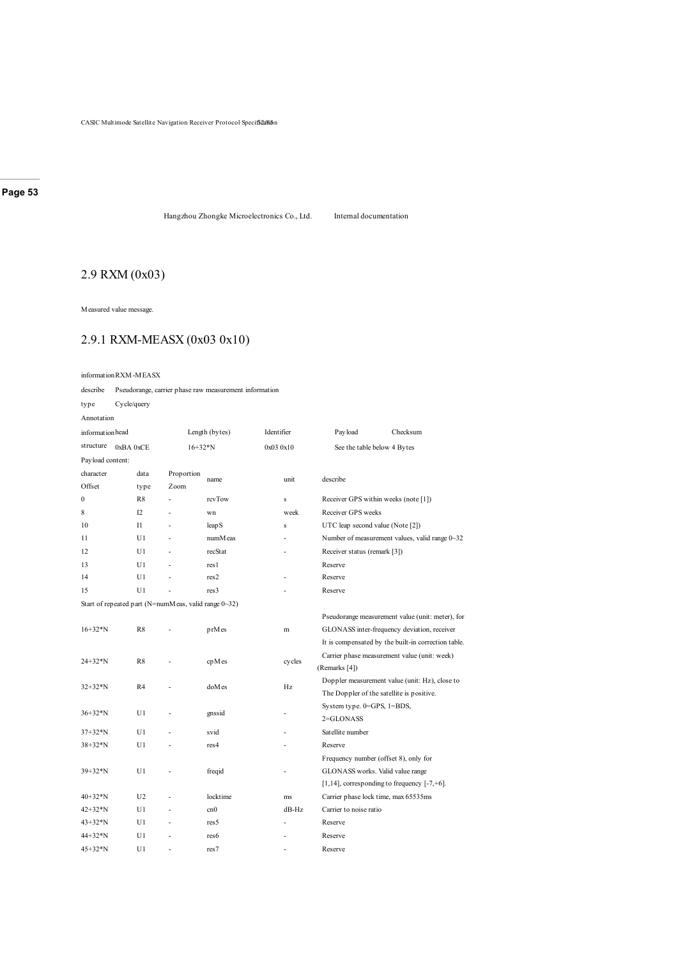Hangzhou Zhongke Microelectronics Co., Ltd. Internal documentation

# 2.9 RXM (0x03)

Measured value message.

# 2.9.1 RXM-MEASX (0x03 0x10)

describe Pseudorange, carrier phase raw measurement information

type Cycle/query

Annotation

| informationhead       |                                                      |            | Length (bytes)    | Identifier | Pay load                         | Checksum                                            |  |
|-----------------------|------------------------------------------------------|------------|-------------------|------------|----------------------------------|-----------------------------------------------------|--|
| structure<br>0xBA0xCE |                                                      |            | $16+32*N$         | 0x030x10   |                                  | See the table below 4 Bytes                         |  |
| Payload content:      |                                                      |            |                   |            |                                  |                                                     |  |
| character             | data                                                 | Proportion |                   |            |                                  |                                                     |  |
| Offset                | type                                                 | Zoom       | name              | unit       | describe                         |                                                     |  |
| $\mathbf{0}$          | R8                                                   |            | rcvTow            | s          |                                  | Receiver GPS within weeks (note [1])                |  |
| 8                     | 12                                                   |            | wn                | week       | Receiver GPS weeks               |                                                     |  |
| 10                    | $_{\rm II}$                                          |            | leap <sub>S</sub> | s          | UTC leap second value (Note [2]) |                                                     |  |
| 11                    | U1                                                   |            | numM eas          |            |                                  | Number of measurement values, valid range 0~32      |  |
| 12                    | U1                                                   |            | recStat           |            | Receiver status (remark [3])     |                                                     |  |
| 13                    | U1                                                   |            | res 1             |            | Reserve                          |                                                     |  |
| 14                    | U1                                                   |            | res2              |            | Reserve                          |                                                     |  |
| 15                    | U1                                                   |            | res <sub>3</sub>  |            | Reserve                          |                                                     |  |
|                       | Start of repeated part (N=numMeas, valid range 0~32) |            |                   |            |                                  |                                                     |  |
|                       |                                                      |            |                   |            |                                  | Pseudorange measurement value (unit: meter), for    |  |
| $16 + 32*N$           | R8                                                   |            | prMes             | m          |                                  | GLONASS inter-frequency deviation, receiver         |  |
|                       |                                                      |            |                   |            |                                  | It is compensated by the built-in correction table. |  |
| $24 + 32 * N$         | R8                                                   |            |                   |            |                                  | Carrier phase measurement value (unit: week)        |  |
|                       |                                                      |            | cpMes             | cycles     | (Remarks [4])                    |                                                     |  |
| $32+32*N$             | R <sub>4</sub>                                       |            | doMes             | Hz         |                                  | Doppler measurement value (unit: Hz), close to      |  |
|                       |                                                      |            |                   |            |                                  | The Doppler of the satellite is positive.           |  |
|                       |                                                      |            |                   |            | System type. 0=GPS, 1=BDS,       |                                                     |  |
| 36+32*N               | U1                                                   |            | gnssid            |            | $2 = GLONASS$                    |                                                     |  |
| 37+32*N               | U1                                                   |            | svid              |            | Satellite number                 |                                                     |  |
| 38+32*N               | U1                                                   |            | res <sub>4</sub>  |            | Reserve                          |                                                     |  |
|                       |                                                      |            |                   |            |                                  | Frequency number (offset 8), only for               |  |
| $39 + 32*N$           | U1                                                   |            | freqid            |            |                                  | GLONASS works. Valid value range                    |  |
|                       |                                                      |            |                   |            |                                  | $[1,14]$ , corresponding to frequency $[-7, +6]$ .  |  |
| $40+32*N$             | U <sub>2</sub>                                       |            | locktime          | ms         |                                  | Carrier phase lock time, max 65535ms                |  |
| $42 + 32 * N$         | U1                                                   |            | cn0               | $dB-Hz$    | Carrier to noise ratio           |                                                     |  |
| $43 + 32 * N$         | U1                                                   | ä,         | res5              |            | Reserve                          |                                                     |  |
| 44+32*N               | U <sub>1</sub>                                       |            | res6              |            | Reserve                          |                                                     |  |
| $45 + 32 * N$         | U1                                                   |            | res7              |            | Reserve                          |                                                     |  |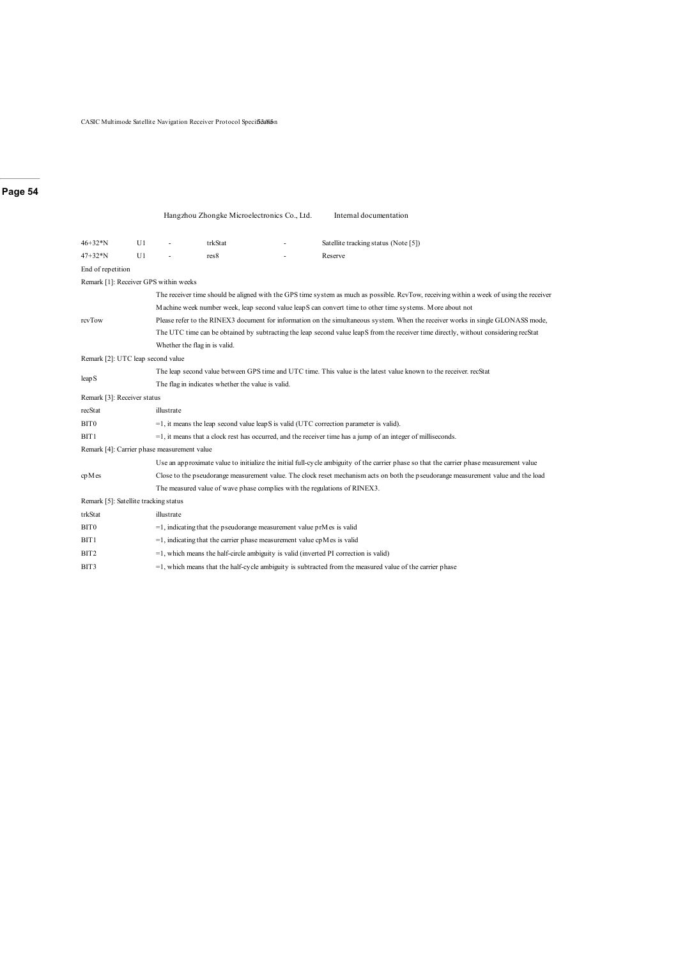CASIC Multimode Satellite Navigation Receiver Protocol Specification

#### **Page 54**

|                                             |    |                                                                                                                                      | Hangzhou Zhongke Microelectronics Co., Ltd.                                |  | Internal documentation                                                                                                                   |  |  |  |  |  |  |
|---------------------------------------------|----|--------------------------------------------------------------------------------------------------------------------------------------|----------------------------------------------------------------------------|--|------------------------------------------------------------------------------------------------------------------------------------------|--|--|--|--|--|--|
| $46 + 32 * N$                               | U1 |                                                                                                                                      | trkStat                                                                    |  | Satellite tracking status (Note [5])                                                                                                     |  |  |  |  |  |  |
| $47+32*N$                                   | U1 |                                                                                                                                      | res8                                                                       |  | Reserve                                                                                                                                  |  |  |  |  |  |  |
| End of repetition                           |    |                                                                                                                                      |                                                                            |  |                                                                                                                                          |  |  |  |  |  |  |
| Remark [1]: Receiver GPS within weeks       |    |                                                                                                                                      |                                                                            |  |                                                                                                                                          |  |  |  |  |  |  |
|                                             |    |                                                                                                                                      |                                                                            |  | The receiver time should be aligned with the GPS time system as much as possible. RcvTow, receiving within a week of using the receiver  |  |  |  |  |  |  |
|                                             |    |                                                                                                                                      |                                                                            |  | Machine week number week, leap second value leapS can convert time to other time systems. More about not                                 |  |  |  |  |  |  |
| rcvTow                                      |    | Please refer to the RINEX3 document for information on the simultaneous system. When the receiver works in single GLONASS mode,      |                                                                            |  |                                                                                                                                          |  |  |  |  |  |  |
|                                             |    | The UTC time can be obtained by subtracting the leap second value leapS from the receiver time directly, without considering recStat |                                                                            |  |                                                                                                                                          |  |  |  |  |  |  |
|                                             |    |                                                                                                                                      | Whether the flag in is valid.                                              |  |                                                                                                                                          |  |  |  |  |  |  |
| Remark [2]: UTC leap second value           |    |                                                                                                                                      |                                                                            |  |                                                                                                                                          |  |  |  |  |  |  |
|                                             |    |                                                                                                                                      |                                                                            |  | The leap second value between GPS time and UTC time. This value is the latest value known to the receiver. recStat                       |  |  |  |  |  |  |
| leap S                                      |    |                                                                                                                                      | The flag in indicates whether the value is valid.                          |  |                                                                                                                                          |  |  |  |  |  |  |
| Remark [3]: Receiver status                 |    |                                                                                                                                      |                                                                            |  |                                                                                                                                          |  |  |  |  |  |  |
| recStat                                     |    | illustrate                                                                                                                           |                                                                            |  |                                                                                                                                          |  |  |  |  |  |  |
| BIT <sub>0</sub>                            |    |                                                                                                                                      |                                                                            |  | $=$ 1, it means the leap second value leap S is valid (UTC correction parameter is valid).                                               |  |  |  |  |  |  |
| BIT1                                        |    |                                                                                                                                      |                                                                            |  | $=$ 1, it means that a clock rest has occurred, and the receiver time has a jump of an integer of milliseconds.                          |  |  |  |  |  |  |
| Remark [4]: Carrier phase measurement value |    |                                                                                                                                      |                                                                            |  |                                                                                                                                          |  |  |  |  |  |  |
|                                             |    |                                                                                                                                      |                                                                            |  | Use an approximate value to initialize the initial full-cycle ambiguity of the carrier phase so that the carrier phase measurement value |  |  |  |  |  |  |
| cpMes                                       |    |                                                                                                                                      |                                                                            |  | Close to the pseudorange measurement value. The clock reset mechanism acts on both the pseudorange measurement value and the load        |  |  |  |  |  |  |
|                                             |    | The measured value of wave phase complies with the regulations of RINEX3.                                                            |                                                                            |  |                                                                                                                                          |  |  |  |  |  |  |
| Remark [5]: Satellite tracking status       |    |                                                                                                                                      |                                                                            |  |                                                                                                                                          |  |  |  |  |  |  |
| trkStat                                     |    | illustrate                                                                                                                           |                                                                            |  |                                                                                                                                          |  |  |  |  |  |  |
| BIT <sub>0</sub>                            |    |                                                                                                                                      | $=$ 1, indicating that the pseudorange measurement value prM es is valid   |  |                                                                                                                                          |  |  |  |  |  |  |
| BIT <sub>1</sub>                            |    |                                                                                                                                      | $=$ 1, indicating that the carrier phase measurement value cpM es is valid |  |                                                                                                                                          |  |  |  |  |  |  |
| BIT2                                        |    |                                                                                                                                      |                                                                            |  | $=$ 1, which means the half-circle ambiguity is valid (inverted PI correction is valid)                                                  |  |  |  |  |  |  |
| BIT3                                        |    |                                                                                                                                      |                                                                            |  | $=$ 1, which means that the half-cycle ambiguity is subtracted from the measured value of the carrier phase                              |  |  |  |  |  |  |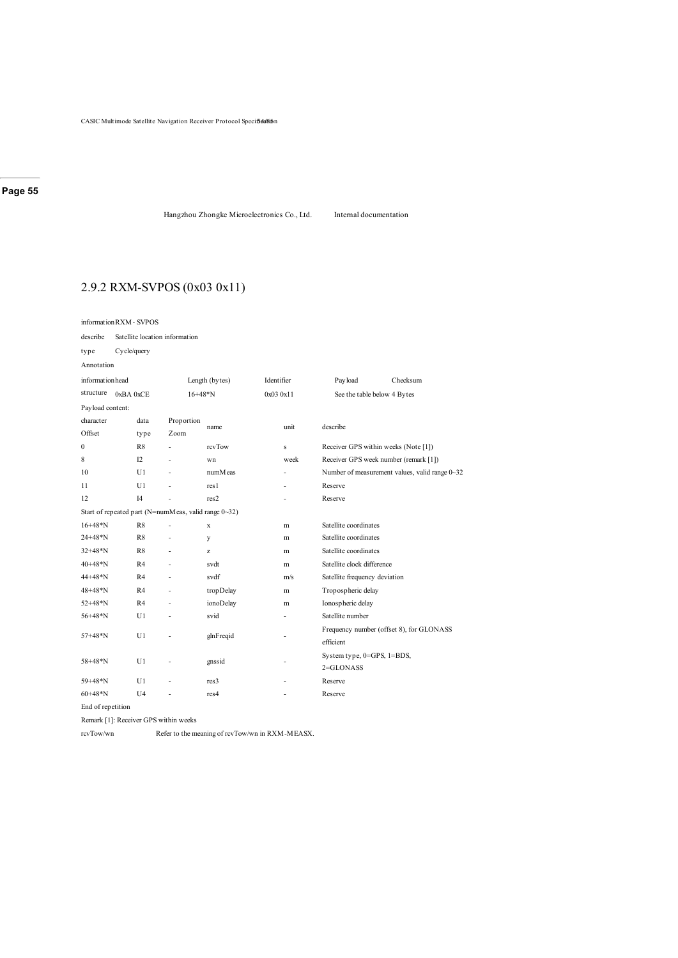Hangzhou Zhongke Microelectronics Co., Ltd. Internal documentation

# 2.9.2 RXM-SVPOS (0x03 0x11)

| informationRXM-SVPOS |                                |                |            |                |                                                      |            |              |                                       |                                                |  |  |
|----------------------|--------------------------------|----------------|------------|----------------|------------------------------------------------------|------------|--------------|---------------------------------------|------------------------------------------------|--|--|
| describe             | Satellite location information |                |            |                |                                                      |            |              |                                       |                                                |  |  |
| type                 | Cycle/query                    |                |            |                |                                                      |            |              |                                       |                                                |  |  |
| Annotation           |                                |                |            |                |                                                      |            |              |                                       |                                                |  |  |
| informationhead      |                                |                |            | Length (bytes) |                                                      | Identifier |              | Payload                               | Checksum                                       |  |  |
| structure            | $0xBA$ $0xCE$                  |                |            | $16+48*N$      |                                                      | 0x030x11   |              | See the table below 4 Bytes           |                                                |  |  |
| Payload content:     |                                |                |            |                |                                                      |            |              |                                       |                                                |  |  |
| character            |                                | data           | Proportion |                |                                                      |            | unit         |                                       |                                                |  |  |
| Offset               |                                | type           | Zoom       |                | name                                                 |            |              | describe                              |                                                |  |  |
| $\mathbf{0}$         |                                | R8             |            |                | rcvTow                                               |            | $\mathbf{s}$ | Receiver GPS within weeks (Note [1])  |                                                |  |  |
| 8                    |                                | 12             |            |                | wn                                                   |            | week         | Receiver GPS week number (remark [1]) |                                                |  |  |
| 10                   |                                | U1             | Ĭ.         |                | numM eas                                             |            |              |                                       | Number of measurement values, valid range 0~32 |  |  |
| 11                   |                                | U1             |            |                | res 1                                                |            |              | Reserve                               |                                                |  |  |
| 12                   | I4                             |                |            | res2           |                                                      |            | Reserve      |                                       |                                                |  |  |
|                      |                                |                |            |                | Start of repeated part (N=numMeas, valid range 0~32) |            |              |                                       |                                                |  |  |
| $16+48*N$            |                                | R8             | Ĭ.         |                | $\mathbf x$                                          |            | m            | Satellite coordinates                 |                                                |  |  |
| $24 + 48 \times N$   |                                | R8             | Ĭ.         |                | y                                                    |            | m            | Satellite coordinates                 |                                                |  |  |
| $32+48*N$            |                                | R8             |            |                | z                                                    |            | m            | Satellite coordinates                 |                                                |  |  |
| $40+48*N$            |                                | R <sub>4</sub> | ÷,         |                | svdt                                                 |            | m            | Satellite clock difference            |                                                |  |  |
| 44+48*N              |                                | R <sub>4</sub> | ÷,         |                | svdf                                                 |            | m/s          | Satellite frequency deviation         |                                                |  |  |
| 48+48*N              |                                | R <sub>4</sub> |            |                | tropDelay                                            |            | m            | Tropospheric delay                    |                                                |  |  |
| 52+48*N              |                                | R4             | Ĭ.         |                | ionoDelay                                            |            | m            | Ionospheric delay                     |                                                |  |  |
| $56 + 48 * N$        |                                | U1             | J.         |                | svid                                                 |            |              | Satellite number                      |                                                |  |  |
| $57 + 48 * N$        |                                | U1             |            |                | glnFreqid                                            |            | ٠            |                                       | Frequency number (offset 8), for GLONASS       |  |  |
|                      |                                |                |            |                |                                                      |            |              | efficient                             |                                                |  |  |
| $58 + 48 * N$        |                                | U1             | ٠          |                | gnssid                                               |            |              | System type, 0=GPS, 1=BDS,            |                                                |  |  |
|                      |                                |                |            |                |                                                      |            |              | $2 = GLONASS$                         |                                                |  |  |
| 59+48*N              |                                | U <sub>1</sub> |            |                | res <sub>3</sub>                                     |            |              | Reserve                               |                                                |  |  |
| $60+48*N$            |                                | U <sub>4</sub> |            |                | res <sub>4</sub>                                     |            |              | Reserve                               |                                                |  |  |

End of repetition

Remark [1]: Receiver GPS within weeks

rcvTow/wn Refer to the meaning of rcvTow/wn in RXM-MEASX.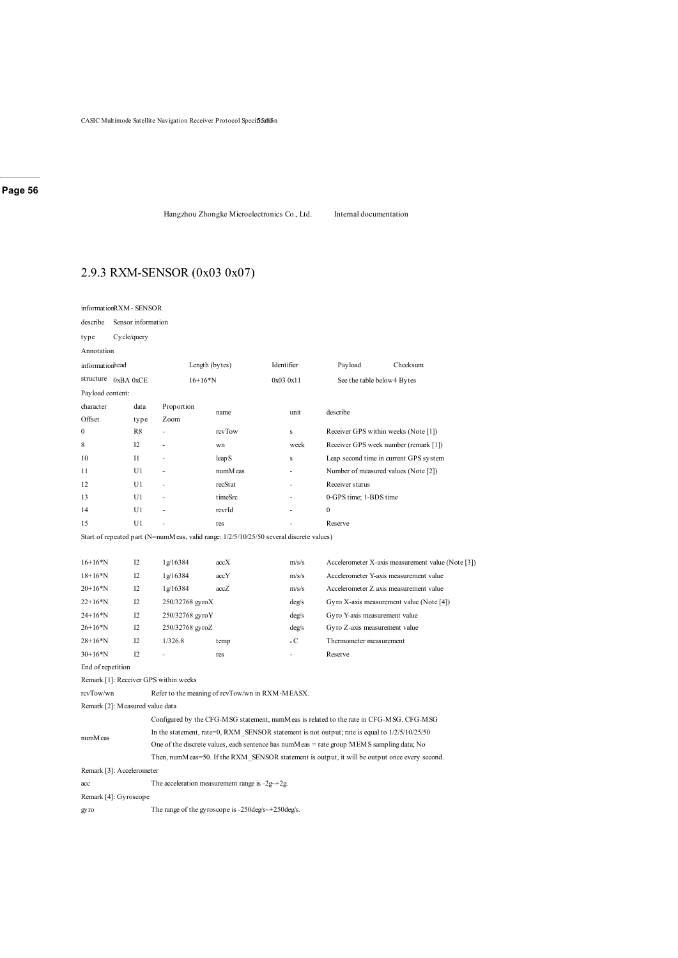Hangzhou Zhongke Microelectronics Co., Ltd. Internal documentation

# 2.9.3 RXM-SENSOR (0x03 0x07)

|                                                                                         | informationRXM - SENSOR                                 |                                                 |                                                    |                |                                                                                                 |                                                                                               |  |  |  |
|-----------------------------------------------------------------------------------------|---------------------------------------------------------|-------------------------------------------------|----------------------------------------------------|----------------|-------------------------------------------------------------------------------------------------|-----------------------------------------------------------------------------------------------|--|--|--|
| describe                                                                                | Sensor information                                      |                                                 |                                                    |                |                                                                                                 |                                                                                               |  |  |  |
| type                                                                                    | Cycle/query                                             |                                                 |                                                    |                |                                                                                                 |                                                                                               |  |  |  |
| Annotation                                                                              |                                                         |                                                 |                                                    |                |                                                                                                 |                                                                                               |  |  |  |
| informationhead                                                                         |                                                         |                                                 | Length (bytes)                                     | Identifier     | Pay load                                                                                        | Checksum                                                                                      |  |  |  |
|                                                                                         | structure $0xBA0xCE$                                    | $16+16*N$                                       |                                                    | 0x030x11       | See the table below 4 Bytes                                                                     |                                                                                               |  |  |  |
|                                                                                         | Payload content:                                        |                                                 |                                                    |                |                                                                                                 |                                                                                               |  |  |  |
| character                                                                               | data                                                    | Proportion                                      | name                                               | unit           | describe                                                                                        |                                                                                               |  |  |  |
| Offset                                                                                  | type                                                    | Zoom                                            |                                                    |                |                                                                                                 |                                                                                               |  |  |  |
| 0                                                                                       | R8                                                      |                                                 | rcvTow                                             | s              |                                                                                                 | Receiver GPS within weeks (Note [1])                                                          |  |  |  |
| 8                                                                                       | 12                                                      |                                                 | wn                                                 | week           |                                                                                                 | Receiver GPS week number (remark [1])                                                         |  |  |  |
| 10                                                                                      | $_{\rm II}$                                             |                                                 | leap <sub>S</sub>                                  | s              |                                                                                                 | Leap second time in current GPS system                                                        |  |  |  |
| 11                                                                                      | U1                                                      |                                                 | numM eas                                           |                |                                                                                                 | Number of measured values (Note [2])                                                          |  |  |  |
| 12                                                                                      | U1                                                      |                                                 | recStat                                            |                | Receiver status                                                                                 |                                                                                               |  |  |  |
| 13                                                                                      | U1                                                      |                                                 | timeSrc                                            |                | 0-GPS time; 1-BDS time                                                                          |                                                                                               |  |  |  |
| 14                                                                                      | U1                                                      |                                                 | rcvrId                                             |                | $\mathbf{0}$                                                                                    |                                                                                               |  |  |  |
| 15                                                                                      | U1                                                      |                                                 | res                                                |                | Reserve                                                                                         |                                                                                               |  |  |  |
| Start of repeated part (N=numMeas, valid range: 1/2/5/10/25/50 several discrete values) |                                                         |                                                 |                                                    |                |                                                                                                 |                                                                                               |  |  |  |
|                                                                                         |                                                         |                                                 |                                                    |                |                                                                                                 |                                                                                               |  |  |  |
| $16+16*N$                                                                               | I2                                                      | 1g/16384                                        | accX                                               | m/s/s          |                                                                                                 | Accelerometer X-axis measurement value (Note [3])                                             |  |  |  |
| $18+16*N$                                                                               | 12                                                      | 1g/16384                                        | accY                                               | m/s/s          |                                                                                                 | Accelerometer Y-axis measurement value                                                        |  |  |  |
| $20+16*N$                                                                               | 12                                                      | 1g/16384                                        | accZ                                               | m/s/s          |                                                                                                 | Accelerometer Z axis measurement value                                                        |  |  |  |
| $22+16*N$                                                                               | 12                                                      | 250/32768 gyroX                                 |                                                    | deg/s          | Gyro X-axis measurement value (Note [4])                                                        |                                                                                               |  |  |  |
| $24+16*N$                                                                               | I2                                                      | 250/32768 gyroY                                 |                                                    | $\text{deg/s}$ | Gyro Y-axis measurement value                                                                   |                                                                                               |  |  |  |
| $26+16*N$                                                                               | 12                                                      | 250/32768 gyroZ                                 |                                                    | $\text{deg/s}$ | Gyro Z-axis measurement value                                                                   |                                                                                               |  |  |  |
| $28+16*N$                                                                               | I2                                                      | 1/326.8                                         | temp                                               | $\circ$ C      | Thermometer measurement                                                                         |                                                                                               |  |  |  |
| $30+16*N$                                                                               | I2                                                      |                                                 | res                                                |                | Reserve                                                                                         |                                                                                               |  |  |  |
| End of repetition                                                                       |                                                         |                                                 |                                                    |                |                                                                                                 |                                                                                               |  |  |  |
|                                                                                         |                                                         | Remark [1]: Receiver GPS within weeks           |                                                    |                |                                                                                                 |                                                                                               |  |  |  |
| rcvTow/wn                                                                               |                                                         | Refer to the meaning of rcvTow/wn in RXM-MEASX. |                                                    |                |                                                                                                 |                                                                                               |  |  |  |
|                                                                                         | Remark [2]: Measured value data                         |                                                 |                                                    |                |                                                                                                 |                                                                                               |  |  |  |
|                                                                                         |                                                         |                                                 |                                                    |                | Configured by the CFG-MSG statement, numMeas is related to the rate in CFG-MSG. CFG-MSG         |                                                                                               |  |  |  |
| numM eas                                                                                |                                                         |                                                 |                                                    |                | In the statement, rate=0, RXM SENSOR statement is not output; rate is equal to $1/2/5/10/25/50$ |                                                                                               |  |  |  |
|                                                                                         |                                                         |                                                 |                                                    |                | One of the discrete values, each sentence has numM eas $=$ rate group MEMS sampling data; No    |                                                                                               |  |  |  |
|                                                                                         |                                                         |                                                 |                                                    |                |                                                                                                 | Then, numMeas=50. If the RXM SENSOR statement is output, it will be output once every second. |  |  |  |
|                                                                                         | Remark [3]: Accelerometer                               |                                                 |                                                    |                |                                                                                                 |                                                                                               |  |  |  |
|                                                                                         | The acceleration measurement range is $-2g+2g$ .<br>acc |                                                 |                                                    |                |                                                                                                 |                                                                                               |  |  |  |
|                                                                                         | Remark [4]: Gyroscope                                   |                                                 |                                                    |                |                                                                                                 |                                                                                               |  |  |  |
| gyro                                                                                    |                                                         |                                                 | The range of the gyroscope is -250deg/s~+250deg/s. |                |                                                                                                 |                                                                                               |  |  |  |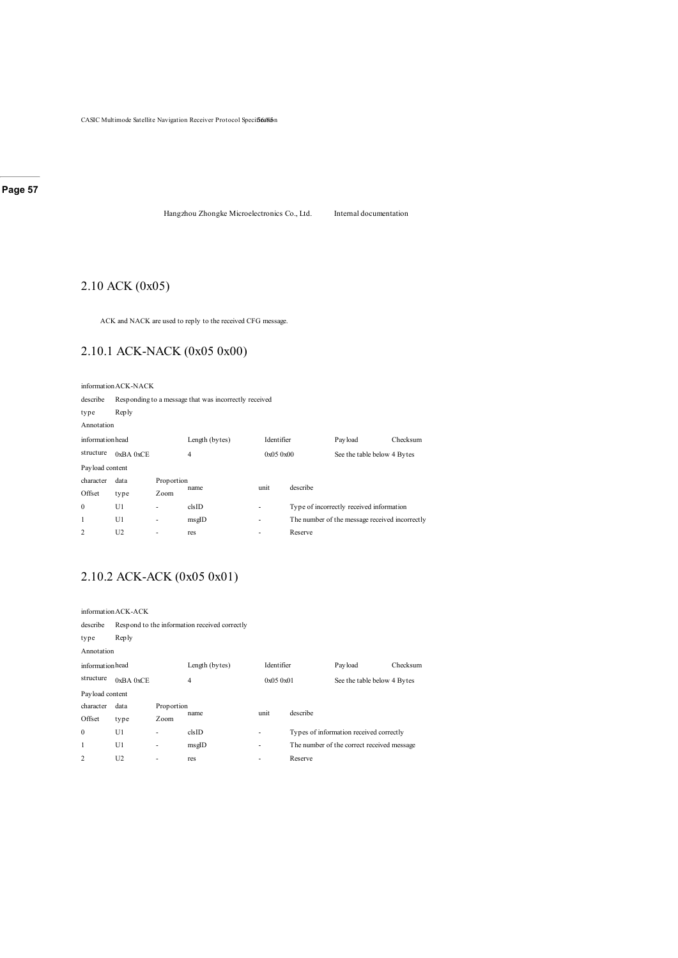Hangzhou Zhongke Microelectronics Co., Ltd. Internal documentation

# 2.10 ACK (0x05)

ACK and NACK are used to reply to the received CFG message.

# 2.10.1 ACK-NACK (0x05 0x00)

informationACK-NACK

| Responding to a message that was incorrectly received |      |                |                    |         |                                    |                                                                                            |  |  |  |  |
|-------------------------------------------------------|------|----------------|--------------------|---------|------------------------------------|--------------------------------------------------------------------------------------------|--|--|--|--|
| <b>Reply</b>                                          |      |                |                    |         |                                    |                                                                                            |  |  |  |  |
| Annotation                                            |      |                |                    |         |                                    |                                                                                            |  |  |  |  |
| informationhead                                       |      | Length (bytes) |                    |         | Payload                            | Checksum                                                                                   |  |  |  |  |
| $0xBA$ $0xCE$                                         |      | $\overline{4}$ |                    |         | See the table below 4 Bytes        |                                                                                            |  |  |  |  |
| Payload content                                       |      |                |                    |         |                                    |                                                                                            |  |  |  |  |
| data                                                  |      |                |                    |         |                                    |                                                                                            |  |  |  |  |
| type                                                  | Zoom |                |                    |         |                                    |                                                                                            |  |  |  |  |
| U1                                                    | ٠    | clsID          | ٠                  |         |                                    |                                                                                            |  |  |  |  |
| U1                                                    | ٠    | msglD          | ٠                  |         |                                    |                                                                                            |  |  |  |  |
| U <sub>2</sub>                                        | ٠    | res            | ٠                  | Reserve |                                    |                                                                                            |  |  |  |  |
|                                                       |      |                | Proportion<br>name | unit    | Identifier<br>0x050x00<br>describe | Type of incorrectly received information<br>The number of the message received incorrectly |  |  |  |  |

# 2.10.2 ACK-ACK (0x05 0x01)

|                 | information ACK-ACK                           |                |                |            |          |                                            |                             |  |  |  |
|-----------------|-----------------------------------------------|----------------|----------------|------------|----------|--------------------------------------------|-----------------------------|--|--|--|
| describe        | Respond to the information received correctly |                |                |            |          |                                            |                             |  |  |  |
| type            | <b>Reply</b>                                  |                |                |            |          |                                            |                             |  |  |  |
| Annotation      |                                               |                |                |            |          |                                            |                             |  |  |  |
| informationhead |                                               | Length (bytes) |                | Identifier |          | Checksum                                   |                             |  |  |  |
| structure       | $0xBA$ $0xCE$                                 |                | $\overline{4}$ |            | 0x050x01 |                                            | See the table below 4 Bytes |  |  |  |
| Payload content |                                               |                |                |            |          |                                            |                             |  |  |  |
| character       | data                                          | Proportion     |                | unit       |          |                                            |                             |  |  |  |
| Offset          | type                                          | Zoom           | name           |            | describe |                                            |                             |  |  |  |
| $\theta$        | U1                                            | ۰              | clsID          | ٠          |          | Types of information received correctly    |                             |  |  |  |
| 1               | U1                                            | -              | msglD          | ٠          |          | The number of the correct received message |                             |  |  |  |
| 2               | U <sub>2</sub>                                | ۰              | res            | ٠          | Reserve  |                                            |                             |  |  |  |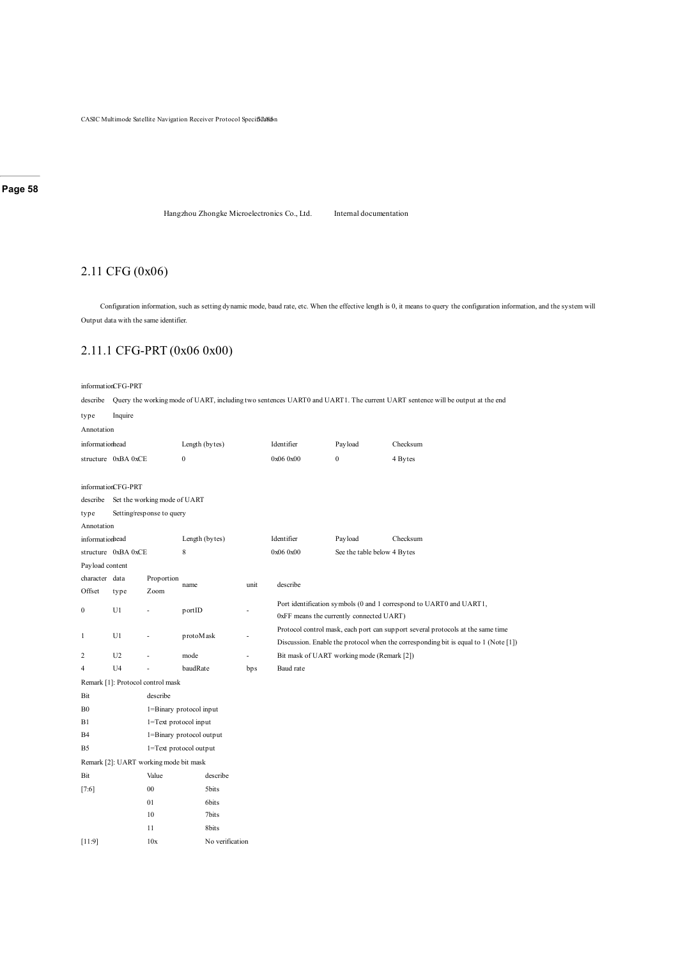Hangzhou Zhongke Microelectronics Co., Ltd. Internal documentation

# 2.11 CFG (0x06)

Configuration information, such as setting dynamic mode, baud rate, etc. When the effective length is 0, it means to query the configuration information, and the system will Output data with the same identifier.

# 2.11.1 CFG-PRT (0x06 0x00)

#### informationCFG-PRT

describe Query the working mode of UART, including two sentences UART0 and UART1. The current UART sentence will be output at the end

| Inquire            |            |                                            |                                                                        |                                                                                                                                                                                                                                               |                                                                                                                 |              |                                                                                                                                                                        |  |  |  |
|--------------------|------------|--------------------------------------------|------------------------------------------------------------------------|-----------------------------------------------------------------------------------------------------------------------------------------------------------------------------------------------------------------------------------------------|-----------------------------------------------------------------------------------------------------------------|--------------|------------------------------------------------------------------------------------------------------------------------------------------------------------------------|--|--|--|
| Annotation         |            |                                            |                                                                        |                                                                                                                                                                                                                                               |                                                                                                                 |              |                                                                                                                                                                        |  |  |  |
| informatiomead     |            |                                            |                                                                        |                                                                                                                                                                                                                                               | Identifier                                                                                                      | Payload      | Checksum                                                                                                                                                               |  |  |  |
|                    |            | $\mathbf{0}$                               |                                                                        |                                                                                                                                                                                                                                               | 0x06 0x00                                                                                                       | $\mathbf{0}$ | 4 Bytes                                                                                                                                                                |  |  |  |
|                    |            |                                            |                                                                        |                                                                                                                                                                                                                                               |                                                                                                                 |              |                                                                                                                                                                        |  |  |  |
| informationCFG-PRT |            |                                            |                                                                        |                                                                                                                                                                                                                                               |                                                                                                                 |              |                                                                                                                                                                        |  |  |  |
|                    |            |                                            |                                                                        |                                                                                                                                                                                                                                               |                                                                                                                 |              |                                                                                                                                                                        |  |  |  |
|                    |            |                                            |                                                                        |                                                                                                                                                                                                                                               |                                                                                                                 |              |                                                                                                                                                                        |  |  |  |
| Annotation         |            |                                            |                                                                        |                                                                                                                                                                                                                                               |                                                                                                                 |              |                                                                                                                                                                        |  |  |  |
| informatiorhead    |            |                                            |                                                                        |                                                                                                                                                                                                                                               | Identifier                                                                                                      | Payload      | Checksum                                                                                                                                                               |  |  |  |
|                    |            | 8                                          |                                                                        |                                                                                                                                                                                                                                               | 0x06 0x00                                                                                                       |              |                                                                                                                                                                        |  |  |  |
| Payload content    |            |                                            |                                                                        |                                                                                                                                                                                                                                               |                                                                                                                 |              |                                                                                                                                                                        |  |  |  |
| character data     | Proportion |                                            |                                                                        |                                                                                                                                                                                                                                               |                                                                                                                 |              |                                                                                                                                                                        |  |  |  |
| type               | Zoom       |                                            |                                                                        |                                                                                                                                                                                                                                               |                                                                                                                 |              |                                                                                                                                                                        |  |  |  |
| U <sub>1</sub>     |            | portID                                     |                                                                        |                                                                                                                                                                                                                                               | Port identification symbols (0 and 1 correspond to UART0 and UART1,<br>0xFF means the currently connected UART) |              |                                                                                                                                                                        |  |  |  |
| U1                 |            |                                            |                                                                        | ٠                                                                                                                                                                                                                                             |                                                                                                                 |              | Protocol control mask, each port can support several protocols at the same time<br>Discussion. Enable the protocol when the corresponding bit is equal to 1 (Note [1]) |  |  |  |
| U <sub>2</sub>     |            | mode                                       |                                                                        | ٠                                                                                                                                                                                                                                             |                                                                                                                 |              |                                                                                                                                                                        |  |  |  |
| U <sub>4</sub>     |            |                                            |                                                                        | bp s                                                                                                                                                                                                                                          | Baud rate                                                                                                       |              |                                                                                                                                                                        |  |  |  |
|                    |            |                                            |                                                                        |                                                                                                                                                                                                                                               |                                                                                                                 |              |                                                                                                                                                                        |  |  |  |
|                    | describe   |                                            |                                                                        |                                                                                                                                                                                                                                               |                                                                                                                 |              |                                                                                                                                                                        |  |  |  |
|                    |            |                                            |                                                                        |                                                                                                                                                                                                                                               |                                                                                                                 |              |                                                                                                                                                                        |  |  |  |
|                    |            |                                            |                                                                        |                                                                                                                                                                                                                                               |                                                                                                                 |              |                                                                                                                                                                        |  |  |  |
|                    |            |                                            |                                                                        |                                                                                                                                                                                                                                               |                                                                                                                 |              |                                                                                                                                                                        |  |  |  |
|                    |            |                                            |                                                                        |                                                                                                                                                                                                                                               |                                                                                                                 |              |                                                                                                                                                                        |  |  |  |
|                    |            |                                            |                                                                        |                                                                                                                                                                                                                                               |                                                                                                                 |              |                                                                                                                                                                        |  |  |  |
|                    | Value      |                                            | describe                                                               |                                                                                                                                                                                                                                               |                                                                                                                 |              |                                                                                                                                                                        |  |  |  |
|                    | 00         |                                            | 5bits                                                                  |                                                                                                                                                                                                                                               |                                                                                                                 |              |                                                                                                                                                                        |  |  |  |
|                    | 01         |                                            | 6bits                                                                  |                                                                                                                                                                                                                                               |                                                                                                                 |              |                                                                                                                                                                        |  |  |  |
|                    | 10         |                                            | 7bits                                                                  |                                                                                                                                                                                                                                               |                                                                                                                 |              |                                                                                                                                                                        |  |  |  |
|                    | 11         |                                            | 8bits                                                                  |                                                                                                                                                                                                                                               |                                                                                                                 |              |                                                                                                                                                                        |  |  |  |
|                    | 10x        |                                            |                                                                        |                                                                                                                                                                                                                                               |                                                                                                                 |              |                                                                                                                                                                        |  |  |  |
|                    |            | structure 0xBA 0xCE<br>structure 0xBA 0xCE | Setting/response to query<br>name<br>Remark [1]: Protocol control mask | Length (bytes)<br>Set the working mode of UART<br>Length (bytes)<br>protoMask<br>baudRate<br>1=Binary protocol input<br>1=Text protocol input<br>1=Binary protocol output<br>1=Text protocol output<br>Remark [2]: UART working mode bit mask | unit<br>No verification                                                                                         | describe     | See the table below 4 Bytes<br>Bit mask of UART working mode (Remark [2])                                                                                              |  |  |  |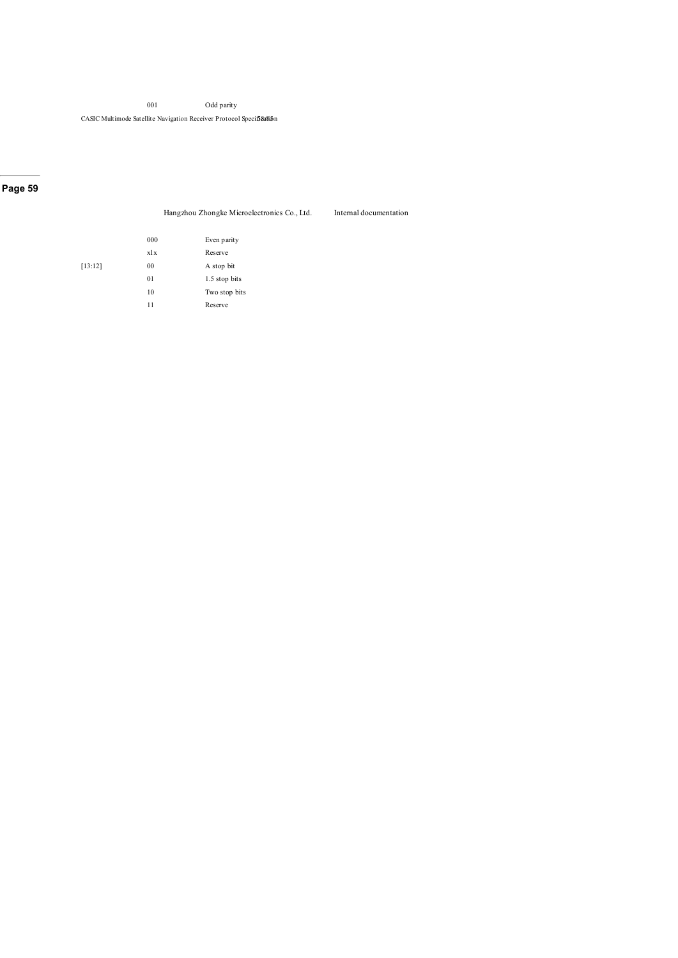CASIC Multimode Satellite Navigation Receiver Protocol Specificalin

### **Page 59**

|  |  | Hangzhou Zhongke Microelectronics Co., Ltd. |  |
|--|--|---------------------------------------------|--|
|  |  |                                             |  |

Internal documentation

|         | 000 | Even parity   |
|---------|-----|---------------|
|         | xlx | Reserve       |
| [13:12] | 00  | A stop bit    |
|         | 01  | 1.5 stop bits |
|         | 10  | Two stop bits |
|         | 11  | Reserve       |
|         |     |               |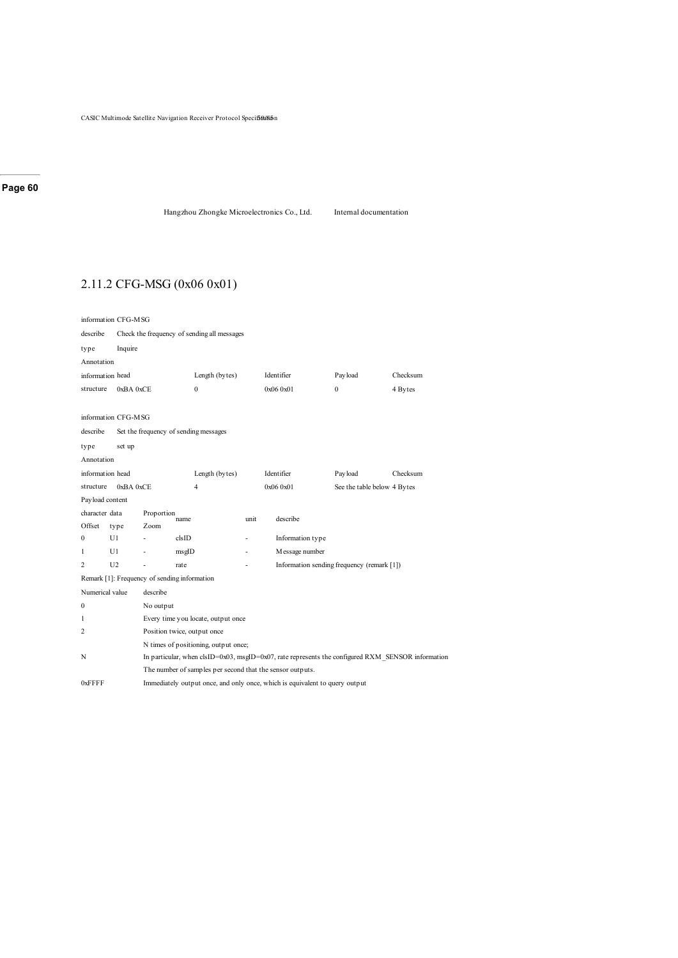Hangzhou Zhongke Microelectronics Co., Ltd. Internal documentation

# 2.11.2 CFG-MSG (0x06 0x01)

| information CFG-MSG                                   |                                       |                                                                             |                                                           |      |                                                                                                      |                                            |          |  |  |  |  |
|-------------------------------------------------------|---------------------------------------|-----------------------------------------------------------------------------|-----------------------------------------------------------|------|------------------------------------------------------------------------------------------------------|--------------------------------------------|----------|--|--|--|--|
| describe                                              |                                       |                                                                             | Check the frequency of sending all messages               |      |                                                                                                      |                                            |          |  |  |  |  |
| type                                                  | Inquire                               |                                                                             |                                                           |      |                                                                                                      |                                            |          |  |  |  |  |
| Annotation                                            |                                       |                                                                             |                                                           |      |                                                                                                      |                                            |          |  |  |  |  |
| information head                                      |                                       |                                                                             | Length (bytes)                                            |      | Identifier                                                                                           | Payload                                    | Checksum |  |  |  |  |
| structure                                             | 0xBA0xCE                              |                                                                             | $\bf{0}$                                                  |      | 0x06 0x01                                                                                            | $\mathbf{0}$                               | 4 Bytes  |  |  |  |  |
|                                                       |                                       |                                                                             |                                                           |      |                                                                                                      |                                            |          |  |  |  |  |
|                                                       | information CFG-MSG                   |                                                                             |                                                           |      |                                                                                                      |                                            |          |  |  |  |  |
| describe                                              | Set the frequency of sending messages |                                                                             |                                                           |      |                                                                                                      |                                            |          |  |  |  |  |
| type                                                  | set up                                |                                                                             |                                                           |      |                                                                                                      |                                            |          |  |  |  |  |
| Annotation                                            |                                       |                                                                             |                                                           |      |                                                                                                      |                                            |          |  |  |  |  |
| information head                                      |                                       |                                                                             | Length (bytes)                                            |      | Identifier                                                                                           | Payload                                    | Checksum |  |  |  |  |
| 0xBA 0xCE<br>$\overline{4}$<br>0x06 0x01<br>structure |                                       |                                                                             |                                                           |      |                                                                                                      | See the table below 4 Bytes                |          |  |  |  |  |
| Payload content                                       |                                       |                                                                             |                                                           |      |                                                                                                      |                                            |          |  |  |  |  |
| character data                                        |                                       | Proportion                                                                  | name                                                      | unit | describe                                                                                             |                                            |          |  |  |  |  |
| Offset                                                | type                                  | Zoom                                                                        |                                                           |      |                                                                                                      |                                            |          |  |  |  |  |
| $\Omega$                                              | U1                                    |                                                                             | clsID                                                     |      | Information type                                                                                     |                                            |          |  |  |  |  |
| 1                                                     | U1                                    |                                                                             | msgID                                                     |      | Message number                                                                                       |                                            |          |  |  |  |  |
| 2                                                     | U <sub>2</sub>                        | $\overline{a}$                                                              | rate                                                      |      |                                                                                                      | Information sending frequency (remark [1]) |          |  |  |  |  |
|                                                       |                                       |                                                                             | Remark [1]: Frequency of sending information              |      |                                                                                                      |                                            |          |  |  |  |  |
| Numerical value                                       |                                       | describe                                                                    |                                                           |      |                                                                                                      |                                            |          |  |  |  |  |
| 0                                                     |                                       | No output                                                                   |                                                           |      |                                                                                                      |                                            |          |  |  |  |  |
| 1                                                     |                                       |                                                                             | Every time you locate, output once                        |      |                                                                                                      |                                            |          |  |  |  |  |
| 2                                                     |                                       |                                                                             | Position twice, output once                               |      |                                                                                                      |                                            |          |  |  |  |  |
|                                                       |                                       |                                                                             | N times of positioning, output once;                      |      |                                                                                                      |                                            |          |  |  |  |  |
| N                                                     |                                       |                                                                             |                                                           |      | In particular, when $clsID=0x03$ , msgID=0x07, rate represents the configured RXM SENSOR information |                                            |          |  |  |  |  |
|                                                       |                                       |                                                                             | The number of samples per second that the sensor outputs. |      |                                                                                                      |                                            |          |  |  |  |  |
| 0xFFFF                                                |                                       | Immediately output once, and only once, which is equivalent to query output |                                                           |      |                                                                                                      |                                            |          |  |  |  |  |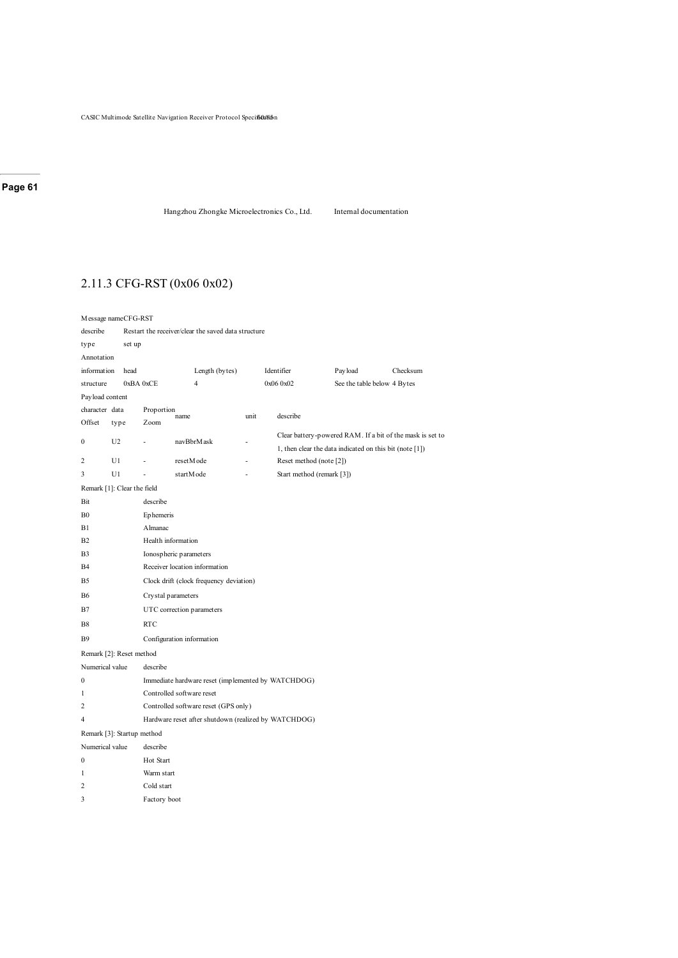Hangzhou Zhongke Microelectronics Co., Ltd. Internal documentation

# 2.11.3 CFG-RST (0x06 0x02)

| Message nameCFG-RST |                             |                                                      |                                                     |      |                                                         |         |                                                           |  |  |  |
|---------------------|-----------------------------|------------------------------------------------------|-----------------------------------------------------|------|---------------------------------------------------------|---------|-----------------------------------------------------------|--|--|--|
| describe            |                             |                                                      | Restart the receiver/clear the saved data structure |      |                                                         |         |                                                           |  |  |  |
| type                | set up                      |                                                      |                                                     |      |                                                         |         |                                                           |  |  |  |
| Annotation          |                             |                                                      |                                                     |      |                                                         |         |                                                           |  |  |  |
| information         | head                        |                                                      | Length (bytes)                                      |      | Identifier                                              | Payload | Checksum                                                  |  |  |  |
| structure           |                             | 0xBA 0xCE                                            | $\overline{4}$                                      |      | 0x06 0x02                                               |         | See the table below 4 Bytes                               |  |  |  |
| Payload content     |                             |                                                      |                                                     |      |                                                         |         |                                                           |  |  |  |
| character data      |                             | Proportion                                           | name                                                | unit | describe                                                |         |                                                           |  |  |  |
| Offset              | type                        | Zoom                                                 |                                                     |      |                                                         |         |                                                           |  |  |  |
| $\mathbf{0}$        | U <sub>2</sub>              | ÷                                                    | navBbrMask                                          |      |                                                         |         | Clear battery-powered RAM. If a bit of the mask is set to |  |  |  |
|                     |                             |                                                      |                                                     |      | 1, then clear the data indicated on this bit (note [1]) |         |                                                           |  |  |  |
| 2                   | U1                          |                                                      | resetM ode                                          |      | Reset method (note [2])                                 |         |                                                           |  |  |  |
| 3                   | U1                          |                                                      | startMode                                           |      | Start method (remark [3])                               |         |                                                           |  |  |  |
|                     | Remark [1]: Clear the field |                                                      |                                                     |      |                                                         |         |                                                           |  |  |  |
| Bit                 |                             | describe                                             |                                                     |      |                                                         |         |                                                           |  |  |  |
| B <sub>0</sub>      |                             | Ephemeris                                            |                                                     |      |                                                         |         |                                                           |  |  |  |
| B1                  |                             | Almanac                                              |                                                     |      |                                                         |         |                                                           |  |  |  |
| <b>B2</b>           |                             | Health information                                   |                                                     |      |                                                         |         |                                                           |  |  |  |
| B <sub>3</sub>      |                             |                                                      | Ionospheric parameters                              |      |                                                         |         |                                                           |  |  |  |
| <b>B4</b>           |                             |                                                      | Receiver location information                       |      |                                                         |         |                                                           |  |  |  |
| B5                  |                             |                                                      | Clock drift (clock frequency deviation)             |      |                                                         |         |                                                           |  |  |  |
| <b>B6</b>           |                             |                                                      | Cry stal parameters                                 |      |                                                         |         |                                                           |  |  |  |
| B7                  |                             |                                                      | UTC correction parameters                           |      |                                                         |         |                                                           |  |  |  |
| <b>B8</b>           |                             | <b>RTC</b>                                           |                                                     |      |                                                         |         |                                                           |  |  |  |
| <b>B</b> 9          |                             |                                                      | Configuration information                           |      |                                                         |         |                                                           |  |  |  |
|                     | Remark [2]: Reset method    |                                                      |                                                     |      |                                                         |         |                                                           |  |  |  |
| Numerical value     |                             | describe                                             |                                                     |      |                                                         |         |                                                           |  |  |  |
| $\boldsymbol{0}$    |                             |                                                      | Immediate hardware reset (implemented by WATCHDOG)  |      |                                                         |         |                                                           |  |  |  |
| 1                   |                             |                                                      | Controlled software reset                           |      |                                                         |         |                                                           |  |  |  |
| 2                   |                             |                                                      | Controlled software reset (GPS only)                |      |                                                         |         |                                                           |  |  |  |
| $\overline{4}$      |                             | Hardware reset after shutdown (realized by WATCHDOG) |                                                     |      |                                                         |         |                                                           |  |  |  |
|                     | Remark [3]: Startup method  |                                                      |                                                     |      |                                                         |         |                                                           |  |  |  |
| Numerical value     |                             | describe                                             |                                                     |      |                                                         |         |                                                           |  |  |  |
| 0                   |                             | Hot Start                                            |                                                     |      |                                                         |         |                                                           |  |  |  |
| 1                   |                             | Warm start                                           |                                                     |      |                                                         |         |                                                           |  |  |  |
| 2                   |                             |                                                      | Cold start                                          |      |                                                         |         |                                                           |  |  |  |
| 3                   |                             | Factory boot                                         |                                                     |      |                                                         |         |                                                           |  |  |  |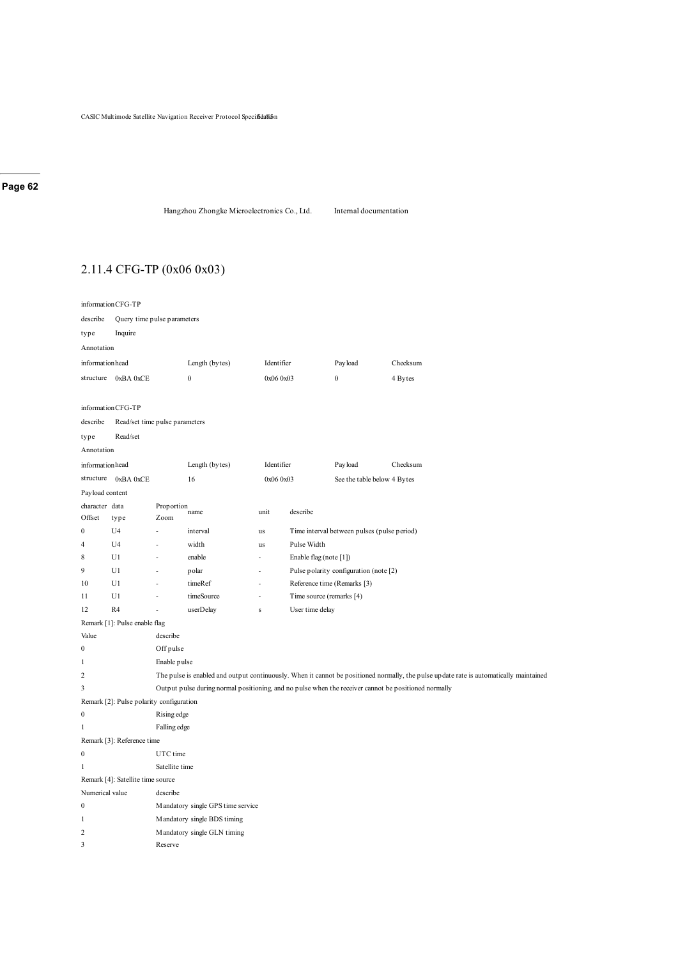```
Hangzhou Zhongke Microelectronics Co., Ltd. Internal documentation
```
# 2.11.4 CFG-TP (0x06 0x03)

|                  | informationCFG-TP                        |                                |                                   |              |                          |                                             |                                                                                                                                        |  |  |  |  |
|------------------|------------------------------------------|--------------------------------|-----------------------------------|--------------|--------------------------|---------------------------------------------|----------------------------------------------------------------------------------------------------------------------------------------|--|--|--|--|
| describe         |                                          | Query time pulse parameters    |                                   |              |                          |                                             |                                                                                                                                        |  |  |  |  |
| type             | Inquire                                  |                                |                                   |              |                          |                                             |                                                                                                                                        |  |  |  |  |
| Annotation       |                                          |                                |                                   |              |                          |                                             |                                                                                                                                        |  |  |  |  |
|                  | informationhead                          |                                | Length (bytes)                    | Identifier   |                          | Pay load                                    | Checksum                                                                                                                               |  |  |  |  |
|                  | structure 0xBA 0xCE                      |                                | $\boldsymbol{0}$<br>0x06 0x03     |              |                          | $\mathbf{0}$                                | 4 Bytes                                                                                                                                |  |  |  |  |
|                  |                                          |                                |                                   |              |                          |                                             |                                                                                                                                        |  |  |  |  |
|                  | informationCFG-TP                        |                                |                                   |              |                          |                                             |                                                                                                                                        |  |  |  |  |
| describe         |                                          | Read/set time pulse parameters |                                   |              |                          |                                             |                                                                                                                                        |  |  |  |  |
| type             | Read/set                                 |                                |                                   |              |                          |                                             |                                                                                                                                        |  |  |  |  |
| Annotation       |                                          |                                |                                   |              |                          |                                             |                                                                                                                                        |  |  |  |  |
|                  | informationhead                          |                                | Length (bytes)                    | Identifier   |                          | Pay load                                    | Checksum                                                                                                                               |  |  |  |  |
| structure        | 0xBA 0xCE                                |                                | 16                                | 0x06 0x03    |                          |                                             | See the table below 4 Bytes                                                                                                            |  |  |  |  |
|                  | Payload content                          |                                |                                   |              |                          |                                             |                                                                                                                                        |  |  |  |  |
|                  | character data                           | Proportion                     | name                              | unit         | describe                 |                                             |                                                                                                                                        |  |  |  |  |
| Offset           | type                                     | Zoom                           |                                   |              |                          |                                             |                                                                                                                                        |  |  |  |  |
| $\mathbf{0}$     | U <sub>4</sub>                           | L.                             | interval                          | us           |                          | Time interval between pulses (pulse period) |                                                                                                                                        |  |  |  |  |
| $\overline{4}$   | U <sub>4</sub>                           |                                | width<br>Pulse Width<br>us        |              |                          |                                             |                                                                                                                                        |  |  |  |  |
| 8                | U1                                       | ä,                             | enable                            | ÷,           | Enable flag (note [1])   |                                             |                                                                                                                                        |  |  |  |  |
| 9                | U1                                       | ä,                             | polar                             | ÷,           |                          | Pulse polarity configuration (note [2)      |                                                                                                                                        |  |  |  |  |
| 10               | U1                                       | L.                             | timeRef                           | L,           |                          | Reference time (Remarks [3)                 |                                                                                                                                        |  |  |  |  |
| 11               | U1                                       | L,                             | timeSource                        | Ĭ.           | Time source (remarks [4) |                                             |                                                                                                                                        |  |  |  |  |
| 12               | R <sub>4</sub>                           | ÷,                             | userDelay                         | $\mathbf{s}$ | User time delay          |                                             |                                                                                                                                        |  |  |  |  |
| Value            | Remark [1]: Pulse enable flag            | describe                       |                                   |              |                          |                                             |                                                                                                                                        |  |  |  |  |
| $\mathbf{0}$     |                                          | Off pulse                      |                                   |              |                          |                                             |                                                                                                                                        |  |  |  |  |
| $\mathbf{1}$     |                                          | Enable pulse                   |                                   |              |                          |                                             |                                                                                                                                        |  |  |  |  |
| $\overline{c}$   |                                          |                                |                                   |              |                          |                                             | The pulse is enabled and output continuously. When it cannot be positioned normally, the pulse update rate is automatically maintained |  |  |  |  |
| 3                |                                          |                                |                                   |              |                          |                                             | Output pulse during normal positioning, and no pulse when the receiver cannot be positioned normally                                   |  |  |  |  |
|                  | Remark [2]: Pulse polarity configuration |                                |                                   |              |                          |                                             |                                                                                                                                        |  |  |  |  |
| $\boldsymbol{0}$ |                                          | Rising edge                    |                                   |              |                          |                                             |                                                                                                                                        |  |  |  |  |
| $\mathbf{1}$     |                                          | Falling edge                   |                                   |              |                          |                                             |                                                                                                                                        |  |  |  |  |
|                  | Remark [3]: Reference time               |                                |                                   |              |                          |                                             |                                                                                                                                        |  |  |  |  |
| $\boldsymbol{0}$ |                                          | UTC time                       |                                   |              |                          |                                             |                                                                                                                                        |  |  |  |  |
| $\mathbf{1}$     |                                          | Satellite time                 |                                   |              |                          |                                             |                                                                                                                                        |  |  |  |  |
|                  | Remark [4]: Satellite time source        |                                |                                   |              |                          |                                             |                                                                                                                                        |  |  |  |  |
|                  | Numerical value                          | describe                       |                                   |              |                          |                                             |                                                                                                                                        |  |  |  |  |
| $\boldsymbol{0}$ |                                          |                                | Mandatory single GPS time service |              |                          |                                             |                                                                                                                                        |  |  |  |  |
| $\mathbf{1}$     |                                          |                                | Mandatory single BDS timing       |              |                          |                                             |                                                                                                                                        |  |  |  |  |
| $\overline{c}$   |                                          |                                | Mandatory single GLN timing       |              |                          |                                             |                                                                                                                                        |  |  |  |  |
| 3                |                                          | Reserve                        |                                   |              |                          |                                             |                                                                                                                                        |  |  |  |  |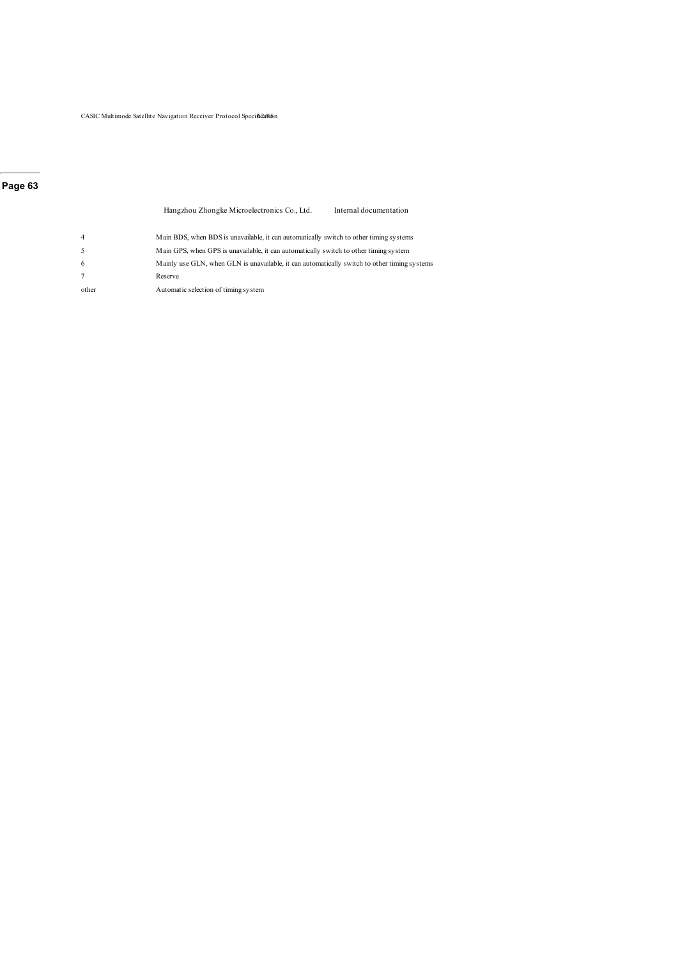$\mathop{\mathrm{CASIC}}$  Multimode Satellite Navigation Receiver Protocol Speciffe<br/>2a/8i5n

#### **Page 63**

Hangzhou Zhongke Microelectronics Co., Ltd. Internal documentation 4 Main BDS, when BDS is unavailable, it can automatically switch to other timing systems 5 Main GPS, when GPS is unavailable, it can automatically switch to other timing system 6 Mainly use GLN, when GLN is unavailable, it can automatically switch to other timing systems 7 Reserve other Automatic selection of timing system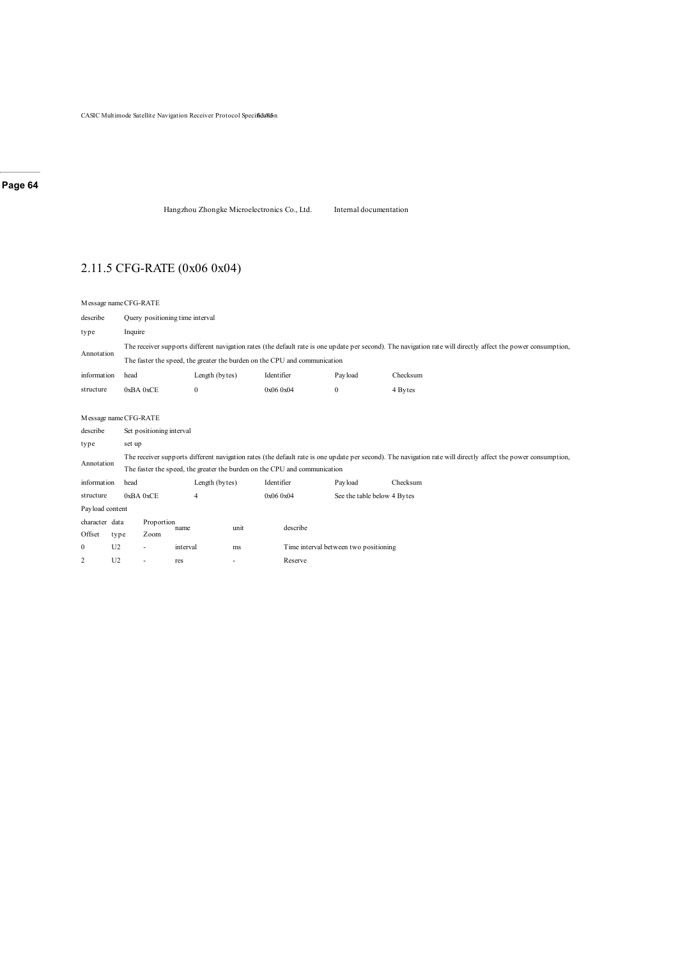Hangzhou Zhongke Microelectronics Co., Ltd. Internal documentation

# 2.11.5 CFG-RATE (0x06 0x04)

|                 |                       | Message name CFG-RATE                                                                                                                                         |                                 |      |            |                                       |          |  |  |  |  |  |
|-----------------|-----------------------|---------------------------------------------------------------------------------------------------------------------------------------------------------------|---------------------------------|------|------------|---------------------------------------|----------|--|--|--|--|--|
| describe        |                       |                                                                                                                                                               | Query positioning time interval |      |            |                                       |          |  |  |  |  |  |
| type            |                       | Inquire                                                                                                                                                       |                                 |      |            |                                       |          |  |  |  |  |  |
|                 |                       | The receiver supports different navigation rates (the default rate is one update per second). The navigation rate will directly affect the power consumption, |                                 |      |            |                                       |          |  |  |  |  |  |
| Annotation      |                       | The faster the speed, the greater the burden on the CPU and communication                                                                                     |                                 |      |            |                                       |          |  |  |  |  |  |
| information     | head                  |                                                                                                                                                               | Length (bytes)                  |      | Identifier | Payload                               | Checksum |  |  |  |  |  |
| structure       |                       | 0xBA0xCE                                                                                                                                                      | $\mathbf{0}$                    |      | 0x06 0x04  | $\mathbf{0}$                          | 4 Bytes  |  |  |  |  |  |
|                 |                       |                                                                                                                                                               |                                 |      |            |                                       |          |  |  |  |  |  |
|                 | Message name CFG-RATE |                                                                                                                                                               |                                 |      |            |                                       |          |  |  |  |  |  |
| describe        |                       | Set positioning interval                                                                                                                                      |                                 |      |            |                                       |          |  |  |  |  |  |
| type            |                       | set up                                                                                                                                                        |                                 |      |            |                                       |          |  |  |  |  |  |
| Annotation      |                       | The receiver supports different navigation rates (the default rate is one update per second). The navigation rate will directly affect the power consumption, |                                 |      |            |                                       |          |  |  |  |  |  |
|                 |                       | The faster the speed, the greater the burden on the CPU and communication                                                                                     |                                 |      |            |                                       |          |  |  |  |  |  |
| information     | head                  |                                                                                                                                                               | Length (bytes)                  |      | Identifier | Payload                               | Checksum |  |  |  |  |  |
| structure       |                       | 0xBA0xCE                                                                                                                                                      | $\overline{4}$                  |      | 0x06 0x04  | See the table below 4 Bytes           |          |  |  |  |  |  |
| Payload content |                       |                                                                                                                                                               |                                 |      |            |                                       |          |  |  |  |  |  |
| character data  |                       | Proportion                                                                                                                                                    |                                 | unit | describe   |                                       |          |  |  |  |  |  |
| Offset          | type                  | Zoom                                                                                                                                                          | name                            |      |            |                                       |          |  |  |  |  |  |
| $\mathbf{0}$    | U <sub>2</sub>        |                                                                                                                                                               | interval                        | ms   |            | Time interval between two positioning |          |  |  |  |  |  |
| $\overline{c}$  | U <sub>2</sub>        | ä,                                                                                                                                                            | res                             | ٠    | Reserve    |                                       |          |  |  |  |  |  |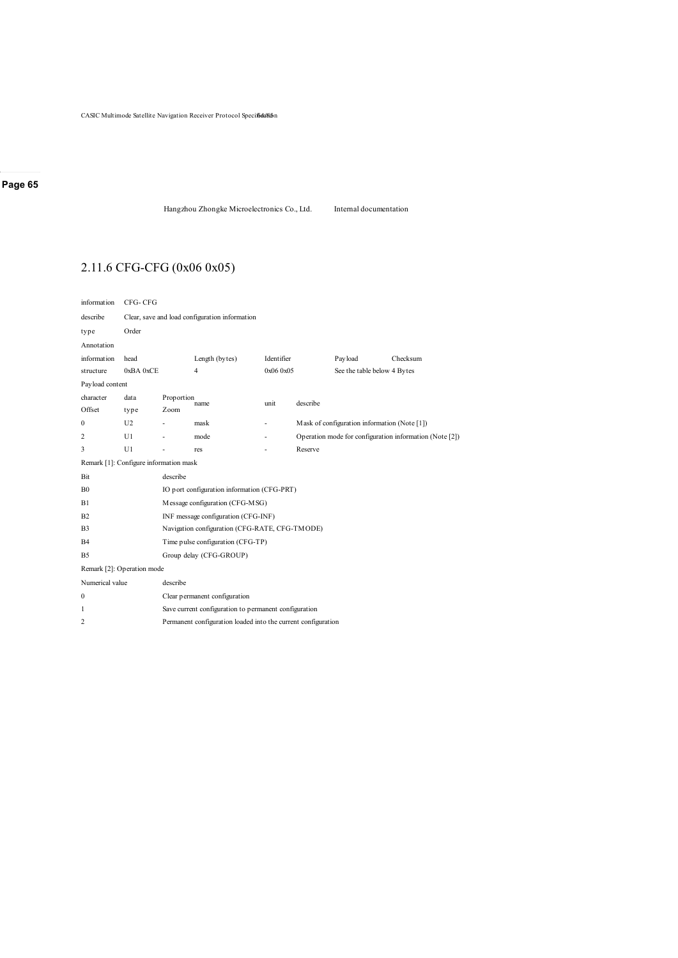```
Hangzhou Zhongke Microelectronics Co., Ltd. Internal documentation
```
# 2.11.6 CFG-CFG (0x06 0x05)

| information                            | CFG-CFG                                                       |            |                                                |           |          |                                              |                                                         |  |  |
|----------------------------------------|---------------------------------------------------------------|------------|------------------------------------------------|-----------|----------|----------------------------------------------|---------------------------------------------------------|--|--|
| describe                               | Clear, save and load configuration information                |            |                                                |           |          |                                              |                                                         |  |  |
| type                                   | Order                                                         |            |                                                |           |          |                                              |                                                         |  |  |
| Annotation                             |                                                               |            |                                                |           |          |                                              |                                                         |  |  |
| information                            | Length (bytes)<br>Identifier<br>Payload<br>head<br>Checksum   |            |                                                |           |          |                                              |                                                         |  |  |
| structure                              | 0xBA0xCE                                                      |            | 4                                              | 0x06 0x05 |          | See the table below 4 Bytes                  |                                                         |  |  |
| Payload content                        |                                                               |            |                                                |           |          |                                              |                                                         |  |  |
| character                              | data                                                          | Proportion | name                                           | unit      | describe |                                              |                                                         |  |  |
| Offset                                 | type                                                          | Zoom       |                                                |           |          |                                              |                                                         |  |  |
| 0                                      | U2                                                            |            | mask                                           |           |          | Mask of configuration information (Note [1]) |                                                         |  |  |
| 2                                      | U1                                                            |            | mode                                           |           |          |                                              | Operation mode for configuration information (Note [2]) |  |  |
| 3                                      | U1                                                            |            | res                                            |           | Reserve  |                                              |                                                         |  |  |
| Remark [1]: Configure information mask |                                                               |            |                                                |           |          |                                              |                                                         |  |  |
| Bit                                    |                                                               | describe   |                                                |           |          |                                              |                                                         |  |  |
| B <sub>0</sub>                         |                                                               |            | IO port configuration information (CFG-PRT)    |           |          |                                              |                                                         |  |  |
| B1                                     |                                                               |            | Message configuration (CFG-MSG)                |           |          |                                              |                                                         |  |  |
| B <sub>2</sub>                         |                                                               |            | INF message configuration (CFG-INF)            |           |          |                                              |                                                         |  |  |
| B <sub>3</sub>                         |                                                               |            | Navigation configuration (CFG-RATE, CFG-TMODE) |           |          |                                              |                                                         |  |  |
| B <sub>4</sub>                         |                                                               |            | Time pulse configuration (CFG-TP)              |           |          |                                              |                                                         |  |  |
| B <sub>5</sub>                         |                                                               |            | Group delay (CFG-GROUP)                        |           |          |                                              |                                                         |  |  |
| Remark [2]: Operation mode             |                                                               |            |                                                |           |          |                                              |                                                         |  |  |
| Numerical value                        |                                                               | describe   |                                                |           |          |                                              |                                                         |  |  |
| 0                                      | Clear permanent configuration                                 |            |                                                |           |          |                                              |                                                         |  |  |
| 1                                      | Save current configuration to permanent configuration         |            |                                                |           |          |                                              |                                                         |  |  |
| 2                                      | Permanent configuration loaded into the current configuration |            |                                                |           |          |                                              |                                                         |  |  |
|                                        |                                                               |            |                                                |           |          |                                              |                                                         |  |  |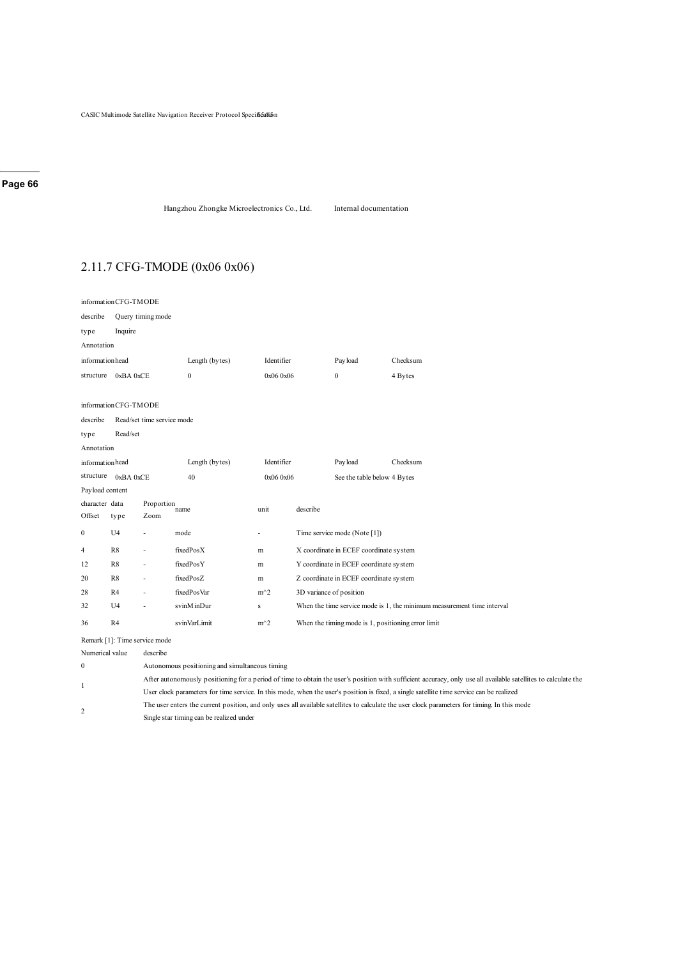Hangzhou Zhongke Microelectronics Co., Ltd. Internal documentation

# 2.11.7 CFG-TMODE (0x06 0x06)

| informationCFG-TMODE |                                   |                            |                |                                          |                         |                                                    |                                                                        |  |  |  |
|----------------------|-----------------------------------|----------------------------|----------------|------------------------------------------|-------------------------|----------------------------------------------------|------------------------------------------------------------------------|--|--|--|
| describe             | Query timing mode                 |                            |                |                                          |                         |                                                    |                                                                        |  |  |  |
| type                 | Inquire                           |                            |                |                                          |                         |                                                    |                                                                        |  |  |  |
| Annotation           |                                   |                            |                |                                          |                         |                                                    |                                                                        |  |  |  |
|                      | informationhead<br>Length (bytes) |                            |                | Identifier                               |                         | Payload                                            | Checksum                                                               |  |  |  |
| structure            | 0xBA 0xCE                         |                            | $\mathbf{0}$   | 0x06 0x06                                |                         | $\mathbf{0}$                                       | 4 Bytes                                                                |  |  |  |
|                      |                                   |                            |                |                                          |                         |                                                    |                                                                        |  |  |  |
| informationCFG-TMODE |                                   |                            |                |                                          |                         |                                                    |                                                                        |  |  |  |
| describe             |                                   | Read/set time service mode |                |                                          |                         |                                                    |                                                                        |  |  |  |
| type                 | Read/set                          |                            |                |                                          |                         |                                                    |                                                                        |  |  |  |
| Annotation           |                                   |                            |                |                                          |                         |                                                    |                                                                        |  |  |  |
| informationhead      |                                   |                            | Length (bytes) | Identifier                               |                         | Payload                                            | Checksum                                                               |  |  |  |
| structure            | 0xBA 0xCE                         |                            | 40             | 0x06 0x06<br>See the table below 4 Bytes |                         |                                                    |                                                                        |  |  |  |
| Payload content      |                                   |                            |                |                                          |                         |                                                    |                                                                        |  |  |  |
| character data       |                                   | Proportion                 | name           | unit                                     | describe                |                                                    |                                                                        |  |  |  |
| Offset               | type                              | Zoom                       |                |                                          |                         |                                                    |                                                                        |  |  |  |
| $\boldsymbol{0}$     | U <sub>4</sub>                    | $\overline{\phantom{a}}$   | mode           | ٠                                        |                         | Time service mode (Note [1])                       |                                                                        |  |  |  |
| 4                    | R8                                | $\overline{\phantom{a}}$   | fixedPosX      | m                                        |                         | X coordinate in ECEF coordinate system             |                                                                        |  |  |  |
| 12                   | R8                                | $\overline{\phantom{a}}$   | fixedPosY      | m                                        |                         | Y coordinate in ECEF coordinate system             |                                                                        |  |  |  |
| 20                   | R8                                | $\overline{\phantom{a}}$   | fixedPosZ      | m                                        |                         | Z coordinate in ECEF coordinate system             |                                                                        |  |  |  |
| 28                   | R <sub>4</sub>                    | $\overline{\phantom{a}}$   | fixedPosVar    | $m^2$                                    | 3D variance of position |                                                    |                                                                        |  |  |  |
| 32                   | U <sub>4</sub>                    | $\overline{\phantom{a}}$   | svinMinDur     | s                                        |                         |                                                    | When the time service mode is 1, the minimum measurement time interval |  |  |  |
| 36                   | R4                                |                            | svinVarLimit   | $m^2$                                    |                         | When the timing mode is 1, positioning error limit |                                                                        |  |  |  |
|                      |                                   |                            |                |                                          |                         |                                                    |                                                                        |  |  |  |

Remark [1]: Time service mode

Numerical value describe

1

|  | Autonomous positioning and simultaneous timing |  |
|--|------------------------------------------------|--|
|--|------------------------------------------------|--|

After autonomously positioning for a period of time to obtain the user's position with sufficient accuracy, only use all available satellites to calculate the

User clock parameters for time service. In this mode, when the user's position is fixed, a single satellite time service can be realized

The user enters the current position, and only uses all available satellites to calculate the user clock parameters for timing. In this mode

2 Single star timing can be realized under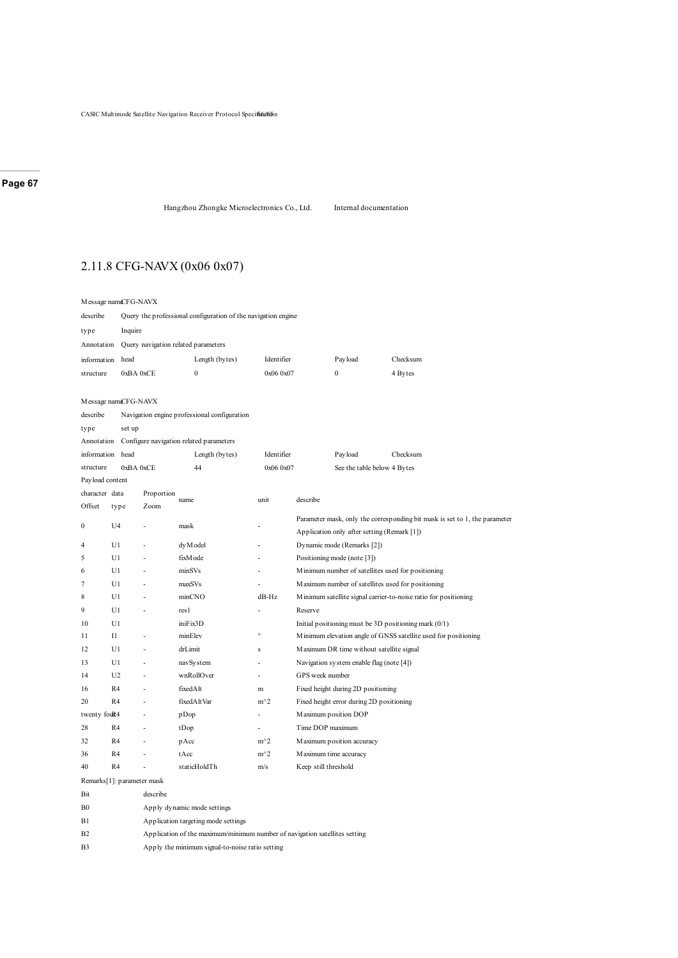Hangzhou Zhongke Microelectronics Co., Ltd. Internal documentation

# 2.11.8 CFG-NAVX (0x06 0x07)

| Message namCFG-NAVX        |                                              |                                                               |                                                                            |            |                      |                                             |                                                                                                                             |  |  |  |  |  |
|----------------------------|----------------------------------------------|---------------------------------------------------------------|----------------------------------------------------------------------------|------------|----------------------|---------------------------------------------|-----------------------------------------------------------------------------------------------------------------------------|--|--|--|--|--|
| describe                   |                                              | Query the professional configuration of the navigation engine |                                                                            |            |                      |                                             |                                                                                                                             |  |  |  |  |  |
| type                       |                                              | Inquire                                                       |                                                                            |            |                      |                                             |                                                                                                                             |  |  |  |  |  |
| Annotation                 |                                              | Query navigation related parameters                           |                                                                            |            |                      |                                             |                                                                                                                             |  |  |  |  |  |
| information head           |                                              |                                                               | Length (bytes)                                                             | Identifier |                      | Payload                                     | Checksum                                                                                                                    |  |  |  |  |  |
| structure                  |                                              | 0xBA 0xCE                                                     | $\boldsymbol{0}$                                                           | 0x06 0x07  |                      | $\boldsymbol{0}$                            | 4 Bytes                                                                                                                     |  |  |  |  |  |
|                            |                                              |                                                               |                                                                            |            |                      |                                             |                                                                                                                             |  |  |  |  |  |
| Message namCFG-NAVX        |                                              |                                                               |                                                                            |            |                      |                                             |                                                                                                                             |  |  |  |  |  |
| describe                   | Navigation engine professional configuration |                                                               |                                                                            |            |                      |                                             |                                                                                                                             |  |  |  |  |  |
| type                       | set up                                       |                                                               |                                                                            |            |                      |                                             |                                                                                                                             |  |  |  |  |  |
| Annotation                 |                                              |                                                               | Configure navigation related parameters                                    |            |                      |                                             |                                                                                                                             |  |  |  |  |  |
| information                | head                                         |                                                               | Length (bytes)                                                             | Identifier |                      | Pay load                                    | Checksum                                                                                                                    |  |  |  |  |  |
| structure                  | 0xBA 0xCE                                    |                                                               | 44                                                                         | 0x06 0x07  |                      | See the table below 4 Bytes                 |                                                                                                                             |  |  |  |  |  |
| Payload content            |                                              |                                                               |                                                                            |            |                      |                                             |                                                                                                                             |  |  |  |  |  |
| character data             |                                              | Proportion                                                    | name                                                                       | unit       | describe             |                                             |                                                                                                                             |  |  |  |  |  |
| Offset                     | type                                         | Zoom                                                          |                                                                            |            |                      |                                             |                                                                                                                             |  |  |  |  |  |
| $\mathbf{0}$               | U <sub>4</sub>                               |                                                               | mask                                                                       |            |                      |                                             | Parameter mask, only the corresponding bit mask is set to 1, the parameter                                                  |  |  |  |  |  |
|                            |                                              |                                                               |                                                                            |            |                      | Application only after setting (Remark [1]) |                                                                                                                             |  |  |  |  |  |
| 4                          | U1                                           |                                                               | dy M odel                                                                  |            |                      | Dynamic mode (Remarks [2])                  |                                                                                                                             |  |  |  |  |  |
| 5                          | U1                                           | ÷,                                                            | fixM ode                                                                   | L.         |                      | Positioning mode (note [3])                 |                                                                                                                             |  |  |  |  |  |
| 6                          | U1                                           | ÷.                                                            | minSVs                                                                     | ä,         |                      |                                             | Minimum number of satellites used for positioning                                                                           |  |  |  |  |  |
| 7                          | U1                                           |                                                               | maxSVs                                                                     | L,         |                      |                                             | Maximum number of satellites used for positioning                                                                           |  |  |  |  |  |
| 8                          | U1                                           |                                                               | minCNO                                                                     | $dB-Hz$    |                      |                                             | Minimum satellite signal carrier-to-noise ratio for positioning                                                             |  |  |  |  |  |
| 9                          | U1                                           |                                                               | res1                                                                       |            | Reserve              |                                             |                                                                                                                             |  |  |  |  |  |
| 10<br>11                   | U1<br>$_{\rm II}$                            | L,                                                            | iniFix3D<br>minElev                                                        | $\circ$    |                      |                                             | Initial positioning must be $3D$ positioning mark $(0/1)$<br>Minimum elevation angle of GNSS satellite used for positioning |  |  |  |  |  |
| 12                         | U1                                           |                                                               | drLimit                                                                    | s          |                      | Maximum DR time without satellite signal    |                                                                                                                             |  |  |  |  |  |
| 13                         | U1                                           |                                                               | navSystem                                                                  |            |                      | Navigation system enable flag (note [4])    |                                                                                                                             |  |  |  |  |  |
| 14                         | U <sub>2</sub>                               |                                                               | wnRollOver                                                                 | ä,         | GPS week number      |                                             |                                                                                                                             |  |  |  |  |  |
| 16                         | R4                                           |                                                               | fixedAlt                                                                   | m          |                      | Fixed height during 2D positioning          |                                                                                                                             |  |  |  |  |  |
| 20                         | R4                                           |                                                               | fixedAltVar                                                                | $m^2$      |                      | Fixed height error during 2D positioning    |                                                                                                                             |  |  |  |  |  |
| twenty fouR4               |                                              |                                                               | pDop                                                                       |            |                      | Maximum position DOP                        |                                                                                                                             |  |  |  |  |  |
| 28                         | R4                                           |                                                               | tDop                                                                       |            | Time DOP maximum     |                                             |                                                                                                                             |  |  |  |  |  |
| 32                         | R4                                           |                                                               | pAcc                                                                       | $m^2$      |                      | Maximum position accuracy                   |                                                                                                                             |  |  |  |  |  |
| 36                         | R4                                           | Ĭ.                                                            | tAcc                                                                       | $m^2$      |                      | Maximum time accuracy                       |                                                                                                                             |  |  |  |  |  |
| 40                         | R4                                           | ÷,                                                            | staticHoldTh                                                               | m/s        | Keep still threshold |                                             |                                                                                                                             |  |  |  |  |  |
| Remarks[1]: parameter mask |                                              |                                                               |                                                                            |            |                      |                                             |                                                                                                                             |  |  |  |  |  |
| Bit                        |                                              | describe                                                      |                                                                            |            |                      |                                             |                                                                                                                             |  |  |  |  |  |
| B <sub>0</sub>             |                                              |                                                               | Apply dynamic mode settings                                                |            |                      |                                             |                                                                                                                             |  |  |  |  |  |
| B1                         |                                              | Application targeting mode settings                           |                                                                            |            |                      |                                             |                                                                                                                             |  |  |  |  |  |
| B2                         |                                              |                                                               | Application of the maximum/minimum number of navigation satellites setting |            |                      |                                             |                                                                                                                             |  |  |  |  |  |

B3 Apply the minimum signal-to-noise ratio setting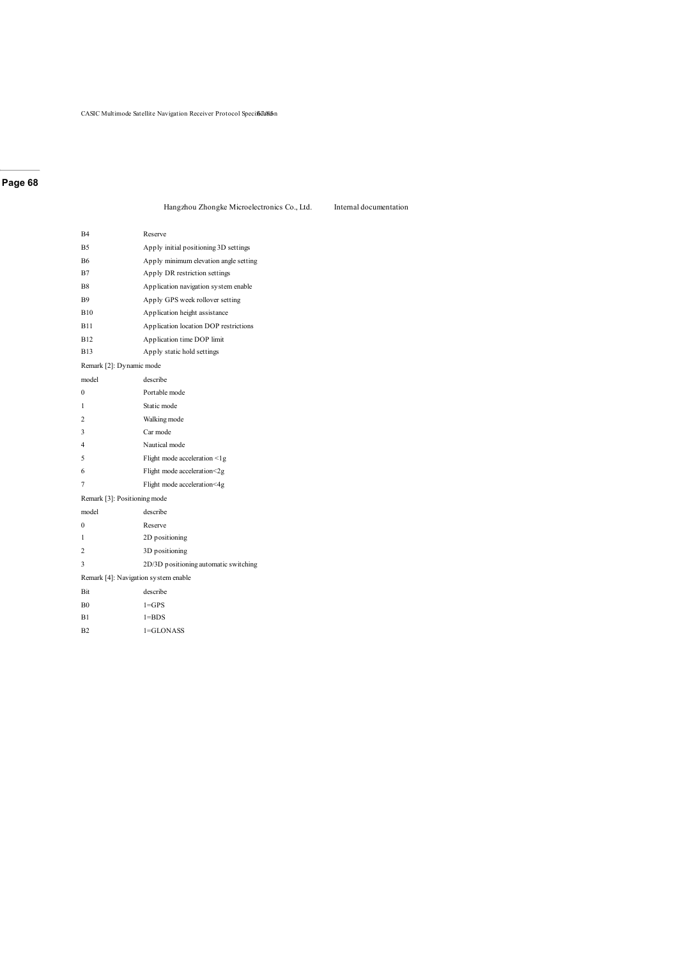Hangzhou Zhongke Microelectronics Co., Ltd. Internal documentation

| B4                                   | Reserve                               |
|--------------------------------------|---------------------------------------|
| <b>B5</b>                            | Apply initial positioning 3D settings |
| <b>B6</b>                            | Apply minimum elevation angle setting |
| B7                                   | Apply DR restriction settings         |
| <b>B8</b>                            | Application navigation system enable  |
| <b>B</b> 9                           | Apply GPS week rollover setting       |
| <b>B10</b>                           | Application height assistance         |
| <b>B11</b>                           | Application location DOP restrictions |
| <b>B12</b>                           | Application time DOP limit            |
| <b>B13</b>                           | Apply static hold settings            |
| Remark [2]: Dynamic mode             |                                       |
| model                                | describe                              |
| $\theta$                             | Portable mode                         |
| 1                                    | Static mode                           |
| $\overline{c}$                       | Walking mode                          |
| 3                                    | Car mode                              |
| 4                                    | Nautical mode                         |
| 5                                    | Flight mode acceleration <1g          |
| 6                                    | Flight mode acceleration<2g           |
| 7                                    | Flight mode acceleration<4g           |
| Remark [3]: Positioning mode         |                                       |
| model                                | describe                              |
| $\theta$                             | Reserve                               |
| 1                                    | 2D positioning                        |
| $\overline{c}$                       | 3D positioning                        |
| 3                                    | 2D/3D positioning automatic switching |
| Remark [4]: Navigation system enable |                                       |
| <b>Bit</b>                           | describe                              |
| B <sub>0</sub>                       | $1 = GPS$                             |
| B1                                   | $1 = BDS$                             |
| B <sub>2</sub>                       | 1=GLONASS                             |
|                                      |                                       |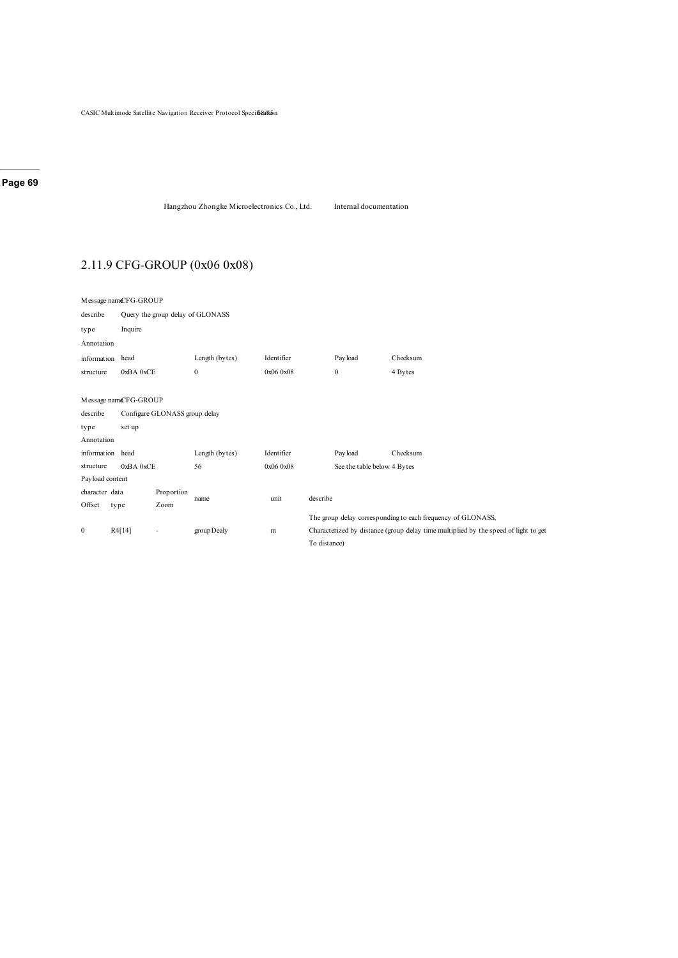Hangzhou Zhongke Microelectronics Co., Ltd. Internal documentation

# 2.11.9 CFG-GROUP (0x06 0x08)

|                  | Message namCFG-GROUP |                                  |                  |            |              |                             |                                                                                     |  |  |  |
|------------------|----------------------|----------------------------------|------------------|------------|--------------|-----------------------------|-------------------------------------------------------------------------------------|--|--|--|
| describe         |                      | Query the group delay of GLONASS |                  |            |              |                             |                                                                                     |  |  |  |
| type             | Inquire              |                                  |                  |            |              |                             |                                                                                     |  |  |  |
| Annotation       |                      |                                  |                  |            |              |                             |                                                                                     |  |  |  |
| information head |                      |                                  | Length (bytes)   | Identifier |              | Payload                     | Checksum                                                                            |  |  |  |
| structure        | 0xBA 0xCE            |                                  | $\boldsymbol{0}$ | 0x060x08   |              | $\boldsymbol{0}$            | 4 Bytes                                                                             |  |  |  |
|                  |                      |                                  |                  |            |              |                             |                                                                                     |  |  |  |
|                  | Message namCFG-GROUP |                                  |                  |            |              |                             |                                                                                     |  |  |  |
| describe         |                      | Configure GLONASS group delay    |                  |            |              |                             |                                                                                     |  |  |  |
| type             | set up               |                                  |                  |            |              |                             |                                                                                     |  |  |  |
| Annotation       |                      |                                  |                  |            |              |                             |                                                                                     |  |  |  |
| information head |                      |                                  | Length (bytes)   | Identifier |              | Payload                     | Checksum                                                                            |  |  |  |
| structure        | 0xBA0xCE             |                                  | 56               | 0x060x08   |              | See the table below 4 Bytes |                                                                                     |  |  |  |
| Payload content  |                      |                                  |                  |            |              |                             |                                                                                     |  |  |  |
| character data   |                      | Proportion                       |                  |            |              |                             |                                                                                     |  |  |  |
| Offset           | type                 | Zoom                             | name             | unit       | describe     |                             |                                                                                     |  |  |  |
|                  |                      |                                  |                  |            |              |                             | The group delay corresponding to each frequency of GLONASS,                         |  |  |  |
| $\bf{0}$         | R4[14]               | $\overline{\phantom{a}}$         | group Dealy      | m          |              |                             | Characterized by distance (group delay time multiplied by the speed of light to get |  |  |  |
|                  |                      |                                  |                  |            | To distance) |                             |                                                                                     |  |  |  |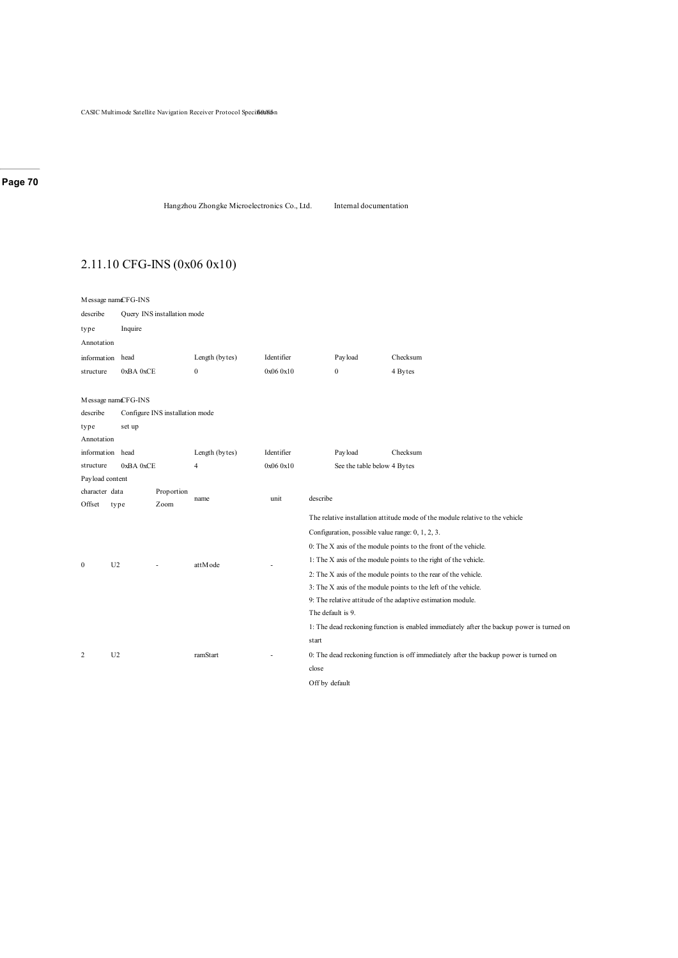Hangzhou Zhongke Microelectronics Co., Ltd. Internal documentation

# 2.11.10 CFG-INS (0x06 0x10)

| Message namcFG-INS       |                |                                 |                |            |                                                                                           |                                                  |                                                                                       |  |  |  |
|--------------------------|----------------|---------------------------------|----------------|------------|-------------------------------------------------------------------------------------------|--------------------------------------------------|---------------------------------------------------------------------------------------|--|--|--|
| describe                 |                | Query INS installation mode     |                |            |                                                                                           |                                                  |                                                                                       |  |  |  |
| type                     | Inquire        |                                 |                |            |                                                                                           |                                                  |                                                                                       |  |  |  |
| Annotation               |                |                                 |                |            |                                                                                           |                                                  |                                                                                       |  |  |  |
| information head         |                |                                 | Length (bytes) | Identifier |                                                                                           | Payload                                          | Checksum                                                                              |  |  |  |
| structure                | 0xBA 0xCE      |                                 | $\mathbf{0}$   | 0x06 0x10  |                                                                                           | $\boldsymbol{0}$                                 | 4 Bytes                                                                               |  |  |  |
|                          |                |                                 |                |            |                                                                                           |                                                  |                                                                                       |  |  |  |
| Message namcFG-INS       |                |                                 |                |            |                                                                                           |                                                  |                                                                                       |  |  |  |
| describe                 |                | Configure INS installation mode |                |            |                                                                                           |                                                  |                                                                                       |  |  |  |
| type                     | set up         |                                 |                |            |                                                                                           |                                                  |                                                                                       |  |  |  |
| Annotation               |                |                                 |                |            |                                                                                           |                                                  |                                                                                       |  |  |  |
| information head         |                |                                 | Length (bytes) | Identifier |                                                                                           | Payload                                          | Checksum                                                                              |  |  |  |
| structure                | 0xBA0xCE       |                                 | 4              | 0x06 0x10  |                                                                                           | See the table below 4 Bytes                      |                                                                                       |  |  |  |
| Payload content          |                |                                 |                |            |                                                                                           |                                                  |                                                                                       |  |  |  |
| character data<br>Offset | type           | Proportion<br>Zoom              | name           | unit       | describe                                                                                  |                                                  |                                                                                       |  |  |  |
|                          |                |                                 |                |            |                                                                                           |                                                  | The relative installation attitude mode of the module relative to the vehicle         |  |  |  |
|                          |                |                                 |                |            |                                                                                           | Configuration, possible value range: 0, 1, 2, 3. |                                                                                       |  |  |  |
|                          |                |                                 |                |            | 0: The X axis of the module points to the front of the vehicle.                           |                                                  |                                                                                       |  |  |  |
|                          |                |                                 |                |            | 1: The X axis of the module points to the right of the vehicle.                           |                                                  |                                                                                       |  |  |  |
| $\mathbf{0}$             | U <sub>2</sub> |                                 | attMode        |            | 2: The X axis of the module points to the rear of the vehicle.                            |                                                  |                                                                                       |  |  |  |
|                          |                |                                 |                |            | 3: The X axis of the module points to the left of the vehicle.                            |                                                  |                                                                                       |  |  |  |
|                          |                |                                 |                |            | 9: The relative attitude of the adaptive estimation module.                               |                                                  |                                                                                       |  |  |  |
|                          |                |                                 |                |            |                                                                                           | The default is 9.                                |                                                                                       |  |  |  |
|                          |                |                                 |                |            | 1: The dead reckoning function is enabled immediately after the backup power is turned on |                                                  |                                                                                       |  |  |  |
|                          |                |                                 |                |            | start                                                                                     |                                                  |                                                                                       |  |  |  |
| 2                        | U <sub>2</sub> |                                 | ramStart       |            |                                                                                           |                                                  | 0: The dead reckoning function is off immediately after the backup power is turned on |  |  |  |
|                          |                |                                 |                |            | close                                                                                     |                                                  |                                                                                       |  |  |  |
|                          |                |                                 |                |            | Off by default                                                                            |                                                  |                                                                                       |  |  |  |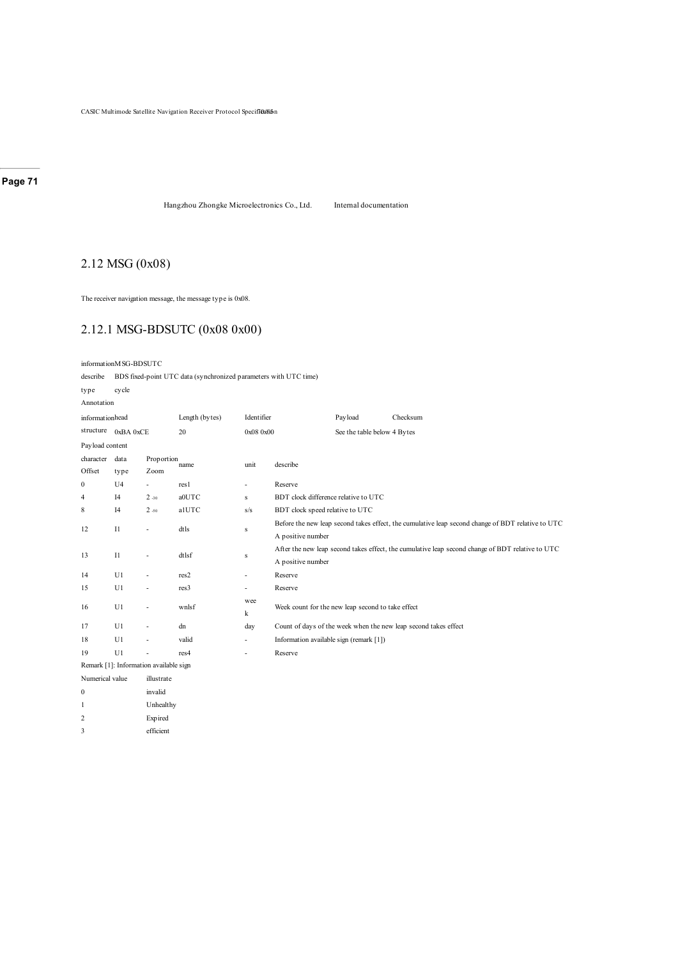Hangzhou Zhongke Microelectronics Co., Ltd. Internal documentation

# 2.12 MSG (0x08)

The receiver navigation message, the message type is 0x08.

### 2.12.1 MSG-BDSUTC (0x08 0x00)

informationMSG-BDSUTC

describe BDS fixed-point UTC data (synchronized parameters with UTC time)

| type            | cycle                |                                        |                |                                |                                                                                                   |                             |                                                                 |  |  |  |  |
|-----------------|----------------------|----------------------------------------|----------------|--------------------------------|---------------------------------------------------------------------------------------------------|-----------------------------|-----------------------------------------------------------------|--|--|--|--|
| Annotation      |                      |                                        |                |                                |                                                                                                   |                             |                                                                 |  |  |  |  |
| informationhead |                      |                                        | Length (bytes) | Identifier                     |                                                                                                   | Payload                     | Checksum                                                        |  |  |  |  |
|                 | structure $0xBA0xCE$ |                                        | 20             | 0x08 0x00                      |                                                                                                   | See the table below 4 Bytes |                                                                 |  |  |  |  |
| Payload content |                      |                                        |                |                                |                                                                                                   |                             |                                                                 |  |  |  |  |
| character data  |                      | Proportion                             | name           | unit                           |                                                                                                   |                             |                                                                 |  |  |  |  |
| Offset          | type                 | Zoom                                   |                |                                | describe                                                                                          |                             |                                                                 |  |  |  |  |
| $\bf{0}$        | U <sub>4</sub>       | $\sim$                                 | res1           | $\overline{\phantom{a}}$       | Reserve                                                                                           |                             |                                                                 |  |  |  |  |
| 4               | I4                   | $2 - 30$                               | a0UTC          | $\bf S$                        | BDT clock difference relative to UTC                                                              |                             |                                                                 |  |  |  |  |
| 8               | I4                   | $2 - 50$                               | alUTC          | s/s                            | BDT clock speed relative to UTC                                                                   |                             |                                                                 |  |  |  |  |
| 12              | $_{\rm II}$          | ä,                                     | dtls           |                                | Before the new leap second takes effect, the cumulative leap second change of BDT relative to UTC |                             |                                                                 |  |  |  |  |
|                 |                      |                                        |                | ${\bf S}$<br>A positive number |                                                                                                   |                             |                                                                 |  |  |  |  |
| 13              | $_{\rm II}$          | $\overline{\phantom{a}}$               | dtlsf          | s                              | After the new leap second takes effect, the cumulative leap second change of BDT relative to UTC  |                             |                                                                 |  |  |  |  |
|                 |                      |                                        |                | A positive number              |                                                                                                   |                             |                                                                 |  |  |  |  |
| 14              | U1                   | $\overline{\phantom{a}}$               | res2           | $\overline{\phantom{a}}$       | Reserve                                                                                           |                             |                                                                 |  |  |  |  |
| 15              | U1                   | $\overline{\phantom{a}}$               | res3           | $\sim$                         | Reserve                                                                                           |                             |                                                                 |  |  |  |  |
| 16              | U1                   | $\overline{\phantom{a}}$               | wnlsf          | wee                            | Week count for the new leap second to take effect                                                 |                             |                                                                 |  |  |  |  |
|                 |                      |                                        |                | k                              |                                                                                                   |                             |                                                                 |  |  |  |  |
| 17              | U1                   | $\overline{\phantom{a}}$               | dn             | day                            |                                                                                                   |                             | Count of days of the week when the new leap second takes effect |  |  |  |  |
| 18              | U1                   | $\overline{\phantom{a}}$               | valid          | $\overline{\phantom{a}}$       | Information available sign (remark [1])                                                           |                             |                                                                 |  |  |  |  |
| 19              | U1                   | ä,                                     | res4           | $\overline{\phantom{a}}$       | Reserve                                                                                           |                             |                                                                 |  |  |  |  |
|                 |                      | Remark [1]: Information available sign |                |                                |                                                                                                   |                             |                                                                 |  |  |  |  |
| Numerical value |                      | illustrate                             |                |                                |                                                                                                   |                             |                                                                 |  |  |  |  |
| $\mathbf{0}$    |                      | invalid                                |                |                                |                                                                                                   |                             |                                                                 |  |  |  |  |
| 1               |                      | Unhealthy                              |                |                                |                                                                                                   |                             |                                                                 |  |  |  |  |
| $\overline{c}$  |                      | Exp ired                               |                |                                |                                                                                                   |                             |                                                                 |  |  |  |  |
| 3               |                      | efficient                              |                |                                |                                                                                                   |                             |                                                                 |  |  |  |  |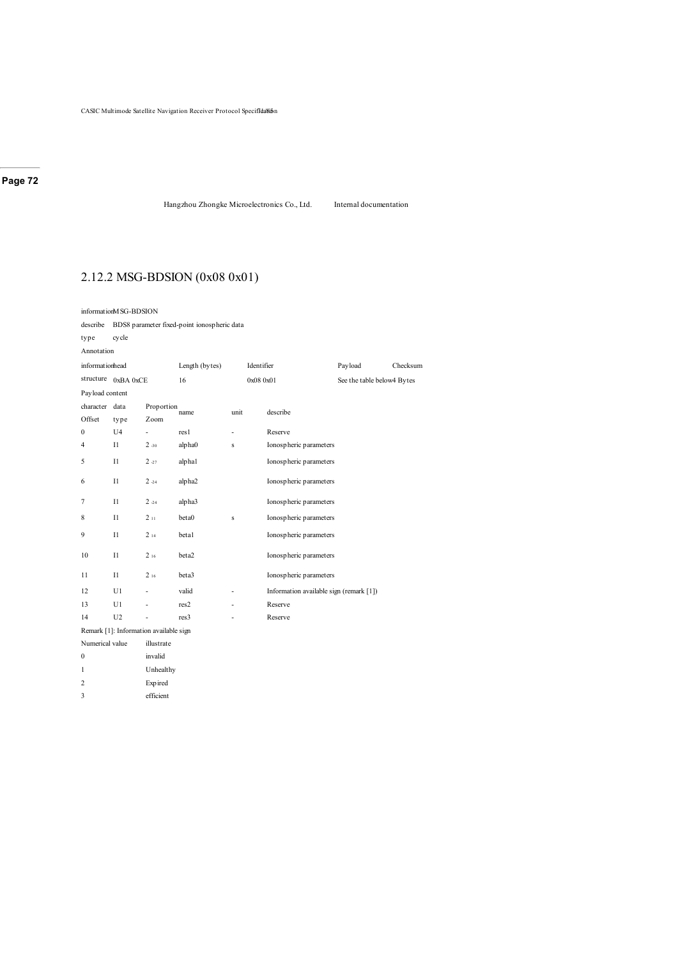Hangzhou Zhongke Microelectronics Co., Ltd. Internal documentation

### 2.12.2 MSG-BDSION (0x08 0x01)

2 Expired 3 efficient

informationMSG-BDSION describe BDS8 parameter fixed-point ionospheric data type cycle Annotation information structure 0xBA 0xCE Length (bytes) Identifier Payload Checksum 16 0x08 0x01 See the table below4 Bytes Payload content character data Offset type Proportion<br>name Zoom unit describe 0 U4 - res1 - Reserve 4 I1 2 -30 alpha0 s Ionospheric parameters 5 I1 2 -27 alpha1 Ionospheric parameters 6 I1 2 -24 alpha2 Ionospheric parameters 7 I1 2 -24 alpha3 Ionospheric parameters 8 I1 2 11 beta0 s Ionospheric parameters 9 I1 2 14 beta1 Ionospheric parameters 10 I1 2 16 beta2 Ionospheric parameters 11 I1 2 16 beta3 Ionospheric parameters 12 U1 - valid - Information available sign (remark [1]) 13 U1 - res2 - Reserve 14 U2 - res3 - Reserve Remark [1]: Information available sign Numerical value illustrate 0 invalid 1 Unhealthy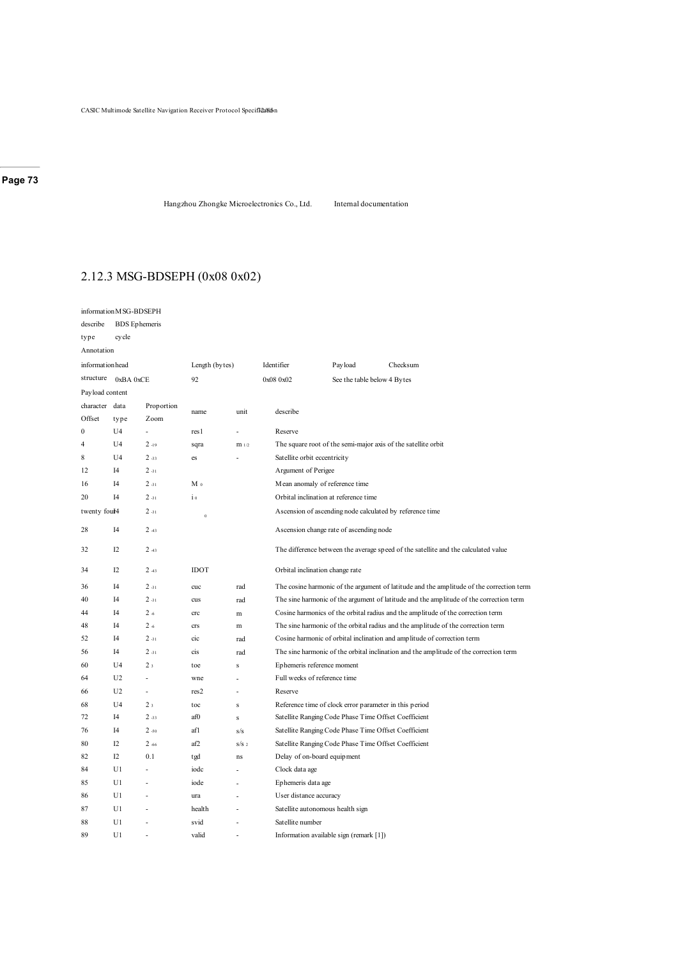Hangzhou Zhongke Microelectronics Co., Ltd. Internal documentation

# 2.12.3 MSG-BDSEPH (0x08 0x02)

|                 | information M SG-BDSEPH |                |                |                                                                                    |                                       |                                                          |                                                                                          |  |  |  |  |
|-----------------|-------------------------|----------------|----------------|------------------------------------------------------------------------------------|---------------------------------------|----------------------------------------------------------|------------------------------------------------------------------------------------------|--|--|--|--|
| describe        | <b>BDS</b> Ephemeris    |                |                |                                                                                    |                                       |                                                          |                                                                                          |  |  |  |  |
| type            | cycle                   |                |                |                                                                                    |                                       |                                                          |                                                                                          |  |  |  |  |
| Annotation      |                         |                |                |                                                                                    |                                       |                                                          |                                                                                          |  |  |  |  |
| informationhead |                         |                | Length (bytes) |                                                                                    | Identifier                            | Payload                                                  | Checksum                                                                                 |  |  |  |  |
| structure       | 0xBA0xCE                |                | 92             |                                                                                    | 0x08 0x02                             | See the table below 4 Bytes                              |                                                                                          |  |  |  |  |
| Payload content |                         |                |                |                                                                                    |                                       |                                                          |                                                                                          |  |  |  |  |
| character data  |                         | Proportion     | name           | unit                                                                               | describe                              |                                                          |                                                                                          |  |  |  |  |
| Offset          | type                    | Zoom           |                |                                                                                    |                                       |                                                          |                                                                                          |  |  |  |  |
| $\mathbf{0}$    | U <sub>4</sub>          | L              | res1           | ä,                                                                                 | Reserve                               |                                                          |                                                                                          |  |  |  |  |
| $\overline{4}$  | U <sub>4</sub>          | $2 - 19$       | sqra           | $m_{1/2}$                                                                          |                                       |                                                          | The square root of the semi-major axis of the satellite orbit                            |  |  |  |  |
| 8               | U <sub>4</sub>          | $2 - 33$       | es             |                                                                                    | Satellite orbit eccentricity          |                                                          |                                                                                          |  |  |  |  |
| 12              | I4                      | $2 - 31$       |                |                                                                                    | Argument of Perigee                   |                                                          |                                                                                          |  |  |  |  |
| 16              | I4                      | $2 - 31$       | M <sub>0</sub> |                                                                                    | Mean anomaly of reference time        |                                                          |                                                                                          |  |  |  |  |
| 20              | I4                      | $2 - 31$       | $\frac{1}{1}$  |                                                                                    | Orbital inclination at reference time |                                                          |                                                                                          |  |  |  |  |
| twenty foul4    |                         | $2 - 31$       | $\mathbf{0}$   |                                                                                    |                                       | Ascension of ascending node calculated by reference time |                                                                                          |  |  |  |  |
| 28              | I4                      | $2 - 43$       |                |                                                                                    |                                       | Ascension change rate of ascending node                  |                                                                                          |  |  |  |  |
| 32              | I2                      | $2 - 43$       |                | The difference between the average speed of the satellite and the calculated value |                                       |                                                          |                                                                                          |  |  |  |  |
| 34              | I2                      | $2 - 43$       | <b>IDOT</b>    |                                                                                    |                                       | Orbital inclination change rate                          |                                                                                          |  |  |  |  |
| 36              | I4                      | $2 - 31$       | cuc            | rad                                                                                |                                       |                                                          | The cosine harmonic of the argument of latitude and the amplitude of the correction term |  |  |  |  |
| 40              | I4                      | $2 - 31$       | cus            | rad                                                                                |                                       |                                                          | The sine harmonic of the argument of latitude and the amplitude of the correction term   |  |  |  |  |
| 44              | I4                      | $2 - 6$        | crc            | m                                                                                  |                                       |                                                          | Cosine harmonics of the orbital radius and the amplitude of the correction term          |  |  |  |  |
| 48              | I4                      | $2 - 6$        | crs            | m                                                                                  |                                       |                                                          | The sine harmonic of the orbital radius and the amplitude of the correction term         |  |  |  |  |
| 52              | I4                      | $2 - 31$       | cic            | rad                                                                                |                                       |                                                          | Cosine harmonic of orbital inclination and amplitude of correction term                  |  |  |  |  |
| 56              | I4                      | $2 - 31$       | cis            | rad                                                                                |                                       |                                                          | The sine harmonic of the orbital inclination and the amplitude of the correction term    |  |  |  |  |
| 60              | U4                      | 2 <sub>3</sub> | toe            | s                                                                                  | Ephemeris reference moment            |                                                          |                                                                                          |  |  |  |  |
| 64              | U <sub>2</sub>          | L,             | wne            | ٠                                                                                  | Full weeks of reference time          |                                                          |                                                                                          |  |  |  |  |
| 66              | U <sub>2</sub>          | ÷,             | res2           |                                                                                    | Reserve                               |                                                          |                                                                                          |  |  |  |  |
| 68              | U <sub>4</sub>          | 2 <sub>3</sub> | toc            | ${\bf S}$                                                                          |                                       | Reference time of clock error parameter in this period   |                                                                                          |  |  |  |  |
| 72              | I4                      | $2 - 33$       | af0            | s                                                                                  |                                       | Satellite Ranging Code Phase Time Offset Coefficient     |                                                                                          |  |  |  |  |
| 76              | I4                      | $2 - 50$       | afl            | s/s                                                                                |                                       | Satellite Ranging Code Phase Time Offset Coefficient     |                                                                                          |  |  |  |  |
| 80              | I2                      | $2 - 66$       | af2            | S/S <sub>2</sub>                                                                   |                                       | Satellite Ranging Code Phase Time Offset Coefficient     |                                                                                          |  |  |  |  |
| 82              | I2                      | 0.1            | tgd            | ns                                                                                 | Delay of on-board equipment           |                                                          |                                                                                          |  |  |  |  |
| 84              | U <sub>1</sub>          | L              | iodc           |                                                                                    | Clock data age                        |                                                          |                                                                                          |  |  |  |  |
| 85              | U1                      | ä,             | iode           |                                                                                    | Ephemeris data age                    |                                                          |                                                                                          |  |  |  |  |
| 86              | U1                      | ٠              | ura            |                                                                                    | User distance accuracy                |                                                          |                                                                                          |  |  |  |  |
| 87              | U1                      |                | health         |                                                                                    | Satellite autonomous health sign      |                                                          |                                                                                          |  |  |  |  |
| 88              | U1                      |                | svid           |                                                                                    | Satellite number                      |                                                          |                                                                                          |  |  |  |  |
| 89              | U1                      |                | valid          |                                                                                    |                                       | Information available sign (remark [1])                  |                                                                                          |  |  |  |  |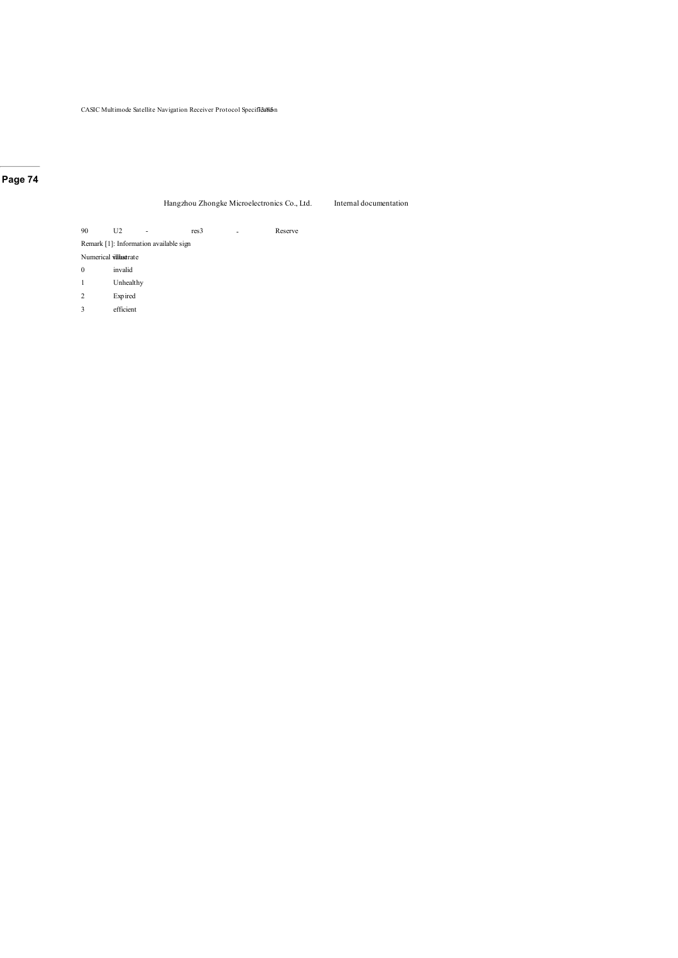#### Hangzhou Zhongke Microelectronics Co., Ltd. Internal documentation

90 U2 - res3 - Reserve

Remark [1]: Information available sign

Numerical villustrate

0 invalid

1 Unhealthy

2 Expired

3 efficient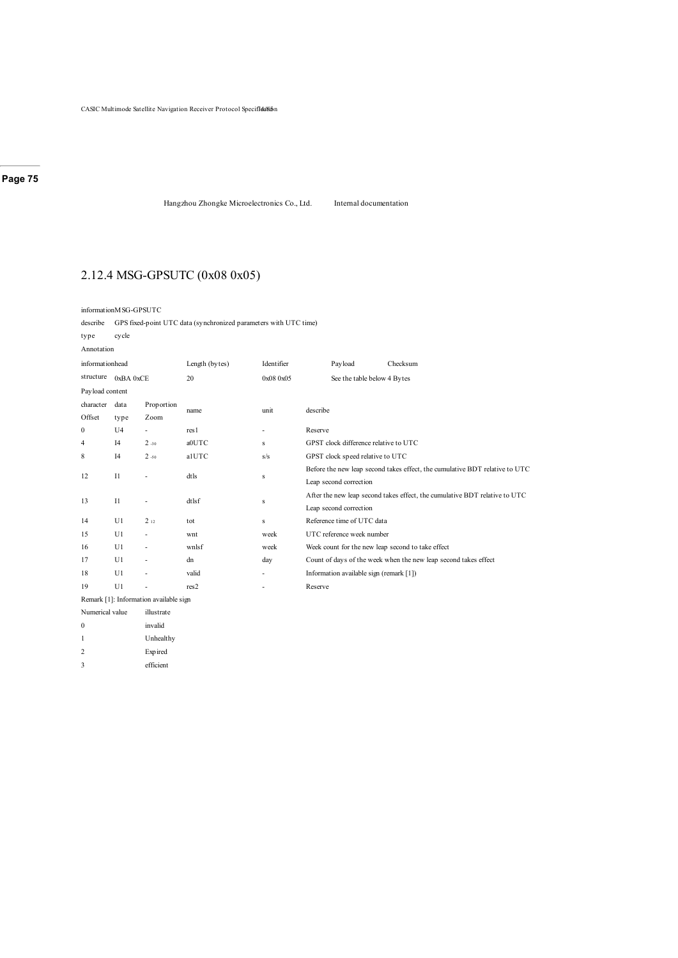Hangzhou Zhongke Microelectronics Co., Ltd. Internal documentation

### 2.12.4 MSG-GPSUTC (0x08 0x05)

informationMSG-GPSUTC

describe GPS fixed-point UTC data (synchronized parameters with UTC time)

type cycle

Annotation

| informationhead |                |                                        | Length (bytes) | Identifier               |                                                                             | Payload                                 | Checksum                                                        |  |  |  |  |
|-----------------|----------------|----------------------------------------|----------------|--------------------------|-----------------------------------------------------------------------------|-----------------------------------------|-----------------------------------------------------------------|--|--|--|--|
| structure       | 0xBA0xCE       |                                        | 20             | 0x08 0x05                |                                                                             | See the table below 4 Bytes             |                                                                 |  |  |  |  |
| Payload content |                |                                        |                |                          |                                                                             |                                         |                                                                 |  |  |  |  |
| character       | data           | Proportion                             |                | unit                     |                                                                             |                                         |                                                                 |  |  |  |  |
| Offset          | type           | Zoom                                   | name           |                          | describe                                                                    |                                         |                                                                 |  |  |  |  |
| $\mathbf{0}$    | U <sub>4</sub> | ٠                                      | res1           | $\overline{\phantom{m}}$ | Reserve                                                                     |                                         |                                                                 |  |  |  |  |
| 4               | I4             | $2 - 30$                               | a0UTC          | s                        |                                                                             | GPST clock difference relative to UTC   |                                                                 |  |  |  |  |
| 8               | I4             | 2.50                                   | alUTC          | s/s                      |                                                                             | GPST clock speed relative to UTC        |                                                                 |  |  |  |  |
|                 |                |                                        |                |                          | Before the new leap second takes effect, the cumulative BDT relative to UTC |                                         |                                                                 |  |  |  |  |
| 12              | $_{\rm II}$    | ä,                                     | dtls           | S                        | Leap second correction                                                      |                                         |                                                                 |  |  |  |  |
| 13              | $_{\rm II}$    | ٠                                      | dtlsf          |                          | After the new leap second takes effect, the cumulative BDT relative to UTC  |                                         |                                                                 |  |  |  |  |
|                 |                |                                        |                | s                        | Leap second correction                                                      |                                         |                                                                 |  |  |  |  |
| 14              | U1             | 212                                    | tot            | s                        |                                                                             | Reference time of UTC data              |                                                                 |  |  |  |  |
| 15              | U1             | ٠                                      | wnt            | week                     |                                                                             | UTC reference week number               |                                                                 |  |  |  |  |
| 16              | U1             | ٠                                      | wnlsf          | week                     |                                                                             |                                         | Week count for the new leap second to take effect               |  |  |  |  |
| 17              | U1             | ٠                                      | dn             | day                      |                                                                             |                                         | Count of days of the week when the new leap second takes effect |  |  |  |  |
| 18              | U1             | ٠                                      | valid          | ٠                        |                                                                             | Information available sign (remark [1]) |                                                                 |  |  |  |  |
| 19              | U1             | ٠                                      | res2           | ٠                        | Reserve                                                                     |                                         |                                                                 |  |  |  |  |
|                 |                | Remark [1]: Information available sign |                |                          |                                                                             |                                         |                                                                 |  |  |  |  |

Numerical value illustrate 0 invalid 1 Unhealthy 2 Expired

3 efficient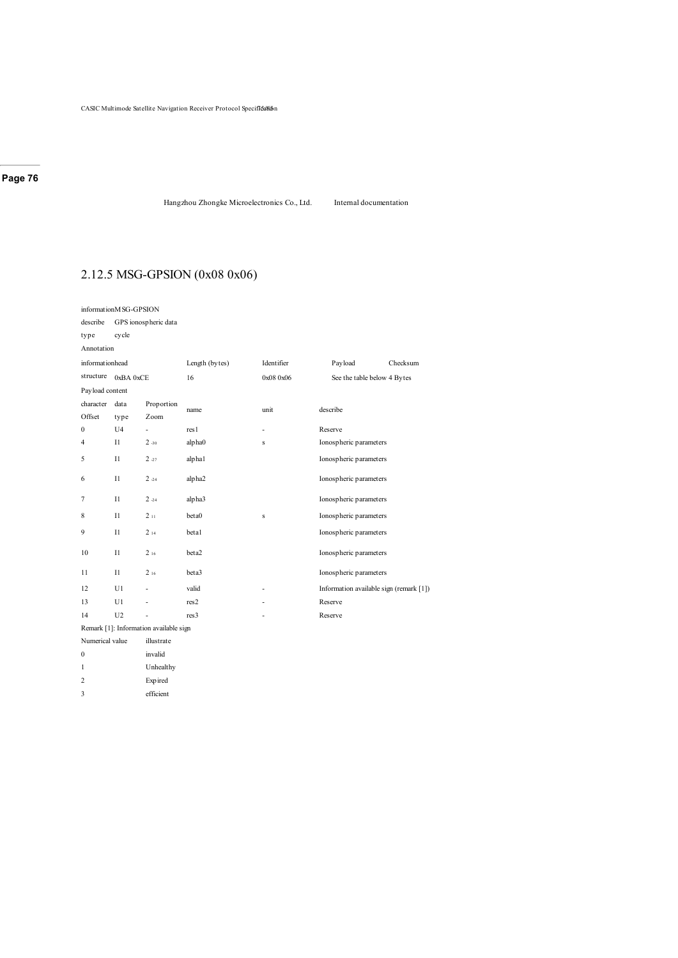Hangzhou Zhongke Microelectronics Co., Ltd. Internal documentation

# 2.12.5 MSG-GPSION (0x08 0x06)

| informationM SG-GPSION |                                        |            |                  |            |                                         |          |  |  |  |  |  |
|------------------------|----------------------------------------|------------|------------------|------------|-----------------------------------------|----------|--|--|--|--|--|
| describe               | GPS ionospheric data                   |            |                  |            |                                         |          |  |  |  |  |  |
| type                   | cycle                                  |            |                  |            |                                         |          |  |  |  |  |  |
| Annotation             |                                        |            |                  |            |                                         |          |  |  |  |  |  |
| informationhead        |                                        |            | Length (bytes)   | Identifier | Payload                                 | Checksum |  |  |  |  |  |
| structure              | 0xBA 0xCE                              |            | 16               | 0x08 0x06  | See the table below 4 Bytes             |          |  |  |  |  |  |
| Payload content        |                                        |            |                  |            |                                         |          |  |  |  |  |  |
| character              | data                                   | Proportion |                  | unit       | describe                                |          |  |  |  |  |  |
| Offset                 | type                                   | Zoom       | name             |            |                                         |          |  |  |  |  |  |
| $\boldsymbol{0}$       | U <sub>4</sub>                         |            | res1             | ٠          | Reserve                                 |          |  |  |  |  |  |
| $\overline{4}$         | $_{\rm II}$                            | $2 - 30$   | alpha0           | S          | Ionospheric parameters                  |          |  |  |  |  |  |
| 5                      | $_{11}$                                | $2 - 27$   | alphal           |            | Ionospheric parameters                  |          |  |  |  |  |  |
| 6                      | $_{11}$                                | $2 - 24$   | alpha2           |            | Ionospheric parameters                  |          |  |  |  |  |  |
| 7                      | $_{11}$                                | $2 - 24$   | alpha3           |            | Ionospheric parameters                  |          |  |  |  |  |  |
| 8                      | $_{11}$                                | 211        | beta0            | s          | Ionospheric parameters                  |          |  |  |  |  |  |
| 9                      | $_{11}$                                | 214        | betal            |            | Ionospheric parameters                  |          |  |  |  |  |  |
| 10                     | $_{11}$                                | 216        | beta2            |            | Ionospheric parameters                  |          |  |  |  |  |  |
| 11                     | $_{11}$                                | 216        | beta3            |            | Ionospheric parameters                  |          |  |  |  |  |  |
| 12                     | U1                                     | ÷,         | valid            | ٠          | Information available sign (remark [1]) |          |  |  |  |  |  |
| 13                     | U1                                     | ÷,         | res2             |            | Reserve                                 |          |  |  |  |  |  |
| 14                     | U <sub>2</sub>                         | ä,         | res <sub>3</sub> | ٠          | Reserve                                 |          |  |  |  |  |  |
|                        | Remark [1]: Information available sign |            |                  |            |                                         |          |  |  |  |  |  |

| Refilae R   F   Hilofination available S |            |  |  |  |  |  |  |  |
|------------------------------------------|------------|--|--|--|--|--|--|--|
| Numerical value                          | illustrate |  |  |  |  |  |  |  |
| 0                                        | invalid    |  |  |  |  |  |  |  |
|                                          | Unhealthy  |  |  |  |  |  |  |  |
| っ                                        | Expired    |  |  |  |  |  |  |  |

3 efficient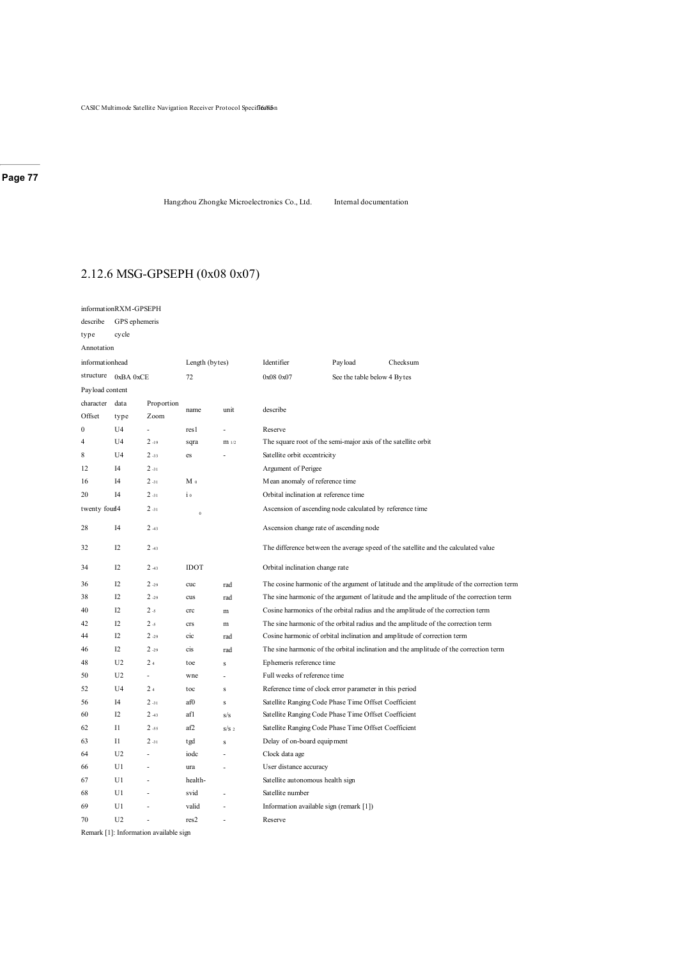Hangzhou Zhongke Microelectronics Co., Ltd. Internal documentation

# 2.12.6 MSG-GPSEPH (0x08 0x07)

|                           | informationRXM-GPSEPH |                                        |                |                  |                                                                                    |                             |                                                                                          |  |  |  |
|---------------------------|-----------------------|----------------------------------------|----------------|------------------|------------------------------------------------------------------------------------|-----------------------------|------------------------------------------------------------------------------------------|--|--|--|
| describe                  | GPS ephemeris         |                                        |                |                  |                                                                                    |                             |                                                                                          |  |  |  |
| type                      | cycle                 |                                        |                |                  |                                                                                    |                             |                                                                                          |  |  |  |
| Annotation                |                       |                                        |                |                  |                                                                                    |                             |                                                                                          |  |  |  |
| informationhead           |                       |                                        | Length (bytes) |                  | Identifier                                                                         | Payload                     | Checksum                                                                                 |  |  |  |
| structure                 | 0xBA 0xCE             |                                        | 72             |                  | 0x08 0x07                                                                          | See the table below 4 Bytes |                                                                                          |  |  |  |
| Payload content           |                       |                                        |                |                  |                                                                                    |                             |                                                                                          |  |  |  |
| character                 | data                  | Proportion                             |                |                  |                                                                                    |                             |                                                                                          |  |  |  |
| Offset                    | type                  | Zoom                                   | name           | unit             | describe                                                                           |                             |                                                                                          |  |  |  |
| $\boldsymbol{0}$          | U4                    | ä,                                     | res l          |                  | Reserve                                                                            |                             |                                                                                          |  |  |  |
| $\overline{4}$            | U <sub>4</sub>        | $2 - 19$                               | sqra           | m <sub>1/2</sub> | The square root of the semi-major axis of the satellite orbit                      |                             |                                                                                          |  |  |  |
| 8                         | U <sub>4</sub>        | $2 - 33$                               | es             |                  | Satellite orbit eccentricity                                                       |                             |                                                                                          |  |  |  |
| 12                        | I4                    | $2 - 31$                               |                |                  | Argument of Perigee                                                                |                             |                                                                                          |  |  |  |
| 16                        | I4                    | $2 - 31$                               | M 0            |                  | Mean anomaly of reference time                                                     |                             |                                                                                          |  |  |  |
| 20                        | I4                    | $2 - 31$                               | $\mathbf{i}$   |                  | Orbital inclination at reference time                                              |                             |                                                                                          |  |  |  |
| twenty four <sup>14</sup> |                       | $2 - 31$                               | $\,$ 0         |                  | Ascension of ascending node calculated by reference time                           |                             |                                                                                          |  |  |  |
| 28                        | I <sub>4</sub>        | 243                                    |                |                  | Ascension change rate of ascending node                                            |                             |                                                                                          |  |  |  |
| 32                        | I2                    | 243                                    |                |                  | The difference between the average speed of the satellite and the calculated value |                             |                                                                                          |  |  |  |
| 34                        | I2                    | $2 - 43$                               | <b>IDOT</b>    |                  | Orbital inclination change rate                                                    |                             |                                                                                          |  |  |  |
| 36                        | I2                    | $2 - 29$                               | cuc            | rad              |                                                                                    |                             | The cosine harmonic of the argument of latitude and the amplitude of the correction term |  |  |  |
| 38                        | I2                    | $2 - 29$                               | cus            | rad              |                                                                                    |                             | The sine harmonic of the argument of latitude and the amplitude of the correction term   |  |  |  |
| 40                        | I2                    | 2.5                                    | crc            | m                |                                                                                    |                             | Cosine harmonics of the orbital radius and the amplitude of the correction term          |  |  |  |
| 42                        | I2                    | 2 <sub>5</sub>                         | crs            | m                |                                                                                    |                             | The sine harmonic of the orbital radius and the amplitude of the correction term         |  |  |  |
| 44                        | I2                    | $2 - 29$                               | cic            | rad              |                                                                                    |                             | Cosine harmonic of orbital inclination and amplitude of correction term                  |  |  |  |
| 46                        | I2                    | $2 - 29$                               | cis            | rad              |                                                                                    |                             | The sine harmonic of the orbital inclination and the amplitude of the correction term    |  |  |  |
| 48                        | U <sub>2</sub>        | 24                                     | toe            | Ś                | Ephemeris reference time                                                           |                             |                                                                                          |  |  |  |
| 50                        | U <sub>2</sub>        | ÷.                                     | wne            | Ĭ.               | Full weeks of reference time                                                       |                             |                                                                                          |  |  |  |
| 52                        | U <sub>4</sub>        | 2 <sub>4</sub>                         | toc            | s                | Reference time of clock error parameter in this period                             |                             |                                                                                          |  |  |  |
| 56                        | I4                    | $2 - 31$                               | af0            | Ś                | Satellite Ranging Code Phase Time Offset Coefficient                               |                             |                                                                                          |  |  |  |
| 60                        | I2                    | 243                                    | afl            | s/s              | Satellite Ranging Code Phase Time Offset Coefficient                               |                             |                                                                                          |  |  |  |
| 62                        | 11                    | $2 - 55$                               | af2            | s/s              | Satellite Ranging Code Phase Time Offset Coefficient                               |                             |                                                                                          |  |  |  |
| 63                        | $_{11}$               | $2 - 31$                               | tgd            | S                | Delay of on-board equipment                                                        |                             |                                                                                          |  |  |  |
| 64                        | U <sub>2</sub>        | ä,                                     | iodc           | ÷                | Clock data age                                                                     |                             |                                                                                          |  |  |  |
| 66                        | U1                    | ä,                                     | ura            |                  | User distance accuracy                                                             |                             |                                                                                          |  |  |  |
| 67                        | U1                    |                                        | health-        |                  | Satellite autonomous health sign                                                   |                             |                                                                                          |  |  |  |
| 68                        | U1                    | Ĭ.                                     | svid           | ä,               | Satellite number                                                                   |                             |                                                                                          |  |  |  |
| 69                        | U1                    | ä,                                     | valid          | ÷                | Information available sign (remark [1])                                            |                             |                                                                                          |  |  |  |
| 70                        | U <sub>2</sub>        |                                        | res2           |                  | Reserve                                                                            |                             |                                                                                          |  |  |  |
|                           |                       | Remark [1]: Information available sign |                |                  |                                                                                    |                             |                                                                                          |  |  |  |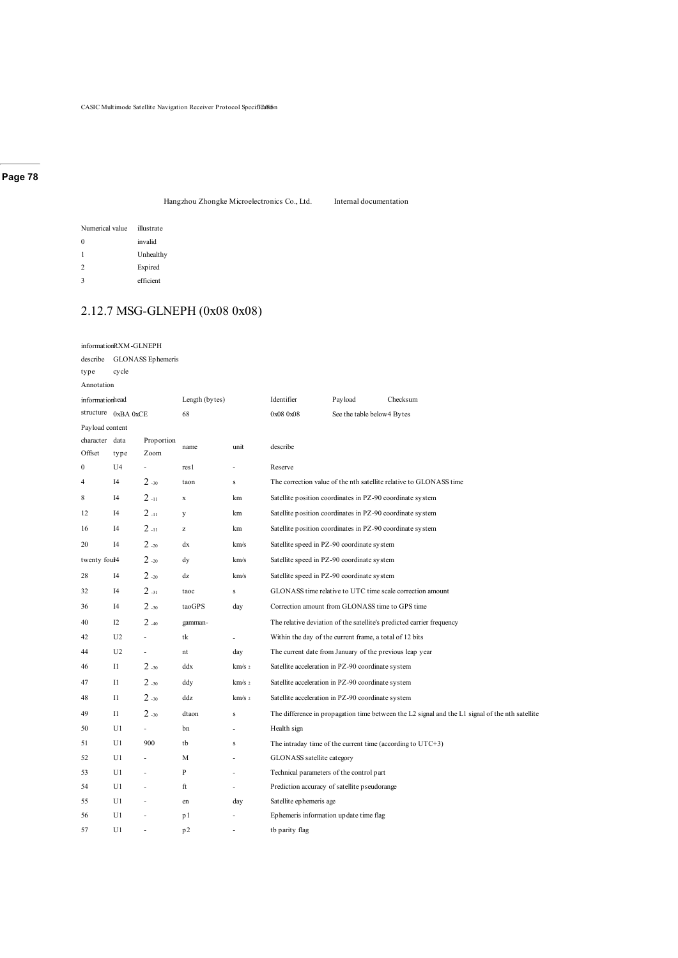Hangzhou Zhongke Microelectronics Co., Ltd. Internal documentation

| Numerical value | illustrate |
|-----------------|------------|
| 0               | invalid    |
| 1               | Unhealthy  |
| $\mathcal{D}$   | Expired    |
| 2               | efficient  |

# 2.12.7 MSG-GLNEPH (0x08 0x08)

|                     | informationRXM-GLNEPH |                    |                |                   |                                                           |                            |                                                                                                 |
|---------------------|-----------------------|--------------------|----------------|-------------------|-----------------------------------------------------------|----------------------------|-------------------------------------------------------------------------------------------------|
| describe            |                       | GLONASS Ephemeris  |                |                   |                                                           |                            |                                                                                                 |
| type                | cycle                 |                    |                |                   |                                                           |                            |                                                                                                 |
| Annotation          |                       |                    |                |                   |                                                           |                            |                                                                                                 |
| informationhead     |                       |                    | Length (bytes) |                   | Identifier                                                | Payload                    | Checksum                                                                                        |
|                     | structure 0xBA 0xCE   |                    | 68             |                   | 0x08 0x08                                                 | See the table below4 Bytes |                                                                                                 |
| Payload content     |                       |                    |                |                   |                                                           |                            |                                                                                                 |
| character<br>Offset | data<br>type          | Proportion<br>Zoom | name           | unit              | describe                                                  |                            |                                                                                                 |
| $\bf{0}$            | U <sub>4</sub>        | ÷,                 | res l          | ÷,                | Reserve                                                   |                            |                                                                                                 |
| $\overline{4}$      | I4                    | 2.30               | taon           | $\bf S$           |                                                           |                            | The correction value of the nth satellite relative to GLONASS time                              |
| 8                   | I4                    | $2_{-11}$          | $\mathbf x$    | km                | Satellite position coordinates in PZ-90 coordinate system |                            |                                                                                                 |
| 12                  | I <sub>4</sub>        | $2_{-11}$          | у              | km                | Satellite position coordinates in PZ-90 coordinate system |                            |                                                                                                 |
| 16                  | I <sub>4</sub>        | $2 - 11$           | z              | km                | Satellite position coordinates in PZ-90 coordinate system |                            |                                                                                                 |
| 20                  | I <sub>4</sub>        | 2.20               | dx             | km/s              | Satellite speed in PZ-90 coordinate system                |                            |                                                                                                 |
| twenty foul4        |                       | $2_{-20}$          | dy             | km/s              | Satellite speed in PZ-90 coordinate system                |                            |                                                                                                 |
| 28                  | I4                    | 2.20               | dz             | km/s              | Satellite speed in PZ-90 coordinate system                |                            |                                                                                                 |
| 32                  | I <sub>4</sub>        | $2 - 31$           | taoc           | $\bf S$           |                                                           |                            | GLONASS time relative to UTC time scale correction amount                                       |
| 36                  | I <sub>4</sub>        | 2.30               | taoGPS         | day               | Correction amount from GLONASS time to GPS time           |                            |                                                                                                 |
| 40                  | I2                    | 2.40               | gamman-        |                   |                                                           |                            | The relative deviation of the satellite's predicted carrier frequency                           |
| 42                  | U <sub>2</sub>        | ä,                 | tk             | L.                | Within the day of the current frame, a total of 12 bits   |                            |                                                                                                 |
| 44                  | U <sub>2</sub>        | L,                 | nt             | day               | The current date from January of the previous leap year   |                            |                                                                                                 |
| 46                  | $_{\rm II}$           | 2.30               | ddx            | km/s <sub>2</sub> | Satellite acceleration in PZ-90 coordinate system         |                            |                                                                                                 |
| 47                  | $_{\rm II}$           | 2.30               | ddy            | km/s 2            | Satellite acceleration in PZ-90 coordinate system         |                            |                                                                                                 |
| 48                  | $_{\text{II}}$        | 2.30               | ddz            | km/s <sub>2</sub> | Satellite acceleration in PZ-90 coordinate system         |                            |                                                                                                 |
| 49                  | $_{\rm II}$           | 2.30               | dtaon          | $\bf S$           |                                                           |                            | The difference in propagation time between the L2 signal and the L1 signal of the nth satellite |
| 50                  | U1                    | ÷,                 | bn             | L.                | Health sign                                               |                            |                                                                                                 |
| 51                  | U1                    | 900                | tb             | $\bf S$           |                                                           |                            | The intraday time of the current time (according to $UTC+3$ )                                   |
| 52                  | U1                    | ä,                 | M              | ä,                | GLONASS satellite category                                |                            |                                                                                                 |
| 53                  | U1                    |                    | P              | L,                | Technical parameters of the control part                  |                            |                                                                                                 |
| 54                  | U1                    | ÷,                 | ft             | ÷                 | Prediction accuracy of satellite pseudorange              |                            |                                                                                                 |
| 55                  | U1                    | ä,                 | en             | day               | Satellite ephemeris age                                   |                            |                                                                                                 |
| 56                  | U1                    |                    | p1             | ä,                | Ephemeris information update time flag                    |                            |                                                                                                 |
| 57                  | U1                    | ä,                 | p <sub>2</sub> | ä,                | tb parity flag                                            |                            |                                                                                                 |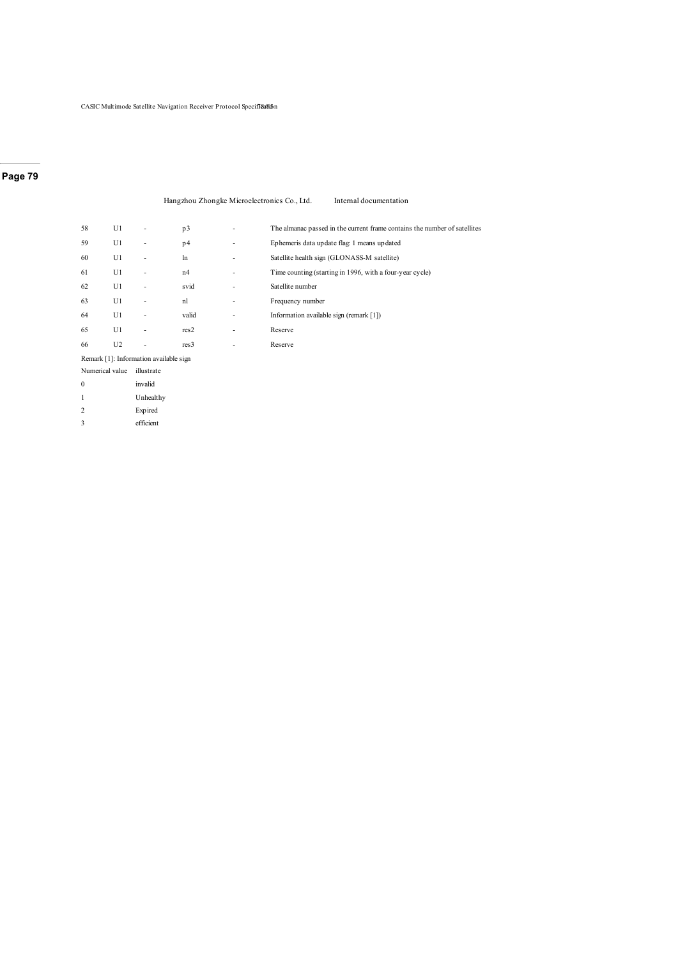#### Hangzhou Zhongke Microelectronics Co., Ltd. Internal documentation

| 58              | U1             |                                        | p3               | ٠                        | The almanac passed in the current frame contains the number of satellites |
|-----------------|----------------|----------------------------------------|------------------|--------------------------|---------------------------------------------------------------------------|
| 59              | U1             | $\overline{\phantom{m}}$               | p4               | $\overline{\phantom{a}}$ | Ephemeris data update flag: 1 means updated                               |
| 60              | U1             | ٠                                      | ln               | $\overline{\phantom{0}}$ | Satellite health sign (GLONASS-M satellite)                               |
| 61              | U1             |                                        | n4               | $\overline{\phantom{0}}$ | Time counting (starting in 1996, with a four-year cycle)                  |
| 62              | U1             | ٠                                      | svid             | ٠                        | Satellite number                                                          |
| 63              | U1             | ٠                                      | nl               | $\overline{\phantom{0}}$ | Frequency number                                                          |
| 64              | U1             | ٠                                      | valid            |                          | Information available sign (remark [1])                                   |
| 65              | U1             |                                        | res2             | $\overline{\phantom{0}}$ | Reserve                                                                   |
| 66              | U <sub>2</sub> |                                        | res <sub>3</sub> | ٠                        | Reserve                                                                   |
|                 |                | Remark [1]: Information available sign |                  |                          |                                                                           |
| Numerical value |                | illustrate                             |                  |                          |                                                                           |
| $\mathbf{0}$    |                | invalid                                |                  |                          |                                                                           |
| 1               |                | Unhealthy                              |                  |                          |                                                                           |
| $\overline{2}$  |                | Expired                                |                  |                          |                                                                           |
|                 |                |                                        |                  |                          |                                                                           |

- efficient
-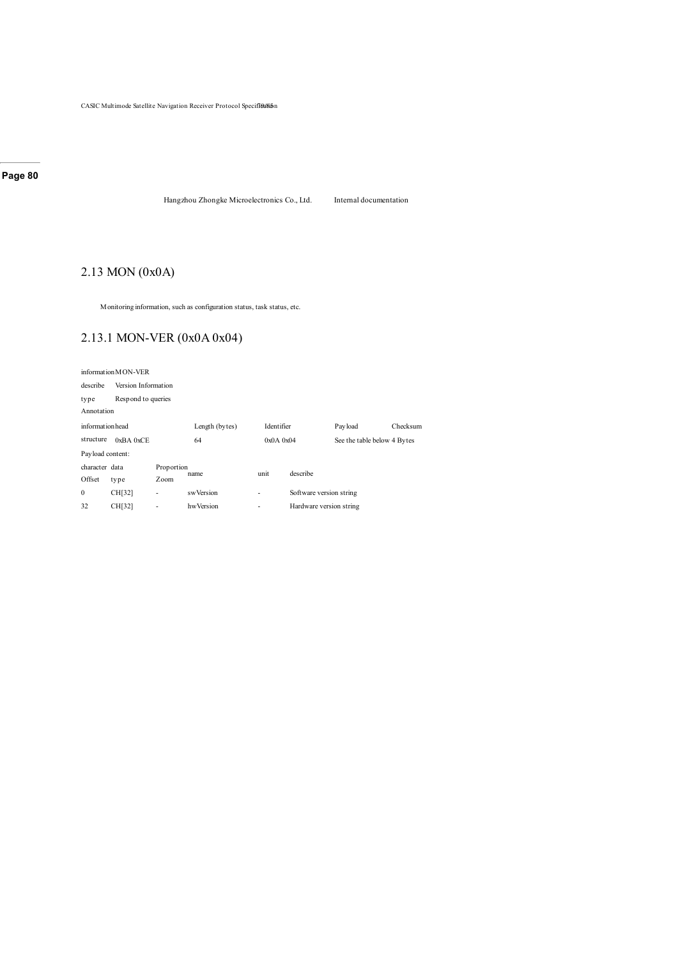Hangzhou Zhongke Microelectronics Co., Ltd. Internal documentation

# 2.13 MON (0x0A)

Monitoring information, such as configuration status, task status, etc.

# 2.13.1 MON-VER (0x0A 0x04)

|                  | information MON-VER      |                     |                |               |                         |                             |          |  |  |  |
|------------------|--------------------------|---------------------|----------------|---------------|-------------------------|-----------------------------|----------|--|--|--|
| describe         |                          | Version Information |                |               |                         |                             |          |  |  |  |
| type             |                          | Respond to queries  |                |               |                         |                             |          |  |  |  |
|                  | Annotation               |                     |                |               |                         |                             |          |  |  |  |
| informationhead  |                          |                     | Length (bytes) | Identifier    |                         | Payload                     | Checksum |  |  |  |
| structure        | $0xBA$ $0xCE$            | 64                  |                | $0x0A$ $0x04$ |                         | See the table below 4 Bytes |          |  |  |  |
| Payload content: |                          |                     |                |               |                         |                             |          |  |  |  |
| character data   |                          | Proportion          |                | unit          | describe                |                             |          |  |  |  |
| Offset           | type                     | Zoom                | name           |               |                         |                             |          |  |  |  |
| $\mathbf{0}$     | CH[32]                   | ٠                   | swVersion      | ٠             | Software version string |                             |          |  |  |  |
| 32               | CH[32]<br>hwVersion<br>٠ |                     |                | ٠             | Hardware version string |                             |          |  |  |  |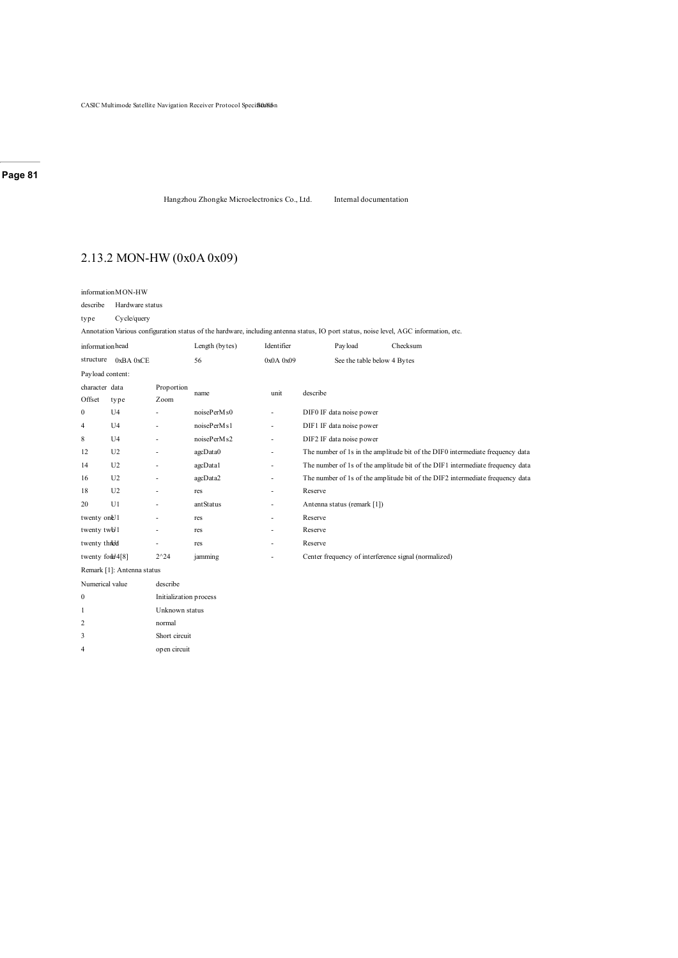Hangzhou Zhongke Microelectronics Co., Ltd. Internal documentation

# 2.13.2 MON-HW (0x0A 0x09)

describe Hardware status

2 normal 3 Short circuit 4 open circuit

#### type Cycle/query

Annotation Various configuration status of the hardware, including antenna status, IO port status, noise level, AGC information, etc.

| informationhead         |                            |                          | Length (bytes) | Identifier               |          | Pay load                    | Checksum                                                                      |
|-------------------------|----------------------------|--------------------------|----------------|--------------------------|----------|-----------------------------|-------------------------------------------------------------------------------|
| structure               | 0xBA0xCE                   |                          | 56             | $0x0A$ $0x09$            |          | See the table below 4 Bytes |                                                                               |
| Payload content:        |                            |                          |                |                          |          |                             |                                                                               |
| character data          |                            | Proportion               | name           | unit                     | describe |                             |                                                                               |
| Offset                  | type                       | Zoom                     |                |                          |          |                             |                                                                               |
| $\mathbf{0}$            | U <sub>4</sub>             |                          | noisePerMs0    | ۰                        |          | DIF0 IF data noise power    |                                                                               |
| 4                       | U <sub>4</sub>             |                          | noisePerMs1    | ۰                        |          | DIF1 IF data noise power    |                                                                               |
| 8                       | U <sub>4</sub>             |                          | noisePerMs2    | ٠                        |          | DIF2 IF data noise power    |                                                                               |
| 12                      | U <sub>2</sub>             |                          | agcData0       | ۰                        |          |                             | The number of 1s in the amplitude bit of the DIF0 intermediate frequency data |
| 14                      | U <sub>2</sub>             |                          | agcDatal       | $\overline{\phantom{a}}$ |          |                             | The number of 1s of the amplitude bit of the DIF1 intermediate frequency data |
| 16                      | U <sub>2</sub>             |                          | agcData2       | $\frac{1}{2}$            |          |                             | The number of 1s of the amplitude bit of the DIF2 intermediate frequency data |
| 18                      | U <sub>2</sub>             |                          | res            | ۰                        | Reserve  |                             |                                                                               |
| 20                      | U <sub>1</sub>             | ä,                       | antStatus      | ۰                        |          | Antenna status (remark [1]) |                                                                               |
| twenty on U1            |                            |                          | res            |                          | Reserve  |                             |                                                                               |
| twenty twb <sup>1</sup> |                            | $\overline{\phantom{0}}$ | res            | ۰                        | Reserve  |                             |                                                                               |
| twenty three            |                            | $\overline{\phantom{0}}$ | res            | $\frac{1}{2}$            | Reserve  |                             |                                                                               |
| twenty four $4[8]$      |                            | $2^{\wedge}24$           | jamming        |                          |          |                             | Center frequency of interference signal (normalized)                          |
|                         | Remark [1]: Antenna status |                          |                |                          |          |                             |                                                                               |
| Numerical value         |                            | describe                 |                |                          |          |                             |                                                                               |
| $\mathbf{0}$            |                            | Initialization process   |                |                          |          |                             |                                                                               |
| 1                       |                            | Unknown status           |                |                          |          |                             |                                                                               |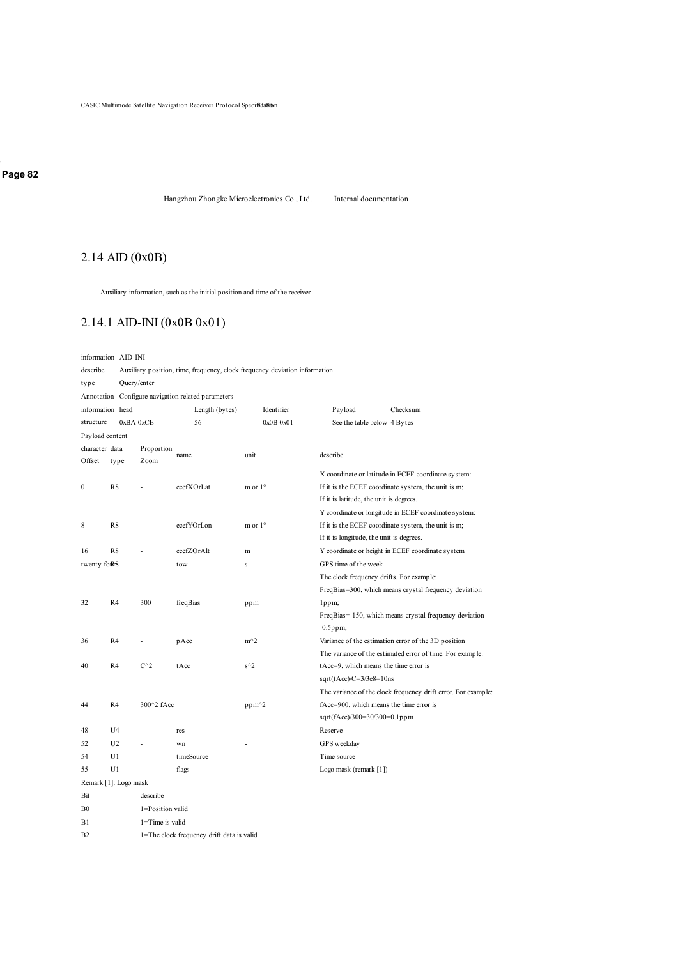Hangzhou Zhongke Microelectronics Co., Ltd. Internal documentation

# 2.14 AID (0x0B)

Auxiliary information, such as the initial position and time of the receiver.

# 2.14.1 AID-INI (0x0B 0x01)

information AID-INI

| describe        |                       |                  | Auxiliary position, time, frequency, clock frequency deviation information |                  |            |                                                        |                                                               |  |          |  |  |  |
|-----------------|-----------------------|------------------|----------------------------------------------------------------------------|------------------|------------|--------------------------------------------------------|---------------------------------------------------------------|--|----------|--|--|--|
| type            |                       | Query/enter      |                                                                            |                  |            |                                                        |                                                               |  |          |  |  |  |
|                 |                       |                  | Annotation Configure navigation related parameters                         |                  |            |                                                        |                                                               |  |          |  |  |  |
|                 | information head      |                  | Length (bytes)                                                             |                  | Identifier |                                                        | Pay load                                                      |  | Checksum |  |  |  |
| structure       |                       | 0xBA 0xCE        | 56                                                                         |                  | 0x0B0x01   |                                                        | See the table below 4 Bytes                                   |  |          |  |  |  |
| Payload content |                       |                  |                                                                            |                  |            |                                                        |                                                               |  |          |  |  |  |
| character data  |                       | Proportion       |                                                                            |                  |            |                                                        |                                                               |  |          |  |  |  |
| Offset          | Zoom<br>type          |                  | name                                                                       | unit             |            | describe                                               |                                                               |  |          |  |  |  |
|                 |                       |                  |                                                                            |                  |            |                                                        | X coordinate or latitude in ECEF coordinate system:           |  |          |  |  |  |
| $\mathbf{0}$    | R8                    |                  | ecefXOrLat                                                                 | m or $1^{\circ}$ |            |                                                        | If it is the ECEF coordinate system, the unit is m;           |  |          |  |  |  |
|                 |                       |                  |                                                                            |                  |            |                                                        | If it is latitude, the unit is degrees.                       |  |          |  |  |  |
|                 |                       |                  |                                                                            |                  |            |                                                        | Y coordinate or longitude in ECEF coordinate system:          |  |          |  |  |  |
| 8               | R8                    |                  | ecefYOrLon                                                                 | m or $1^{\circ}$ |            |                                                        | If it is the ECEF coordinate system, the unit is m;           |  |          |  |  |  |
|                 |                       |                  |                                                                            |                  |            |                                                        | If it is longitude, the unit is degrees.                      |  |          |  |  |  |
| 16              | R8                    |                  | ecefZOrAlt                                                                 | m                |            | Y coordinate or height in ECEF coordinate system       |                                                               |  |          |  |  |  |
| twenty form8    |                       |                  | tow                                                                        | Ś                |            | GPS time of the week                                   |                                                               |  |          |  |  |  |
|                 |                       |                  |                                                                            |                  |            | The clock frequency drifts. For example:               |                                                               |  |          |  |  |  |
|                 |                       |                  |                                                                            |                  |            |                                                        | FreqBias=300, which means crystal frequency deviation         |  |          |  |  |  |
| 32              | R4                    | 300              | freqBias                                                                   | ppm              |            |                                                        | lppm;                                                         |  |          |  |  |  |
|                 |                       |                  |                                                                            |                  |            | FreqBias=-150, which means crystal frequency deviation |                                                               |  |          |  |  |  |
|                 |                       |                  |                                                                            |                  |            | $-0.5$ ppm;                                            |                                                               |  |          |  |  |  |
| 36              | R4                    |                  | pAcc                                                                       | $m^2$            |            |                                                        | Variance of the estimation error of the 3D position           |  |          |  |  |  |
|                 |                       |                  |                                                                            |                  |            |                                                        | The variance of the estimated error of time. For example:     |  |          |  |  |  |
| 40              | R4                    | $C^{\wedge}2$    | tAcc                                                                       | $s^2$            |            |                                                        | tAcc=9, which means the time error is                         |  |          |  |  |  |
|                 |                       |                  |                                                                            |                  |            |                                                        | $sqrt(tAcc)/C=3/3e8=10$ ns                                    |  |          |  |  |  |
|                 |                       |                  |                                                                            |                  |            |                                                        | The variance of the clock frequency drift error. For example: |  |          |  |  |  |
| 44              | R4                    | 300^2 fAcc       |                                                                            | ppm^2            |            |                                                        | fAcc=900, which means the time error is                       |  |          |  |  |  |
|                 |                       |                  |                                                                            |                  |            |                                                        | sqrt(fAcc)/300=30/300=0.1ppm                                  |  |          |  |  |  |
| 48              | U4                    | ä,               | res                                                                        |                  |            | Reserve                                                |                                                               |  |          |  |  |  |
| 52              | U <sub>2</sub>        |                  | wn                                                                         |                  |            |                                                        | GPS weekday                                                   |  |          |  |  |  |
| 54              | U1                    |                  | timeSource                                                                 |                  |            | Time source                                            |                                                               |  |          |  |  |  |
| 55              | U1                    | ÷,               | flags                                                                      | L                |            |                                                        | Logo mask (remark [1])                                        |  |          |  |  |  |
|                 | Remark [1]: Logo mask |                  |                                                                            |                  |            |                                                        |                                                               |  |          |  |  |  |
| Bit             |                       | describe         |                                                                            |                  |            |                                                        |                                                               |  |          |  |  |  |
| B <sub>0</sub>  |                       | 1=Position valid |                                                                            |                  |            |                                                        |                                                               |  |          |  |  |  |
|                 |                       |                  |                                                                            |                  |            |                                                        |                                                               |  |          |  |  |  |

B1 1=Time is valid

B2 1=The clock frequency drift data is valid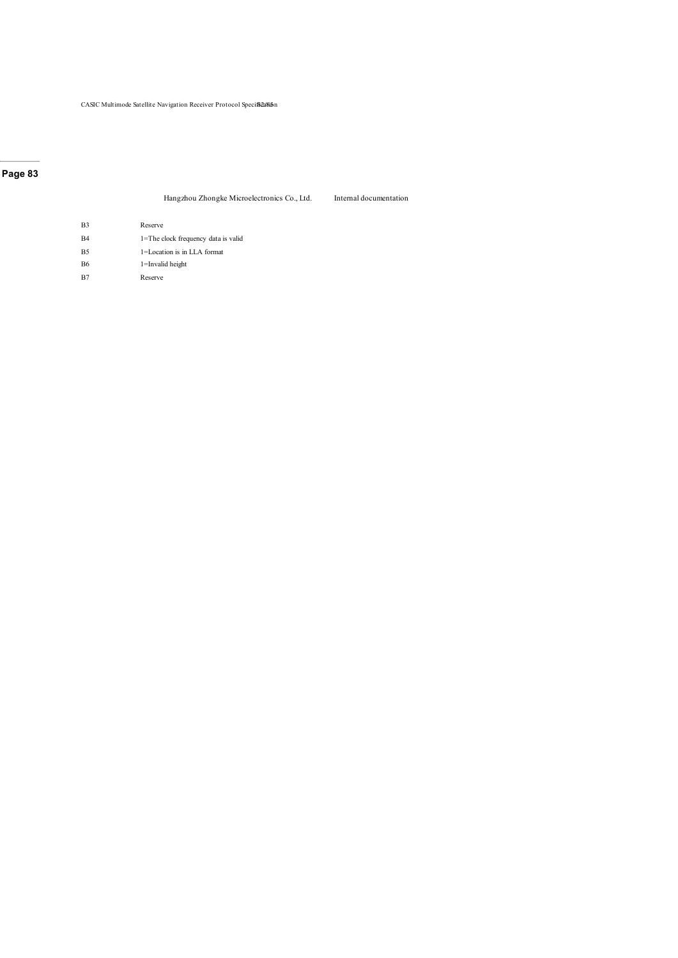#### Hangzhou Zhongke Microelectronics Co., Ltd. Internal documentation

B3 Reserve

- B4 1=The clock frequency data is valid
- B5 1=Location is in LLA format
- B6 1=Invalid height
- B7 Reserve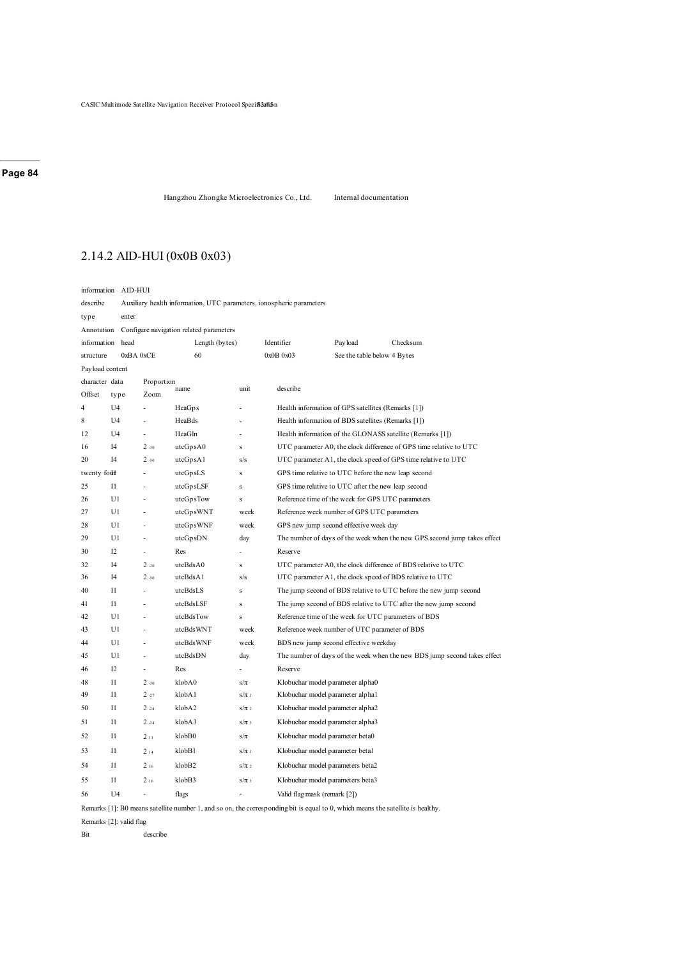Hangzhou Zhongke Microelectronics Co., Ltd. Internal documentation

# 2.14.2 AID-HUI (0x0B 0x03)

|                                                       | information AID-HUI |                                                                      |           |           |                                                     |                                                                          |          |  |
|-------------------------------------------------------|---------------------|----------------------------------------------------------------------|-----------|-----------|-----------------------------------------------------|--------------------------------------------------------------------------|----------|--|
| describe                                              |                     | Auxiliary health information, UTC parameters, ionospheric parameters |           |           |                                                     |                                                                          |          |  |
| type                                                  | enter               |                                                                      |           |           |                                                     |                                                                          |          |  |
| Annotation<br>Configure navigation related parameters |                     |                                                                      |           |           |                                                     |                                                                          |          |  |
|                                                       | information head    | Length (bytes)                                                       |           |           | Identifier                                          | Payload                                                                  | Checksum |  |
| structure                                             |                     | 0xBA 0xCE                                                            | 60        |           | 0x0B0x03                                            | See the table below 4 Bytes                                              |          |  |
| Payload content                                       |                     |                                                                      |           |           |                                                     |                                                                          |          |  |
| character data                                        |                     | Proportion                                                           |           |           |                                                     |                                                                          |          |  |
| Offset                                                | type                | Zoom                                                                 | name      | unit      | describe                                            |                                                                          |          |  |
| 4                                                     | U4                  |                                                                      | HeaGps    |           |                                                     | Health information of GPS satellites (Remarks [1])                       |          |  |
| 8                                                     | U <sub>4</sub>      |                                                                      | HeaBds    | ä,        |                                                     | Health information of BDS satellites (Remarks [1])                       |          |  |
| 12                                                    | U <sub>4</sub>      |                                                                      | HeaGln    | L,        |                                                     | Health information of the GLONASS satellite (Remarks [1])                |          |  |
| 16                                                    | I4                  | 2.30                                                                 | utcGpsA0  | $\bf S$   |                                                     | UTC parameter A0, the clock difference of GPS time relative to UTC       |          |  |
| 20                                                    | I4                  | $2 - 50$                                                             | utcGpsA1  | s/s       |                                                     | UTC parameter A1, the clock speed of GPS time relative to UTC            |          |  |
| twenty fould                                          |                     | utcGpsLS                                                             | ${\bf S}$ |           | GPS time relative to UTC before the new leap second |                                                                          |          |  |
| 25                                                    | 11                  |                                                                      | utcGpsLSF | $\bf S$   |                                                     | GPS time relative to UTC after the new leap second                       |          |  |
| 26                                                    | U1                  |                                                                      | utcGpsTow | s         |                                                     | Reference time of the week for GPS UTC parameters                        |          |  |
| 27                                                    | U1                  | ÷,                                                                   | utcGpsWNT | week      |                                                     | Reference week number of GPS UTC parameters                              |          |  |
| 28                                                    | U1                  |                                                                      | utcGpsWNF | week      |                                                     | GPS new jump second effective week day                                   |          |  |
| 29                                                    | U1                  |                                                                      | utcGpsDN  | day       |                                                     | The number of days of the week when the new GPS second jump takes effect |          |  |
| 30                                                    | 12                  |                                                                      | Res       |           | Reserve                                             |                                                                          |          |  |
| 32                                                    | I4                  | $2 - 30$                                                             | utcBdsA0  | s         |                                                     | UTC parameter A0, the clock difference of BDS relative to UTC            |          |  |
| 36                                                    | I4                  | 2.50                                                                 | utcBdsA1  | s/s       |                                                     | UTC parameter A1, the clock speed of BDS relative to UTC                 |          |  |
| 40                                                    | 11                  |                                                                      | utcBdsLS  | $\bf S$   |                                                     | The jump second of BDS relative to UTC before the new jump second        |          |  |
| 41                                                    | $_{11}$             |                                                                      | utcBdsLSF | $\bf S$   |                                                     | The jump second of BDS relative to UTC after the new jump second         |          |  |
| 42                                                    | U1                  |                                                                      | utcBdsTow | $\bf S$   |                                                     | Reference time of the week for UTC parameters of BDS                     |          |  |
| 43                                                    | U1                  |                                                                      | utcBdsWNT | week      |                                                     | Reference week number of UTC parameter of BDS                            |          |  |
| 44                                                    | U1                  |                                                                      | utcBdsWNF | week      |                                                     | BDS new jump second effective weekday                                    |          |  |
| 45                                                    | U1                  |                                                                      | utcBdsDN  | day       |                                                     | The number of days of the week when the new BDS jump second takes effect |          |  |
| 46                                                    | 12                  |                                                                      | Res       |           | Reserve                                             |                                                                          |          |  |
| 48                                                    | $_{11}$             | $2 - 30$                                                             | klobA0    | $s/\pi$   |                                                     | Klobuchar model parameter alpha0                                         |          |  |
| 49                                                    | 11                  | 2.27                                                                 | klobA1    | $s/\pi$ 1 |                                                     | Klobuchar model parameter alphal                                         |          |  |
| 50                                                    | 11                  | $2 - 24$                                                             | klobA2    | $s/\pi$ 2 |                                                     | Klobuchar model parameter alpha2                                         |          |  |
| 51                                                    | $_{11}$             | $2 - 24$                                                             | klobA3    | $s/\pi$ 3 |                                                     | Klobuchar model parameter alpha3                                         |          |  |
| 52                                                    | 11                  | 211                                                                  | klobB0    | $s/\pi$   |                                                     | Klobuchar model parameter beta0                                          |          |  |
| 53                                                    | $_{11}$             | 214                                                                  | klobB1    | $s/\pi$ 1 |                                                     | Klobuchar model parameter betal                                          |          |  |
| 54                                                    | 11                  | 216                                                                  | klobB2    | $s/\pi$ 2 |                                                     | Klobuchar model parameters beta2                                         |          |  |
| 55                                                    | $_{11}$             | 216                                                                  | klobB3    | $s/\pi$ 3 |                                                     | Klobuchar model parameters beta3                                         |          |  |
| 56                                                    | U <sub>4</sub>      |                                                                      | flags     |           |                                                     | Valid flag mask (remark [2])                                             |          |  |

Remarks [1]: B0 means satellite number 1, and so on, the corresponding bit is equal to 0, which means the satellite is healthy.

Remarks [2]: valid flag

Bit describe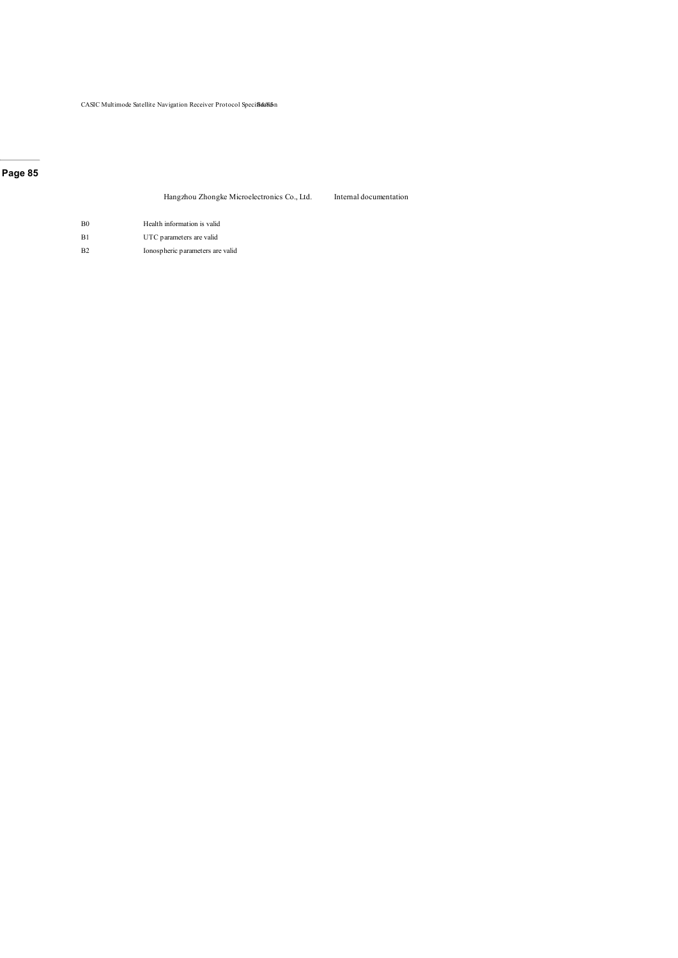#### Hangzhou Zhongke Microelectronics Co., Ltd. Internal documentation

- B0 Health information is valid B1 UTC parameters are valid
- 
- B2 Ionospheric parameters are valid